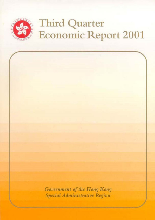

# **Third Quarter** Economic Report 2001

Government of the Hong Kong Special Administrative Region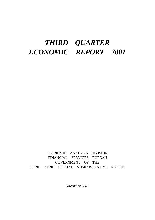## *THIRD QUARTER ECONOMIC REPORT 2001*

ECONOMIC ANALYSIS DIVISION FINANCIAL SERVICES BUREAU GOVERNMENT OF THE HONG KONG SPECIAL ADMINISTRATIVE REGION

*November 2001*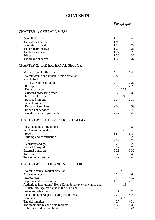## **CONTENTS**

## *Paragraphs*

## CHAPTER 1: OVERALL VIEW

| Overall situation                                                                                          | 1.1<br>$-1.8$                            |
|------------------------------------------------------------------------------------------------------------|------------------------------------------|
| The external sector                                                                                        | 1.9<br>1.17                              |
| Domestic demand                                                                                            | 1.22<br>1.18                             |
| The property market                                                                                        | 1.23<br>1.26<br>$\overline{\phantom{0}}$ |
| The labour market                                                                                          | 1.27<br>$-1.29$                          |
| Prices                                                                                                     | 1.30<br>$-1.32$                          |
| The financial sector                                                                                       | 1.33<br>$-1.37$                          |
| <b>CHAPTER 2: THE EXTERNAL SECTOR</b>                                                                      |                                          |
| Major external influences                                                                                  | $-2.4$<br>2.1                            |
| Overall visible and invisible trade situation                                                              | 2.5<br>$-2.12$                           |
| Visible trade                                                                                              |                                          |
| Total exports of goods                                                                                     | $-2.26$<br>2.13                          |
| Re-exports                                                                                                 | 2.27<br>2.28<br>$\overline{\phantom{a}}$ |
| Domestic exports                                                                                           | 2.29                                     |
| Outward processing trade                                                                                   | 2.30<br>$-2.32$                          |
| Imports of goods                                                                                           | 2.33                                     |
| Retained imports                                                                                           | 2.34<br>$-2.37$                          |
| Invisible trade                                                                                            |                                          |
| Exports of services                                                                                        | $-2.39$<br>2.38                          |
| Imports of services                                                                                        | 2.40<br>$-2.41$                          |
| Overall balance of payments                                                                                | 2.42<br>$-2.44$                          |
| <b>CHAPTER 3: THE DOMESTIC ECONOMY</b>                                                                     |                                          |
| Local manufacturing output                                                                                 | 3.1<br>$-3.3$                            |
| Service sector receipts                                                                                    | 3.4                                      |
| Property                                                                                                   | 3.5<br>$-3.14$                           |
| Building and construction                                                                                  | $-3.22$<br>3.15                          |
| Land                                                                                                       | 3.23<br>$-3.24$                          |
| Electricity and gas                                                                                        | $-3.26$<br>3.25                          |
| Internal transport                                                                                         | 3.27<br>$-3.28$                          |
| External transport                                                                                         | 3.29<br>$-3.32$                          |
| Tourism                                                                                                    | 3.33<br>$-3.41$                          |
| Telecommunications                                                                                         | 3.42<br>$-3.44$                          |
| <b>CHAPTER 4: THE FINANCIAL SECTOR</b>                                                                     |                                          |
| Overall financial market situation                                                                         | 4.1                                      |
| Exchange rates                                                                                             | $4.2 \qquad -4.6$                        |
| Interest rates                                                                                             | $4.7 - 4.10$                             |
| Deposits and money supply                                                                                  | $4.11 - 4.15$                            |
| Authorized institutions' Hong Kong dollar external claims and<br>liabilities against banks in the Mainland | 4.16                                     |
| Loans and advances                                                                                         | 4.17<br>$-4.22$                          |
| Banks and other deposit-taking institutions                                                                | 4.23<br>$-4.25$                          |
| Insurance                                                                                                  | 4.26                                     |
| The debt market                                                                                            | 4.27<br>$-4.31$                          |
| The stock, futures and gold markets                                                                        | 4.32<br>$-4.39$                          |
|                                                                                                            |                                          |

Unit trusts and mutual funds  $4.40 - 4.41$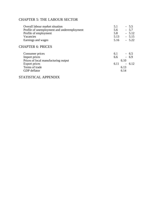## CHAPTER 5: THE LABOUR SECTOR

| Overall labour market situation             | 5.1  | $-5.5$  |
|---------------------------------------------|------|---------|
| Profile of unemployment and underemployment | 5.6  | $-5.7$  |
| Profile of employment                       | 5.8  | $-5.12$ |
| Vacancies                                   | 5.13 | $-5.15$ |
| Earnings and wages                          | 5.16 | $-5.22$ |

## CHAPTER 6: PRICES

| 6.1 | $-6.5$                                |
|-----|---------------------------------------|
| 6.6 | $-6.9$                                |
|     |                                       |
|     |                                       |
|     |                                       |
|     |                                       |
|     | 6.10<br>$6.11 - 6.12$<br>6.13<br>6.14 |

## STATISTICAL APPENDIX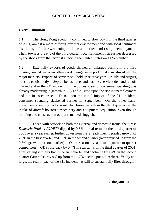## **CHAPTER 1 : OVERALL VIEW**

## **Overall situation**

1.1 The Hong Kong economy continued to slow down in the third quarter of 2001, amidst a more difficult external environment and with local sentiment also hit by a further weakening in the asset markets and rising unemployment. Then, towards the end of the third quarter, local sentiment was further depressed by the shock from the terrorist attack in the United States on 11 September.

1.2 Externally, exports of goods showed an enlarged decline in the third quarter, amidst an across-the-board plunge in import intake in almost all the major markets. Exports of services still held up relatively well in July and August, but slowed distinctly in September as travel and business services demand fell off markedly after the 911 incident. In the domestic sector, consumer spending was already moderating in growth in July and August, upon the rise in unemployment and dip in asset prices. Then, upon the initial impact of the 911 incident, consumer spending slackened further in September. On the other hand, investment spending had a somewhat faster growth in the third quarter, as the intake of aircraft bolstered machinery and equipment acquisition, even though building and construction output remained sluggish.

1.3 Faced with setback on both the external and domestic fronts, the *Gross Domestic Product (GDP)*<sup>(1)</sup> dipped by 0.3% in real terms in the third quarter of 2001 over a year earlier, further down from the already much retarded growth of 2.2% in the first quarter and 0.8% in the second quarter (latter revised up from the 0.5% growth put out earlier). On a seasonally adjusted quarter-to-quarter comparison<sup>(2)</sup>, GDP rose back by  $0.4\%$  in real terms in the third quarter of 2001, after staying virtually flat in the first quarter and declining by 1.4% in the second quarter (latter also revised up from the 1.7% decline put out earlier). Yet by and large, the real impact of the 911 incident has still to substantially filter through.

/**Diagram 1.1** …..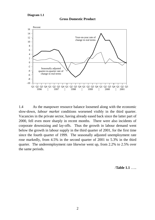



1.4 As the manpower resource balance loosened along with the economic slow-down, *labour market* conditions worsened visibly in the third quarter. Vacancies in the private sector, having already eased back since the latter part of 2000, fell even more sharply in recent months. There were also incidents of corporate downsizing and lay-offs. Thus the growth in labour demand went below the growth in labour supply in the third quarter of 2001, for the first time since the fourth quarter of 1999. The seasonally adjusted unemployment rate rose markedly, from 4.5% in the second quarter of 2001 to 5.3% in the third quarter. The underemployment rate likewise went up, from 2.2% to 2.5% over the same periods.

/**Table 1.1** …..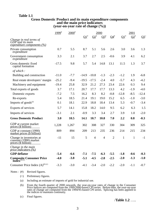#### **Table 1.1**

#### **Gross Domestic Product and its main expenditure components and the main price indicators (year-on-year rate of change (%))**

|                                                                                                                               | $1999^{*}$ | $2000^*$ |                 |                | 2000           |                |                 | 2001            |         |  |
|-------------------------------------------------------------------------------------------------------------------------------|------------|----------|-----------------|----------------|----------------|----------------|-----------------|-----------------|---------|--|
| Change in real terms of                                                                                                       |            |          | $\mathbf{Q1}^*$ | $\Omega^*$     | $Q3^*$         | $Q4^*$         | $\mathbf{Q1}^*$ | $\mathbf{Q2}^*$ | $Q3^+$  |  |
| GDP and its main<br>expenditure components (%)                                                                                |            |          |                 |                |                |                |                 |                 |         |  |
| Private consumption<br>expenditure                                                                                            | 0.7        | 5.5      | 8.7             | 5.1            | 5.6            | 2.6            | 3.0             | 3.6             | 1.3     |  |
| Government consumption<br>expenditure                                                                                         | 3.3        | 2.1      | 3.7             | 2.7            | 2.5            | $-0.6$         | 3.9             | 4.1             | 6.2     |  |
| Gross domestic fixed<br>capital formation                                                                                     | $-17.5$    | 9.8      | 5.7             | 5.4            | 14.8           | 13.1           | 11.5            | 1.3             | 3.7     |  |
| of which $:$                                                                                                                  |            |          |                 |                |                |                |                 |                 |         |  |
| Building and construction                                                                                                     | $-11.0$    | $-7.7$   | $-14.9$         | $-10.8$        | $-1.3$         | $-2.3$         | $-1.2$          | 1.9             | $-6.8$  |  |
| Real estate developers' margin                                                                                                | $-25.2$    | $-9.4$   | $-19.5$         | $-17.5$        | $-2.4$         | 4.0            | $-5.7$          | 4.3             | $-4.2$  |  |
| Machinery and equipment                                                                                                       | $-19.4$    | 25.8     | 32.9            | 21.2           | 27.3           | 23.4           | 22.6            | 0.3             | 9.4     |  |
| Total exports of goods                                                                                                        | 3.7        | 17.1     | 20.7            | 17.7           | 17.7           | 13.3           | 4.2             | $-1.9$          | $-4.0$  |  |
| Domestic exports                                                                                                              | $-7.2$     | 7.5      | 16.2            | 8.3            | 8.2            | $-0.8$         | $-12.8$         | $-8.5$          | $-12.4$ |  |
| Re-exports                                                                                                                    | 5.4        | 18.5     | 21.4            | 19.1           | 19.0           | 15.2           | 6.5             | $-1.0$          | $-3.0$  |  |
| Imports of goods <sup>(a)</sup>                                                                                               | 0.1        | 18.1     | 22.9            | 18.8           | 18.4           | 13.4           | 5.3             | $-0.7$          | $-3.4$  |  |
| Exports of services                                                                                                           | 5.7        | 14.1     | 15.8            | 18.2           | 14.0           | 9.5            | 6.2             | 6.3             | 1.5     |  |
| Imports of services                                                                                                           | $-3.1$     | 2.1      | $-0.9$          | 3.3            | 3.4            | 2.7            | 3.9             | 1.0             | $-2.0$  |  |
| <b>Gross Domestic Product</b>                                                                                                 | 3.0        | 10.5     | 14.1            | 10.7           | 10.8           | 7.0            | 2.2             | 0.8             | $-0.3$  |  |
| GDP at current market<br>prices (\$ billion)                                                                                  | 1,228      | 1,267    | 302             | 308            | 327            | 330            | 304             | 309             | 325     |  |
| GDP at constant (1990)<br>market prices (\$ billion)                                                                          | 809        | 894      | 209             | 213            | 235            | 236            | 214             | 215             | 234     |  |
| Change in inventories at<br>constant (1990) market<br>prices (\$ billion)                                                     | $-11$      | 15       | 5               | $\overline{4}$ | $\overline{4}$ | $\overline{2}$ | $\mathbf{1}$    | $\mathbf{1}$    | $-1$    |  |
| Change in the main<br>price indicators (%)                                                                                    |            |          |                 |                |                |                |                 |                 |         |  |
| <b>GDP</b> deflator                                                                                                           | $-5.4$     | $-6.6$   | $-7.1$          | $-7.5$         | $-6.3$         | $-5.5$         | $-1.8$          | $-0.6$          | $-0.3$  |  |
| $\underset{\mathbf{Index}^{(\mathrm{b})\,(\mathrm{c})}}{\mathbf{Composite}}\,\underset{\mathrm{c}}{\mathbf{Consumer\,Price}}$ | $-4.0$     | $-3.8$   | $-5.1$          | $-4.5$         | $-2.8$         | $-2.5$         | $-2.0$          | $-1.3$          | $-1.0$  |  |
| Consumer Price Index $(A)$ <sup>(b) (c)</sup>                                                                                 | $-3.3$     | $-3.0$   | $-4.1$          | $-3.4$         | $-2.0$         | $-2.2$         | $-2.0$          | $-1.1$          | $-0.7$  |  |

Notes : (#) Revised figures.

(+) Preliminary figures.

(a) Including an estimate of imports of gold for industrial use.

(b) From the fourth quarter of 2000 onwards, the year-on-year rates of change in the Consumer Price Indices are computed from the 1999/2000-based CPI series. Before then, the year-on-year rates of change are computed from the 1994/95-based CPI series. Splicing has been applied to the indices to maintain continuity.

(c) Final figures.

/**Table 1.2** …..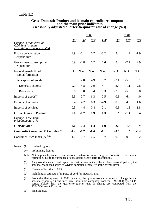## **Table 1.2**

## **Gross Domestic Product and its main expenditure components and the main price indicators (seasonally adjusted quarter-to-quarter rate of change (%))**

|                                                                                  |            |        | 2000   |                 | 2001            |        |        |  |
|----------------------------------------------------------------------------------|------------|--------|--------|-----------------|-----------------|--------|--------|--|
| Change in real terms of<br>GDP and its main<br><u>expenditure components (%)</u> | $\Omega^*$ | $Q2^*$ | $Q3^*$ | $\mathbf{Q4}^*$ | $\mathbf{Q1}^*$ | $Q2^*$ | $Q3^+$ |  |
| Private consumption<br>expenditure                                               | 4.9        | $-0.1$ | 0.7    | $-3.2$          | 5.4             | 1.2    | $-1.9$ |  |
| Government consumption<br>expenditure                                            | 0.9        | $-2.8$ | 0.7    | 0.6             | 5.4             | $-2.7$ | 2.9    |  |
| Gross domestic fixed<br>capital formation                                        | N.A.       | N.A.   | N.A.   | N.A.            | N.A.            | N.A.   | N.A.   |  |
| Total exports of goods                                                           | 6.1        | 2.0    | 4.9    | 0.7             | $-2.1$          | $-5.0$ | 3.1    |  |
| Domestic exports                                                                 | 9.9        | $-4.8$ | 0.9    | $-4.7$          | $-3.4$          | $-1.1$ | $-2.8$ |  |
| Re-exports                                                                       | 5.6        | 3.0    | 5.4    | 1.3             | $-2.0$          | $-5.5$ | 3.8    |  |
| Imports of $goods^{(a)}$                                                         | 6.3        | 0.7    | 6.3    | 0.5             | $-0.8$          | $-6.4$ | 4.0    |  |
| Exports of services                                                              | 3.4        | 4.2    | 6.3    | $-4.9$          | 0.6             | 4.0    | 1.6    |  |
| Imports of services                                                              | $-0.5$     | 4.4    | 0.8    | $-2.1$          | 0.8             | 1.3    | $-1.8$ |  |
| <b>Gross Domestic Product</b>                                                    | 5.0        | $-0.7$ | 1.9    | 0.3             | ∗               | $-1.4$ | 0.4    |  |
| Change in the main<br><u>price indicators (%)</u>                                |            |        |        |                 |                 |        |        |  |
| <b>GDP</b> deflator                                                              | $-2.0$     | $-2.4$ | $-0.4$ | $-0.9$          | 2.0             | $-1.3$ | $\ast$ |  |
| Composite Consumer Price Index <sup>(b)(c)</sup>                                 | $-1.2$     | $-0.7$ | $-0.6$ | $-0.1$          | $-0.6$          | ∗      | $-0.4$ |  |
| Consumer Price Index $(A)$ <sup>(b)(c)</sup>                                     | $-1.2$     | $-0.7$ | $-0.5$ | $\ast$          | $-0.8$          | 0.3    | $-0.2$ |  |

Notes : (#) Revised figures.

- (+) Preliminary figures.
- N.A. Not applicable, as no clear seasonal pattern is found in gross domestic fixed capital formation, due to the presence of considerable short-term fluctuations.
- (^) As gross domestic fixed capital formation does not exhibit a clear seasonal pattern, the seasonally adjusted series of GDP is compiled separately at the overall level.
- (\*) Change of less than 0.05%.
- (a) Including an estimate of imports of gold for industrial use.
- (b) From the first quarter of 2000 onwards, the quarter-to-quarter rates of change in the seasonally adjusted Consumer Price Indices are computed from the 1999/2000-based CPI series. Before then, the quarter-to-quarter rates of change are computed from the 1994/95-based CPI series.
- (c) Final figures.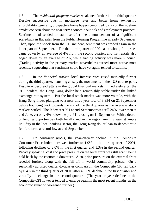1.5 The *residential property market* weakened further in the third quarter. Despite successive cuts in mortgage rates and better home ownership affordability generally, prospective home buyers continued to stay on the sideline, amidst concern about the near-term economic outlook and employment prospect. Sentiment had tended to stabilise after the announcement of a significant scale-back in flat sales from the Public Housing Programme in early September. Then, upon the shock from the 911 incident, sentiment was eroded again in the latter part of September. For the third quarter of 2001 as a whole, flat prices came down by an average of 4% from the second quarter, and flat rentals also edged down by an average of 2%, while trading activity was more subdued. (Trading activity in the primary market nevertheless turned more active most recently, suggesting that sentiment could have yet again tended to stabilise.)

1.6 In the *financial market*, local interest rates eased markedly further during the third quarter, matching closely the movements in their US counterparts. Despite widespread jitters in the global financial markets immediately after the 911 incident, the Hong Kong dollar held remarkably stable under the linked exchange rate system. But the local stock market was more volatile, with the Hang Seng Index plunging to a near three-year low of 8 934 on 21 September before bouncing back towards the end of the third quarter as the overseas stock markets settled. The Index at 9 951 at end-September was still 24% lower than at end-June, yet only 4% below the pre-911 closing on 11 September. With a dearth of lending opportunities both locally and in the region running against ample liquidity in the local banking sector, the Hong Kong dollar loan-to-deposit ratio fell further to a record low at end-September.

1.7 On *consumer prices*, the year-on-year decline in the Composite Consumer Price Index narrowed further to 1.0% in the third quarter of 2001, following declines of 2.0% in the first quarter and 1.3% in the second quarter. Broadly speaking, cost and price pressure on the local front was still scant, being held back by the economic downturn. Also, price pressure on the external front receded further, along with the fall-off in world commodity prices. On a seasonally adjusted quarter-to-quarter comparison, the Composite CPI fell back by 0.4% in the third quarter of 2001, after a 0.6% decline in the first quarter and virtually nil change in the second quarter. (The year-on-year decline in the Composite CPI however tended to enlarge again in the most recent months, as the economic situation worsened further.)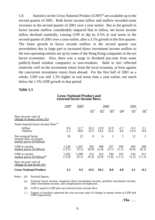1.8 Statistics on the *Gross National Product (GNP)*(3) are available up to the second quarter of 2001. Both factor income inflow and outflow recorded some increases in the second quarter of 2001 over a year earlier. But as the growth in factor income outflow considerably outpaced that in inflow, net factor income inflow declined markedly, causing GNP to dip by 0.5% in real terms in the second quarter of 2001 over a year earlier, after a 3.1% growth in the first quarter. The faster growth in factor income outflow in the second quarter was nevertheless due in large part to increased direct investment income outflow to the non-operating entities set up by some of the Hong Kong companies in the tax haven economies. Also, there was a surge in dividend pay-outs from some publicly-listed resident companies to non-residents. Both in fact reflected relatively well on the investment return from the local economy, at least against the concurrent investment return from abroad. For the first half of 2001 as a whole, GNP was still 1.3% higher in real terms than a year earlier, not much below the 1.5% GDP growth in that period.

## **Table 1.3**

#### **Gross National Product and external factor income flows**

|                                                                             | $1999^{#}$      | $2000^{\text{*}}$ | <u> 2000</u>    |                 |              |                 | 2001              |                 |  |
|-----------------------------------------------------------------------------|-----------------|-------------------|-----------------|-----------------|--------------|-----------------|-------------------|-----------------|--|
|                                                                             |                 |                   | $\mathbf{Q1}^*$ | $\mathbf{Q2}^*$ | $Q3^*$       | $Q4^*$          | $\mathbf{Q1}^*$   | $\Omega^*$      |  |
| Year-on-year rate of<br><i>change in money terms (%)</i>                    |                 |                   |                 |                 |              |                 |                   |                 |  |
| Total external factor income flow <sup>(a)</sup>                            |                 |                   |                 |                 |              |                 |                   |                 |  |
| Inflow<br>Outflow                                                           | 0.6<br>$-1.2$   | 12.7<br>18.0      | 32.2<br>33.5    | 12.0<br>14.5    | 12.9<br>22.4 | $-2.7$<br>4.8   | $-9.3$<br>$-13.0$ | 2.1<br>6.6      |  |
| Net external factor<br>income flow at current<br>market prices (\$ billion) | 35              | 22                | 9               | 6               | 3            | 3               | 12                | $\overline{2}$  |  |
| GDP at current<br>market prices (\$ billion)                                | 1,228<br>(.2.5) | 1,267<br>(3.2)    | 302<br>(6.0)    | 308<br>(2.4)    | 327<br>(3.7) | 330<br>(1.1)    | 304<br>(0.4)      | 309<br>(0.2)    |  |
| GNP at current<br>market prices $(\$~\text{billion})^{(b)}$                 | 1,262<br>(.2.0) | 1,289<br>(2.1)    | 312<br>(6.3)    | 315<br>(2.0)    | 330<br>(1.6) | 333<br>$(-1.1)$ | 316<br>(1.2)      | 311<br>$(-1.1)$ |  |
| Year-on-year rate of<br>change in real terms (%)                            |                 |                   |                 |                 |              |                 |                   |                 |  |
| <b>Gross National Product</b>                                               | 3.5             | 9.2               | 14.5            | 10.2            | 8.6          | 4.8             | 3.1               | $-0.5$          |  |

Notes : (#) Revised figures.

(a) External factor income comprises direct investment income, portfolio investment income, other investment income, and compensation of employees.

(b) GNP is equal to GDP plus net external factor income flow.

( ) Figures in brackets represent the year-on-year rates of change in money terms in GDP and GNP respectively.

/**The** …..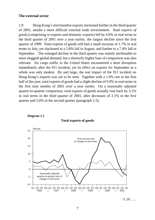## **The external sector**

1.9 Hong Kong's merchandise exports slackened further in the third quarter of 2001, amidst a more difficult external trade environment. *Total exports of goods* (comprising re-exports and domestic exports) fell by 4.0% in real terms in the third quarter of 2001 over a year earlier, the largest decline since the first quarter of 1999. Total exports of goods still had a small increase of 1.7% in real terms in July, yet slackened to a 5.8% fall in August, and further to a 7.4% fall in September. The enlarged decline in the third quarter was mainly attributable to more sluggish global demand, but a distinctly higher base of comparison was also relevant. Air cargo traffic to the United States encountered a short disruption immediately after the 911 incident, yet its effect on exports for September as a whole was only modest. By and large, the real impact of the 911 incident on Hong Kong's exports was yet to be seen. Together with a 1.0% rise in the first half of the year, total exports of goods had a slight decline of 0.9% in real terms in the first nine months of 2001 over a year earlier. On a seasonally adjusted quarter-to-quarter comparison, total exports of goods actually rose back by 3.1% in real terms in the third quarter of 2001, after decreases of 2.1% in the first quarter and 5.0% in the second quarter (paragraph 2.5).



#### **Total exports of goods**



 $/1.10$  …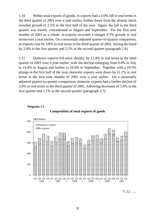1.10 Within total exports of goods, *re-exports* had a 3.0% fall in real terms in the third quarter of 2001 over a year earlier, further down from the already much retarded growth of 2.5% in the first half of the year. Again, the fall in the third quarter was mainly concentrated in August and September. For the first nine months of 2001 as a whole, re-exports recorded a meagre 0.5% growth in real terms over a year earlier. On a seasonally adjusted quarter-to-quarter comparison, re-exports rose by 3.8% in real terms in the third quarter of 2001, having declined by 2.0% in the first quarter and 5.5% in the second quarter (paragraph 2.6).

1.11 *Domestic exports* fell more sharply, by 12.4% in real terms in the third quarter of 2001 over a year earlier, with the decline enlarging from 6.0% in July to 14.4% in August and further to 16.6% in September. Together with a 10.5% plunge in the first half of the year, domestic exports were down by 11.2% in real terms in the first nine months of 2001 over a year earlier. On a seasonally adjusted quarter-to-quarter comparison, domestic exports had a further decline of 2.8% in real terms in the third quarter of 2001, following decreases of 3.4% in the first quarter and 1.1% in the second quarter (paragraph 2.7).





 $/1.12$  …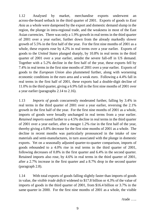1.12 Analysed by market, merchandise exports underwent an across-the-board setback in the third quarter of 2001. Exports of goods to *East Asia* as a whole were dampened by the export and domestic demand slump in the region, the plunge in intra-regional trade, and the weakness in most of the East Asian currencies. There was only a 1.9% growth in real terms in the third quarter of 2001 over a year earlier, further down from the already markedly slower growth of 5.5% in the first half of the year. For the first nine months of 2001 as a whole, these exports rose by 4.2% in real terms over a year earlier. Exports of goods to the *United States* plunged sharply, by 10.8% in real terms in the third quarter of 2001 over a year earlier, amidst the severe fall-off in US demand. Together with a 5.2% decline in the first half of the year, these exports fell by 7.4% in real terms in the first nine months of 2001 over a year earlier. Exports of goods to the *European Union* also plummeted further, along with worsening economic conditions in the euro area and a weak euro. Following a 4.4% fall in real terms in the first half of 2001, these exports had a double-digit decline of 11.0% in the third quarter, giving a 6.9% fall in the first nine months of 2001 over a year earlier (paragraphs 2.14 to 2.16).

1.13 *Imports of goods* concurrently moderated further, falling by 3.4% in real terms in the third quarter of 2001 over a year earlier, reversing the 2.1% growth in the first half of the year. For the first nine months of 2001 as a whole, imports of goods were broadly unchanged in real terms from a year earlier. *Retained imports* eased further to a 4.5% decline in real terms in the third quarter of 2001 over a year earlier, after a meagre 1.2% rise in the first half of the year, thereby giving a 0.8% decrease for the first nine months of 2001 as a whole. The decline in recent months was particularly pronounced in the intake of raw materials and semi-manufactures, in turn associated with the plunge in domestic exports. Yet on a seasonally adjusted quarter-to-quarter comparison, imports of goods rebounded to a 4.0% rise in real terms in the third quarter of 2001, following decreases of 0.8% in the first quarter and 6.4% in the second quarter. Retained imports also rose, by 4.6% in real terms in the third quarter of 2001, after a 2.7% increase in the first quarter and a 8.7% drop in the second quarter (paragraph 2.8).

1.14 With total exports of goods falling slightly faster than imports of goods in value, the *visible trade deficit* widened to \$17.8 billion or 4.3% of the value of imports of goods in the third quarter of 2001, from \$16.4 billion or 3.7% in the same quarter in 2000. For the first nine months of 2001 as a whole, the visible

/trade …..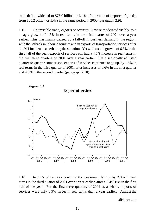trade deficit widened to \$76.0 billion or 6.4% of the value of imports of goods, from \$65.2 billion or 5.4% in the same period in 2000 (paragraph 2.9).

1.15 On invisible trade, *exports of services* likewise moderated visibly, to a meagre growth of 1.5% in real terms in the third quarter of 2001 over a year earlier. This was mainly caused by a fall-off in business demand in the region, with the setback in inbound tourism and in exports of transportation services after the 911 incident exacerbating the situation. Yet with a solid growth of 6.3% in the first half of the year, exports of services still had a 4.5% increase in real terms in the first three quarters of 2001 over a year earlier. On a seasonally adjusted quarter-to-quarter comparison, exports of services continued to go up, by 1.6% in real terms in the third quarter of 2001, after increases of 0.6% in the first quarter and 4.0% in the second quarter (paragraph 2.10).

**Exports of services**



**Diagram 1.4**

1.16 *Imports of services* concurrently weakened, falling by 2.0% in real terms in the third quarter of 2001 over a year earlier, after a 2.4% rise in the first half of the year. For the first three quarters of 2001 as a whole, imports of services were only 0.9% larger in real terms than <sup>a</sup> year earlier. Amidst the

/distinct …..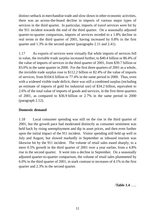distinct setback in merchandise trade and slow-down in other economic activities, there was an across-the-board decline in imports of various major types of services in the third quarter. In particular, imports of travel services were hit by the 911 incident towards the end of the third quarter. On a seasonally adjusted quarter-to-quarter comparison, imports of services receded to a 1.8% decline in real terms in the third quarter of 2001, having increased by 0.8% in the first quarter and 1.3% in the second quarter (paragraphs 2.11 and 2.41).

1.17 As exports of services were virtually flat while imports of services fell in value, the *invisible trade surplus* increased further, to \$40.4 billion or 86.4% of the value of imports of services in the third quarter of 2001, from \$39.7 billion or 83.0% in the same quarter in 2000. For the first three quarters of 2001 as a whole, the invisible trade surplus rose to \$112.2 billion or 82.4% of the value of imports of services, from \$104.6 billion or 77.4% in the same period in 2000. Thus, even with a widened visible trade deficit, there was still a combined surplus (including an estimate of imports of gold for industrial use) of \$34.2 billion, equivalent to 2.6% of the total value of imports of goods and services, in the first three quarters of 2001, as compared to \$36.9 billion or 2.7% in the same period in 2000 (paragraph 2.12).

## **Domestic demand**

1.18 Local consumer spending was still on the rise in the third quarter of 2001, but the growth pace had moderated distinctly as consumer sentiment was held back by rising unemployment and dip in asset prices, and then even further upon the initial impact of the 911 incident. Visitor spending still held up well in July and August, but slowed markedly in September as inbound tourism was likewise hit by the 911 incident. The volume of retail sales eased sharply, to a mere 0.5% growth in the third quarter of 2001 over a year earlier, from a 4.8% rise in the second quarter. It went into a decline in September. On a seasonally adjusted quarter-to-quarter comparison, the volume of retail sales plummeted by 6.0% in the third quarter of 2001, in stark contrast to increases of 4.1% in the first quarter and 2.3% in the second quarter.

/**Table 1.4** …..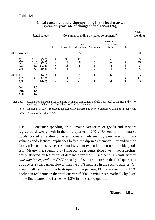## **Table 1.4**

|      |                                              |                            | Retail sales <sup>(a)</sup>         |                                       | Consumer spending by major component <sup>(a)</sup> |                        |                               |                                     |                     |                   |  |
|------|----------------------------------------------|----------------------------|-------------------------------------|---------------------------------------|-----------------------------------------------------|------------------------|-------------------------------|-------------------------------------|---------------------|-------------------|--|
|      |                                              |                            |                                     | <b>Food</b>                           | Durables                                            | Non-<br>durables       | Services                      | Residents'<br>expenditure<br>abroad | <b>Total</b>        |                   |  |
|      | 2000 Annual                                  | 8.3                        |                                     | 5                                     | 19                                                  | 5                      | 5                             | $-3$                                | 6                   | 10                |  |
|      | Q <sub>1</sub><br>Q2<br>Q <sub>3</sub><br>Q4 | 14.3<br>10.5<br>5.9<br>3.1 | (5.7)<br>(0.2)<br>$(-2.6)$<br>(0.5) | 7<br>9<br>$\ast$<br>3                 | 34<br>17<br>18<br>11                                | 11<br>8<br>5<br>$-1$   | 6<br>5<br>6<br>$\overline{2}$ | $-8$<br>$-2$<br>$-1$                | 8<br>7<br>6<br>3    | 5<br>26<br>7<br>5 |  |
| 2001 | Q1<br>Q2<br>Q <sub>3</sub>                   | 2.5<br>4.8<br>0.5          | (4.1)<br>(2.3)<br>$(-6.0)$          | $\overline{4}$<br>3<br>$\overline{2}$ | 10<br>14<br>7                                       | $\ast$<br>$rac{2}{-2}$ | 3                             | 6<br>$-1$                           | 3<br>$\overline{4}$ | 5<br>11<br>3      |  |
|      | Jul<br>Aug<br>Sep                            | 1.3<br>1.8<br>$-1.7$       |                                     |                                       |                                                     |                        |                               |                                     |                     |                   |  |

## **Local consumer and visitor spending in the local market (year-on-year rate of change in real terms (%))**

Notes : (a) Retail sales and consumer spending by major component include both local consumer and visitor spending, which are not separable from the survey data.

( ) Figures in brackets represent the seasonally adjusted quarter-to-quarter % changes in real terms.

(\*) Change of less than 0.5%.

1.19 Consumer spending on all major categories of goods and services registered slower growth in the third quarter of 2001. Expenditure on durable goods posted a relatively faster increase, bolstered by purchases of motor vehicles and electrical appliances before the dip in September. Expenditure on foodstuffs and on services rose modestly, but expenditure on non-durable goods fell. Meanwhile, spending by Hong Kong residents abroad went into a decline, partly affected by lesser travel demand after the 911 incident. Overall, *private consumption expenditure (PCE)* rose by 1.3% in real terms in the third quarter of 2001 over a year earlier, slower than the 3.6% increase in the second quarter. On a seasonally adjusted quarter-to-quarter comparison, PCE slackened to a 1.9% decline in real terms in the third quarter of 2001, having risen markedly by 5.4% in the first quarter and further by 1.2% in the second quarter.

/**Diagram 1.5** …..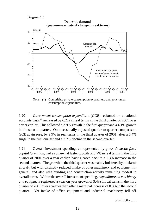#### **Diagram 1.5**





consumption expenditure.

1.20 *Government consumption expenditure (GCE)* reckoned on a national accounts basis<sup>(4)</sup> increased by  $6.2\%$  in real terms in the third quarter of 2001 over a year earlier. This followed a 3.9% growth in the first quarter and a 4.1% growth in the second quarter. On a seasonally adjusted quarter-to-quarter comparison, GCE again rose, by 2.9% in real terms in the third quarter of 2001, after a 5.4% surge in the first quarter and a 2.7% decline in the second quarter.

1.21 Overall investment spending, as represented by *gross domestic fixed capital formation*, had a somewhat faster growth of 3.7% in real terms in the third quarter of 2001 over a year earlier, having eased back to a 1.3% increase in the second quarter. The growth in the third quarter was mainly bolstered by intake of aircraft, but with distinctly reduced intake of other machinery and equipment in general, and also with building and construction activity remaining modest in overall terms. Within the overall investment spending, *expenditure on machinery and equipment* registered a year-on-year growth of 9.4% in real terms in the third quarter of 2001 over a year earlier, after a marginal increase of 0.3% in the second quarter. Yet intake of office equipment and industrial machinery fell off

/distinctly …..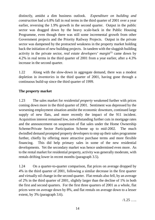distinctly, amidst a dim business outlook. *Expenditure on building and construction* had a 6.8% fall in real terms in the third quarter of 2001 over a year earlier, reversing the 1.9% growth in the second quarter. Output in the public sector was dragged down by the heavy scale-back in the Public Housing Programme, even though there was still some incremental growth from other Government projects and the Priority Railway Projects. Output in the private sector was dampened by the protracted weakness in the property market holding back the initiation of new building projects. In tandem with the sluggish building activity in the private sector, *real estate developers' margin*<sup>(5)</sup> came down by 4.2% in real terms in the third quarter of 2001 from a year earlier, after a 4.3% increase in the second quarter.

1.22 Along with the slow-down in aggregate demand, there was a modest depletion in *inventories* in the third quarter of 2001, having gone through a continuous build-up since the third quarter of 1999.

## **The property market**

1.23 The sales market for *residential property* weakened further with prices coming down more in the third quarter of 2001. Sentiment was depressed by the worsening employment situation amidst the economic downturn, continued large supply of new flats, and more recently the impact of the 911 incident. Acquisition interest remained low, notwithstanding further cuts in mortgage rates and the announcement on suspension of flat sales under the Home Ownership Scheme/Private Sector Participation Scheme up to mid-2002. The much dwindled demand prompted property developers to step up their sales programme further, chiefly by offering more attractive purchase terms and more flexible financing. This did help primary sales in some of the new residential developments. Yet the secondary market was hence undermined even more. As to the rental market for residential property, activity was generally moderate, with rentals drifting lower in recent months (paragraph 3.5).

1.24 On a quarter-to-quarter comparison, flat prices on average dropped by 4% in the third quarter of 2001, following a similar decrease in the first quarter and virtually nil change in the second quarter. Flat rentals also fell, by an average of 2% in the third quarter of 2001, slightly larger than the decline of 1% in both the first and second quarters. For the first three quarters of 2001 as a whole, flat prices were on average down by 8%, and flat rentals on average down to a lesser extent, by 3% (paragraph 3.6).

 $/1.25$  …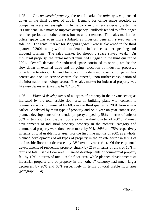1.25 On *commercial property*, the rental market for *office space* quietened down in the third quarter of 2001. Demand for office space receded, as companies were increasingly hit by setback in business especially after the 911 incident. In a move to improve occupancy, landlords tended to offer longer rent-free periods and other concessions to attract tenants. The sales market for office space was even more subdued, as investors generally stayed on the sideline. The rental market for *shopping space* likewise slackened in the third quarter of 2001, along with the moderation in local consumer spending and inbound tourism. The sales market for shopping space stayed weak. On *industrial property*, the rental market remained sluggish in the third quarter of 2001. Overall demand for industrial space continued to shrink, amidst the slow-down in external trade and on-going relocation of industrial processes outside the territory. Demand for space in modern industrial buildings as data centres and back-up service centres also tapered, upon further consolidation of the information technology sector. The sales market for industrial property was likewise depressed (paragraphs 3.7 to 3.9).

1.26 *Planned developments* of all types of property in the private sector, as indicated by the total usable floor area on building plans with consent to commence work, plummeted by 68% in the third quarter of 2001 from a year earlier. Analysed by main type of property and on a year-on-year comparison, planned developments of residential property dipped by 58% in terms of units or 53% in terms of total usable floor area in the third quarter of 2001. Planned developments of industrial property, property in the "others" category and commercial property were down even more, by 99%, 86% and 75% respectively in terms of total usable floor area. For the first nine months of 2001 as a whole, planned developments of all types of property in the private sector in terms of total usable floor area decreased by 28% over a year earlier. Of these, planned developments of residential property shrank by 21% in terms of units or 18% in terms of total usable floor area. Planned developments of commercial property fell by 10% in terms of total usable floor area, while planned developments of industrial property and of property in the "others" category had much larger decreases, by 90% and 63% respectively in terms of total usable floor area (paragraph 3.14).

/**The** …..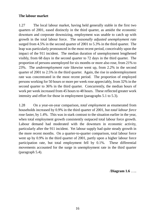## **The labour market**

1.27 The local labour market, having held generally stable in the first two quarters of 2001, eased distinctly in the third quarter, as amidst the economic downturn and corporate downsizing, employment was unable to catch up with growth in the total labour force. The *seasonally adjusted unemployment rate* surged from 4.5% in the second quarter of 2001 to 5.3% in the third quarter. The leap was particularly pronounced in the most recent period, conceivably upon the impact of the 911 incident. The median duration of unemployment lengthened visibly, from 68 days in the second quarter to 72 days in the third quarter. The proportion of persons unemployed for six months or more also rose, from 21% to 23%. The *underemployment rate* likewise went up, from 2.2% in the second quarter of 2001 to 2.5% in the third quarter. Again, the rise in underemployment rate was concentrated in the most recent period. The proportion of employed persons working for 50 hours or more per week rose appreciably, from 32% in the second quarter to 36% in the third quarter. Concurrently, the median hours of work per week increased from 45 hours to 48 hours. These reflected greater work intensity and effort for those in employment (paragraphs 5.1 to 5.3).

1.28 On a year-on-year comparison, *total employment* as enumerated from households increased by 0.9% in the third quarter of 2001, but *total labour force* rose faster, by 1.4%. This was in stark contrast to the situation earlier in the year, when total employment growth consistently outpaced total labour force growth. Labour demand had moderated with the downturn in economic activity, particularly after the 911 incident. Yet labour supply had quite steady growth in the more recent months. On a quarter-to-quarter comparison, total labour force went up by 0.9% in the third quarter of 2001, partly upon a higher labour force participation rate, but total employment fell by 0.1%. These differential movements accounted for the surge in unemployment rate in the third quarter (paragraph 5.4).

/**Diagram 1.6** …..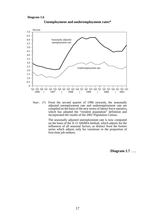#### **Diagram 1.6**



**Unemployment and underemployment rates\***

Note : (\*) From the second quarter of 1996 onwards, the seasonally adjusted unemployment rate and underemployment rate are compiled on the basis of the new series of labour force statistics, which has adopted the "resident population" definition and incorporated the results of the 2001 Population Census.

> The seasonally adjusted unemployment rate is now computed on the basis of the X-11 ARIMA method, which adjusts for the influences of all seasonal factors, as distinct from the former series which adjusts only for variations in the proportion of first-time job-seekers.

> > /**Diagram 1.7** …..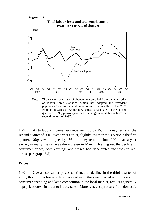#### **Diagram 1.7**



**Total labour force and total employment**

Note : The year-on-year rates of change are compiled from the new series of labour force statistics, which has adopted the "resident population" definition and incorporated the results of the 2001 Population Census. As the new series is backdated to the second quarter of 1996, year-on-year rate of change is available as from the second quarter of 1997.

1.29 As to labour income, *earnings* went up by 2% in money terms in the second quarter of 2001 over a year earlier, slightly less than the 3% rise in the first quarter. *Wages* were higher by 1% in money terms in June 2001 than a year earlier, virtually the same as the increase in March. Netting out the decline in consumer prices, both earnings and wages had decelerated increases in real terms (paragraph 5.5).

## **Prices**

1.30 Overall consumer prices continued to decline in the third quarter of 2001, though to a lesser extent than earlier in the year. Faced with moderating consumer spending and keen competition in the local market, retailers generally kept prices down in order to induce sales. Moreover, cost pressure from domestic

/sources …..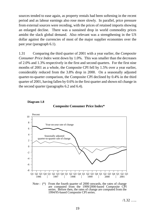sources tended to ease again, as property rentals had been softening in the recent period and as labour earnings also rose more slowly. In parallel, price pressure from external sources were receding, with the prices of retained imports showing an enlarged decline. There was a sustained drop in world commodity prices amidst the slack global demand. Also relevant was a strengthening in the US dollar against the currencies of most of the major supplier economies over the past year (paragraph 6.1).

1.31 Comparing the third quarter of 2001 with a year earlier, the *Composite Consumer Price Index* went down by 1.0%. This was smaller than the decreases of 2.0% and 1.3% respectively in the first and second quarters. For the first nine months of 2001 as a whole, the Composite CPI fell by 1.5% over a year earlier, considerably reduced from the 3.8% drop in 2000. On a seasonally adjusted quarter-to-quarter comparison, the Composite CPI declined by 0.4% in the third quarter of 2001, having fallen by 0.6% in the first quarter and shown nil change in the second quarter (paragraphs 6.2 and 6.4).



**Diagram 1.8**



Note : (\*) From the fourth quarter of 2000 onwards, the rates of change are computed from the 1999/2000-based Composite CPI series. Before then, the rates of change are computed from the 1994/95-based Composite CPI series.

 $/1.32$  …..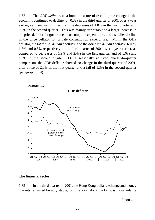1.32 The *GDP deflator*, as a broad measure of overall price change in the economy, continued to decline, by 0.3% in the third quarter of 2001 over a year earlier, yet narrowed further from the decreases of 1.8% in the first quarter and 0.6% in the second quarter. This was mainly attributable to a larger increase in the price deflator for government consumption expenditure, and a smaller decline in the price deflator for private consumption expenditure. Within the GDP deflator, the *total final demand deflator* and the *domestic demand deflator* fell by 1.8% and 0.5% respectively in the third quarter of 2001 over a year earlier, as compared to decreases of 1.9% and 2.4% in the first quarter, and of 1.6% and 1.0% in the second quarter. On a seasonally adjusted quarter-to-quarter comparison, the GDP deflator showed no change in the third quarter of 2001, after a rise of 2.0% in the first quarter and a fall of 1.3% in the second quarter (paragraph 6.14).



#### **Diagram 1.9**

## **The financial sector**

1.33 In the third quarter of 2001, the Hong Kong dollar exchange and money markets remained broadly stable, but the local stock market was more volatile

/upon  $\dots$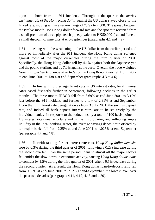upon the shock from the 911 incident. Throughout the quarter, the *market exchange rate of the Hong Kong dollar* against the US dollar stayed close to the linked rate, moving within a narrow range of 7.797 to 7.800. The spread between the twelve-month Hong Kong dollar forward rate and the spot rate reversed from a small premium of three pips (each pip equivalent to HK\$0.0001) at end-June to a small discount of nine pips at end-September (paragraphs 4.1 and 4.2).

1.34 Along with the weakening in the US dollar from the earlier period and more so immediately after the 911 incident, the Hong Kong dollar softened against most of the major currencies during the third quarter of 2001. Specifically, the Hong Kong dollar fell by 4.1% against both the Japanese yen and the pound sterling, and by 7.0% against the euro. Overall, the trade-weighted *Nominal Effective Exchange Rate Index of the Hong Kong dollar* fell from 140.7 at end-June 2001 to 138.4 at end-September (paragraphs 4.3 to 4.6).

1.35 In line with further significant cuts in US interest rates, local *interest rates* eased distinctly further in September, following declines in the earlier months. The three-month HIBOR fell from 3.69% at end-June 2001 to 3.19% just before the 911 incident, and further to a low of 2.31% at end-September. Upon the full interest rate deregulation as from 3 July 2001, the savings deposit rate, and indeed all bank deposit interest rates, are to be set freely by the individual banks. In response to the reductions by a total of 100 basis points in US interest rates near end-June and in the third quarter, and reflecting ample liquidity in the local banking sector, the average savings deposit rate offered by ten major banks fell from 2.25% at end-June 2001 to 1.025% at end-September (paragraphs 4.7 and 4.8).

1.36 Notwithstanding further interest rate cuts, *Hong Kong dollar deposits* rose by 0.3% during the third quarter of 2001, following a 0.2% increase during the second quarter. Over the same period, loans to almost all the major sectors fell amidst the slow-down in economic activity, causing *Hong Kong dollar loans* to contract by 1.5% during the third quarter of 2001, after a 0.5% decrease during the second quarter. As a result, the Hong Kong dollar loan-to-deposit ratio fell from 90.8% at end-June 2001 to 89.2% at end-September, the lowest level over the past two decades (paragraphs 4.11, 4.17, 4.18 and 4.20).

/1.37 …..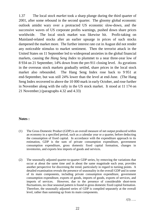1.37 The local *stock market* took a sharp plunge during the third quarter of 2001, after some rebound in the second quarter. The gloomy global economic outlook amidst wary over a protracted US economic slow-down, and the successive waves of US corporate profits warnings, pushed down share prices worldwide. The local stock market was likewise hit. Profit-taking on Mainland-related stocks after an earlier upsurge in prices of such stocks dampened the market more. The further interest rate cut in August did not render any noticeable stimulus to market sentiment. Then the terrorist attack in the United States on 11 September led to widespread anxieties in the global financial markets, causing the *Hang Seng Index* to plummet to a near three-year low of 8 934 on 21 September, 14% down from the pre-911 closing level. As gyrations in the overseas stock markets gradually settled, share prices in the local stock market also rebounded. The Hang Seng Index rose back to 9 951 at end-September, but was still 24% lower than the level at end-June. (The Hang Seng Index recovered to above the 10 000 mark in early October, and rose further in November along with the rally in the US stock market. It stood at 11 174 on 21 November.) (paragraphs 4.32 and 4.33)

## **Notes :**

- (1) The Gross Domestic Product (GDP) is an overall measure of net output produced within an economy in a specified period, such as a calendar year or a quarter, before deducting the consumption of fixed capital. In accordance with the expenditure approach to its estimation, GDP is the sum of private consumption expenditure, government consumption expenditure, gross domestic fixed capital formation, changes in inventories, and exports less imports of goods and services.
- (2) The seasonally adjusted quarter-to-quarter GDP series, by removing the variations that occur at about the same time and in about the same magnitude each year, provides another perspective for discerning the trend, particularly in regard to turning points. A detailed examination reveals the presence of seasonality in the overall GDP and in some of its main components, including private consumption expenditure, government consumption expenditure, exports of goods, imports of goods, exports of services, and imports of services. However, due to the presence of considerable short-term fluctuations, no clear seasonal pattern is found in gross domestic fixed capital formation. Therefore, the seasonally adjusted series of GDP is compiled separately at the overall level, rather than summing up from its main components.

 $/(3)$  …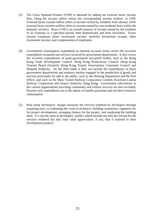- (3) The Gross National Product (GNP) is obtained by adding net external factor income flow, being the income inflow minus the corresponding income outflow, to GDP. External factor income inflow refers to income earned by residents from abroad, while external factor income outflow refers to income earned by non-residents from within the domestic territory. Hence GNP is an overall measure of income earned by the residents of an economy in a specified period, both domestically and from elsewhere. Factor income comprises direct investment income, portfolio investment income, other investment income, and compensation of employees.
- (4) Government consumption expenditure in national accounts terms covers the recurrent expenditures on goods and services incurred by government departments. It also covers the recurrent expenditures of quasi-government non-profit bodies, such as the Hong Kong Trade Development Council, Hong Kong Productivity Council, Hong Kong Tourism Board (formerly Hong Kong Tourist Association), Consumer Council and Hospital Authority. On the other hand, it does not include the expenditures of those government departments and statutory entities engaged in the production of goods and services principally for sale to the public, such as the Housing Department and the Post Office, and such as the Mass Transit Railway Corporation Limited, Kowloon-Canton Railway Corporation and Airport Authority Hong Kong. Government subventions to the various organisations providing community and welfare services are also excluded, because such expenditures are in the nature of transfer payments and not direct resource consumption.
- (5) Real estate developers' margin measures the services rendered by developers through acquiring land, co-ordinating the work of architects, building contractors, engineers etc for project development, arranging finance for the project, and marketing the building units. It is not the same as developers' profits, which include not only the reward for the services rendered but also land value appreciation, if any, that is realised in their development projects.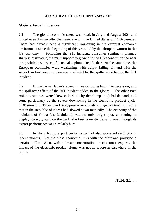## **CHAPTER 2 : THE EXTERNAL SECTOR**

## **Major external influences**

2.1 The global economic scene was bleak in July and August 2001 and turned even dimmer after the tragic event in the United States on 11 September. There had already been a significant worsening in the external economic environment since the beginning of this year, led by the abrupt downturn in the US economy. Following the 911 incident, consumer sentiment plunged sharply, dissipating the main support to growth in the US economy in the near term, while business confidence also plummeted further. At the same time, the European economies were weakening, with output falling off and with the setback in business confidence exacerbated by the spill-over effect of the 911 incident.

2.2 In East Asia, Japan's economy was slipping back into recession, and the spill-over effect of the 911 incident added to the gloom. The other East Asian economies were likewise hard hit by the slump in global demand, and some particularly by the severe downswing in the electronic product cycle. GDP growth in Taiwan and Singapore were already in negative territory, while that in the Republic of Korea had slowed down markedly. The economy of the mainland of China (the Mainland) was the only bright spot, continuing to display strong growth on the back of robust domestic demand, even though its export performance was similarly hurt.

2.3 In Hong Kong, export performance had also worsened distinctly in recent months. Yet the close economic links with the Mainland provided a certain buffer. Also, with a lesser concentration in electronic exports, the impact of the electronic product slump was not as severe as elsewhere in the region.

/**Table 2.1** .....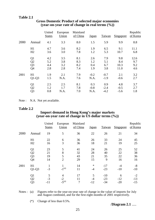## **Table 2.1**

|      |                | United<br><b>States</b> | European<br>Union | Mainland<br>of China | <b>Japan</b> | <b>Taiwan</b> | Singapore | Republic<br>of Korea |
|------|----------------|-------------------------|-------------------|----------------------|--------------|---------------|-----------|----------------------|
| 2000 | Annual         | 4.1                     | 3.3               | 8.0                  | 1.5          | 5.9           | 9.9       | 8.8                  |
|      | H1             | 4.7                     | 3.6               | 8.2                  | 1.9          | 6.5           | 9.1       | 11.1                 |
|      | H2             | 3.6                     | 3.0               | 7.8                  | 1.2          | 5.3           | 10.7      | 6.8                  |
|      | Q <sub>1</sub> | 4.2                     | 3.5               | 8.1                  | 2.6          | 7.9           | 9.8       | 12.6                 |
|      | Q <sub>2</sub> | 5.2                     | 3.8               | 8.3                  | 1.2          | 5.1           | 8.4       | 9.7                  |
|      | Q <sub>3</sub> | 4.4                     | 3.2               | 8.2                  | 0.4          | 6.7           | 10.3      | 9.2                  |
|      | Q4             | 2.8                     | 2.8               | 7.4                  | 1.9          | 3.8           | 11.0      | 4.6                  |
| 2001 | H1             | 1.9                     | 2.1               | 7.9                  | $-0.2$       | $-0.7$        | 2.1       | 3.2                  |
|      | $Q1-Q3$        | 1.5                     | N.A.              | 7.6                  | N.A.         | $-1.9$        | $-0.6$    | 2.7                  |
|      | Q <sub>1</sub> | 2.5                     | 2.5               | 8.1                  | 0.3          | 0.9           | 4.8       | 3.7                  |
|      | Q2             | 1.2                     | 1.7               | 7.8                  | $-0.8$       | $-2.4$        | $-0.5$    | 2.7                  |
|      | Q <sub>3</sub> | 0.8                     | N.A.              | 7.0                  | N.A.         | $-4.2$        | $-5.6$    | 1.8                  |

## **Gross Domestic Product of selected major economies (year-on-year rate of change in real terms (%))**

Note : N.A. Not yet available.

#### **Table 2.2**

## **Import demand in Hong Kong's major markets (year-on-year rate of change in US dollar terms (%))**

|      |                | United<br><b>States</b> | European<br>Union | Mainland<br>of China | <b>Japan</b>   | Taiwan         | Singapore   | Republic<br>of Korea |
|------|----------------|-------------------------|-------------------|----------------------|----------------|----------------|-------------|----------------------|
| 2000 | Annual         | 19                      | 5                 | 36                   | 22             | 26             | 21          | 34                   |
|      | H1             | 22                      | 6                 | 36                   | 26             | 33             | 24          | 45                   |
|      | H2             | 16                      | 3                 | 36                   | 18             | 21             | 19          | 25                   |
|      | Q <sub>1</sub> | 23                      | 5                 | 41                   | 24             | 26             | 25          | 52                   |
|      | Q2             | 21                      | 8                 | 32                   | 28             | 40             | 22          | 38                   |
|      | Q <sub>3</sub> | 19                      | 5                 | 43                   | 21             | 35             | 22          | 36                   |
|      | Q <sub>4</sub> | 14                      | $\overline{2}$    | 29                   | 15             | 9              | 16          | 16                   |
| 2001 | H1<br>$Q1-Q3$  | $\mathbf{1}$<br>$-3$    | $-1^{(a)}$        | 14<br>11             | $\ast$<br>$-4$ | $-17$<br>$-23$ | -4<br>$-10$ | $-8$<br>$-10$        |
|      | Q <sub>1</sub> | 5                       | 4                 | 17                   | 5              | $-10$          | 6           | $-2$                 |
|      | Q2             | $-3$                    | $-2$              | 11                   | $-4$           | $-23$          | $-12$       | $-13$                |
|      | Q <sub>3</sub> | $-11$                   | $-5^{(a)}$        | 7                    | $-12$          | $-34$          | $-20$       | $-15$                |

Notes : (a) Figures refer to the year-on-year rate of change in the value of imports for July and August combined, and for the first eight months of 2001 respectively.

(\*) Change of less than 0.5%.

/**Diagram 2.1** .....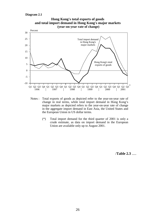#### **Diagram 2.1**



- Notes : Total exports of goods as depicted refer to the year-on-year rate of change in real terms, while total import demand in Hong Kong's major markets as depicted refers to the year-on-year rate of change in the aggregate import demand in East Asia, the United States and the European Union in US dollar terms.
	- (\*) Total import demand for the third quarter of 2001 is only a crude estimate, as data on import demand in the European Union are available only up to August 2001.

/**Table 2.3** .....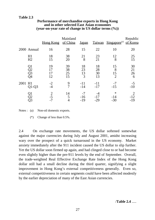## **Table 2.3**

|      |                      | Hong Kong              | Mainland<br>of China | <u>Japan</u>        |                      | Taiwan Singapore <sup>(a)</sup> | Republic<br>of Korea             |
|------|----------------------|------------------------|----------------------|---------------------|----------------------|---------------------------------|----------------------------------|
|      | 2000 Annual          | 16                     | 28                   | 15                  | 22                   | 10                              | 20                               |
|      | H1<br>H2             | 18<br>15               | 38<br>20             | 21<br>8             | 23<br>21             | 12<br>8                         | 25<br>15                         |
|      | Q1<br>Q2<br>Q3<br>Q4 | 19<br>12               | 39<br>38<br>25<br>15 | 18<br>23<br>13<br>3 | 18<br>28<br>30<br>13 | 15<br>8<br>15<br>$\overline{2}$ | 30<br>21<br>26<br>6              |
| 2001 | H1<br>$Q1-Q3$        | $-2$<br>$-4$           | 9<br>$\overline{7}$  | $-11$<br>$-14$      | $-11$<br>$-17$       | $-7$<br>$-15$                   | $-5$<br>$-10$                    |
|      |                      | $\overline{2}$<br>$-7$ | 14<br>5<br>4         | $-16$<br>$-19$      | $-17$<br>$-29$       | $\ast$<br>$-14$<br>$-30$        | $\overline{2}$<br>$-12$<br>$-19$ |

## **Performance of merchandise exports in Hong Kong and in other selected East Asian economies (year-on-year rate of change in US dollar terms (%))**

Notes : (a) Non-oil domestic exports.

(\*) Change of less than 0.5%.

2.4 On exchange rate movements, the US dollar softened somewhat against the major currencies during July and August 2001, amidst increasing wary over the prospect of a quick turnaround in the US economy. Market anxiety immediately after the 911 incident caused the US dollar to slip further. Yet the US dollar soon firmed up again, and had clinged close to or had become even slightly higher than the pre-911 levels by the end of September. Overall, the trade-weighted Real Effective Exchange Rate Index of the Hong Kong dollar still had a small decline during the third quarter, signifying a slight improvement in Hong Kong's external competitiveness generally. Even so, external competitiveness in certain segments could have been affected modestly by the earlier depreciation of many of the East Asian currencies.

/**Table 2.4** .....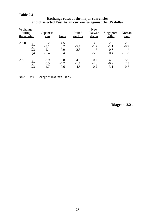## **Table 2.4**

#### **Exchange rates of the major currencies and of selected East Asian currencies against the US dollar**

| % change<br>during<br>the quarter |    | Japanese<br>yen | <b>Euro</b> | Pound<br>sterling | <b>New</b><br>Taiwan<br>dollar | Singapore<br>dollar | Korean<br>won |
|-----------------------------------|----|-----------------|-------------|-------------------|--------------------------------|---------------------|---------------|
| 2000                              | Q1 | $-0.2$          | $-4.5$      | $-1.0$            | 3.0                            | $-2.6$              | 2.5           |
|                                   | Q2 | $-3.1$          | 0.2         | $-5.1$            | $-1.2$                         | $-1.1$              | $-0.9$        |
|                                   | Q3 | $-2.1$          | $-7.9$      | $-2.3$            | $-1.7$                         | $-0.6$              | $\ast$        |
|                                   | Q4 | $-5.4$          | 6.4         | 1.0               | $-5.3$                         | 0.4                 | $-11.8$       |
| 2001                              | O1 | $-8.9$          | $-5.8$      | $-4.8$            | 0.7                            | $-4.0$              | $-5.0$        |
|                                   | O2 | 0.5             | $-4.2$      | $-1.1$            | $-4.6$                         | $-0.9$              | 2.3           |
|                                   | Q3 | 4.7             | 7.6         | 4.5               | $-0.2$                         | 3.1                 | $-0.7$        |

Note :  $(*)$  Change of less than 0.05%.

/**Diagram 2.2** .....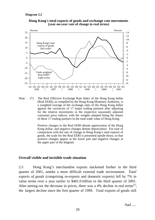



Note : (\*) The Real Effective Exchange Rate Index of the Hong Kong dollar (Real EERI), as compiled by the Hong Kong Monetary Authority, is a weighted average of the exchange rates of the Hong Kong dollar against the currencies of 17 major trading partners after adjusting for the relative movements in the respective seasonally adjusted consumer price indices, with the weights adopted being the shares of these 17 trading partners in the total trade value of Hong Kong.

> Positive changes in the Real EERI denote appreciation of the Hong Kong dollar; and negative changes denote depreciation. For ease of comparison with the rate of change in Hong Kong's total exports of goods, the scale for the Real EERI is presented upside down, so that positive changes appear at the lower part and negative changes at the upper part of the diagram.

#### **Overall visible and invisible trade situation**

2.5 Hong Kong's merchandise exports slackened further in the third quarter of 2001, amidst a more difficult external trade environment. *Total exports of goods* (comprising re-exports and domestic exports) fell by 7% in value terms over a year earlier to \$401.0 billion in the third quarter of 2001. After netting out the decrease in prices, there was a 4% decline in real terms<sup>(1)</sup>, the largest decline since the first quarter of 1999. Total exports of goods still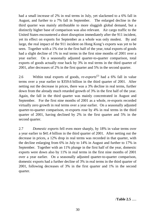had a small increase of 2% in real terms in July, yet slackened to a 6% fall in August, and further to a 7% fall in September. The enlarged decline in the third quarter was mainly attributable to more sluggish global demand, but a distinctly higher base of comparison was also relevant. Air cargo traffic to the United States encountered a short disruption immediately after the 911 incident, yet its effect on exports for September as a whole was only modest. By and large, the real impact of the 911 incident on Hong Kong's exports was yet to be seen. Together with a 1% rise in the first half of the year, total exports of goods had a slight decline of 1% in real terms in the first nine months of 2001 over a year earlier. On a seasonally adjusted quarter-to-quarter comparison, total exports of goods actually rose back by 3% in real terms in the third quarter of 2001, after decreases of 2% in the first quarter and 5% in the second quarter.

2.6 Within total exports of goods, *re-exports*<sup>(2)</sup> had a 6% fall in value terms over a year earlier to \$359.6 billion in the third quarter of 2001. After netting out the decrease in prices, there was a 3% decline in real terms, further down from the already much retarded growth of 3% in the first half of the year. Again, the fall in the third quarter was mainly concentrated in August and September. For the first nine months of 2001 as a whole, re-exports recorded virtually zero growth in real terms over a year earlier. On a seasonally adjusted quarter-to-quarter comparison, re-exports rose by 4% in real terms in the third quarter of 2001, having declined by 2% in the first quarter and 5% in the second quarter.

2.7 *Domestic exports* fell even more sharply, by 18% in value terms over a year earlier to \$41.4 billion in the third quarter of 2001. After netting out the decrease in prices, a 12% drop in real terms was recorded in that quarter, with the decline enlarging from 6% in July to 14% in August and further to 17% in September. Together with an 11% plunge in the first half of the year, domestic exports were down also by 11% in real terms in the first nine months of 2001 over a year earlier. On a seasonally adjusted quarter-to-quarter comparison, domestic exports had a further decline of 3% in real terms in the third quarter of 2001, following decreases of 3% in the first quarter and 1% in the second quarter.

/**Table 2.5** .....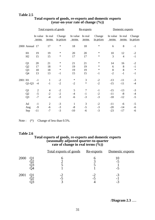|         |                |                   | Total exports of goods |                     |                   | Re-exports       |                     | Domestic exports  |                  |                     |
|---------|----------------|-------------------|------------------------|---------------------|-------------------|------------------|---------------------|-------------------|------------------|---------------------|
|         |                | In value<br>terms | In real<br>terms       | Change<br>in prices | In value<br>terms | In real<br>terms | Change<br>in prices | In value<br>terms | In real<br>terms | Change<br>in prices |
|         | 2000 Annual 17 |                   | 17                     | $\ast$              | 18                | 18               | $\ast$              | 6                 | 8                | $-1$                |
|         | H1             | 19                | 19                     | $\ast$              | 20                | 20               | ∗                   | 10                | 12               | $-2$                |
|         | H2             | 15                | 15                     | $\ast$              | 17                | 17               | $\ast$              | 3                 | $\overline{4}$   | $-1$                |
|         | Q <sub>1</sub> | 20                | 21                     | $\ast$              | 21                | 21               | $\ast$              | 14                | 16               | $-2$                |
|         | Q2             | 17                | 18                     | $\ast$              | 19                | 19               | $\ast$              | 6                 | 8                | $-1$                |
|         | Q <sub>3</sub> | 18                | 18                     | $\ast$              | 19                | 19               | $\star$             | 8                 | 8                | $\ast$              |
|         | Q4             | 13                | 13                     | $-1$                | 15                | 15               | $-1$                | $-2$              | $-1$             | $-1$                |
| 2001 H1 |                | $-1$              | $\mathbf{1}$           | $-2$                | $\ast$            | 3                | $-2$                | $-13$             | $-11$            | $-3$                |
|         | $Q1-Q3$        | $-4$              | $-1$                   | $-2$                | $-2$              | $\ast$           | $-2$                | $-15$             | $-11$            | $-4$                |
|         | Q <sub>1</sub> | $\overline{2}$    | $\overline{4}$         | $-2$                | 5                 | $\overline{7}$   | $-1$                | $-15$             | $-13$            | $-3$                |
|         | Q2             | $-5$              | $-2$                   | $-2$                | $-4$              | $-1$             | $-2$                | $-11$             | $-8$             | $-4$                |
|         | Q <sub>3</sub> | $-7$              | $-4$                   | $-3$                | $-6$              | $-3$             | $-3$                | $-18$             | $-12$            | $-5$                |
|         | Jul            | $-1$              | $\overline{2}$         | $-3$                | $\mathbf{1}$      | 3                | $-2$                | $-11$             | $-6$             | $-5$                |
|         | Aug            | $-9$              | $-6$                   | $-3$                | $-8$              | $-5$             | $-3$                | $-20$             | $-14$            | $-6$                |
|         | Sep            | $-11$             | $-7$                   | $-3$                | $-10$             | $-6$             | $-3$                | $-23$             | $-17$            | $-6$                |

## **Total exports of goods, re-exports and domestic exports (year-on-year rate of change (%))**

Note :  $(*)$  Change of less than 0.5%.

## **Table 2.6**

## **Total exports of goods, re-exports and domestic exports (seasonally adjusted quarter-to-quarter rate of change in real terms (%))**

|      | <u>Total exports of goods Re-exports Domestic exports</u> |   |  |
|------|-----------------------------------------------------------|---|--|
| 2000 |                                                           |   |  |
| 2001 |                                                           | - |  |

/**Diagram 2.3** .....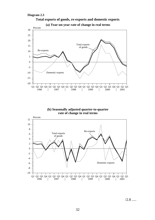

**(b) Seasonally adjusted quarter-to-quarter rate of change in real terms**



 $/2.8$  .....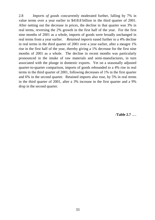2.8 *Imports of goods* concurrently moderated further, falling by 7% in value terms over a year earlier to \$418.8 billion in the third quarter of 2001. After netting out the decrease in prices, the decline in that quarter was 3% in real terms, reversing the 2% growth in the first half of the year. For the first nine months of 2001 as a whole, imports of goods were broadly unchanged in real terms from a year earlier. *Retained imports* eased further to a 4% decline in real terms in the third quarter of 2001 over a year earlier, after a meagre 1% rise in the first half of the year, thereby giving a 1% decrease for the first nine months of 2001 as a whole. The decline in recent months was particularly pronounced in the intake of raw materials and semi-manufactures, in turn associated with the plunge in domestic exports. Yet on a seasonally adjusted quarter-to-quarter comparison, imports of goods rebounded to a 4% rise in real terms in the third quarter of 2001, following decreases of 1% in the first quarter and 6% in the second quarter. Retained imports also rose, by 5% in real terms in the third quarter of 2001, after a 3% increase in the first quarter and a 9% drop in the second quarter.

/**Table 2.7** .....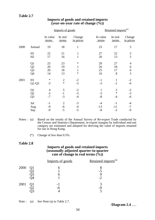|      |                                         |                                | Imports of goods               |                                                  |                              | Retained imports <sup>(a)</sup>  |                                  |  |  |
|------|-----------------------------------------|--------------------------------|--------------------------------|--------------------------------------------------|------------------------------|----------------------------------|----------------------------------|--|--|
|      |                                         | In value<br>terms              | In real<br>terms               | Change<br>in prices                              | In value<br>terms            | In real<br>terms                 | Change<br>in prices              |  |  |
| 2000 | Annual                                  | 19                             | 18                             | $\mathbf{1}$                                     | 23                           | 17                               | 5                                |  |  |
|      | H1<br>H2                                | 22<br>17                       | 21<br>16                       | $\mathbf{1}$<br>$\mathbf{1}$                     | 27<br>20                     | 22<br>13                         | $rac{5}{5}$                      |  |  |
|      | $Q1$<br>$Q2$<br>$Q3$<br>$\overline{Q}4$ | 23<br>20<br>20<br>14           | 23<br>19<br>18<br>13           | $\ast$<br>$\mathbf{1}$<br>$\mathbf{1}$<br>$\ast$ | 29<br>26<br>25<br>16         | 27<br>18<br>17<br>8              | 4<br>$\sqrt{6}$<br>$\frac{6}{3}$ |  |  |
| 2001 | H1<br>$Q1-Q3$                           | $\ast$<br>$-3$                 | $\overline{2}$<br>$\ast$       | $-2$<br>$-3$                                     | $-1$<br>$-3$                 | 1<br>$-1$                        | $-2$<br>$-4$                     |  |  |
|      | Q1<br>Q2<br>Q3                          | $\overline{4}$<br>$-3$<br>$-7$ | 5<br>$-1$<br>$-3$              | $-2$<br>$-3$<br>$-4$                             | $\mathbf{1}$<br>$-3$<br>$-8$ | $\overline{2}$<br>$\ast$<br>$-4$ | $-2$<br>$-3$<br>$-6$             |  |  |
|      | Jul<br>Aug<br>Sep                       | $-1$<br>$-9$<br>$-9$           | $\overline{2}$<br>$-6$<br>$-5$ | $-3$<br>$-4$<br>$-5$                             | -4<br>$-13$<br>$-8$          | $-1$<br>$-11$<br>$-2$            | $-4$<br>$-7$<br>$-9$             |  |  |

# **Imports of goods and retained imports (year-on-year rate of change (%))**

Notes : (a) Based on the results of the Annual Survey of Re-export Trade conducted by the Census and Statistics Department, re-export margins by individual end-use category are estimated and adopted for deriving the value of imports retained for use in Hong Kong.

(\*) Change of less than 0.5%.

#### **Table 2.8**

#### **Imports of goods and retained imports (seasonally adjusted quarter-to-quarter rate of change in real terms (%))**

|      | Imports of goods | Retained imports <sup>(a)</sup> |
|------|------------------|---------------------------------|
| 2000 |                  | - 7                             |
| 2001 | -r               |                                 |

Note : (a) See Note (a) to Table 2.7.

/**Diagram 2.4** .....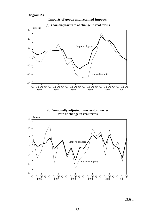





 $/2.9$  .....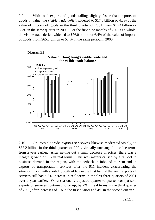2.9 With total exports of goods falling slightly faster than imports of goods in value, the *visible trade deficit* widened to \$17.8 billion or 4.3% of the value of imports of goods in the third quarter of 2001, from \$16.4 billion or 3.7% in the same quarter in 2000. For the first nine months of 2001 as a whole, the visible trade deficit widened to \$76.0 billion or 6.4% of the value of imports of goods, from \$65.2 billion or 5.4% in the same period in 2000.



2.10 On invisible trade, *exports of services* likewise moderated visibly, to \$87.2 billion in the third quarter of 2001, virtually unchanged in value terms from a year earlier. After netting out a small decrease in prices, there was a meagre growth of 1% in real terms. This was mainly caused by a fall-off in business demand in the region, with the setback in inbound tourism and in exports of transportation services after the 911 incident exacerbating the situation. Yet with a solid growth of 6% in the first half of the year, exports of services still had a 5% increase in real terms in the first three quarters of 2001 over a year earlier. On a seasonally adjusted quarter-to-quarter comparison, exports of services continued to go up, by 2% in real terms in the third quarter of 2001, after increases of 1% in the first quarter and 4% in the second quarter.

 $/2.11$  .....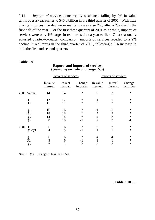2.11 *Imports of services* concurrently weakened, falling by 2% in value terms over a year earlier to \$46.8 billion in the third quarter of 2001. With little change in prices, the decline in real terms was also 2%, after a 2% rise in the first half of the year. For the first three quarters of 2001 as a whole, imports of services were only 1% larger in real terms than a year earlier. On a seasonally adjusted quarter-to-quarter comparison, imports of services receded to a 2% decline in real terms in the third quarter of 2001, following a 1% increase in both the first and second quarters.

#### **Table 2.9**

|         | ◡<br>---- ---- -- --<br>. <i>.</i> |                   |                            |                     |                     |                  |                     |  |  |  |
|---------|------------------------------------|-------------------|----------------------------|---------------------|---------------------|------------------|---------------------|--|--|--|
|         |                                    |                   | <b>Exports of services</b> |                     | Imports of services |                  |                     |  |  |  |
|         |                                    | In value<br>terms | In real<br>terms           | Change<br>in prices | In value<br>terms   | In real<br>terms | Change<br>in prices |  |  |  |
|         | 2000 Annual                        | 14                | 14                         | $\ast$              | $\overline{2}$      | $\overline{2}$   | $\ast$              |  |  |  |
|         | H1                                 | 17                | 17                         | $\ast$              | $\mathbf{1}$        | 1                | ∗                   |  |  |  |
|         | H2                                 | 11                | 12                         | $\ast$              | $\overline{3}$      | 3                | $\ast$              |  |  |  |
|         | Q1                                 | 16                | 16                         | $\ast$              | $-1$                | $-1$             | ∗                   |  |  |  |
|         | $\overline{Q}2$                    | 18                | 18                         | $\ast$              | 4                   | 3                | $\ast$              |  |  |  |
|         | $\overline{Q}$ 3                   | 14                | 14                         | $\ast$              | $\overline{4}$      | 3                | $\ast$              |  |  |  |
|         | Q4                                 | 8                 | 10                         | $-1$                | $\overline{2}$      | $\overline{3}$   | $-1$                |  |  |  |
| 2001 H1 |                                    | 6                 | 6                          | $\ast$              | $\mathbf{2}$        | $\overline{c}$   | $\ast$              |  |  |  |
|         | $Q1-Q3$                            | 4                 | 5                          | $-1$                | $\mathbf{1}$        | $\mathbf{1}$     | $\ast$              |  |  |  |
|         | Q1                                 | 6                 | 6                          | $\ast$              | 4                   | 4                | $\ast$              |  |  |  |
|         | Q2                                 | 5                 | 6                          | $-1$                |                     |                  | $\ast$              |  |  |  |
|         | Q3                                 | $\ast$            |                            | $-2$                |                     |                  | ∗                   |  |  |  |

#### **Exports and imports of services (year-on-year rate of change (%))**

Note :  $(*)$  Change of less than 0.5%.

/**Table 2.10** .....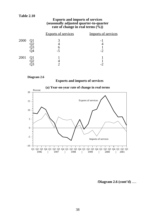#### **Exports and imports of services (seasonally adjusted quarter-to-quarter rate of change in real terms (%))**

|      | <b>Exports of services</b> | Imports of services |
|------|----------------------------|---------------------|
| 2000 | -5                         |                     |
| 2001 |                            |                     |

#### **Diagram 2.6**

## **Exports and imports of services**



### /**Diagram 2.6 (cont'd)** .....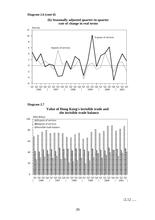



**(b) Seasonally adjusted quarter-to-quarter rate of change in real terms**

**Diagram 2.7**





 $/2.12$  .....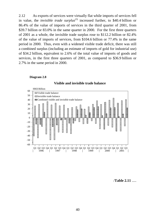2.12 As exports of services were virtually flat while imports of services fell in value, the *invisible trade surplus*<sup>(3)</sup> increased further, to \$40.4 billion or 86.4% of the value of imports of services in the third quarter of 2001, from \$39.7 billion or 83.0% in the same quarter in 2000. For the first three quarters of 2001 as a whole, the invisible trade surplus rose to \$112.2 billion or 82.4% of the value of imports of services, from \$104.6 billion or 77.4% in the same period in 2000. Thus, even with a widened visible trade deficit, there was still a combined surplus (including an estimate of imports of gold for industrial use) of \$34.2 billion, equivalent to 2.6% of the total value of imports of goods and services, in the first three quarters of 2001, as compared to \$36.9 billion or 2.7% in the same period in 2000.

#### **Diagram 2.8**



#### **Visible and invisible trade balance**

/**Table 2.11** .....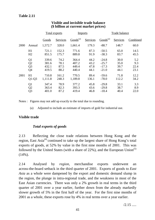|      |                | Total exports |          |                      | <b>Imports</b> |                      | Trade balance |          |  |
|------|----------------|---------------|----------|----------------------|----------------|----------------------|---------------|----------|--|
|      |                | Goods         | Services | Goods <sup>(a)</sup> | Services       | Goods <sup>(a)</sup> | Services      | Combined |  |
| 2000 | Annual         | 1,572.7       | 328.0    | 1,661.4              | 179.3          | $-88.7$              | 148.7         | 60.0     |  |
|      | H1             | 721.1         | 152.3    | 771.6                | 87.3           | $-50.5$              | 65.0          | 14.5     |  |
|      | H2             | 851.5         | 175.7    | 889.8                | 91.9           | $-38.3$              | 83.7          | 45.5     |  |
|      | Q <sub>1</sub> | 339.6         | 74.2     | 364.4                | 44.2           | $-24.8$              | 30.0          | 5.2      |  |
|      | Q2             | 381.6         | 78.1     | 407.2                | 43.2           | $-25.7$              | 35.0          | 9.3      |  |
|      | Q <sub>3</sub> | 432.1         | 87.5     | 449.4                | 47.8           | $-17.3$              | 39.7          | 22.4     |  |
|      | Q4             | 419.5         | 88.2     | 440.4                | 44.1           | $-21.0$              | 44.1          | 23.1     |  |
| 2001 | H1             | 710.8         | 161.2    | 770.5                | 89.4           | $-59.6$              | 71.8          | 12.2     |  |
|      | $Q1-Q3$        | 1,111.8       | 248.3    | 1,189.8              | 136.1          | $-78.0$              | 112.2         | 34.2     |  |
|      | Q <sub>1</sub> | 347.4         | 78.9     | 377.2                | 45.8           | $-29.8$              | 33.1          | 3.3      |  |
|      | Q2             | 363.4         | 82.3     | 393.3                | 43.6           | $-29.8$              | 38.7          | 8.9      |  |
|      | Q <sub>3</sub> | 401.0         | 87.2     | 419.4                | 46.8           | $-18.4$              | 40.4          | 22.0     |  |

# **Visible and invisible trade balance (\$ billion at current market prices)**

Notes : Figures may not add up exactly to the total due to rounding.

(a) Adjusted to include an estimate of imports of gold for industrial use.

# **Visible trade**

# *Total exports of goods*

2.13 Reflecting the close trade relations between Hong Kong and the region, East Asia<sup>(4)</sup> continued to take up the largest share of Hong Kong's total exports of goods, at 52% by value in the first nine months of 2001. This was followed by the United States (with a share of  $22\%$ ), and the European Union<sup>(5)</sup> (14%).

2.14 Analysed by *region*, merchandise exports underwent an across-the-board setback in the third quarter of 2001. Exports of goods to *East Asia* as a whole were dampened by the export and domestic demand slump in the region, the plunge in intra-regional trade, and the weakness in most of the East Asian currencies. There was only a 2% growth in real terms in the third quarter of 2001 over a year earlier, further down from the already markedly slower growth of 5% in the first half of the year. For the first nine months of 2001 as a whole, these exports rose by 4% in real terms over a year earlier.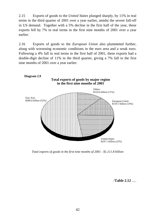2.15 Exports of goods to the *United States* plunged sharply, by 11% in real terms in the third quarter of 2001 over a year earlier, amidst the severe fall-off in US demand. Together with a 5% decline in the first half of the year, these exports fell by 7% in real terms in the first nine months of 2001 over a year earlier.

2.16 Exports of goods to the *European Union* also plummeted further, along with worsening economic conditions in the euro area and a weak euro. Following a 4% fall in real terms in the first half of 2001, these exports had a double-digit decline of 11% in the third quarter, giving a 7% fall in the first nine months of 2001 over a year earlier.



*Total exports of goods in the first nine months of 2001 : \$1,111.8 billion*

/**Table 2.12** .....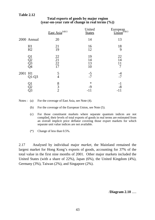|                      |         | East Asia <sup>(a)(c)</sup>                | United<br><b>States</b> | European<br>Union <sup>(b)(c)</sup> |
|----------------------|---------|--------------------------------------------|-------------------------|-------------------------------------|
| 2000 Annual          |         | 20                                         | 14                      | 13                                  |
| H1<br>H2             |         | 21<br>19                                   | 16<br>12                | 18<br>9                             |
| Q1<br>Q2<br>Q3<br>Q4 |         | 22<br>21<br>22<br>17                       | 19<br>14<br>13<br>10    | 22<br>14<br>11<br>7                 |
| 2001 H1              | $Q1-Q3$ | 5<br>$\overline{4}$                        | $-5$<br>$-7$            | -4<br>-7                            |
| Q1<br>Q2<br>Q3       |         | $\begin{array}{c} 8 \\ 3 \\ 2 \end{array}$ | $\ast$<br>$-9$<br>$-11$ | -1<br>$-8$<br>-11                   |

## **Total exports of goods by major region (year-on-year rate of change in real terms (%))**

Notes : (a) For the coverage of East Asia, see Note (4).

- (b) For the coverage of the European Union, see Note (5).
- (c) For those constituent markets where separate quantum indices are not compiled, their levels of total exports of goods in real terms are estimated from an overall implicit price deflator covering those export markets for which separate unit value indices are not available.
- (\*) Change of less than 0.5%.

2.17 Analysed by individual major *market*, the Mainland remained the largest market for Hong Kong's exports of goods, accounting for 37% of the total value in the first nine months of 2001. Other major markets included the United States (with a share of 22%), Japan (6%), the United Kingdom (4%), Germany (3%), Taiwan (2%), and Singapore (2%).

#### /**Diagram 2.10** .....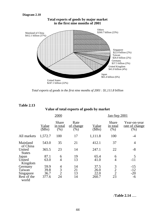#### **Diagram 2.10**



*Total exports of goods in the first nine months of 2001 : \$1,111.8 billion*

| <b>Table 2.13</b>       |                        |                                  |                                           |                       |                           |                                        |  |  |
|-------------------------|------------------------|----------------------------------|-------------------------------------------|-----------------------|---------------------------|----------------------------------------|--|--|
|                         |                        |                                  | Value of total exports of goods by market |                       |                           |                                        |  |  |
|                         |                        | 2000                             |                                           |                       | <u>Jan-Sep 2001</u>       |                                        |  |  |
|                         | <u>Value</u><br>(\$Bn) | <b>Share</b><br>in total<br>(% ) | Rate<br>of change<br>(%)                  | <u>Value</u><br>(SBn) | Share<br>in total<br>(% ) | Year-on-year<br>rate of change<br>(% ) |  |  |
| All markets             | 1,572.7                | 100                              | 17                                        | 1,111.8               | 100                       | $-4$                                   |  |  |
| Mainland<br>of China    | 543.0                  | 35                               | 21                                        | 412.1                 | 37                        | $\overline{4}$                         |  |  |
| United<br><b>States</b> | 365.5                  | 23                               | 14                                        | 247.1                 | 22                        | $-8$                                   |  |  |
| Japan                   | 87.1                   | 6                                | 19                                        | 65.4                  | 6                         | 5                                      |  |  |
| United<br>Kingdom       | 63.0                   | $\overline{4}$                   | 13                                        | 41.0                  | $\overline{4}$            | $-11$                                  |  |  |
| Germany                 | 59.9                   |                                  | 14                                        | 37.5                  |                           | $-15$                                  |  |  |
| Taiwan                  | 39.8                   | $\frac{4}{3}$                    | 21                                        | 26.0                  | $\frac{3}{2}$             | $-12$                                  |  |  |
| Singapore               | 36.7                   |                                  | 13                                        | 22.0                  | $\overline{2}$            | $-20$                                  |  |  |
| Rest of the<br>world    | 377.6                  | 24                               | 14                                        | 260.7                 | 23                        | -6                                     |  |  |

/**Table 2.14** .....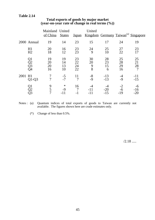|      |                      | Mainland United<br>of China | <b>States</b>        |                      | United<br>Japan Kingdom Germany Taiwan <sup>(a)</sup> Singapore |                     |                      |                                  |
|------|----------------------|-----------------------------|----------------------|----------------------|-----------------------------------------------------------------|---------------------|----------------------|----------------------------------|
|      | 2000 Annual          | 19                          | 14                   | 23                   | 15                                                              | 17                  | 24                   | 19                               |
|      | H1<br>H2             | 20<br>18                    | 16<br>12             | 23<br>23             | 24<br>9                                                         | 25<br>10            | 27<br>22             | 23<br>17                         |
|      | Q1<br>Q2<br>Q3<br>Q4 | 19<br>20<br>20<br>16        | 19<br>14<br>13<br>10 | 23<br>22<br>24<br>22 | 30<br>20<br>9<br>8                                              | 28<br>23<br>15<br>6 | 25<br>28<br>29<br>16 | 25<br>21<br>28<br>$\overline{7}$ |
| 2001 | H1<br>$Q1-Q3$        | 7<br>7                      | $-5$<br>$-7$         | 11<br>$\overline{7}$ | $-8$<br>$-9$                                                    | $-13$<br>$-13$      | -4<br>$-9$           | $-11$<br>$-15$                   |
|      | Q1<br>)<br>23<br>23  | 9<br>$\overline{5}$         | $\ast$<br>$-9$       | 16                   | -11<br>-11                                                      | $-20$<br>$-15$      | $-2$<br>-6<br>$-19$  | -6<br>$-16$<br>$-20$             |

## **Total exports of goods by major market (year-on-year rate of change in real terms (%))**

Notes : (a) Quantum indices of total exports of goods to Taiwan are currently not available. The figures shown here are crude estimates only.

(\*) Change of less than 0.5%.

 $/2.18$  .....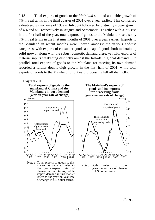2.18 Total exports of goods to the *Mainland* still had a notable growth of 7% in real terms in the third quarter of 2001 over a year earlier. This comprised a double-digit increase of 13% in July, but followed by distinctly slower growth of 4% and 5% respectively in August and September. Together with a 7% rise in the first half of the year, total exports of goods to the Mainland rose also by 7% in real terms in the first nine months of 2001 over a year earlier. Exports to the Mainland in recent months were uneven amongst the various end-use categories, with exports of consumer goods and capital goods both maintaining solid growth along with the robust domestic demand there, yet with exports of material inputs weakening distinctly amidst the fall-off in global demand. In parallel, total exports of goods to the Mainland for meeting its own demand recorded a further double-digit growth in the first half of 2001, while total exports of goods to the Mainland for outward processing fell off distinctly.

#### **Diagram 2.11**

**Total exports of goods to the mainland of China and the (year-on-year rate of change) Mainland's import demand for processing trade**



Note : Total exports of goods to this market as depicted refer to the year-on-year rate of change in real terms, while import demand in this market refers to the year-on-year rate of change in US dollar terms.







 $/2.19$  .....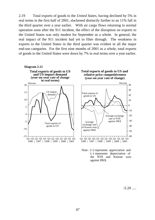2.19 Total exports of goods to the *United States*, having declined by 5% in real terms in the first half of 2001, slackened distinctly further to an 11% fall in the third quarter over a year earlier. With air cargo flows returning to normal operation soon after the 911 incident, the effect of the disruption on exports to the United States was only modest for September as a whole. In general, the real impact of the 911 incident had yet to filter through. The weakness in exports to the United States in the third quarter was evident in all the major end-use categories. For the first nine months of 2001 as a whole, total exports of goods to the United States were down by 7% in real terms over a year earlier.



 $/2.20$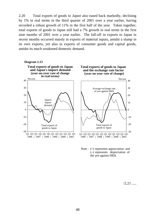2.20 Total exports of goods to *Japan* also eased back markedly, declining by 1% in real terms in the third quarter of 2001 over a year earlier, having recorded a robust growth of 11% in the first half of the year. Taken together, total exports of goods to Japan still had a 7% growth in real terms in the first nine months of 2001 over a year earlier. The fall-off in exports to Japan in recent months occurred mainly in exports of material inputs, amidst a slump in its own exports, yet also in exports of consumer goods and capital goods, amidst its much weakened domestic demand.





 $/2.21$ 

0

-10

-20

-30

10

20

30

40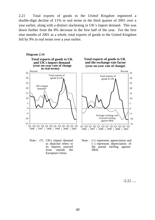2.21 Total exports of goods to the *United Kingdom* registered a double-digit decline of 11% in real terms in the third quarter of 2001 over a year earlier, along with a distinct slackening in UK's import demand. This was down further from the 8% decrease in the first half of the year. For the first nine months of 2001 as a whole, total exports of goods to the United Kingdom fell by 9% in real terms over a year earlier.



Note : (\*) UK's import demand as depicted refers to its imports sourced from outside European Union.

Note : (+) represents appreciation and (–) represents depreciation of the pound sterling against HK\$.

 $/2.22$  .....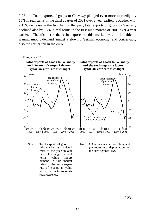2.22 Total exports of goods to *Germany* plunged even more markedly, by 15% in real terms in the third quarter of 2001 over a year earlier. Together with a 13% decrease in the first half of the year, total exports of goods to Germany declined also by 13% in real terms in the first nine months of 2001 over a year earlier. The distinct setback in exports to this market was attributable to waning import demand amidst a slowing German economy, and conceivably also the earlier fall in the euro.



Note : Total exports of goods to this market as depicted refer to the year-on-year rate of change in real terms, while import demand in this market refers to the year-on-year rate of change in value terms, i.e. in terms of its local currency.





Note : (+) represents appreciation and (–) represents depreciation of the euro against HK\$.

 $/2.23$  .....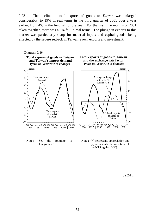2.23 The decline in total exports of goods to *Taiwan* was enlarged considerably, to 19% in real terms in the third quarter of 2001 over a year earlier, from 4% in the first half of the year. For the first nine months of 2001 taken together, there was a 9% fall in real terms. The plunge in exports to this market was particularly sharp for material inputs and capital goods, being affected by the severe setback in Taiwan's own exports and investment.



Note: See the footnote to Diagram 2.15.



Note : (+) represents appreciation and (–) represents depreciation of the NT\$ against HK\$.

 $/2.24$  .....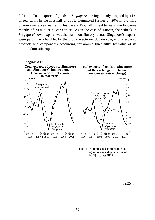2.24 Total exports of goods to *Singapore*, having already dropped by 11% in real terms in the first half of 2001, plummeted further by 20% in the third quarter over a year earlier. This gave a 15% fall in real terms in the first nine months of 2001 over a year earlier. As in the case of Taiwan, the setback in Singapore's own exports was the main contributory factor. Singapore's exports were particularly hard hit by the global electronic down-cycle, with electronic products and components accounting for around three-fifths by value of its non-oil domestic exports.





 $/2.25$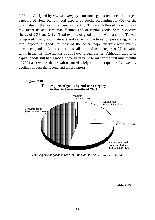2.25 Analysed by *end-use category*, consumer goods remained the largest category of Hong Kong's total exports of goods, accounting for 45% of the total value in the first nine months of 2001. This was followed by exports of raw materials and semi-manufactures and of capital goods, with respective shares of 29% and 24%. Total exports of goods to the Mainland and Taiwan comprised mainly raw materials and semi-manufactures for processing, while total exports of goods to most of the other major markets were mainly consumer goods. Exports in almost all the end-use categories fell in value terms in the first nine months of 2001 over a year earlier. Although exports of capital goods still had a modest growth in value terms for the first nine months of 2001 as a whole, the growth occurred solely in the first quarter, followed by declines in both the second and third quarters.



*Total exports of goods in the first nine months of 2001 : \$1,111.8 billion*

/**Table 2.15** .....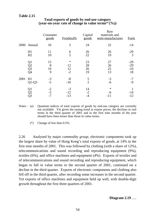|      |                                         | Consumer<br>goods    | <b>Foodstuffs</b>          | Capital<br>goods     | Raw<br>materials and<br>semi-manufactures | <b>Fuels</b>                  |
|------|-----------------------------------------|----------------------|----------------------------|----------------------|-------------------------------------------|-------------------------------|
| 2000 | Annual                                  | 10                   | 5                          | 24                   | 22                                        | $-14$                         |
|      | H1<br>H2                                | 11<br>10             | 6<br>5                     | 26<br>22             | 26<br>19                                  | $-29$<br>3                    |
|      | Q <sub>1</sub><br>$\frac{Q2}{Q3}$<br>Q4 | 15<br>8<br>10<br>9   | $\ast$<br>12<br>12<br>$-2$ | 23<br>28<br>26<br>19 | 27<br>26<br>25<br>13                      | $-29$<br>$-29$<br>$-10$<br>18 |
| 2001 | H1<br>$Q1-Q3$                           | $-3$<br>$-5$         | $-8$<br>$-10$              | 5<br>$\overline{2}$  | $-3$<br>$-6$                              | $-7$<br>$-9$                  |
|      | Q1<br>$\overline{Q}2$<br>Q3             | $-2$<br>$-5$<br>$-7$ | $-3$<br>$-12$<br>$-13$     | 14<br>$-2$<br>-4     | $\ast$<br>-6<br>-11                       | -14<br>$-12$                  |

## **Total exports of goods by end-use category** (year-on-year rate of change in value terms<sup>(a)</sup>  $(\frac{9}{6})$ )

Notes : (a) Quantum indices of total exports of goods by end-use category are currently not available. Yet given the easing trend in export prices, the declines in real terms in the third quarter of 2001 and in the first nine months of the year should have been lesser than those in value terms.

(\*) Change of less than 0.5%.

2.26 Analysed by major *commodity group*, electronic components took up the largest share by value of Hong Kong's total exports of goods, at 14% in the first nine months of 2001. This was followed by clothing (with a share of 12%), telecommunications and sound recording and reproducing equipment (9%), textiles (6%), and office machines and equipment (4%). Exports of textiles and of telecommunications and sound recording and reproducing equipment, which began to fall in value terms in the second quarter of 2001, continued on a decline in the third quarter. Exports of electronic components and clothing also fell off in the third quarter, after recording some increases in the second quarter. Yet exports of office machines and equipment held up well, with double-digit growth throughout the first three quarters of 2001.

/**Diagram 2.19** .....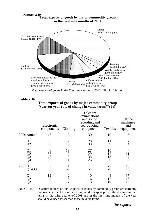

**Diagram 2.19**<br>Total exports of goods by major commodity group **in the first nine months of 2001**

*Total exports of goods in the first nine months of 2001 : \$1,111.8 billion*

#### **Total exports of goods by major commodity group** (year-on-year rate of change in value terms<sup>(a)</sup>  $(\frac{9}{6})$

|                         | Electronic<br>components | Clothing            | Telecom<br>-munications<br>and sound<br>recording and<br>reproducing<br>equipment | <b>Textiles</b>     | Office<br>machines<br>and<br>equipment |
|-------------------------|--------------------------|---------------------|-----------------------------------------------------------------------------------|---------------------|----------------------------------------|
| 2000 Annual             | 43                       | 9                   | 30                                                                                | 10                  | 6                                      |
| H1<br>H2                | $\frac{50}{39}$          | 10                  | $\frac{28}{30}$                                                                   | 11<br>9             |                                        |
| $\sum_{\lambda_4}^{12}$ | 46<br>53<br>48<br>30     | 13<br>$\frac{2}{9}$ | 27<br>$\frac{29}{35}$<br>26                                                       | 10<br>12<br>13<br>6 | 4<br>11<br>$\overline{2}$              |
| 2001 H1<br>$Q1-Q3$      | $\frac{9}{3}$            | $-2$                |                                                                                   | $-7$<br>$-8$        | 15<br>16                               |
|                         | 12                       | $\frac{-2}{5}$      | 10<br>-6<br>$-13$                                                                 | $-12$<br>$-10$      | 15<br>16<br>16                         |

Note : (a) Quantum indices of total exports of goods by commodity group are currently not available. Yet given the easing trend in export prices, the declines in real terms in the third quarter of 2001 and in the first nine months of the year should have been lesser than those in value terms.

/*Re-exports* .....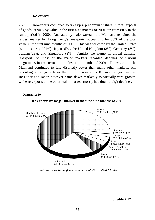## *Re-exports*

2.27 Re-exports continued to take up a predominant share in total exports of goods, at 90% by value in the first nine months of 2001, up from 88% in the same period in 2000. Analysed by major *market*, the Mainland remained the largest market for Hong Kong's re-exports, accounting for 38% of the total value in the first nine months of 2001. This was followed by the United States (with a share of 21%), Japan (6%), the United Kingdom (3%), Germany (3%), Taiwan (2%), and Singapore (2%). Amidst the slump in global demand, re-exports to most of the major markets recorded declines of various magnitudes in real terms in the first nine months of 2001. Re-exports to the Mainland continued to fare distinctly better than many other markets, still recording solid growth in the third quarter of 2001 over a year earlier. Re-exports to Japan however came down markedly to virtually zero growth, while re-exports to the other major markets mostly had double-digit declines.

#### **Diagram 2.20**





*Total re-exports in the first nine months of 2001 : \$996.1 billion*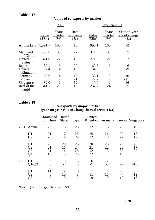# **Value of re-exports by market**

|                                               |                               | 2000                                        |                             | Jan-Sep 2001                  |                                 |                                       |  |
|-----------------------------------------------|-------------------------------|---------------------------------------------|-----------------------------|-------------------------------|---------------------------------|---------------------------------------|--|
|                                               | Value<br>(\$Bn)               | <b>Share</b><br>in total<br>(% )            | Rate<br>of change<br>$(\%)$ | Value<br>\$Bn\$               | Share<br><u>in total</u><br>(%) | Year-on-year<br>rate of change<br>(%) |  |
| All markets                                   | 1,391.7                       | 100                                         | 18                          | 996.1                         | 100                             | $-2$                                  |  |
| Mainland<br>of China                          | 488.8                         | 35                                          | 22                          | 374.6                         | 38                              | 5                                     |  |
| United<br><b>States</b>                       | 311.0                         | 22                                          | 15                          | 211.6                         | 21                              | $-7$                                  |  |
| Japan<br>United<br>Kingdom                    | 82.1<br>52.4                  | 6<br>$\overline{4}$                         | 22<br>15                    | 62.3<br>34.6                  | 6<br>3                          | 6<br>$-9$                             |  |
| Germany<br>Taiwan<br>Singapore<br>Rest of the | 50.6<br>33.7<br>32.0<br>341.1 | 4<br>$\overline{2}$<br>$\overline{2}$<br>25 | 15<br>21<br>12<br>15        | 33.1<br>22.2<br>19.9<br>237.7 | 3<br>$\frac{2}{2}$<br>24        | $-10$<br>$-11$<br>$-16$<br>$-5$       |  |
| world                                         |                               |                                             |                             |                               |                                 |                                       |  |

# **Table 2.18**

#### **Re-exports by major market (year-on-year rate of change in real terms (%))**

|      |                      | Mainland United<br>of China | <b>States</b>                    | <u>Japan</u>         | United                  |                     |                       | Kingdom Germany Taiwan Singapore |
|------|----------------------|-----------------------------|----------------------------------|----------------------|-------------------------|---------------------|-----------------------|----------------------------------|
|      | 2000 Annual          | 20                          | 15                               | 25                   | 17                      | 16                  | 25                    | 18                               |
|      | H1<br>H2             | 21<br>20                    | 17<br>14                         | 25<br>24             | 25<br>12                | 24<br>10            | 27<br>22              | 18<br>17                         |
|      | Q1<br>Q2<br>Q3<br>Q4 | 20<br>21<br>21<br>18        | 20<br>16<br>14<br>13             | 26<br>24<br>25<br>23 | 30<br>21<br>12<br>12    | 26<br>22<br>13<br>7 | 28<br>26<br>30<br>15  | 20<br>17<br>27<br>8              |
| 2001 | H1<br>$Q1-Q3$        | 8<br>8                      | $-5$<br>$-7$                     | 13<br>8              | $-6$<br>$-7$            | $-7$<br>$-8$        | $-3$<br>$-9$          | $-7$<br>$-10$                    |
|      | Q1<br>Q3             | 11<br>6                     | $\overline{2}$<br>$-10$<br>$-10$ | 18<br>8<br>$\ast$    | $\ast$<br>$-11$<br>$-9$ | $-15$<br>-9         | $-2$<br>$-4$<br>$-19$ | $-2$<br>$-12$<br>$-16$           |

Note :  $(*)$  Change of less than 0.5%.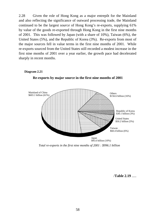2.28 Given the role of Hong Kong as a major entrepôt for the Mainland and also reflecting the significance of outward processing trade, the Mainland continued to be the largest *source* of Hong Kong's re-exports, supplying 61% by value of the goods re-exported through Hong Kong in the first nine months of 2001. This was followed by Japan (with a share of 10%), Taiwan (6%), the United States (5%), and the Republic of Korea (3%). Re-exports from most of the major sources fell in value terms in the first nine months of 2001. While re-exports sourced from the United States still recorded a modest increase in the first nine months of 2001 over a year earlier, the growth pace had decelerated sharply in recent months.

#### **Diagram 2.21**



**Re-exports by major source in the first nine months of 2001**

*Total re-exports in the first nine months of 2001 : \$996.1 billion*

/**Table 2.19** .....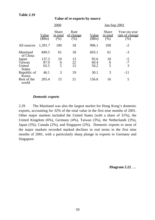|                                       | 2000                  |                                         |                                  | Jan-Sep 2001          |                                  |                                        |  |
|---------------------------------------|-----------------------|-----------------------------------------|----------------------------------|-----------------------|----------------------------------|----------------------------------------|--|
|                                       | <u>Value</u><br>(SBn) | <b>Share</b><br><u>in total</u><br>(% ) | Rate<br><u>of change</u><br>(% ) | <u>Value</u><br>(SBn) | <b>Share</b><br>in total<br>(% ) | Year-on-year<br>rate of change<br>(% ) |  |
| All sources                           | 1,391.7               | 100                                     | 18                               | 996.1                 | 100                              | $-2$                                   |  |
| Mainland<br>of China                  | 849.5                 | 61                                      | 18                               | 603.1                 | 61                               | $-3$                                   |  |
| Japan<br>Taiwan<br>United             | 137.3<br>87.9<br>65.5 | 10<br>6<br>5                            | 13<br>22<br>15                   | 95.6<br>60.4<br>50.2  | 10<br>$\frac{6}{5}$              | $-5$<br>$-7$<br>3                      |  |
| <b>States</b><br>Republic of<br>Korea | 46.1                  | 3                                       | 19                               | 30.1                  | 3                                | $-11$                                  |  |
| Rest of the<br>world                  | 205.4                 | 15                                      | 21                               | 156.6                 | 16                               | 5                                      |  |

## **Value of re-exports by source**

### *Domestic exports*

2.29 The Mainland was also the largest *market* for Hong Kong's domestic exports, accounting for 32% of the total value in the first nine months of 2001. Other major markets included the United States (with a share of 31%), the United Kingdom (6%), Germany (4%), Taiwan (3%), the Netherlands (3%), Japan (3%), Canada (2%), and Singapore (2%). Domestic exports to most of the major markets recorded marked declines in real terms in the first nine months of 2001, with a particularly sharp plunge in exports to Germany and Singapore.

/**Diagram 2.22** .....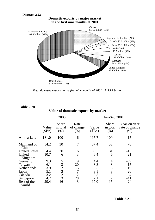

*Total domestic exports in the first nine months of 2001 : \$115.7 billion*

**Value of domestic exports by market**

|                      | 2000            |                                         |                          | Jan-Sep 2001          |                           |                                           |  |
|----------------------|-----------------|-----------------------------------------|--------------------------|-----------------------|---------------------------|-------------------------------------------|--|
|                      | Value<br>(\$Bn) | <b>Share</b><br><u>in total</u><br>(% ) | Rate<br>of change<br>(%) | <u>Value</u><br>\$Bn) | Share<br>in total<br>(% ) | Year-on-year<br>rate of change<br>$(\% )$ |  |
| All markets          | 181.0           | 100                                     | 6                        | 115.7                 | 100                       | $-15$                                     |  |
| Mainland of<br>China | 54.2            | 30                                      | $\overline{7}$           | 37.4                  | 32                        | $-8$                                      |  |
| <b>United States</b> | 54.4            | 30                                      |                          | 35.5                  | 31                        | $-13$                                     |  |
| United<br>Kingdom    | 10.7            | 6                                       | $\frac{6}{3}$            | 6.4                   | 6                         | $-21$                                     |  |
| Germany              | 9.3             |                                         | 9                        | 4.4                   | 4                         | $-39$                                     |  |
| Taiwan               | 6.1             | 532323                                  | 20                       | 3.8                   | 3                         | $-15$                                     |  |
| Netherlands          | 3.9             |                                         | $-5$                     | 3.5                   | 3                         | 19                                        |  |
| Japan                | 5.1             |                                         | $-7$                     | 3.1                   | 3                         | $-20$                                     |  |
| Canada               | 3.2             |                                         | $\overline{2}$           | 2.5                   | $\overline{2}$            | $\overline{4}$                            |  |
| Singapore            | 4.7             |                                         | $2\overline{8}$          | 2.1                   | $\overline{2}$            | $-41$                                     |  |
| Rest of the<br>world | 29.4            | 16                                      | 3                        | 17.0                  | 15                        | $-24$                                     |  |

/**Table 2.21** .....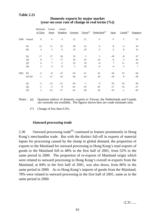|      |                | Mainland<br>of China | United<br><b>States</b> | United<br>Kingdom | Germany |       | Taiwan <sup>(a)</sup> Netherlands <sup>(a)</sup> | Japan  | Canada <sup>(a)</sup> | Singapore |
|------|----------------|----------------------|-------------------------|-------------------|---------|-------|--------------------------------------------------|--------|-----------------------|-----------|
| 2000 | Annual         | $\,8\,$              | 6                       | 6                 | 21      | 21    | $-5$                                             | $-5$   | 3                     | 31        |
|      | H1             | 12                   | 11                      | 22                | 29      | 23    | $-5$                                             | $-8$   | $-3$                  | 54        |
|      | H <sub>2</sub> | $\overline{4}$       | $\overline{c}$          | $-5$              | 14      | 19    | $-5$                                             | $-2$   | 8                     | 15        |
|      | Q1             | 17                   | 17                      | 26                | 35      | 5     | 5                                                | $-10$  | $-8$                  | 67        |
|      | Q2             | 8                    | 7                       | 17                | 24      | 42    | $-14$                                            | $-6$   | $\overline{c}$        | 43        |
|      | Q <sub>3</sub> | 6                    | 7                       | $-2$              | 23      | 19    | $-6$                                             | $\ast$ | 11                    | 32        |
|      | Q4             | $\mathbf{2}$         | $-3$                    | $-9$              | 5       | 19    | $-4$                                             | $-4$   | 5                     | $\ast$    |
| 2001 | H1             | $-3$                 | $-8$                    | $-15$             | $-33$   | $-11$ | 41                                               | $-18$  | 15                    | $-34$     |
|      | $Q1-Q3$        | $-1$                 | $-11$                   | $-16$             | $-36$   | $-14$ | 34                                               | $-18$  | $\,8$                 | $-38$     |
|      | Q1             | $-5$                 | $-12$                   | $-21$             | $-26$   | $-1$  | 6                                                | $-19$  | 16                    | $-30$     |
|      | Q2             | $-1$                 | $-5$                    | -9                | $-41$   | $-19$ | 81                                               | $-17$  | 14                    | $-37$     |
|      | Q <sub>3</sub> | 3                    | $-15$                   | $-17$             | $-41$   | $-18$ | 20                                               | $-19$  | $-1$                  | $-45$     |
|      |                |                      |                         |                   |         |       |                                                  |        |                       |           |

# **Domestic exports by major market (year-on-year rate of change in real terms (%))**

- Notes : (a) Ouantum indices of domestic exports to Taiwan, the Netherlands and Canada are currently not available. The figures shown here are crude estimates only.
	- (\*) Change of less than 0.5%.

# *Outward processing trade*

2.30 Outward processing trade<sup> $(6)$ </sup> continued to feature prominently in Hong Kong's merchandise trade. But with the distinct fall-off in exports of material inputs for processing caused by the slump in global demand, the proportion of exports to the Mainland for outward processing in Hong Kong's total exports of goods to the Mainland fell to 48% in the first half of 2001, from 52% in the same period in 2000. The proportion of re-exports of Mainland origin which were related to outward processing in Hong Kong's overall re-exports from the Mainland, at 84% in the first half of 2001, was also down, from 86% in the same period in 2000. As to Hong Kong's imports of goods from the Mainland, 78% were related to outward processing in the first half of 2001, same as in the same period in 2000.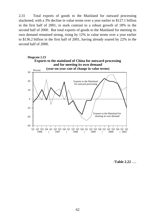2.31 Total exports of goods to the Mainland for outward processing slackened, with a 3% decline in value terms over a year earlier to \$127.1 billion in the first half of 2001, in stark contrast to a robust growth of 18% in the second half of 2000. But total exports of goods to the Mainland for meeting its own demand remained strong, rising by 12% in value terms over a year earlier to \$136.2 billion in the first half of 2001, having already soared by 22% in the second half of 2000.



/**Table 2.22** .....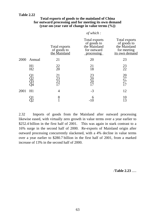| Total exports of goods to the mainland of China       |
|-------------------------------------------------------|
| for outward processing and for meeting its own demand |
| (year-on-year rate of change in value terms $(\%)$ )  |

*of which :*

|      |                   | Total exports<br>of goods to<br>the Mainland | Total exports<br>of goods to<br>the Mainland<br>for outward<br>processing | Total exports<br>of goods to<br>the Mainland<br>for meeting<br>its own demand |
|------|-------------------|----------------------------------------------|---------------------------------------------------------------------------|-------------------------------------------------------------------------------|
| 2000 | Annual            | 21                                           | 20                                                                        | 23                                                                            |
|      | H1<br>H2          | $^{22}_{20}$                                 | 21<br>18                                                                  | 23<br>22                                                                      |
|      | 312<br>223<br>234 | 21<br>$\frac{23}{23}$<br>17                  | $\frac{23}{20}$<br>20<br>17                                               | 20<br>27<br>27<br>17                                                          |
| 2001 | H1                | 4                                            | $-3$                                                                      | 12                                                                            |
|      |                   | 8                                            |                                                                           | 10<br>13                                                                      |

2.32 Imports of goods from the Mainland after outward processing likewise eased, with virtually zero growth in value terms over a year earlier to \$252.4 billion in the first half of 2001. This was again in stark contrast to a 16% surge in the second half of 2000. Re-exports of Mainland origin after outward processing concurrently slackened, with a 4% decline in value terms over a year earlier to \$280.7 billion in the first half of 2001, from a marked increase of 13% in the second half of 2000.

/**Table 2.23** .....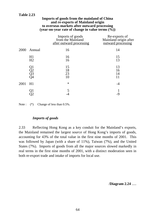#### **Imports of goods from the mainland of China and re-exports of Mainland origin to overseas markets after outward processing (year-on-year rate of change in value terms (%))**

|      |                      | Imports of goods<br>from the Mainland<br>after outward processing | Re-exports of<br>Mainland origin after<br>outward processing |
|------|----------------------|-------------------------------------------------------------------|--------------------------------------------------------------|
|      | 2000 Annual          | 16                                                                | 14                                                           |
|      | H1<br>H2             | 16<br>16                                                          | 15<br>13                                                     |
|      | Q1<br>Q2<br>Q3<br>Q4 | 15<br>18<br>23<br>10                                              | 13<br>16<br>14<br>11                                         |
| 2001 | H1                   | $\ast$                                                            | -4                                                           |
|      |                      |                                                                   |                                                              |

Note :  $(*)$  Change of less than 0.5%.

**Table 2.23**

# *Imports of goods*

2.33 Reflecting Hong Kong as a key conduit for the Mainland's exports, the Mainland remained the largest *source* of Hong Kong's imports of goods, accounting for 43% of the total value in the first nine months of 2001. This was followed by Japan (with a share of 11%), Taiwan (7%), and the United States (7%). Imports of goods from all the major sources slowed markedly in real terms in the first nine months of 2001, with a distinct moderation seen in both re-export trade and intake of imports for local use.

/**Diagram 2.24** .....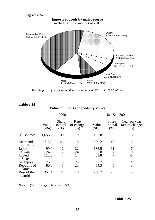

*Total imports of goods in the first nine months of 2001 : \$1,187.8 billion*

**Value of imports of goods by source**

|                         |                       | 2000                             |                           | Jan-Sep 2001          |                                         |                                        |  |
|-------------------------|-----------------------|----------------------------------|---------------------------|-----------------------|-----------------------------------------|----------------------------------------|--|
|                         | <u>Value</u><br>(SBn) | <b>Share</b><br>in total<br>(% ) | Rate<br>of change<br>(% ) | <u>Value</u><br>(SBn) | <b>Share</b><br><u>in total</u><br>(% ) | Year-on-year<br>rate of change<br>(% ) |  |
| All sources             | 1,658.0               | 100                              | 19                        | 1,187.8               | 100                                     | $-3$                                   |  |
| Mainland<br>of China    | 715.0                 | 43                               | 18                        | 509.2                 | 43                                      | $-3$                                   |  |
| Japan                   | 199.0                 | 12                               | 22                        | 135.5                 | 11                                      | $-7$                                   |  |
| Taiwan                  | 124.2                 | 7                                | 24                        | 82.8                  |                                         | $-10$                                  |  |
| United<br><b>States</b> | 112.8                 | 7                                | 14                        | 81.8                  |                                         | $-1$                                   |  |
| Singapore               | 75.0                  |                                  | 25                        | 55.7                  | 5                                       | $\ast$                                 |  |
| Republic of<br>Korea    | 80.6                  | $\frac{5}{5}$                    | 23                        | 54.3                  | 5                                       | $-8$                                   |  |
| Rest of the<br>world    | 351.4                 | 21                               | 18                        | 268.7                 | 23                                      | $\overline{4}$                         |  |

Note :  $(*)$  Change of less than 0.5%.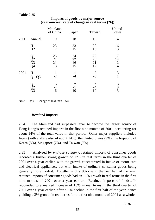|      |                      | Mainland<br>of China | <b>Japan</b>            | Taiwan               | United<br><b>States</b> |
|------|----------------------|----------------------|-------------------------|----------------------|-------------------------|
| 2000 | Annual               | 19                   | 18                      | 18                   | 14                      |
|      | H1<br>H2             | 23<br>17             | 23<br>15                | 20<br>16             | 16<br>13                |
|      | Q1<br>Q2<br>Q3<br>Q4 | 25<br>21<br>21<br>13 | 24<br>22<br>16<br>15    | 22<br>20<br>21<br>12 | 17<br>14<br>12<br>14    |
| 2001 | H1<br>$Q1-Q3$        | 1<br>$-2$            | $-1$<br>-4              | $-2$<br>$-5$         | 3<br>$\mathbf{1}$       |
|      | Ql                   | 6<br>-6              | $\ast$<br>$-1$<br>$-10$ | $\ast$<br>$-10$      | $\frac{3}{3}$<br>-3     |

## **Imports of goods by major source (year-on-year rate of change in real terms (%))**

Note :  $(*)$  Change of less than 0.5%.

## *Retained imports*

2.34 The Mainland had surpassed Japan to become the largest *source* of Hong Kong's retained imports in the first nine months of 2001, accounting for about 14% of the total value in that period. Other major suppliers included Japan (with a share also of about 14%), the United States (9%), the Republic of Korea (8%), Singapore (7%), and Taiwan (7%).

2.35 Analysed by *end-use category*, retained imports of consumer goods recorded a further strong growth of 17% in real terms in the third quarter of 2001 over a year earlier, with the growth concentrated in intake of motor cars and electrical appliances, but with intake of ordinary consumer goods being generally more modest. Together with a 9% rise in the first half of the year, retained imports of consumer goods had an 11% growth in real terms in the first nine months of 2001 over a year earlier. Retained imports of foodstuffs rebounded to a marked increase of 15% in real terms in the third quarter of 2001 over a year earlier, after a 3% decline in the first half of the year, hence yielding a 3% growth in real terms for the first nine months of 2001 as a whole.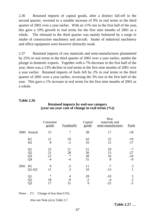2.36 Retained imports of capital goods, after a distinct fall-off in the second quarter, reverted to a notable increase of 9% in real terms in the third quarter of 2001 over a year earlier. With an 11% rise in the first half of the year, this gave a 10% growth in real terms for the first nine months of 2001 as a whole. The rebound in the third quarter was mainly bolstered by a surge in intake of construction machinery and aircraft. Intake of industrial machinery and office equipment were however distinctly weak.

2.37 Retained imports of raw materials and semi-manufactures plummeted by 25% in real terms in the third quarter of 2001 over a year earlier, amidst the plunge in domestic exports. Together with a 7% decrease in the first half of the year, there was a 13% decline in real terms in the first nine months of 2001 over a year earlier. Retained imports of fuels fell by 2% in real terms in the third quarter of 2001 over a year earlier, reversing the 3% rise in the first half of the year. This gave a 1% increase in real terms for the first nine months of 2001 as a whole.

## **Table 2.26**

|      |                                                | Consumer<br>goods      | <b>Foodstuffs</b>          | Capital<br>$\overline{\text{goods}}$ | Raw<br>materials and<br>semi-manufactures | <b>Fuels</b>                   |
|------|------------------------------------------------|------------------------|----------------------------|--------------------------------------|-------------------------------------------|--------------------------------|
| 2000 | Annual                                         | 15                     | $\overline{7}$             | 38                                   | 17                                        | $-18$                          |
|      | H1<br>H2                                       | 21<br>8                | 19<br>$-2$                 | 43<br>35                             | 22<br>12                                  | $-19$<br>$-17$                 |
|      | Q1<br>$\overline{Q}2$<br>$\overline{Q}3$<br>Q4 | 22<br>21<br>22<br>$-4$ | 11<br>28<br>$\ast$<br>$-4$ | 51<br>36<br>38<br>31                 | 29<br>15<br>16<br>8                       | $-7$<br>$-27$<br>$-24$<br>$-9$ |
| 2001 | H1<br>$Q1-Q3$                                  | 9<br>11                | $-3$<br>3                  | 11<br>10                             | $-7$<br>$-13$                             | 3                              |
|      | Q1<br>$\overline{Q2}$<br>Q <sub>3</sub>        | $\ast$<br>18<br>17     | 4<br>$-9$<br>15            | 28<br>$-2$<br>9                      | $-10$<br>$-25$                            | 5<br>$\overline{2}$<br>$-2$    |

## **Retained imports by end-use category (year-on-year rate of change in real terms (%))**

Notes :  $(*)$  Change of less than 0.5%.

Also see Note (a) to Table 2.7.

/**Table 2.27** .....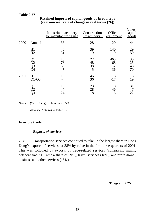|      |                      | Industrial machinery<br>for manufacturing use | Construction<br>machinery | Office<br>equipment        | Other<br>capital<br>goods   |
|------|----------------------|-----------------------------------------------|---------------------------|----------------------------|-----------------------------|
| 2000 | Annual               | 38                                            | 28                        | 20                         | 44                          |
|      | H1<br>H2             | 46<br>31                                      | 39<br>19                  | 140<br>$-19$               | 29<br>59                    |
|      | Q1<br>Q2<br>Q3<br>Q4 | 16<br>78<br>68<br>$\ast$                      | 27<br>48<br>38<br>5       | 463<br>68<br>$-2$<br>$-36$ | 35<br>$\frac{25}{48}$<br>70 |
| 2001 | H1<br>$Q1-Q3$        | 10<br>-4                                      | 46<br>36                  | $-18$<br>$-17$             | 18<br>19                    |
|      | Q1<br>Q2<br>Q3       | 15<br>-24                                     | 73<br>28<br>18            | 18<br>$-46$<br>$-15$       | 31<br>22                    |

# **Retained imports of capital goods by broad type (year-on-year rate of change in real terms (%))**

Notes :  $(*)$  Change of less than 0.5%.

Also see Note (a) to Table 2.7.

# **Invisible trade**

# *Exports of services*

2.38 Transportation services continued to take up the largest share in Hong Kong's exports of services, at 38% by value in the first three quarters of 2001. This was followed by exports of trade-related services (comprising mainly offshore trading) (with a share of 29%), travel services (18%), and professional, business and other services (15%).

/**Diagram 2.25** .....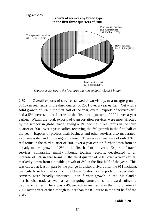

*Exports of services in the first three quarters of 2001 : \$248.3 billion*

2.39 Overall exports of services slowed down visibly, to a meagre growth of 1% in real terms in the third quarter of 2001 over a year earlier. Yet with a solid growth of 6% in the first half of the year, overall exports of services still had a 5% increase in real terms in the first three quarters of 2001 over a year earlier. Within the total, exports of transportation services were most affected by the setback in global trade, giving a 1% decline in real terms in the third quarter of 2001 over a year earlier, reversing the 6% growth in the first half of the year. Exports of professional, business and other services also moderated, as business demand in the region faltered. There was an increase of only 1% in real terms in the third quarter of 2001 over a year earlier, further down from an already modest growth of 2% in the first half of the year. Exports of travel services, comprising mainly inbound tourism receipts, decelerated to an increase of 3% in real terms in the third quarter of 2001 over a year earlier, markedly down from a notable growth of 8% in the first half of the year. This was caused at least in part by the plunge in visitor arrivals after the 911 incident, particularly so for visitors from the United States. Yet exports of trade-related services were broadly sustained, upon further growth in the Mainland's merchandise trade as well as an on-going structural shift towards offshore trading activities. There was a 4% growth in real terms in the third quarter of 2001 over a year earlier, though milder than the 8% surge in the first half of the year.

#### /**Table 2.28** .....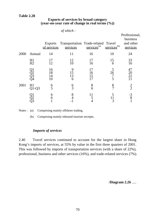# **Exports of services by broad category (year-on-year rate of change in real terms (%))**

|      |               | <b>Exports</b><br>of services | Transportation Trade-related Travel<br>services | $s$ ervices <sup>(a)</sup> | $s$ ervices <sup>(b)</sup> | Professional,<br>business<br>and other<br>services |
|------|---------------|-------------------------------|-------------------------------------------------|----------------------------|----------------------------|----------------------------------------------------|
| 2000 | Annual        | 14                            | 11                                              | 16                         | 10                         | 24                                                 |
|      | H1<br>H2      | 17<br>12                      | 12<br>10                                        | 17<br>16                   | 15<br>6                    | 33<br>16                                           |
|      |               | 16<br>18<br>14<br>10          | 9<br>15<br>13<br>6                              | 16<br>15                   | 26                         | 47<br>20<br>22                                     |
| 2001 | H1<br>$Q1-Q3$ | $\frac{6}{5}$                 | $\frac{6}{3}$                                   | 8<br>6                     | $\frac{8}{7}$              | $\frac{2}{2}$                                      |
|      |               | 6<br>6                        | 8                                               | 11<br>5                    | 3                          | $\frac{-3}{8}$                                     |

*of which :*

Notes : (a) Comprising mainly offshore trading.

(b) Comprising mainly inbound tourism receipts.

## *Imports of services*

2.40 Travel services continued to account for the largest share in Hong Kong's imports of services, at 55% by value in the first three quarters of 2001. This was followed by imports of transportation services (with a share of 22%), professional, business and other services (16%), and trade-related services (7%).

/**Diagram 2.26** .....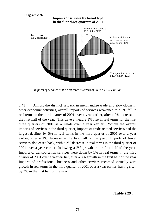#### **Diagram 2.26**



*Imports of services in the first three quarters of 2001 : \$136.1 billion*

2.41 Amidst the distinct setback in merchandise trade and slow-down in other economic activities, overall imports of services weakened to a 2% fall in real terms in the third quarter of 2001 over a year earlier, after a 2% increase in the first half of the year. This gave a meagre 1% rise in real terms for the first three quarters of 2001 as a whole over a year earlier. Within the overall imports of services in the third quarter, imports of trade-related services had the largest decline, by 5% in real terms in the third quarter of 2001 over a year earlier, after a 1% decrease in the first half of the year. Imports of travel services also eased back, with a 2% decrease in real terms in the third quarter of 2001 over a year earlier, following a 2% growth in the first half of the year. Imports of transportation services were down by 1% in real terms in the third quarter of 2001 over a year earlier, after a 3% growth in the first half of the year. Imports of professional, business and other services recorded virtually zero growth in real terms in the third quarter of 2001 over a year earlier, having risen by 3% in the first half of the year.

/**Table 2.29** .....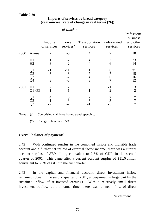#### **Imports of services by broad category (year-on-year rate of change in real terms (%))**

|      |                      | <b>Imports</b><br>of services | Travel<br>services <sup>(a)</sup> | Transportation Trade-related<br>services | services                                   | Professional,<br>business<br>and other<br>services |
|------|----------------------|-------------------------------|-----------------------------------|------------------------------------------|--------------------------------------------|----------------------------------------------------|
| 2000 | Annual               | 2                             | $-5$                              | 4                                        |                                            | 18                                                 |
|      | H1<br>H2             | $\overline{3}$                | $-7$<br>$-2$                      | 4<br>4                                   | 6                                          | 23<br>14                                           |
|      | Q1<br>Q2<br>Q3<br>Q4 | $\frac{-1}{3}$<br>3<br>3      | $-11$<br>$-3$<br>$-2$<br>$-3$     | $rac{4}{3}$                              | 8<br>$\overline{7}$<br>6<br>$\overline{7}$ | 31<br>15<br>16<br>12                               |
| 2001 | H1<br>$Q1-Q3$        | 2                             | 2                                 | 3                                        | -1<br>$-2$                                 | $\frac{3}{2}$                                      |
|      |                      |                               | 5<br>$\ast$<br>-2                 | ∗                                        | $\frac{2}{-3}$                             | $\ast$<br>$\ast$                                   |

 *of which :*

Notes : (a) Comprising mainly outbound travel spending.

(\*) Change of less than 0.5%.

# **Overall balance of payments**(7)

2.42 With continued surplus in the combined visible and invisible trade account and a further net inflow of external factor income, there was a current account surplus of \$7.9 billion, equivalent to 2.6% of GDP, in the second quarter of 2001. This came after a current account surplus of \$11.6 billion equivalent to 3.8% of GDP in the first quarter.

2.43 In the capital and financial account, direct investment inflow remained robust in the second quarter of 2001, underpinned in large part by the sustained inflow of re-invested earnings. With a relatively small direct investment outflow at the same time, there was a net inflow of direct

/investment .....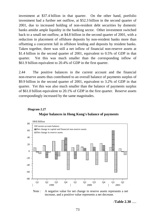investment at \$37.4 billion in that quarter. On the other hand, portfolio investment had a further net outflow, at \$52.3 billion in the second quarter of 2001, due to increased holding of non-resident debt securities by domestic banks amidst ample liquidity in the banking sector. Other investment switched back to a small net outflow, at \$4.8 billion in the second quarter of 2001, with a reduction in placement of offshore deposits by non-resident banks more than offsetting a concurrent fall in offshore lending and deposits by resident banks. Taken together, there was still a net inflow of financial non-reserve assets at \$1.4 billion in the second quarter of 2001, equivalent to 0.5% of GDP in that quarter. Yet this was much smaller than the corresponding inflow of \$61.9 billion equivalent to 20.4% of GDP in the first quarter.

2.44 The positive balances in the current account and the financial non-reserve assets thus contributed to an overall balance of payments surplus of \$9.9 billion in the second quarter of 2001, equivalent to 3.2% of GDP in that quarter. Yet this was also much smaller than the balance of payments surplus of \$61.0 billion equivalent to 20.1% of GDP in the first quarter. Reserve assets correspondingly increased by the same magnitudes.



**Major balances in Hong Kong's balance of payments**

**Diagram 2.27**

Note : A negative value for net change in reserve assets represents a net increase, and a positive value represents a net decrease.

/**Table 2.30** .....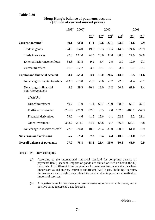#### **Table 2.30**

|                                               | $1999^{*}$ | $2000^{\#}$ |                   | 2000    |           |           | 2001                      |         |
|-----------------------------------------------|------------|-------------|-------------------|---------|-----------|-----------|---------------------------|---------|
|                                               |            |             | $\Omega^{\sharp}$ | $Q2^*$  | $Q3^{\#}$ | $Q4^{\#}$ | $\mathbf{Q1}^{\text{\#}}$ | $Q2^*$  |
| Current account <sup>(a)</sup>                | 89.1       | 68.8        | 11.1              | 12.6    | 22.1      | 23.0      | 11.6                      | 7.9     |
| Trade in goods                                | $-24.5$    | $-64.0$     | $-19.3$           | $-19.3$ | $-10.5$   | $-14.9$   | $-24.6$                   | $-23.9$ |
| Trade in services                             | 90.8       | 124.0       | 24.5              | 28.6    | 32.8      | 38.0      | 27.9                      | 32.8    |
| External factor income flows                  | 34.8       | 21.5        | 9.2               | 6.4     | 2.9       | 3.0       | 12.0                      | 2.1     |
| <b>Current transfers</b>                      | $-11.9$    | $-12.7$     | $-3.3$            | $-3.1$  | $-3.1$    | $-3.2$    | $-3.7$                    | $-3.1$  |
| <b>Capital and financial account</b>          | $-83.4$    | $-59.4$     | $-3.9$            | $-16.0$ | $-26.5$   | $-13.0$   | $-0.5$                    | $-11.6$ |
| Net change in capital transfers               | $-13.8$    | $-11.8$     | $-1.9$            | $-3.6$  | $-3.7$    | $-2.5$    | $-1.4$                    | $-3.1$  |
| Net change in financial<br>non-reserve assets | 8.3        | 29.3        | $-20.1$           | 13.0    | 16.2      | 20.2      | 61.9                      | 1.4     |
| of which:                                     |            |             |                   |         |           |           |                           |         |
| Direct investment                             | 40.7       | 11.0        | $-1.4$            | 58.7    | 21.9      | $-68.2$   | 59.1                      | 37.4    |
| Portfolio investment                          | 256.8      | 226.9       | 87.0              | 5.5     | 2.0       | 132.3     | $-108.1$                  | $-52.3$ |
| <b>Financial derivatives</b>                  | 79.0       | $-4.6$      | $-41.5$           | 15.6    | $-1.1$    | 22.3      | $-9.2$                    | 21.1    |
| Other investment                              | $-368.2$   | $-204.0$    | $-64.2$           | $-66.8$ | $-6.7$    | $-66.3$   | 120.1                     | $-4.8$  |
| Net change in reserve assets <sup>(b)</sup>   | $-77.9$    | $-76.8$     | 18.2              | $-25.4$ | $-39.0$   | $-30.6$   | $-61.0$                   | $-9.9$  |
| <b>Net errors and omissions</b>               | $-5.7$     | $-9.4$      | $-7.2$            | 3.4     | 4.4       | $-10.0$   | $-11.0$                   | 3.7     |
| <b>Overall balance of payments</b>            | 77.9       | 76.8        | $-18.2$           | 25.4    | 39.0      | 30.6      | 61.0                      | 9.9     |

#### **Hong Kong's balance of payments account (\$ billion at current market prices)**

Notes : (#) Revised figures.

- (a) According to the international statistical standard for compiling balance of payments (BoP) account, imports of goods are valued on free-on-board (f.o.b.) basis, which is different from the practice for merchandise trade statistics where imports are valued on cost, insurance and freight (c.i.f.) basis. In the BoP account, the insurance and freight costs related to merchandise imports are classified as imports of services.
- (b) A negative value for net change in reserve assets represents a net increase, and a positive value represents a net decrease.

/**Notes** .....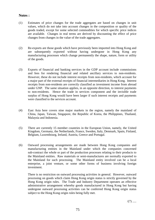#### **Notes :**

- (1) Estimates of price changes for the trade aggregates are based on changes in unit values, which do not take into account changes in the composition or quality of the goods traded, except for some selected commodities for which specific price indices are available. Changes in real terms are derived by discounting the effect of price changes from changes in the value of the trade aggregates.
- (2) Re-exports are those goods which have previously been imported into Hong Kong and are subsequently exported without having undergone in Hong Kong any manufacturing processes which change permanently the shape, nature, form or utility of the goods.
- (3) Exports of financial and banking services in the GDP account include commissions and fees for rendering financial and related ancillary services to non-residents. However, these do not include interest receipts from non-residents, which account for a major part of the external receipts of financial intermediaries in Hong Kong. Interest receipts from non-residents are correctly classified as investment income from abroad under GNP. The same situation applies, in an opposite direction, to interest payments to non-residents. Hence the trade in services component and the invisible trade surplus of Hong Kong would have been larger if such interest receipts and payments were classified to the services account.
- (4) East Asia here covers nine major markets in the region, namely the mainland of China, Japan, Taiwan, Singapore, the Republic of Korea, the Philippines, Thailand, Malaysia and Indonesia.
- (5) There are currently 15 member countries in the European Union, namely, the United Kingdom, Germany, the Netherlands, France, Sweden, Italy, Denmark, Spain, Finland, Belgium, Luxembourg, Ireland, Austria, Greece and Portugal.
- (6) Outward processing arrangements are made between Hong Kong companies and manufacturing entities in the Mainland under which the companies concerned sub-contract the whole or part of the production processes relating to their products to the Mainland entities. Raw materials or semi-manufactures are normally exported to the Mainland for such processing. The Mainland entity involved can be a local enterprise, a joint venture, or some other forms of business involving foreign investment.

There is no restriction on outward processing activities in general. However, outward processing on goods which claim Hong Kong origin status is strictly governed by the Hong Kong origin rules. The Trade and Industry Department operates an effective administrative arrangement whereby goods manufactured in Hong Kong but having undergone outward processing activities can be conferred Hong Kong origin status subject to the Hong Kong origin rules being fully met.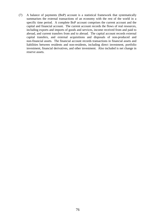(7) A balance of payments (BoP) account is a statistical framework that systematically summarises the external transactions of an economy with the rest of the world in a specific time period. A complete BoP account comprises the current account and the capital and financial account. The current account records the flows of real resources, including exports and imports of goods and services, income received from and paid to abroad, and current transfers from and to abroad. The capital account records external capital transfers, and external acquisitions and disposals of non-produced and non-financial assets. The financial account records transactions in financial assets and liabilities between residents and non-residents, including direct investment, portfolio investment, financial derivatives, and other investment. Also included is net change in reserve assets.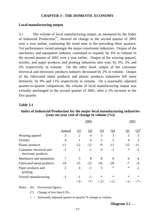#### **CHAPTER 3 : THE DOMESTIC ECONOMY**

#### **Local manufacturing output**

3.1 The volume of local manufacturing output, as measured by the Index of Industrial Production<sup>(1)</sup>, showed nil change in the second quarter of 2001 over a year earlier, continuing the trend seen in the preceding three quarters. Yet performance varied amongst the major constituent industries. Output of the machinery and equipment industry continued to expand, by 4% in volume in the second quarter of 2001 over a year earlier. Output of the wearing apparel, textiles, and paper products and printing industries also rose, by 3%, 2% and 2% respectively in volume. On the other hand, output of the consumer electrical and electronic products industry decreased by 2% in volume. Output of the fabricated metal products and plastic products industries fell more distinctly, by 9% and 11% respectively in volume. On a seasonally adjusted quarter-to-quarter comparison, the volume of local manufacturing output was virtually unchanged in the second quarter of 2001, after a 1% increase in the first quarter.

#### **Table 3.1**

#### **Index of Industrial Production for the major local manufacturing industries (year-on-year rate of change in volume (%))**

|                                                |                | 2000           |                     |               |                      |           |                             |  |
|------------------------------------------------|----------------|----------------|---------------------|---------------|----------------------|-----------|-----------------------------|--|
|                                                | Annual         | <u>O1</u>      | $\overline{\Omega}$ | <u>Q3</u>     | <u>04</u>            | <u>01</u> | $\mathrm{O2}^{\mathrm{\#}}$ |  |
| Wearing apparel                                | 3              | $\overline{2}$ | $\overline{4}$      | 3             | 3                    | 3         | 3                           |  |
| <b>Textiles</b>                                | $\overline{4}$ |                | $\overline{4}$      | 5             | 5                    | 4         | 2                           |  |
| Plastic products                               | $-11$          | $-12$          | $-12$               | $-9$          | $-11$                | $-12$     | -11                         |  |
| Consumer electrical and<br>electronic products | $-1$           | 1              | $-1$                | $-3$          | $-1$                 | $\ast$    | $-2$                        |  |
| Machinery and equipment                        | 7              | 5              | 8                   | 8             | 6                    | 6         | $\overline{4}$              |  |
| Fabricated metal products                      | $-19$          | $-15$          | $-22$               | $-16$         | $-20$                | $-7$      | -9                          |  |
| Paper products and<br>printing                 | $\overline{2}$ | $\overline{4}$ | $-1$                | 5             | $\ast$               | $\ast$    | 2                           |  |
| Overall manufacturing                          | $-1$           | $-1$           | -1                  | $\ast$        | ∗                    | $\ast$    | $\ast$                      |  |
|                                                |                | <3>            | ∕*>                 | $\langle$ -2> | $\langle -1 \rangle$ | < l       |                             |  |

Notes : (#) Provisional figures.

(\*) Change of less than 0.5%.

 $\langle \rangle$  Seasonally adjusted quarter-to-quarter % change in volume.

/**Diagram 3.1** .....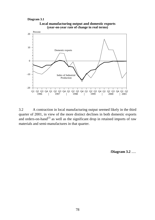**Diagram 3.1**



3.2 A contraction in local manufacturing output seemed likely in the third quarter of 2001, in view of the more distinct declines in both domestic exports and orders-on-hand<sup> $(2)$ </sup> as well as the significant drop in retained imports of raw materials and semi-manufactures in that quarter.

/**Diagram 3.2** .....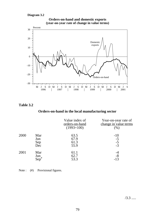#### **Diagram 3.2**



#### **Orders-on-hand and domestic exports (year-on-year rate of change in value terms)**

## **Table 3.2**

# **Orders-on-hand in the local manufacturing sector**

|      |                          | Value index of<br>orders-on-hand<br>$(1993=100)$ | Year-on-year rate of<br>change in value terms<br>$(\% )$ |
|------|--------------------------|--------------------------------------------------|----------------------------------------------------------|
| 2000 | Mar<br>Jun<br>Sep<br>Dec | 63.5<br>67.9<br>61.3<br>55.9                     | $-10$<br>$-5$<br>$-5$<br>$-3$                            |
| 2001 | Mar<br>Jun<br>Sep        | 61.1<br>62.7<br>53.3                             | $-8$<br>$-13$                                            |

Note : (#) Provisional figures.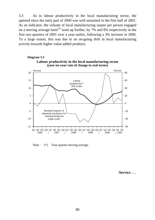3.3 As to labour productivity in the local manufacturing sector, the uptrend since the early part of 2000 was well sustained in the first half of 2001. As an indicator, the volume of local manufacturing output per person engaged on a moving average basis<sup>(3)</sup> went up further, by 7% and 8% respectively in the first two quarters of 2001 over a year earlier, following a 3% increase in 2000. To a large extent, this was due to an on-going shift in local manufacturing activity towards higher value-added products.





Note :  $(*)$  Four-quarter moving average.

/**Service** .....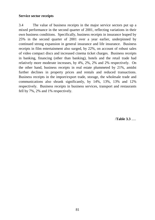#### **Service sector receipts**

3.4 The value of business receipts in the major service sectors put up a mixed performance in the second quarter of 2001, reflecting variations in their own business conditions. Specifically, business receipts in insurance leaped by 25% in the second quarter of 2001 over a year earlier, underpinned by continued strong expansion in general insurance and life insurance. Business receipts in film entertainment also surged, by 22%, on account of robust sales of video compact discs and increased cinema ticket charges. Business receipts in banking, financing (other than banking), hotels and the retail trade had relatively more moderate increases, by 4%, 2%, 2% and 2% respectively. On the other hand, business receipts in real estate plummeted by 21%, amidst further declines in property prices and rentals and reduced transactions. Business receipts in the import/export trade, storage, the wholesale trade and communications also shrank significantly, by 14%, 13%, 13% and 12% respectively. Business receipts in business services, transport and restaurants fell by 7%, 2% and 1% respectively.

/**Table 3.3** .....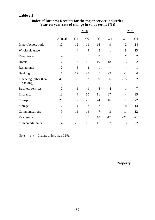# **Table 3.3**

|                                   |                | 2001                     |                |                |                |                |                 |
|-----------------------------------|----------------|--------------------------|----------------|----------------|----------------|----------------|-----------------|
|                                   | Annual         | $\overline{\mathsf{Q1}}$ | Q2             | $Q_3$          | <u>Q4</u>      | <u>Q1</u>      | $\overline{Q2}$ |
| Import/export trade               | 12             | 12                       | 11             | 16             | 9              | $-2$           | $-14$           |
| Wholesale trade                   | $\overline{4}$ | $\ast$                   | 9              | 5              | $\mathbf{1}$   | $-8$           | $-13$           |
| Retail trade                      | $\overline{4}$ | 8                        | 5              | $\overline{2}$ | $\mathbf{1}$   | $\ast$         | $\overline{2}$  |
| Hotels                            | 17             | 13                       | 16             | 19             | 18             | 3              | $\overline{2}$  |
| Restaurants                       | $\overline{2}$ | 5                        | $\overline{2}$ | $\mathbf{1}$   | $\ast$         | $\ast$         | $-1$            |
| <b>Banking</b>                    | $\mathbf{1}$   | 12                       | $-3$           | 5              | $-9$           | $-2$           | $\overline{4}$  |
| Financing (other than<br>banking) | 41             | 108                      | 33             | 39             | 6              | $-15$          | $\overline{2}$  |
| <b>Business services</b>          | $\overline{2}$ | $-1$                     | $\mathbf{1}$   | 5              | $\overline{4}$ | $-1$           | $-7$            |
| Insurance                         | 13             | $\overline{4}$           | 10             | 11             | 27             | $\overline{4}$ | 25              |
| Transport                         | 21             | 17                       | 27             | 24             | 16             | 11             | $-2$            |
| Storage                           | $\mathbf{2}$   | $-4$                     | 3              | $\tau$         | $\mathbf{1}$   | $-8$           | $-13$           |
| Communications                    | 9              | 11                       | 14             | $\tau$         | 3              | $-11$          | $-12$           |
| Real estate                       | $\ast$         | 8                        | $\ast$         | 10             | $-17$          | $-22$          | $-21$           |
| Film entertainment                | 14             | 26                       | 10             | 15             | $\overline{7}$ | 3              | 22              |

#### **Index of Business Receipts for the major service industries (year-on-year rate of change in value terms (%))**

Note :  $(*)$  Change of less than 0.5%.

/**Property** .....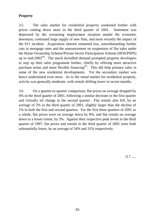# **Property**

3.5 The sales market for *residential property* weakened further with prices coming down more in the third quarter of 2001. Sentiment was depressed by the worsening employment situation amidst the economic downturn, continued large supply of new flats, and more recently the impact of the 911 incident. Acquisition interest remained low, notwithstanding further cuts in mortgage rates and the announcement on suspension of flat sales under the Home Ownership Scheme/Private Sector Participation Scheme (HOS/PSPS) up to mid- $2002^{(4)}$ . The much dwindled demand prompted property developers to step up their sales programme further, chiefly by offering more attractive purchase terms and more flexible financing<sup> $(5)$ </sup>. This did help primary sales in some of the new residential developments. Yet the secondary market was hence undermined even more. As to the rental market for residential property, activity was generally moderate, with rentals drifting lower in recent months.

3.6 On a quarter-to-quarter comparison, flat prices on average dropped by 4% in the third quarter of 2001, following a similar decrease in the first quarter and virtually nil change in the second quarter. Flat rentals also fell, by an average of 2% in the third quarter of 2001, slightly larger than the decline of 1% in both the first and second quarters. For the first three quarters of 2001 as a whole, flat prices were on average down by 8%, and flat rentals on average down to a lesser extent, by 3%. Against their respective peak levels in the third quarter of 1997, flat prices and rentals in the third quarter of 2001 were both substantially lower, by an average of 54% and 31% respectively.

 $/3.7$  .....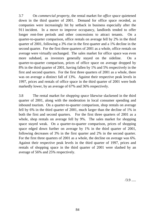3.7 On *commercial property*, the rental market for *office space* quietened down in the third quarter of 2001. Demand for office space receded, as companies were increasingly hit by setback in business especially after the 911 incident. In a move to improve occupancy, landlords tended to offer longer rent-free periods and other concessions to attract tenants. On a quarter-to-quarter comparison, office rentals on average fell by 2% in the third quarter of 2001, following a 3% rise in the first quarter and a 1% decline in the second quarter. For the first three quarters of 2001 as a whole, office rentals on average were virtually unchanged. The sales market for office space was even more subdued, as investors generally stayed on the sideline. On a quarter-to-quarter comparison, prices of office space on average dropped by 8% in the third quarter of 2001, having fallen by 1% and 5% respectively in the first and second quarters. For the first three quarters of 2001 as a whole, there was on average a distinct fall of 13%. Against their respective peak levels in 1997, prices and rentals of office space in the third quarter of 2001 were both markedly lower, by an average of 67% and 36% respectively.

3.8 The rental market for *shopping space* likewise slackened in the third quarter of 2001, along with the moderation in local consumer spending and inbound tourism. On a quarter-to-quarter comparison, shop rentals on average fell by 6% in the third quarter of 2001, much larger than the decline of 1% in both the first and second quarters. For the first three quarters of 2001 as a whole, shop rentals on average fell by 9%. The sales market for shopping space stayed weak. On a quarter-to-quarter comparison, prices of shopping space edged down further on average by 1% in the third quarter of 2001, following decreases of 3% in the first quarter and 2% in the second quarter. For the first three quarters of 2001 as a whole, the decline on average was 6%. Against their respective peak levels in the third quarter of 1997, prices and rentals of shopping space in the third quarter of 2001 were slashed by an average of 56% and 25% respectively.

 $/3.9$  .....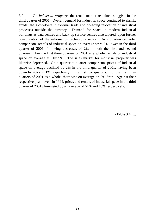3.9 On *industrial property*, the rental market remained sluggish in the third quarter of 2001. Overall demand for industrial space continued to shrink, amidst the slow-down in external trade and on-going relocation of industrial processes outside the territory. Demand for space in modern industrial buildings as data centres and back-up service centres also tapered, upon further consolidation of the information technology sector. On a quarter-to-quarter comparison, rentals of industrial space on average were 5% lower in the third quarter of 2001, following decreases of 2% in both the first and second quarters. For the first three quarters of 2001 as a whole, rentals of industrial space on average fell by 9%. The sales market for industrial property was likewise depressed. On a quarter-to-quarter comparison, prices of industrial space on average declined by 2% in the third quarter of 2001, having been down by 4% and 1% respectively in the first two quarters. For the first three quarters of 2001 as a whole, there was on average an 8% drop. Against their respective peak levels in 1994, prices and rentals of industrial space in the third quarter of 2001 plummeted by an average of 64% and 43% respectively.

/**Table 3.4** .....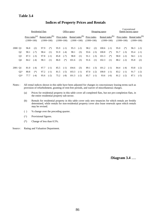#### **Table 3.4**

|         |                |                                            |        | Residential flats           |              | Office space |                             |       |                                       |                             |        | Shopping space |                                       | Conventional<br>flatted factory space |                             |                                    |        |
|---------|----------------|--------------------------------------------|--------|-----------------------------|--------------|--------------|-----------------------------|-------|---------------------------------------|-----------------------------|--------|----------------|---------------------------------------|---------------------------------------|-----------------------------|------------------------------------|--------|
|         |                | Price index <sup>(a)</sup><br>$(1999=100)$ |        | Rental index <sup>(b)</sup> | $(1999=100)$ |              | Price index<br>$(1999=100)$ |       | Rental index $^{(b)}$<br>$(1999=100)$ | Price index<br>$(1999=100)$ |        |                | Rental index $^{(b)}$<br>$(1999=100)$ |                                       | Price index<br>$(1999=100)$ | Rental index $(b)$<br>$(1999=100)$ |        |
| 2000 Q1 |                | 96.8                                       | (2)    | 97.9                        | $(*)$        | 95.9         | $(-1)$                      | 95.3  | $(-2)$                                | 98.2                        | (2)    | 100.6          | $(-1)$                                | 95.0                                  | $(*)$                       | 96.3                               | $(-2)$ |
|         | Q <sub>2</sub> | 90.1                                       | $(-7)$ | 98.4                        | (1)          | 91.9         | $(-4)$                      | 98.1  | (3)                                   | 93.6                        | $(-5)$ | 100.8          | $(*)$                                 | 91.7                                  | $(-3)$                      | 95.4                               | $(-1)$ |
|         | Q <sub>3</sub> | 87.3                                       | $(-3)$ | 97.8                        | $(-1)$       | 85.8         | $(-7)$                      | 98.8  | (1)                                   | 91.1                        | $(-3)$ | 101.3          | $(*)$                                 | 90.0                                  | $(-2)$                      | 94.1                               | $(-1)$ |
|         | Q <sub>4</sub> | 84.2                                       | $(-4)$ | 98.3                        | (1)          | 86.0         | $(*)$                       | 101.6 | (3)                                   | 91.6                        | (1)    | 102.3          | (1)                                   | 88.2                                  | $(-2)$                      | 95.8                               | (2)    |
| 2001 Q1 |                | 81.0                                       | $(-4)$ | 97.7                        | $(-1)$       | 85.5         | $(-1)$                      | 104.6 | (3)                                   | 89.1                        | $(-3)$ | 101.2          | $(-1)$                                | 84.4                                  | $(-4)$                      | 93.8                               | $(-2)$ |
|         | $Q2^{\wedge}$  | 80.8                                       | $(*)$  | 97.2                        | $(-1)$       | 81.5         | $(-5)$                      | 103.3 | $(-1)$                                | 87.0                        | $(-2)$ | 100.0          | $(-1)$                                | 83.2                                  | $(-1)$                      | 91.7                               | $(-2)$ |
|         | $Q3^{\wedge}$  | 77.7                                       | $(-4)$ | 95.6                        | $(-2)$       | 75.2         | $(-8)$                      | 101.3 | $(-2)$                                | 85.7                        | $(-1)$ | 93.6           | $(-6)$                                | 81.2                                  | $(-2)$                      | 87.1                               | $(-5)$ |

## **Indices of Property Prices and Rentals**

Notes : All rental indices shown in this table have been adjusted for changes in concessionary leasing terms such as provision of refurbishment, granting of rent-free periods, and waiver of miscellaneous charges.

- (a) Prices for residential property in this table cover all completed flats, but not pre-completion flats, in
- (b) Rentals for residential property in this table cover only new tenancies for which rentals are freshly determined, while rentals for non-residential property cover also lease renewals upon which rentals may be revised.
- ( ) % change over the preceding quarter.
- (^) Provisional figures.
- (\*) Change of less than 0.5%.
- Source : Rating and Valuation Department.

/**Diagram 3.4** .....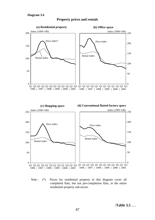



Note : (\*) Prices for residential property in this diagram cover all completed flats, but not pre-completion flats, in the entire residential property sub-sector.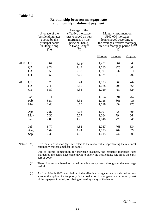#### **Relationship between mortgage rate and monthly instalment payment**

|      |                | Average of the<br>best lending rates<br>quoted by the<br>principal banks<br>in Hong Kong<br>(%) | Average of the<br>effective mortgage<br>rates charged on new<br>mortgages by the<br>principal banks<br>in Hong Kong <sup>(a)</sup><br>(% ) |          | Monthly instalment on<br>\$100,000 mortgage<br>loan charged according to<br>the average effective mortgage<br>rate with mortgage period of<br>$($ \$ |          |
|------|----------------|-------------------------------------------------------------------------------------------------|--------------------------------------------------------------------------------------------------------------------------------------------|----------|------------------------------------------------------------------------------------------------------------------------------------------------------|----------|
|      |                |                                                                                                 |                                                                                                                                            | 10 years | 15 years                                                                                                                                             | 20 years |
| 2000 | Q <sub>1</sub> | 8.64                                                                                            | $8.14^{(c)}$                                                                                                                               | 1,221    | 964                                                                                                                                                  | 845      |
|      | Q2             | 9.22                                                                                            | 7.47                                                                                                                                       | 1,185    | 925                                                                                                                                                  | 804      |
|      | Q <sub>3</sub> | 9.50                                                                                            | 7.58                                                                                                                                       | 1,191    | 932                                                                                                                                                  | 811      |
|      | Q4             | 9.50                                                                                            | 7.25                                                                                                                                       | 1,174    | 913                                                                                                                                                  | 790      |
| 2001 | Q1             | 8.70                                                                                            | 6.44                                                                                                                                       | 1,133    | 868                                                                                                                                                  | 742      |
|      | Q2             | 7.40                                                                                            | 5.15                                                                                                                                       | 1,068    | 798                                                                                                                                                  | 668      |
|      | Q <sub>3</sub> | 6.59                                                                                            | 4.34                                                                                                                                       | 1,029    | 757                                                                                                                                                  | 624      |
|      | Jan            | 9.11                                                                                            | 6.86                                                                                                                                       | 1,154    | 891                                                                                                                                                  | 767      |
|      | Feb            | 8.57                                                                                            | 6.32                                                                                                                                       | 1,126    | 861                                                                                                                                                  | 735      |
|      | Mar            | 8.40                                                                                            | 6.15                                                                                                                                       | 1,118    | 852                                                                                                                                                  | 725      |
|      | Apr            | 7.87                                                                                            | 5.62                                                                                                                                       | 1,091    | 823                                                                                                                                                  | 695      |
|      | May            | 7.32                                                                                            | 5.07                                                                                                                                       | 1,064    | 794                                                                                                                                                  | 664      |
|      | Jun            | 7.00                                                                                            | 4.75                                                                                                                                       | 1,048    | 778                                                                                                                                                  | 646      |
|      | Jul            | 6.77                                                                                            | 4.52                                                                                                                                       | 1,037    | 766                                                                                                                                                  | 634      |
|      | Aug            | 6.69                                                                                            | 4.44                                                                                                                                       | 1,033    | 762                                                                                                                                                  | 629      |
|      | Sep            | 6.30                                                                                            | 4.05                                                                                                                                       | 1,015    | 742                                                                                                                                                  | 609      |

Notes : (a) Here the effective mortgage rate refers to the modal value, representing the rate most commonly charged amongst the banks.

> Due to keener competition for mortgage business, the effective mortgage rates charged by the banks have come down to below the best lending rate since the early part of 2000.

(b) These figures are based on equal monthly repayments throughout the mortgage period.

(c) As from March 2000, calculation of the effective mortgage rate has also taken into account the option of a temporary further reduction in mortgage rate in the early part of the repayment period, as is being offered by many of the banks.

 $/3.10$  .....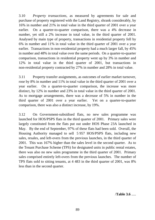3.10 *Property transactions*, as measured by agreements for sale and purchase of property registered with the Land Registry, shrank considerably, by 16% in number and 21% in total value in the third quarter of 2001 over a year earlier. On a quarter-to-quarter comparison, there was a 4% decrease in number, yet still a 2% increase in total value, in the third quarter of 2001. Analysed by main type of property, transactions in residential property fell by 6% in number and 11% in total value in the third quarter of 2001 over a year earlier. Transactions in non-residential property had a much larger fall, by 45% in number and 48% in total value over the same periods. On a quarter-to-quarter comparison, transactions in residential property went up by 3% in number and 12% in total value in the third quarter of 2001, but transactions in non-residential property contracted by 27% in number and 28% in total value.

3.11 Property transfer assignments, as outcomes of earlier market turnover, rose by 8% in number and 11% in total value in the third quarter of 2001 over a year earlier. On a quarter-to-quarter comparison, the increase was more distinct, by 12% in number and 23% in total value in the third quarter of 2001. As to mortgage arrangements, there was a decrease of 5% in number in the third quarter of 2001 over a year earlier. Yet on a quarter-to-quarter comparison, there was also a distinct increase, by 19%.

3.12 On Government-subsidised flats, no new sales programme was launched for HOS/PSPS flats in the third quarter of 2001. Primary sales were largely constituted from the flats put out under HOS Phase 23A launched in May. By the end of September, 97% of these flats had been sold. Overall, the Housing Authority managed to sell 5 957 HOS/PSPS flats, including new sales, resales, and left-overs from the previous launches, in the third quarter of 2001. This was 167% higher than the sales level in the second quarter. As to the Tenant Purchase Scheme (TPS) for designated units in public rental estates, there was also no new sales programme in the third quarter of 2001. Primary sales comprised entirely left-overs from the previous launches. The number of TPS flats sold to sitting tenants, at 4 483 in the third quarter of 2001, was 8% less than in the second quarter.

/**Table 3.6** .....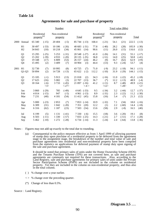#### **Agreements for sale and purchase of property**

|      |                                  |                                         |                                   | <b>Number</b>                         |                                    |                                       | Total value (\$Bn)                                        |                              |                                     |                             |                                          |                              |                                     |  |
|------|----------------------------------|-----------------------------------------|-----------------------------------|---------------------------------------|------------------------------------|---------------------------------------|-----------------------------------------------------------|------------------------------|-------------------------------------|-----------------------------|------------------------------------------|------------------------------|-------------------------------------|--|
|      |                                  | Residential<br>property <sup>(a)</sup>  |                                   | Non-residential<br>property           |                                    |                                       | Residential<br>property <sup>(a)</sup><br><b>Total</b>    |                              |                                     | Non-residential<br>property |                                          |                              | <b>Total</b>                        |  |
| 2000 | Annual                           | 65 340                                  | $(-15)$                           | 20 4 04                               | $(-5)$                             | 85 744 (-13)                          |                                                           | 168.4                        | $(-21)$                             | 54.1                        | (21)                                     | 222.5                        | $(-13)$                             |  |
|      | H1<br>H2                         | 30 497<br>34 843                        | $(-33)$<br>(10)                   | 10 18 6<br>10 218                     | $(-26)$<br>(34)                    | $40683$ (-31)<br>45 061               | (14)                                                      | 77.8<br>90.6                 | $(-40)$<br>(11)                     | 28.2<br>26.0                | (28)<br>(15)                             | 105.9<br>116.6               | $(-30)$<br>(12)                     |  |
|      | Q1<br>Q2<br>Q <sub>3</sub><br>Q4 | 15 29 5<br>15 202<br>19 3 48<br>15 4 95 | $(-25)$<br>$(-39)$<br>(17)<br>(2) | 5 2 5 3<br>4933<br>6 8 0 9<br>3 4 0 9 | $(-31)$<br>$(-20)$<br>(53)<br>(7)  | 20 548<br>20 135<br>26 157<br>18 904  | $(-27)$<br>$(-35)$<br>(24)<br>(3)                         | 41.0<br>36.8<br>46.2<br>44.4 | $(-26)$<br>$(-51)$<br>(9)<br>(13)   | 14.1<br>14.0<br>16.7<br>9.3 | (31)<br>(25)<br>(62)<br>$(-24)$          | 55.1<br>50.8<br>62.9<br>53.7 | $(-17)$<br>$(-41)$<br>(19)<br>(4)   |  |
| 2001 | H1<br>$Q1-Q3$                    | 32730<br>50 894                         | (7)<br>(2)                        | 10 9 95<br>14728                      | (8)<br>$(-13)$                     | 43 7 25<br>65 622                     | (7)<br>$(-2)$                                             | 71.0<br>112.2                | $(-9)$<br>$(-10)$                   | 23.2<br>31.9                | $(-18)$<br>$(-29)$                       | 94.1<br>144.1                | $(-11)$<br>$(-15)$                  |  |
|      | Q1<br>Q2<br>Q <sub>3</sub>       | 15 105<br>17 625<br>18 164              | $(-1)$<br>(16)<br>$(-6)$<br><3>   | 5913<br>5 0 8 2<br>3733               | (13)<br>(3)<br>$(-45)$<br>$< -27>$ | 21 018<br>22 707<br>21 897            | (2)<br>(13)<br>$(-16)$<br>$\left\langle -4 \right\rangle$ | 34.3<br>36.7<br>41.2         | $(-16)$<br>$(*)$<br>$(-11)$<br><12> | 11.0<br>12.2<br>8.7         | $(-22)$<br>$(-13)$<br>$(-48)$<br>$< -28$ | 45.2<br>48.9<br>49.9         | $(-18)$<br>$(-4)$<br>$(-21)$<br><2> |  |
|      | Jan<br>Feb<br>Mar                | 3 8 6 0<br>4 0 1 4<br>7 2 3 1           | $(-29)$<br>$(-15)$<br>(40)        | 785<br>947<br>4 1 8 1                 | $(-49)$<br>$(-5)$<br>(54)          | $4645 (-33)$<br>$4961$ (-13)<br>11412 | (45)                                                      | 9.5<br>8.9<br>15.8           | $(-34)$<br>$(-31)$<br>(16)          | 3.2<br>2.3<br>5.4           | $(-44)$<br>$(-22)$<br>$(*)$              | 12.7<br>11.2<br>21.3         | $(-37)$<br>$(-30)$<br>(12)          |  |
|      | Apr<br>May<br>Jun                | 5 000<br>6 3 0 9<br>6 3 1 6             | $(-23)$<br>(31)<br>(62)           | 2853<br>1 0 4 2<br>1 1 8 7            | (7)<br>$(-20)$<br>(23)             | 7853<br>7351<br>7 5 0 3               | $(-14)$<br>(20)<br>(54)                                   | 10.9<br>12.2<br>13.6         | $(-32)$<br>(1)<br>(58)              | 7.1<br>2.2<br>2.9           | (34)<br>$(-60)$<br>$(-8)$                | 18.0<br>14.4<br>16.5         | $(-16)$<br>$(-18)$<br>(40)          |  |
|      | Jul<br>Aug<br>Sep                | 6 1 9 9<br>6 5 0 3<br>5 4 6 2           | (5)<br>$(-11)$<br>$(-10)$         | 1 1 3 1<br>1 3 3 0<br>1 272           | $(-41)$<br>$(-57)$<br>$(-28)$      | 7 3 3 0<br>7833<br>$6734$ $(-14)$     | $(-6)$<br>$(-25)$                                         | 15.5<br>14.3<br>11.3         | (18)<br>$(-21)$<br>$(-24)$          | 3.6<br>2.7<br>2.4           | $(-20)$<br>$(-51)$<br>$(-64)$            | 19.1<br>17.1<br>13.8         | (8)<br>$(-28)$<br>$(-36)$           |  |

Notes : Figures may not add up exactly to the total due to rounding.

(a) Consequential to the policy measure effective as from 1 April 1999 of allowing payment of stamp duty upon purchase of a residential property to be deferred from the agreement stage to the assignment stage, the breakdown of the number and total value of sale and purchase agreements into residential and non-residential property have been compiled from the statistics on applications for deferred payment of stamp duty upon signing of the sale and purchase agreement.

It should be noted that primary sales of units under the Home Ownership Scheme (HOS) and the Tenants Purchase Scheme (TPS) are not covered here, as sale and purchase agreements are commonly not required for these transactions. Also, according to the Land Registry, sale and purchase agreements for primary sales of units under the Private Sector Participation Scheme (PSPS) are not included in the column on residential property. Yet they are included in the column on non-residential property, and thus also in the total column.

- ( ) % change over a year earlier.
- $\langle \rangle$  % change over the preceding quarter.
- (\*) Change of less than 0.5%.

Source : Land Registry.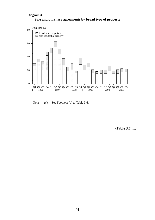### **Sale and purchase agreements by broad type of property Diagram 3.5**



Note : (#) See Footnote (a) to Table 3.6.

/**Table 3.7** .....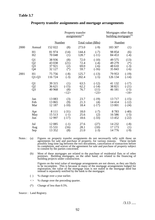## **Table 3.7**

|      |                                                                                 |                                      |                               | Property transfer<br>assignments <sup>(a)</sup> |                                        | Mortgages other than<br>building mortgages <sup>(b)</sup> |                                      |
|------|---------------------------------------------------------------------------------|--------------------------------------|-------------------------------|-------------------------------------------------|----------------------------------------|-----------------------------------------------------------|--------------------------------------|
|      |                                                                                 | <b>Number</b>                        |                               | Total value (\$Bn)                              |                                        | Number                                                    |                                      |
| 2000 | Annual                                                                          | 152 022                              | (8)                           | 273.0                                           | $(-9)$                                 | 183 307                                                   | (1)                                  |
|      | H1                                                                              | 81 974                               | (14)                          | 144.4                                           | $(-7)$                                 | 98 854                                                    | (6)                                  |
|      | H2                                                                              | 70 048                               | (1)                           | 128.7                                           | $(-11)$                                | 84 453                                                    | $(-4)$                               |
|      | $\begin{array}{c} \text{Q1} \\ \text{Q2} \\ \text{Q3} \\ \text{Q4} \end{array}$ | 38 9 36<br>43 038<br>37921<br>32 127 | (8)<br>(21)<br>(2)<br>$(*)$   | 72.0<br>72.4<br>69.0<br>59.7                    | $(-10)$<br>$(-4)$<br>$(-6)$<br>$(-16)$ | 49 575<br>49 279<br>48 610<br>35 843                      | (13)<br>$(*)$<br>$(-3)$<br>$(-6)$    |
| 2001 | H1                                                                              | 75 756                               | $(-8)$                        | 125.7                                           | $(-13)$                                | 79 953                                                    | $(-19)$                              |
|      | $Q1-Q3$                                                                         | 116 724                              | $(-3)$                        | 202.4                                           | $(-5)$                                 | 126 134                                                   | $(-14)$                              |
|      | $\frac{Q1}{Q2}$                                                                 | 39 315<br>36 621<br>40 968           | (1)<br>$(-15)$<br>(8)<br><12> | 63.5<br>62.2<br>76.7                            | $(-12)$<br>$(-14)$<br>(11)<br><23>     | 41 132<br>38 821<br>46 181                                | $(-17)$<br>$(-21)$<br>$(-5)$<br><19> |
|      | Jan                                                                             | 13 083                               | (3)                           | 23.7                                            | $(-19)$                                | 13717                                                     | $(-15)$                              |
|      | Feb                                                                             | 13 865                               | (9)                           | 21.3                                            | (4)                                    | 14414                                                     | $(-12)$                              |
|      | Mar                                                                             | 12 187                               | $(-10)$                       | 18.4                                            | $(-17)$                                | 13 001                                                    | $(-24)$                              |
|      | Apr                                                                             | 8 1 1 1                              | $(-31)$                       | 18.0                                            | $(-7)$                                 | 8783                                                      | $(-40)$                              |
|      | May                                                                             | 15 5 13                              | $(-1)$                        | 25.6                                            | (2)                                    | 16586                                                     | $(-5)$                               |
|      | Jun                                                                             | 12 9 97                              | $(-17)$                       | 18.6                                            | $(-33)$                                | 13 452                                                    | $(-22)$                              |
|      | Jul                                                                             | 12 085                               | $(-1)$                        | 27.6                                            | (27)                                   | 14 2 32                                                   | $(-8)$                               |
|      | Aug                                                                             | 15 5 31                              | (16)                          | 28.1                                            | (10)                                   | 17 173                                                    | (1)                                  |
|      | Sep                                                                             | 13 3 5 2                             | (8)                           | 21.0                                            | $(-3)$                                 | 14776                                                     | $(-9)$                               |

#### **Property transfer assignments and mortgage arrangements**

- Notes : (a) Figures on property transfer assignments do not necessarily tally with those on agreements for sale and purchase of property, for various reasons. These include possibly long time lag between the two documents, cancellation of transaction before its completion, and waiver of the agreement for sale and purchase of property subject to consent by the parties concerned.
	- (b) Most of these mortgages are related to the purchase of residential flats or of other premises. Building mortgages, on the other hand, are related to the financing of building projects under construction.

Figures on the total value of mortgage arrangements are not shown, as they are likely to be incomplete. This is because in many of the mortgage arrangements lodged for registration, the value of the mortgage loan is not stated in the mortgage deed but instead is separately notified by the bank to the mortgagor.

- ( ) % change over a year earlier.
- < > % change over the preceding quarter.
- (\*) Change of less than 0.5%.

Source : Land Registry.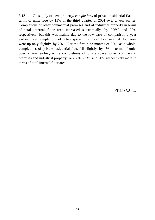3.13 On supply of new property, *completions* of private residential flats in terms of units rose by 15% in the third quarter of 2001 over a year earlier. Completions of other commercial premises and of industrial property in terms of total internal floor area increased substantially, by 206% and 90% respectively, but this was mainly due to the low base of comparison a year earlier. Yet completions of office space in terms of total internal floor area went up only slightly, by 2%. For the first nine months of 2001 as a whole, completions of private residential flats fell slightly, by 1% in terms of units over a year earlier, while completions of office space, other commercial premises and industrial property were 7%, 273% and 20% respectively more in terms of total internal floor area.

/**Table 3.8** .....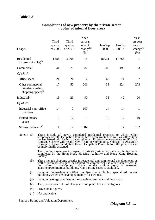# **Table 3.8**

|                                                                  |                             |                                          | Year-                                               |                 |                           | Year-                                                 |
|------------------------------------------------------------------|-----------------------------|------------------------------------------|-----------------------------------------------------|-----------------|---------------------------|-------------------------------------------------------|
| Usage                                                            | Third<br>quarter<br>of 2000 | Third<br>quarter<br>of 2001 <sup>^</sup> | on-year<br>rate of<br>change <sup>(e)</sup><br>(% ) | Jan-Sep<br>2000 | Jan-Sep<br>$2001^{\circ}$ | on-year<br>rate of<br>change <sup>(e)</sup><br>$(\%)$ |
| Residential<br>$(in terms of units)$ <sup>(a)</sup>              | 4 3 8 8                     | 5 0 6 8                                  | 15                                                  | 18 031          | 17768                     | $-1$                                                  |
| Commercial                                                       | 41                          | 76                                       | 87                                                  | 102             | 198                       | 93                                                    |
| Of which:                                                        |                             |                                          |                                                     |                 |                           |                                                       |
| Office space                                                     | 24                          | 24                                       | $\overline{2}$                                      | 69              | 74                        | $\overline{7}$                                        |
| Other commercial<br>premises (mainly<br>shopping space) $^{(b)}$ | 17                          | 52                                       | 206                                                 | 33              | 124                       | 273                                                   |
| Industrial <sup>(c)</sup>                                        | 15                          | 29                                       | 90                                                  | 35              | 42                        | 20                                                    |
| Of which:                                                        |                             |                                          |                                                     |                 |                           |                                                       |
| Industrial-cum-office<br>premises                                | 14                          | $\overline{0}$                           | $-100$                                              | 14              | 14                        | $-1$                                                  |
| <b>Flatted factory</b><br>space                                  | $\boldsymbol{0}$            | 12                                       |                                                     | 15              | 12                        | $-19$                                                 |
| Storage premises <sup>(d)</sup>                                  | $\mathbf{1}$                | 17                                       | 1 1 6 9                                             | 6               | 17                        | 162                                                   |

#### **Completions of new property by the private sector ('000m2 of internal floor area)**

Notes : (a) These include all newly completed residential premises to which either temporary or full Occupation Permits have been granted, as well as village-type houses issued with Letters of Compliance. Property developments subject to a Consent Scheme will need a Certificate of Compliance, Consent to Assign or Consent to Lease in addition to an Occupation Permit before the premises can be individually assigned.

> The figures shown are in respect of private residential units, excluding units completed by the Hong Kong Housing Authority and Hong Kong Housing Society.

- (b) These include shopping arcades in residential and commercial developments, as well as premises designed or adapted for commercial use other than offices, in the nature of non-domestic space on the podium floors of tenement apartment/commercial buildings. Car-parking space is excluded.
- (c) Including industrial-cum-office premises but excluding specialised factory buildings, which are developed mainly for own use.
- (d) Including storage premises at the container terminals and the airport.
- (e) The year-on-year rates of change are computed from exact figures.
- (^) Provisional figures.
- (--) Not applicable.

Source : Rating and Valuation Department.

/**Diagram 3.6** .....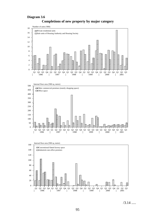#### **Diagram 3.6**



**Completions of new property by major category**

/3.14 .....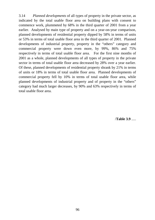3.14 *Planned developments* of all types of property in the private sector, as indicated by the total usable floor area on building plans with consent to commence work, plummeted by 68% in the third quarter of 2001 from a year earlier. Analysed by main type of property and on a year-on-year comparison, planned developments of residential property dipped by 58% in terms of units or 53% in terms of total usable floor area in the third quarter of 2001. Planned developments of industrial property, property in the "others" category and commercial property were down even more, by 99%, 86% and 75% respectively in terms of total usable floor area. For the first nine months of 2001 as a whole, planned developments of all types of property in the private sector in terms of total usable floor area decreased by 28% over a year earlier. Of these, planned developments of residential property shrank by 21% in terms of units or 18% in terms of total usable floor area. Planned developments of commercial property fell by 10% in terms of total usable floor area, while planned developments of industrial property and of property in the "others" category had much larger decreases, by 90% and 63% respectively in terms of total usable floor area.

/**Table 3.9** .....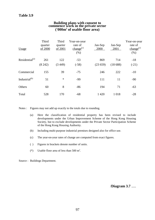# **Building plans with consent to commence work in the private sector ('000m2 of usable floor area)**

| Usage                      | Third<br>quarter<br>of 2000 | Third<br>quarter<br>of 2001 | Year-on-year<br>rate of<br>change <sup>(c)</sup><br>(% ) | Jan-Sep<br>2000 | Jan-Sep<br>2001 | Year-on-year<br>rate of<br>change <sup>(c)</sup><br>(% ) |
|----------------------------|-----------------------------|-----------------------------|----------------------------------------------------------|-----------------|-----------------|----------------------------------------------------------|
| Residential <sup>(a)</sup> | 261<br>(8242)               | 122<br>(3449)               | $-53$<br>$(-58)$                                         | 869<br>(23659)  | 714<br>(18688)  | $-18$<br>$(-21)$                                         |
| Commercial                 | 155                         | 39                          | $-75$                                                    | 246             | 222             | $-10$                                                    |
| Industrial <sup>(b)</sup>  | 51                          | $\ast$                      | $-99$                                                    | 111             | 11              | $-90$                                                    |
| Others                     | 60                          | 8                           | $-86$                                                    | 194             | 71              | $-63$                                                    |
| Total                      | 528                         | 170                         | $-68$                                                    | 1 4 2 0         | 1018            | $-28$                                                    |

Notes : Figures may not add up exactly to the totals due to rounding.

- (a) Here the classification of residential property has been revised to include developments under the Urban Improvement Scheme of the Hong Kong Housing Society, but to exclude developments under the Private Sector Participation Scheme of the Hong Kong Housing Authority.<br>
(b) Including multi-purpose industrial pre-
- Including multi-purpose industrial premises designed also for office use.
- (c) The year-on-year rates of change are computed from exact figures.
- ( ) Figures in brackets denote number of units.
- (\*) Usable floor area of less than  $500 \text{ m}^2$ .

Source : Buildings Department.

/**Diagram 3.7** .....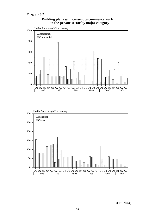#### **Diagram 3.7**

. . . . . . . . .

0

. . . . . . . . . . . . .

. . . . . . . . . . . .

. . . . . . .

. . . . . . . . . . .

. . . . . . . . . . . .



#### **Building plans with consent to commence work in the private sector by major category**

/**Building** .....

Q1 Q2 Q3 Q4 Q1 Q2 Q3 Q4 Q1 Q2 Q3 Q4 Q1 Q2 Q3 Q4 Q1 Q2 Q3 Q4 Q1 Q2 Q3

. . . . . . .

1996 | 1997 | 1998 | 1999 | 2000 | 2001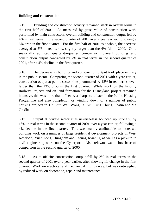# **Building and construction**

3.15 Building and construction activity remained slack in overall terms in the first half of 2001. As measured by gross value of construction work performed by main contractors, overall building and construction output fell by 4% in real terms in the second quarter of 2001 over a year earlier, following a 6% drop in the first quarter. For the first half of 2001 as a whole, the decrease averaged at 5% in real terms, slightly larger than the 4% fall in 2000. On a seasonally adjusted quarter-to-quarter comparison, overall building and construction output contracted by 2% in real terms in the second quarter of 2001, after a 4% decline in the first quarter.

3.16 The decrease in building and construction output took place entirely in the public sector. Comparing the second quarter of 2001 with a year earlier, construction output at public sector sites plummeted by 18% in real terms, even larger than the 13% drop in the first quarter. While work on the Priority Railway Projects and on land formation for the Disneyland project remained intensive, this was more than offset by a sharp scale-back in the Public Housing Programme and also completion or winding down of a number of public housing projects in Tin Shui Wai, Wong Tai Sin, Tung Chung, Shatin and Ma On Shan.

3.17 Output at private sector sites nevertheless bounced up strongly, by 15% in real terms in the second quarter of 2001 over a year earlier, following a 4% decline in the first quarter. This was mainly attributable to increased building work on a number of large residential development projects in West Kowloon, Yuen Long, Hunghom and Tseung Kwan O, as well as a pick-up in civil engineering work on the Cyberport. Also relevant was a low base of comparison in the second quarter of 2000.

3.18 As to off-site construction, output fell by 2% in real terms in the second quarter of 2001 over a year earlier, after showing nil change in the first quarter. Work on electrical and mechanical fittings rose, but was outweighed by reduced work on decoration, repair and maintenance.

/**Table 3.10** .....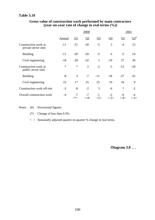#### **Table 3.10**

|                                              |               |                | 2000                         |                |                 |               | 2001          |
|----------------------------------------------|---------------|----------------|------------------------------|----------------|-----------------|---------------|---------------|
|                                              | <b>Annual</b> | $\Omega$       | Q <sub>2</sub>               | Q <sub>3</sub> | $Q_4$           | $\Omega$      | $\Omega^*$    |
| Construction work at<br>private sector sites | $-11$         | $-21$          | $-20$                        | $-5$           | 5               | $-4$          | 15            |
| <b>Building</b>                              | $-11$         | $-20$          | $-20$                        | $-5$           | 6               | $-5$          | 14            |
| Civil engineering                            | $-18$         | $-29$          | $-32$                        | $\mathbf{1}$   | $-10$           | 27            | 30            |
| Construction work at<br>public sector sites  | $\ast$        | 7              | $\overline{2}$               | $-2$           | $-5$            | $-13$         | $-18$         |
| <b>Building</b>                              | $-8$          | 3              | $-7$                         | $-11$          | $-18$           | $-27$         | $-32$         |
| Civil engineering                            | 22            | 17             | 25                           | 25             | 19              | 16            | 9             |
| Construction work off-site                   | $-3$          | $-8$           | $-2$                         | 3              | $-6$            | $\ast$        | $-2$          |
| Overall construction work                    | $-4$          | $-7$<br>$<^*>$ | $-7$<br>$\langle -4 \rangle$ | $-1$<br>$5$ >  | $-2$<br>$< -3>$ | -6<br>$<$ -4> | $\langle$ -2> |

#### **Gross value of construction work performed by main contractors (year-on-year rate of change in real terms (%))**

Notes : (#) Provisional figures.

(\*) Change of less than 0.5%.

 $\langle \rangle$  > Seasonally adjusted quarter-to-quarter % change in real terms.

/**Diagram 3.8** .....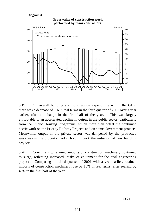#### **Diagram 3.8**



#### **Gross value of construction work performed by main contractors**

3.19 On overall building and construction expenditure within the GDP, there was a decrease of 7% in real terms in the third quarter of 2001 over a year earlier, after nil change in the first half of the year. This was largely attributable to an accelerated decline in output in the public sector, particularly from the Public Housing Programme, which more than offset the continued hectic work on the Priority Railway Projects and on some Government projects. Meanwhile, output in the private sector was dampened by the protracted weakness in the property market holding back the initiation of new building projects.

3.20 Concurrently, retained imports of construction machinery continued to surge, reflecting increased intake of equipment for the civil engineering projects. Comparing the third quarter of 2001 with a year earlier, retained imports of construction machinery rose by 18% in real terms, after soaring by 46% in the first half of the year.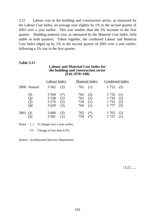3.21 Labour cost in the building and construction sector, as measured by the Labour Cost Index, on average rose slightly by 1% in the second quarter of 2001 over a year earlier. This was smaller than the 3% increase in the first quarter. Building material cost, as measured by the Material Cost Index, held stable in both quarters. Taken together, the combined Labour and Material Cost Index edged up by 1% in the second quarter of 2001 over a year earlier, following a 2% rise in the first quarter.

#### **Table 3.11**

### **Labour and Material Cost Index for the building and construction sector (Feb 1970=100)**

|      |                                                           | Labour Index                            |                            |                          | Material Index    | Combined Index                     |                          |
|------|-----------------------------------------------------------|-----------------------------------------|----------------------------|--------------------------|-------------------|------------------------------------|--------------------------|
|      | 2000 Annual                                               | 3 5 6 2                                 | (2)                        | $761$ (1)                |                   | $1752$ (2)                         |                          |
|      | Q1<br>Q <sub>2</sub><br>$\overline{Q}3$<br>Q <sub>4</sub> | 3 5 0 4<br>3 5 3 8<br>3 5 7 6<br>3 6 29 | $(*)$<br>(2)<br>(2)<br>(3) | 762<br>761<br>759<br>764 | (2)<br>(2)<br>(1) | 1 7 3 2<br>1743<br>1755<br>1 7 7 7 | (1)<br>(2)<br>(2)<br>(3) |
| 2001 |                                                           | 3 600<br>3 5 8 1                        | 3)                         | 762<br>759               | ′*)<br>ั*)        | 1765<br>1757                       | <sup>(2)</sup>           |

Notes : ( ) % change over a year earlier.

(\*) Change of less than 0.5%.

Source : Architectural Services Department.

 $/3.22$  .....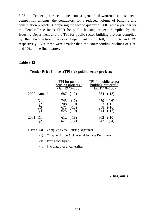3.22 Tender prices continued on a general downtrend, amidst keen competition amongst the contractors for a reduced volume of building and construction projects. Comparing the second quarter of 2001 with a year earlier, the Tender Price Index (TPI) for public housing projects compiled by the Housing Department and the TPI for public sector building projects compiled by the Architectural Services Department both fell, by 12% and 4% respectively. Yet these were smaller than the corresponding declines of 18% and 10% in the first quarter.

#### **Table 3.12**

#### **Tender Price Indices (TPI) for public sector projects**

|      |                      | TPI for public<br>housing projects <sup>(a)</sup><br>(Jan 1970=100) | TPI for public sector<br>building projects <sup>(b)</sup><br>(Jan 1970=100) |
|------|----------------------|---------------------------------------------------------------------|-----------------------------------------------------------------------------|
|      | 2000 Annual          | 687 $(-12)$                                                         | 884 (-13)                                                                   |
|      | 21<br>Q2<br>Q3<br>Q4 | $745$ (-7)<br>$708$ $(-10)$<br>671 $(-13)$<br>$625$ $(-19)$         | 959<br>$(-6)$<br>$873$ (-15)<br>858 (-16)<br>$844 \quad (-15)$              |
| 2001 |                      | $612 (-18)$<br>$626^* (-12)$                                        | $862$ (-10)<br>842 (-4)                                                     |

Notes : (a) Compiled by the Housing Department.

(b) Compiled by the Architectural Services Department.

(#) Provisional figures.

( ) % change over a year earlier.

/**Diagram 3.9** .....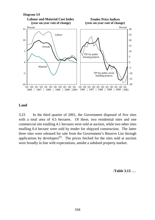

#### **Land**

3.23 In the third quarter of 2001, the Government disposed of five sites with a total area of 4.5 hectares. Of these, two residential sites and one commercial site totalling 4.1 hectares were sold at auction, while two other sites totalling 0.4 hectare were sold by tender for shipyard construction. The latter three sites were released for sale from the Government's Reserve List through applications by developers<sup> $(6)$ </sup>. The prices fetched for the sites sold at auction were broadly in line with expectations, amidst a subdued property market.

/**Table 3.13** .....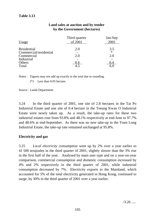## **Land sales at auction and by tender by the Government (hectares)**

| <u>Usage</u>                          | Third quarter<br>of 2001 | Jan-Sep<br>2001 |
|---------------------------------------|--------------------------|-----------------|
| Residential<br>Commercial/residential | 2.0                      | 3.5<br>$\ast$   |
| Commercial                            | 2.0                      | 2.0             |
| Industrial<br>Others<br>Total         |                          |                 |

Notes : Figures may not add up exactly to the total due to rounding.

(\*) Less than 0.05 hectare.

Source : Lands Department.

3.24 In the third quarter of 2001, one site of 2.8 hectares in the Tai Po Industrial Estate and one site of 0.4 hectare in the Tseung Kwan O Industrial Estate were newly taken up. As a result, the take-up rates for these two industrial estates rose from 93.8% and 48.1% respectively at end-June to 97.7% and 48.6% at end-September. As there was no new take-up in the Yuen Long Industrial Estate, the take-up rate remained unchanged at 95.8%.

## **Electricity and gas**

3.25 *Local electricity consumption* went up by 2% over a year earlier to 41 500 terajoules in the third quarter of 2001, slightly slower than the 3% rise in the first half of the year. Analysed by main user type and on a year-on-year comparison, commercial consumption and domestic consumption increased by 4% and 2% respectively in the third quarter of 2001, while industrial consumption decreased by 7%. Electricity exports to the Mainland, which accounted for 5% of the total electricity generated in Hong Kong, continued to surge, by 30% in the third quarter of 2001 over a year earlier.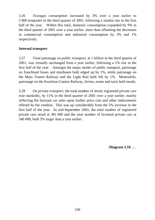3.26 *Towngas consumption* increased by 3% over a year earlier to 5 900 terajoules in the third quarter of 2001, following a similar rise in the first half of the year. Within this total, domestic consumption expanded by 9% in the third quarter of 2001 over a year earlier, more than offsetting the decreases in commercial consumption and industrial consumption by 3% and 1% respectively.

# **Internal transport**

3.27 Total patronage on *public transport*, at 1 billion in the third quarter of 2001, was virtually unchanged from a year earlier, following a 1% rise in the first half of the year. Amongst the major modes of public transport, patronage on franchised buses and minibuses both edged up by 1%, while patronage on the Mass Transit Railway and the Light Rail both fell by 1%. Meanwhile, patronage on the Kowloon-Canton Railway, ferries, trams and taxis held steady.

3.28 On *private transport*, the total number of newly registered private cars rose markedly, by 11% in the third quarter of 2001 over a year earlier, mainly reflecting the buoyant car sales upon further price cuts and other inducements offered by the vendors. This was up considerably from the 5% increase in the first half of the year. At end-September 2001, the total number of registered private cars stood at 381 000 and the total number of licensed private cars at 340 000, both 3% larger than a year earlier.

/**Diagram 3.10** .....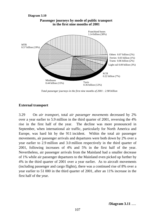

*Total passenger journeys in the first nine months of 2001 : 2.98 billion*

# **External transport**

3.29 On *air transport*, total *air passenger movements* decreased by 2% over a year earlier to 5.9 million in the third quarter of 2001, reversing the 4% rise in the first half of the year. The decline was more pronounced in September, when international air traffic, particularly for North America and Europe, was hard hit by the 911 incident. Within the total air passenger movements, air passenger arrivals and departures were both down by 2% over a year earlier to 2.9 million and 3.0 million respectively in the third quarter of 2001, following increases of 4% and 5% in the first half of the year. Nevertheless, air passenger arrivals from the Mainland had a smaller decrease of 1% while air passenger departures to the Mainland even picked up further by 4% in the third quarter of 2001 over a year earlier. As to aircraft movements (including passenger and cargo flights), there was a continued rise of 8% over a year earlier to 51 000 in the third quarter of 2001, after an 11% increase in the first half of the year.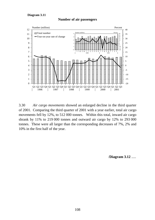### **Diagram 3.11**





3.30 *Air cargo movements* showed an enlarged decline in the third quarter of 2001. Comparing the third quarter of 2001 with a year earlier, total air cargo movements fell by 12%, to 512 000 tonnes. Within this total, inward air cargo shrank by 11% to 219 000 tonnes and outward air cargo by 12% to 293 000 tonnes. These were all larger than the corresponding decreases of 7%, 2% and 10% in the first half of the year.

/**Diagram 3.12** .....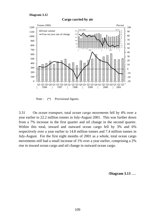





Note :  $(*)$  Provisional figures.

3.31 On *ocean transport*, total *ocean cargo movements* fell by 4% over a year earlier to 22.2 million tonnes in July-August 2001. This was further down from a 7% increase in the first quarter and nil change in the second quarter. Within this total, inward and outward ocean cargo fell by 3% and 6% respectively over a year earlier to 14.8 million tonnes and 7.4 million tonnes in July-August. For the first eight months of 2001 as a whole, total ocean cargo movements still had a small increase of 1% over a year earlier, comprising a 2% rise in inward ocean cargo and nil change in outward ocean cargo.

/**Diagram 3.13** .....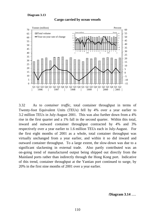#### **Diagram 3.13**



### **Cargo carried by ocean vessels**

3.32 As to *container traffic*, total container throughput in terms of Twenty-foot Equivalent Units (TEUs) fell by 4% over a year earlier to 3.2 million TEUs in July-August 2001. This was also further down from a 4% rise in the first quarter and a 1% fall in the second quarter. Within this total, inward and outward container throughput contracted by 4% and 3% respectively over a year earlier to 1.6 million TEUs each in July-August. For the first eight months of 2001 as a whole, total container throughput was virtually unchanged from a year earlier, and within it so did inward and outward container throughput. To a large extent, the slow-down was due to a significant slackening in external trade. Also partly contributed was an on-going trend of manufactured output being shipped out directly from the Mainland ports rather than indirectly through the Hong Kong port. Indicative of this trend, container throughput at the Yantian port continued to surge, by 20% in the first nine months of 2001 over a year earlier.

/**Diagram 3.14** .....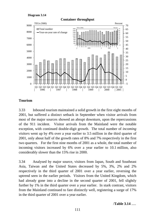### **Diagram 3.14**



## **Container throughput**

# **Tourism**

3.33 Inbound tourism maintained a solid growth in the first eight months of 2001, but suffered a distinct setback in September when visitor arrivals from most of the major sources showed an abrupt downturn, upon the repercussions of the 911 incident. Visitor arrivals from the Mainland were the notable exception, with continued double-digit growth. The total number of *incoming visitors* went up by 4% over a year earlier to 3.5 million in the third quarter of 2001, only about half of the growth rates of 8% and 7% respectively in the first two quarters. For the first nine months of 2001 as a whole, the total number of incoming visitors increased by 6% over a year earlier to 10.1 million, also considerably slower than the 15% rise in 2000.

3.34 Analysed by major source, visitors from Japan, South and Southeast Asia, Taiwan and the United States decreased by 5%, 3%, 2% and 2% respectively in the third quarter of 2001 over a year earlier, reversing the uptrend seen in the earlier periods. Visitors from the United Kingdom, which had already gone into a decline in the second quarter of 2001, fell slightly further by 1% in the third quarter over a year earlier. In stark contrast, visitors from the Mainland continued to fare distinctly well, registering a surge of 17% in the third quarter of 2001 over a year earlier.

/**Table 3.14** .....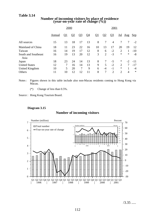### **Table 3.14**

|                             | 2000   |           |                |                | 2001                     |              |                |                |            |                |        |
|-----------------------------|--------|-----------|----------------|----------------|--------------------------|--------------|----------------|----------------|------------|----------------|--------|
|                             | Annual | <u>Q1</u> | Q <sub>2</sub> | Q <sub>3</sub> | $\overline{\mathsf{Q}4}$ | $\mathbf{Q}$ | Q <sub>2</sub> | Q <sub>3</sub> | <u>Jul</u> | <u>Aug Sep</u> |        |
| All sources                 | 15     | 13        | 18             | 17             | 13                       | 8            | 7              | 4              | 7          | 7              | $-2$   |
| Mainland of China           | 18     | 11        | 23             | 22             | 16                       | 10           | 13             | 17             | 20         | 19             | 12     |
| Taiwan                      | 16     | 14        | 19             | 17             | 12                       | 8            | 6              | $-2$           | 2          | 1              | $-10$  |
| South and Southeast<br>Asia | 16     | 19        | 13             | 20             | 12                       | 3            | 2              | $-3$           | $\ast$     | $\ast$         | $-8$   |
| Japan                       | 18     | 23        | 24             | 14             | 13                       | 8            |                | -5             | $\ast$     | $-2$           | $-11$  |
| <b>United States</b>        | 12     | 7         | 16             | 14             | 13                       | 9            | 5              | $-2$           | 2          | 7              | $-17$  |
| United Kingdom              | 10     | 5         | 20             | 7              | 9                        | 6            | $-4$           | $-1$           | $\ast$     |                | $-4$   |
| Others                      | 11     | 10        | 12             | 12             | 11                       | 8            | 7              | 2              | 2          | 4              | $\ast$ |
|                             |        |           |                |                |                          |              |                |                |            |                |        |

# **Number of incoming visitors by place of residence (year-on-year rate of change (%))**

Notes : Figures shown in this table include also non-Macau residents coming to Hong Kong via Macau.

(\*) Change of less than 0.5%.

Source : Hong Kong Tourism Board.

### **Diagram 3.15**

## **Number of incoming visitors**



 $/3.35$  .....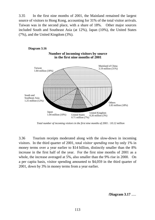3.35 In the first nine months of 2001, the Mainland remained the largest source of visitors to Hong Kong, accounting for 31% of the total visitor arrivals. Taiwan was in the second place, with a share of 18%. Other major sources included South and Southeast Asia (at 12%), Japan (10%), the United States (7%), and the United Kingdom (3%).



*Total number of incoming visitors in the first nine months of 2001 : 10.12 million*

3.36 Tourism receipts moderated along with the slow-down in incoming visitors. In the third quarter of 2001, total *visitor spending* rose by only 1% in money terms over a year earlier to \$14 billion, distinctly smaller than the 8% increase in the first half of the year. For the first nine months of 2001 as a whole, the increase averaged at 5%, also smaller than the 9% rise in 2000. On a per capita basis, visitor spending amounted to \$4,059 in the third quarter of 2001, down by 3% in money terms from a year earlier.

/**Diagram 3.17** .....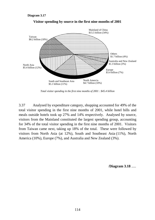

**Visitor spending by source in the first nine months of 2001**

*Total visitor spending in the first nine months of 2001 : \$45.4 billion*

3.37 Analysed by expenditure category, shopping accounted for 49% of the total visitor spending in the first nine months of 2001, while hotel bills and meals outside hotels took up 27% and 14% respectively. Analysed by source, visitors from the Mainland constituted the largest spending group, accounting for 34% of the total visitor spending in the first nine months of 2001. Visitors from Taiwan came next, taking up 18% of the total. These were followed by visitors from North Asia (at 12%), South and Southeast Asia (11%), North America (10%), Europe (7%), and Australia and New Zealand (3%).

/**Diagram 3.18** .....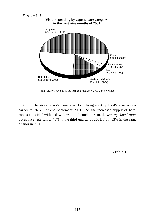### **Diagram 3.18**



*Total visitor spending in the first nine months of 2001 : \$45.4 billion*

3.38 The stock of *hotel rooms* in Hong Kong went up by 4% over a year earlier to 36 600 at end-September 2001. As the increased supply of hotel rooms coincided with a slow-down in inbound tourism, the *average hotel room occupancy rate* fell to 78% in the third quarter of 2001, from 83% in the same quarter in 2000.

/**Table 3.15** .....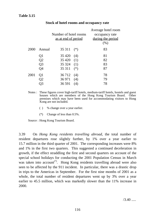# **Table 3.15**

|      |                |                       |       | Average hotel room |
|------|----------------|-----------------------|-------|--------------------|
|      |                | Number of hotel rooms |       | occupancy rate     |
|      |                | as at end of period   |       | during the period  |
|      |                |                       |       | (%)                |
| 2000 | Annual         | 35 311                | $(*)$ | 83                 |
|      | Q1             | 35 4 20               | (4)   | 81                 |
|      | Q2             | 35 4 20               | (1)   | 82                 |
|      | Q <sub>3</sub> | $35324$ (1)           |       | 83                 |
|      | Q4             | 35 311                | $(*)$ | 87                 |
| 2001 | Q1             | 36 7 12               | (4)   | 78                 |
|      | Q2             | 36 971                | (4)   | 79                 |
|      |                | 36 591                | (4)   | 78                 |
|      |                |                       |       |                    |

### **Stock of hotel rooms and occupancy rate**

- Notes : These figures cover high-tariff hotels, medium-tariff hotels, hostels and guest houses which are members of the Hong Kong Tourism Board. Other premises which may have been used for accommodating visitors to Hong Kong are not included.
	- ( ) % change over a year earlier.
	- (\*) Change of less than 0.5%.

Source : Hong Kong Tourism Board.

3.39 On *Hong Kong residents travelling abroad*, the total number of resident departures rose slightly further, by 1% over a year earlier to 15.7 million in the third quarter of 2001. The corresponding increases were 8% and 1% in the first two quarters. This suggested a continued deceleration in growth, if the effect straddling the first and second quarters on account of the special school holidays for conducting the 2001 Population Census in March was taken into account<sup> $(7)$ </sup>. Hong Kong residents travelling abroad were also seen to be affected by the 911 incident. In particular, there was a drastic drop in trips to the Americas in September. For the first nine months of 2001 as a whole, the total number of resident departures went up by 3% over a year earlier to 45.5 million, which was markedly slower than the 11% increase in 2000.

 $/3.40$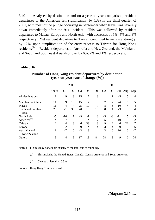3.40 Analysed by destination and on a year-on-year comparison, resident departures to the Americas fell significantly, by 13% in the third quarter of 2001, with most of the plunge occurring in September when travel was severely down immediately after the 911 incident. This was followed by resident departures to Macau, Europe and North Asia, with decreases of 5%, 4% and 3% respectively. Yet resident departure to Taiwan continued to increase strongly, by 12%, upon simplification of the entry process to Taiwan for Hong Kong residents<sup>(8)</sup>. Resident departures to Australia and New Zealand, the Mainland, and South and Southeast Asia also rose, by 6%, 2% and 1% respectively.

### **Table 3.16**

|                              | 2000   |                |                |                | 2001   |                |                |                          |       |             |                |
|------------------------------|--------|----------------|----------------|----------------|--------|----------------|----------------|--------------------------|-------|-------------|----------------|
|                              | Annual | <u>Q1</u>      | Q <sub>2</sub> | Q <sub>3</sub> | $Q_4$  | <u>Q1</u>      | Q <sub>2</sub> | $\overline{\mathcal{Q}}$ | Jul   | $\Delta$ ug | Sep            |
| All destinations             | 11     | 9              | 13             | 15             | 7      | 8              |                | 1                        | $-5$  | 5           | $\overline{4}$ |
| Mainland of China            | 11     | 9              | 13             | 15             | 7      | 8              | $\ast$         | $\overline{2}$           | $-4$  | 5           | 5              |
| Macau                        | 11     | $\overline{4}$ | 4              | 25             | 10     | 7              | 8              | $-5$                     | $-10$ | $\ast$      | $-4$           |
| South and Southeast<br>Asia  | 20     | 21             | 33             | 20             | 10     | 16             | 8              | 1                        | $-3$  | 3           | $\overline{4}$ |
| North Asia                   | $-5$   | $-10$          | $\mathbf{1}$   | $-9$           | $-1$   | 13             | $-3$           | $-3$                     | $-11$ | 5           | $-3$           |
| Americas <sup>(a)</sup>      | $\ast$ | $-7$           | 8              | $\mathbf{1}$   | $\ast$ | $\overline{7}$ | 5              | $-13$                    | $-10$ | $-3$        | $-32$          |
| Taiwan                       | 12     | 4              | 8              | 6              | 33     | 8              | 9              | 12                       | 6     | 22          | 7              |
| Europe                       | 5      | $\overline{2}$ | 8              | 9              | $\ast$ | $\overline{4}$ | 3              | $-4$                     | $-9$  | 5           | -6             |
| Australia and<br>New Zealand | 1      | $-7$           | 16             | $-3$           | 3      | $\overline{4}$ | 3              | 6                        | 10    | 16          | $-7$           |
| Others                       | 9      | -4             | 9              | 17             | 13     | 84             | 28             | $-3$                     | 9     | 6           | -24            |

## **Number of Hong Kong resident departures by destination (year-on-year rate of change (%))**

Notes : Figures may not add up exactly to the total due to rounding.

(a) This includes the United States, Canada, Central America and South America.

(\*) Change of less than 0.5%.

Source : Hong Kong Tourism Board.

/**Diagram 3.19** .....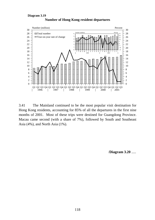

**Number of Hong Kong resident departures Diagram 3.19**

3.41 The Mainland continued to be the most popular visit destination for Hong Kong residents, accounting for 85% of all the departures in the first nine months of 2001. Most of these trips were destined for Guangdong Province. Macau came second (with a share of 7%), followed by South and Southeast Asia (4%), and North Asia (1%).

/**Diagram 3.20** .....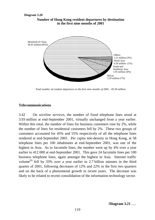### **Number of Hong Kong resident departures by destination in the first nine months of 2001 Diagram 3.20**



*Total number of resident departures in the first nine months of 2001 : 45.50 million*

## **Telecommunications**

3.42 On *wireline services*, the number of fixed telephone lines stood at 3.93 million at end-September 2001, virtually unchanged from a year earlier. Within this total, the number of lines for business customers rose by 2%, while the number of lines for residential customers fell by 2%. These two groups of customers accounted for 45% and 55% respectively of all the telephone lines rendered at end-September 2001. Per capita tele-density in Hong Kong, at 58 telephone lines per 100 inhabitants at end-September 2001, was one of the highest in Asia. As to facsimile lines, the number went up by 4% over a year earlier to 412 000 at end-September 2001. This gave 24 facsimile lines per 100 business telephone lines, again amongst the highest in Asia. Internet traffic volume<sup>(9)</sup> fell by 33% over a year earlier to 2.7 billion minutes in the third quarter of 2001, following decreases of 12% and 22% in the first two quarters and on the back of a phenomenal growth in recent years. The decrease was likely to be related to recent consolidation of the information technology sector.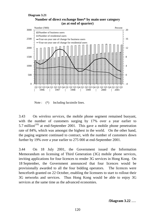### **Number of direct exchange lines\* by main user category (as at end of quarter) Diagram 3.21**



Note :  $(*)$  Including facsimile lines.

3.43 On *wireless services*, the mobile phone segment remained buoyant, with the number of customers surging by 17% over a year earlier to 5.7 million<sup> $(10)$ </sup> at end-September 2001. This gave a mobile phone penetration rate of 84%, which was amongst the highest in the world. On the other hand, the paging segment continued to contract, with the number of customers down further by 19% over a year earlier to 275 000 at end-September 2001.

3.44 On 18 July 2001, the Government issued the Information Memorandum on licensing of Third Generation (3G) mobile phone services, inviting applications for four licences to render 3G services in Hong Kong. On 18 September, the Government announced that four licences would be provisionally awarded to all the four bidding operators. The licences were henceforth granted on 22 October, enabling the licensees to start to rollout their 3G networks and services. Thus Hong Kong would be able to enjoy 3G services at the same time as the advanced economies.

/**Diagram 3.22** .....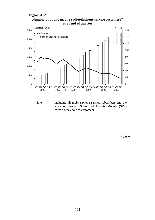### **Diagram 3.22**





Note : (\*) Including all mobile phone service subscribers and the stock of pre-paid Subscribed Identity Module (SIM) cards already sold to customers.

/**Notes** .....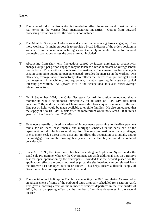## **Notes :**

- (1) The Index of Industrial Production is intended to reflect the recent trend of net output in real terms in the various local manufacturing industries. Output from outward processing operations across the border is not included.
- (2) The Monthly Survey of Orders-on-hand covers manufacturing firms engaging 50 or more workers. Its main purpose is to provide a broad indicator of the orders position in value terms in the local manufacturing sector at monthly intervals. Orders for outward processing operations across the border are not included.
- (3) Abstracting from short-term fluctuations caused by factors unrelated to productivity changes, output per person engaged may be taken as a broad indicator of average labour productivity. To smooth out short-term fluctuations, a four-quarter moving average is used in computing output per person engaged. Besides the increase in the workers' own efficiency, average labour productivity also reflects the increased output brought about by investment in machinery and equipment, thereby resulting in a greater capital intensity per worker. An upward shift in the occupational mix also raises average labour productivity.
- (4) On 3 September 2001, the Chief Secretary for Administration announced that a moratorium would be imposed immediately on all sales of HOS/PSPS flats until end-June 2002, and that additional home ownership loans equal in number to the sale flats put on hold would be made available to eligible families. He also announced that the supply of new HOS/PSPS flats after the moratorium would not exceed 9 000 units a year up to the financial year 2005/06.
- (5) Developers usually offered a variety of inducements pertaining to flexible payment terms, top-up loans, cash rebates, and mortgage subsidies in the early part of the repayment period. Flat buyers might opt for different combinations of these privileges, or else might seek a direct price discount. In effect, the acquisition cost initially and/or the mortgage cost in the ensuing few years for the flat buyers could be reduced considerably.
- (6) Since April 1999, the Government has been operating an Application System under the Land Sale Programme, whereby the Government sets aside additional sites on a Reserve List for open application by the developers. Provided that the deposit placed for the application reflects the prevailing market price, the site involved can be released from the Reserve List for open auction or tender. This helps ensure a flexible supply of Government land in response to market demand.
- (7) The special school holidays in March for conducting the 2001 Population Census led to an advancement of some of the outbound tours originally scheduled for Easter in April. This gave a boosting effect on the number of resident departures in the first quarter of 2001, but a dampening effect on the number of resident departures in the second quarter.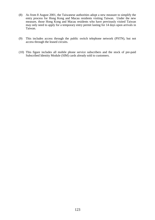- (8) As from 8 August 2001, the Taiwanese authorities adopt a new measure to simplify the entry process for Hong Kong and Macau residents visiting Taiwan. Under the new measure, those Hong Kong and Macau residents who have previously visited Taiwan may only need to apply for a temporary entry permit lasting for 14 days upon arrivals in Taiwan.
- (9) This includes access through the public switch telephone network (PSTN), but not access through the leased circuits.
- (10) This figure includes all mobile phone service subscribers and the stock of pre-paid Subscribed Identity Module (SIM) cards already sold to customers.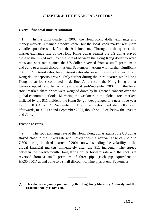## **CHAPTER 4: THE FINANCIAL SECTOR\***

### **Overall financial market situation**

4.1 In the third quarter of 2001, the Hong Kong dollar exchange and money markets remained broadly stable, but the local stock market was more volatile upon the shock from the 911 incident. Throughout the quarter, the market exchange rate of the Hong Kong dollar against the US dollar stayed close to the linked rate. Yet the spread between the Hong Kong dollar forward rates and spot rate against the US dollar reversed from a small premium at end-June to a small discount at end-September. Along with further significant cuts in US interest rates, local interest rates also eased distinctly further. Hong Kong dollar deposits grew slightly further during the third quarter, while Hong Kong dollar loans continued to decline. As a result, the Hong Kong dollar loan-to-deposit ratio fell to a new low at end-September 2001. In the local stock market, share prices were weighed down by heightened concern over the global economic outlook. Mirroring the weakness in the global stock markets inflicted by the 911 incident, the Hang Seng Index plunged to a near three-year low of 8 934 on 21 September. The index rebounded distinctly soon afterwards, to 9 951 at end-September 2001, though still 24% below the level at end-June.

### **Exchange rates**

4.2 The spot exchange rate of the Hong Kong dollar against the US dollar stayed close to the linked rate and moved within a narrow range of 7.797 to 7.800 during the third quarter of 2001, notwithstanding the volatility in the global financial markets immediately after the 911 incident. The spread between the twelve-month Hong Kong dollar forward rate and the spot rate reversed from a small premium of three pips (each pip equivalent to HK\$0.0001) at end-June to a small discount of nine pips at end-September.

**\_\_\_\_\_\_\_\_\_\_**

**<sup>(\*)</sup> This chapter is jointly prepared by the Hong Kong Monetary Authority and the Economic Analysis Division.**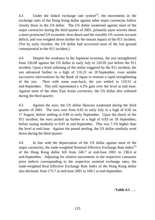4.3 Under the linked exchange rate system $^{(1)}$ , the movements in the exchange rates of the Hong Kong dollar against other major currencies follow closely those in the US dollar. The US dollar weakened against most of the major currencies during the third quarter of 2001, primarily upon worries about a more protracted US economic slow-down and the sizeable US current account deficit, and was weighed down further by the instant impact of the 911 incident. (Yet by early October, the US dollar had recovered most of the lost ground consequential to the 911 incident.)

4.4 Despite the weakness in the Japanese economy, the yen strengthened from 126.00 against the US dollar in early July to 120.95 just before the 911 incident. Upon a brief softening of the dollar triggered by the 911 incident, the yen advanced further to a high of 116.21 on 20 September, even amidst successive interventions by the Bank of Japan to restrain a rapid strengthening of the yen. Then with some ease-back, the yen settled to 119.51 at end-September. This still represented a 4.2% gain over the level at end-June. Against most of the other East Asian currencies, the US dollar also softened during the third quarter.

4.5 Against the euro, the US dollar likewise weakened during the third quarter of 2001. The euro rose from 0.85 in early July to a high of 0.92 on 17 August, before settling at 0.89 in early September. Upon the shock of the 911 incident, the euro picked up further to a high of 0.93 on 18 September, before easing modestly to 0.91 at end-September. This was 7.1% higher than the level at end-June. Against the pound sterling, the US dollar similarly went down during the third quarter.

4.6 In line with the depreciation of the US dollar against most of the major currencies, the trade-weighted Nominal Effective Exchange Rate Index<sup>(2)</sup> of the Hong Kong dollar fell from 140.7 at end-June 2001 to 138.4 at end-September. Adjusting for relative movements in the respective consumer price indices corresponding to the respective nominal exchange rates, the trade-weighted Real Effective Exchange Rate Index of the Hong Kong dollar also declined, from 172.7 at end-June 2001 to 169.1 at end-September.

/**Table 4.1** …..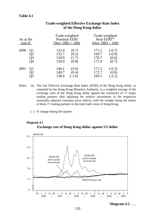| As at the<br>end of |                | Trade-weighted<br><b>Nominal EERI</b><br>(Nov $1983 = 100$ ) |          | Trade-weighted<br>Real EERI <sup>(a)</sup><br>(Nov $1983 = 100$ ) |          |  |
|---------------------|----------------|--------------------------------------------------------------|----------|-------------------------------------------------------------------|----------|--|
| 2000                | Q1             | 132.4                                                        | (0.7)    | 171.2                                                             | $(-0.7)$ |  |
|                     | J2             | 132.7                                                        | (0.2)    | 169.7                                                             | $(-0.9)$ |  |
|                     | Q3             | 134.9                                                        | (1.7)    | 170.7                                                             | (0.6)    |  |
|                     | O4             | 136.0                                                        | (0.8)    | 171.9                                                             | (0.7)    |  |
| 2001                | Q <sub>1</sub> | 140.1                                                        | (3.0)    | 171.3                                                             | $(-0.3)$ |  |
|                     | )2             | 140.7                                                        | (0.4)    | 172.7                                                             | (0.8)    |  |
|                     | )3             | 138.4                                                        | $(-1.6)$ | 169.1                                                             | $(-2.1)$ |  |

# **Trade-weighted Effective Exchange Rate Index of the Hong Kong dollar**

- Notes : (a) The real Effective Exchange Rate Index (EERI) of the Hong Kong dollar, as compiled by the Hong Kong Monetary Authority, is a weighted average of the exchange rates of the Hong Kong dollar against the currencies of 17 major trading partners after adjusting for relative movements in the respective seasonally adjusted consumer price indices, with the weights being the shares of these 17 trading partners in the total trade value of Hong Kong.
	- ( ) % change during the quarter.

### **Exchange rate of Hong Kong dollar against US dollar Diagram 4.1**



/**Diagram 4.2** …..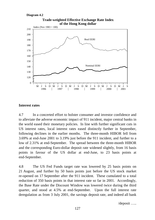### **Diagram 4.2**



# **Trade-weighted Effective Exchange Rate Index**

## **Interest rates**

4.7 In a concerted effort to bolster consumer and investor confidence and to alleviate the adverse economic impact of 911 incident, major central banks in the world eased their monetary policies. In line with further significant cuts in US interest rates, local interest rates eased distinctly further in September, following declines in the earlier months. The three-month HIBOR fell from 3.69% at end-June 2001 to 3.19% just before the 911 incident, and further to a low of 2.31% at end-September. The spread between the three-month HIBOR and the corresponding Euro-dollar deposit rate widened slightly, from 16 basis points in favour of the US dollar at end-June, to 23 basis points at end-September.

4.8 The US Fed Funds target rate was lowered by 25 basis points on 21 August, and further by 50 basis points just before the US stock market re-opened on 17 September after the 911 incident. These cumulated to a total reduction of 350 basis points in that interest rate so far in 2001. Accordingly, the Base Rate under the Discount Window was lowered twice during the third quarter, and stood at 4.5% at end-September. Upon the full interest rate deregulation as from 3 July 2001, the savings deposit rate, and indeed all bank

/deposit …..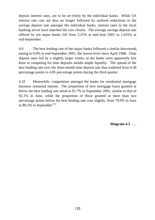deposit interest rates, are to be set freely by the individual banks. While US interest rate cuts are thus no longer followed by uniform reductions in the savings deposit rate amongst the individual banks, interest rates in the local banking sector have matched the cuts closely. The average savings deposit rate offered by ten major banks fell from 2.25% at end-June 2001 to 1.025% at end-September.

4.9 The best lending rate of the major banks followed a similar downtrend, easing to 6.0% at end-September 2001, the lowest level since April 1988. Time deposit rates fell by a slightly larger extent, as the banks were apparently less keen in competing for time deposits amidst ample liquidity. The spread of the best lending rate over the three-month time deposit rate thus widened from 4.39 percentage points to 4.85 percentage points during the third quarter.

4.10 Meanwhile, competition amongst the banks for residential mortgage business remained intense. The proportion of new mortgage loans granted at below the best lending rate stood at 91.7% in September 2001, similar to that of 92.1% in June, while the proportion of those granted at more than two percentage points below the best lending rate rose slightly, from 79.0% in June to 80.5% in September<sup>(3)</sup>.

/**Diagram 4.3** …..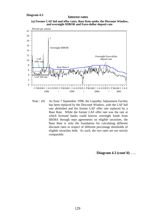# **Interest rates**





Note : (#) As from 7 September 1998, the Liquidity Adjustment Facility has been replaced by the Discount Window, with the LAF bid rate abolished and the former LAF offer rate replaced by a Base Rate. While the former LAF offer rate was the rate at which licensed banks could borrow overnight funds from HKMA through repo agreements on eligible securities, the Base Rate is only the foundation for calculating different discount rates in respect of different percentage thresholds of eligible securities held. As such, the two rates are not strictly comparable.

/**Diagram 4.3 (cont'd)** …..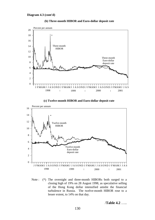

**(b) Three-month HIBOR and Euro-dollar deposit rate**





Note : (\*) The overnight and three-month HIBORs both surged to a closing high of 19% on 28 August 1998, as speculative selling of the Hong Kong dollar intensified amidst the financial turbulence in Russia. The twelve-month HIBOR rose to a lesser extent, to 14% on that day.

/**Table 4.2** …..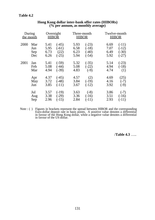|      | During<br>the month | Overnight<br><b>HIBOR</b> |         |      | Three-month<br><b>HIBOR</b> |      | Twelve-month<br><b>HIBOR</b> |
|------|---------------------|---------------------------|---------|------|-----------------------------|------|------------------------------|
| 2000 | Mar                 | 5.41                      | $(-45)$ | 5.93 | $(-23)$                     | 6.69 | $(-11)$                      |
|      | Jun                 | 5.95                      | $(-61)$ | 6.58 | $(-18)$                     | 7.07 | $(-12)$                      |
|      | Sep                 | 6.73                      | (22)    | 6.23 | $(-40)$                     | 6.49 | $(-30)$                      |
|      | Dec                 | 6.26                      | $(-25)$ | 5.94 | $(-54)$                     | 5.92 | $(-27)$                      |
| 2001 | Jan                 | 5.41                      | $(-59)$ | 5.32 | $(-35)$                     | 5.14 | $(-23)$                      |
|      | Feb                 | 5.08                      | $(-44)$ | 5.08 | $(-22)$                     | 4.94 | $(-18)$                      |
|      | Mar                 | 4.94                      | $(-39)$ | 4.83 | $(-9)$                      | 4.74 | (1)                          |
|      | Apr                 | 4.37                      | $(-45)$ | 4.57 | (2)                         | 4.69 | (25)                         |
|      | May                 | 3.72                      | $(-48)$ | 3.84 | $(-19)$                     | 4.16 | $(-7)$                       |
|      | Jun                 | 3.85                      | $(-11)$ | 3.67 | $(-12)$                     | 3.92 | $(-9)$                       |
|      | Jul                 | 3.57                      | $(-19)$ | 3.63 | $(-8)$                      | 3.86 | $(-7)$                       |
|      | Aug                 | 3.38                      | $(-29)$ | 3.36 | $(-16)$                     | 3.51 | $(-16)$                      |
|      | Sep                 | 2.96                      | $(-15)$ | 2.84 | $(-11)$                     | 2.93 | $(-11)$                      |

### **Hong Kong dollar inter-bank offer rates (HIBORs) (% per annum, as monthly average)**

Note : () Figures in brackets represent the spread between HIBOR and the corresponding Euro-dollar deposit rate in basis points. A positive value denotes a differential in favour of the Hong Kong dollar, while a negative value denotes a differential in favour of the US dollar.

/**Table 4.3** …..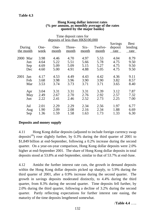|                                  |                              | deposits of less than HK\$100,000 | $\ldots$ $\ldots$            |                              |                              |                              |                                |
|----------------------------------|------------------------------|-----------------------------------|------------------------------|------------------------------|------------------------------|------------------------------|--------------------------------|
| During<br>the month              | One-<br>week                 | One-<br>month                     | Three-<br>month              | $Six-$<br>month              | Twelve-<br>month             | Savings<br>deposit<br>rate   | <b>Best</b><br>lending<br>rate |
| 2000<br>Mar<br>Jun<br>Sep<br>Dec | 3.98<br>4.64<br>4.69<br>4.60 | 4.46<br>5.22<br>5.09<br>5.00      | 4.70<br>5.51<br>5.09<br>4.91 | 4.97<br>5.66<br>5.15<br>4.88 | 5.53<br>5.78<br>5.27<br>5.05 | 4.04<br>4.75<br>4.75<br>4.75 | 8.79<br>9.50<br>9.50<br>9.50   |
| 2001<br>Jan<br>Feb<br>Mar        | 4.17<br>3.68<br>3.53         | 4.53<br>3.98<br>3.74              | 4.49<br>3.96<br>3.73         | 4.43<br>3.90<br>3.71         | 4.42<br>3.90<br>3.71         | 4.36<br>3.82<br>3.65         | 9.11<br>8.57<br>8.40           |
| Apr<br>May<br>Jun                | 3.04<br>2.49<br>2.22         | 3.31<br>2.67<br>2.41              | 3.31<br>2.70<br>2.46         | 3.31<br>2.76<br>2.52         | 3.39<br>2.92<br>2.73         | 3.12<br>2.57<br>2.25         | 7.87<br>7.32<br>7.00           |
| Jul<br>Aug<br>Sep                | 2.01<br>1.90<br>1.36         | 2.29<br>2.09<br>1.59              | 2.29<br>2.08<br>1.58         | 2.34<br>2.16<br>1.63         | 2.56<br>2.34<br>1.73         | 1.97<br>1.88<br>1.33         | 6.77<br>6.69<br>6.30           |

### **Hong Kong dollar interest rates (% per annum, as monthly average of the rates quoted by the major banks)**

Time deposit rates for

## **Deposits and money supply**

4.11 Hong Kong dollar deposits (adjusted to include foreign currency swap deposits<sup>(4)</sup>) rose slightly further, by 0.3% during the third quarter of 2001 to \$1,849 billion at end-September, following a 0.2% increase during the second quarter. On a year-on-year comparison, Hong Kong dollar deposits were 2.0% higher at end-September 2001. The share of Hong Kong dollar deposits in total deposits stood at 53.8% at end-September, similar to that of 53.7% at end-June.

4.12 Amidst the further interest rate cuts, the growth in demand deposits within the Hong Kong dollar deposits picked up sharply, to 5.9% during the third quarter of 2001, after a 0.9% increase during the second quarter. The growth in savings deposits moderated distinctly, to 4.4% during the third quarter, from 8.3% during the second quarter. Time deposits fell further, by 2.0% during the third quarter, following a decline of 3.2% during the second quarter. Partly reflecting expectations for further interest rate easing, the maturity of the time deposits lengthened somewhat.

/**Table 4.4** …..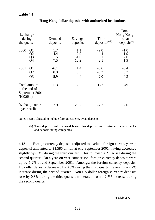| % change<br>during<br>the quarter                             | Demand<br>deposits          | Savings<br>deposits             | Time<br>$deposits^{(a)(b)}$    | Total<br>Hong Kong<br>dollar<br>$deposits^{(a)}$ |
|---------------------------------------------------------------|-----------------------------|---------------------------------|--------------------------------|--------------------------------------------------|
| 2000<br>Q1<br>Q2<br>Q3<br>Q4                                  | 1.7<br>$-4.4$<br>1.5<br>7.5 | 1.1<br>$-2.9$<br>$-1.0$<br>12.2 | $-2.0$<br>4.4<br>3.1<br>$-2.1$ | $-1.0$<br>1.9<br>2.0<br>1.9                      |
| 2001<br>Q <sub>1</sub><br>Q <sub>2</sub><br>Q <sub>3</sub>    | $-6.1$<br>0.9<br>5.9        | 1.4<br>8.3<br>4.4               | $-0.6$<br>$-3.2$<br>$-2.0$     | $-0.4$<br>0.2<br>0.3                             |
| Total amount<br>at the end of<br>September 2001<br>$(HK\$Bn)$ | 113                         | 565                             | 1,172                          | 1,849                                            |
| % change over<br>a year earlier                               | 7.9                         | 28.7                            | $-7.7$                         | 2.0                                              |

## **Hong Kong dollar deposits with authorized institutions**

Notes : (a) Adjusted to include foreign currency swap deposits.

(b) Time deposits with licensed banks plus deposits with restricted licence banks and deposit-taking companies.

4.13 Foreign currency deposits (adjusted to exclude foreign currency swap deposits) amounted to \$1,586 billion at end-September 2001, having decreased slightly by 0.3% during the third quarter. This followed a 2.7% rise during the second quarter. On a year-on-year comparison, foreign currency deposits were up by 1.2% at end-September 2001. Amongst the foreign currency deposits, US dollar deposits decreased by 0.6% during the third quarter, reversing a 2.7% increase during the second quarter. Non-US dollar foreign currency deposits rose by 0.3% during the third quarter, moderated from a 2.7% increase during the second quarter.

/**Table 4.5** …..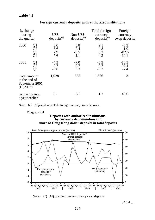| % change<br>during<br>the quarter                             |                      | US\$<br>deposits <sup>(a)</sup> | Non-US\$<br>$deposits^{(a)}$   | Total foreign<br>currency<br>$deposits^{(a)}$ | Foreign<br>currency<br>swap deposits |
|---------------------------------------------------------------|----------------------|---------------------------------|--------------------------------|-----------------------------------------------|--------------------------------------|
| 2000                                                          | Q1<br>Q2<br>Q3<br>Q4 | 3.0<br>6.6<br>7.9<br>7.6        | 0.8<br>2.4<br>$-3.5$<br>$-1.1$ | 2.1<br>4.8<br>3.3<br>4.3                      | $-3.3$<br>1.0<br>$-82.6$<br>$-10.1$  |
| 2001                                                          | Q1<br>Q2<br>Q3       | $-4.3$<br>2.7<br>$-0.6$         | $-7.0$<br>2.7<br>0.3           | $-5.3$<br>2.7<br>$-0.3$                       | $-10.3$<br>$-20.4$<br>$-7.4$         |
| Total amount<br>at the end of<br>September 2001<br>$(HK\$Bn)$ |                      | 1,028                           | 558                            | 1,586                                         | 3                                    |
| % change over<br>a year earlier                               |                      | 5.1                             | $-5.2$                         | 1.2                                           | $-40.6$                              |

# **Foreign currency deposits with authorized institutions**

Note : (a) Adjusted to exclude foreign currency swap deposits.

### **Diagram 4.4**

### **Deposits with authorized institutions by currency denomination and share of Hong Kong dollar deposits in total deposits**



Note : (\*) Adjusted for foreign currency swap deposits.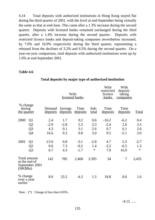4.14 Total deposits with authorized institutions in Hong Kong stayed flat during the third quarter of 2001, with the level at end-September being virtually the same as that at end-June. This came after a 1.3% increase during the second quarter. Deposits with licensed banks remained unchanged during the third quarter, after a 1.4% increase during the second quarter. Deposits with restricted licence banks and deposit-taking companies nevertheless increased, by 7.0% and 16.0% respectively during the third quarter, representing a rebound from the declines of 3.2% and 6.5% during the second quarter. On a year-on-year comparison, total deposits with authorized institutions went up by 1.6% at end-September 2001.

### **Table 4.6**

|                                          |                                                 |                           |                     | With<br>licensed banks |                      | With<br>restricted<br>licence<br><b>banks</b> | With<br>deposit-<br>taking<br>companies |              |
|------------------------------------------|-------------------------------------------------|---------------------------|---------------------|------------------------|----------------------|-----------------------------------------------|-----------------------------------------|--------------|
| % change<br>during<br><u>the quarter</u> |                                                 | Demand<br><u>deposits</u> | Savings<br>deposits | Time<br>deposits       | Sub-<br><u>total</u> | Time<br>deposits                              | Time<br>deposits                        | <b>Total</b> |
| 2000                                     | Q1                                              | 2.4                       | 1.7                 | 0.2                    | 0.6                  | $-16.2$                                       | $-6.2$                                  | 0.4          |
|                                          | Q2                                              | $-2.9$                    | $-2.8$              | 5.3                    | 3.3                  | $-2.4$                                        | 2.6                                     | 3.3          |
|                                          | Q <sub>3</sub>                                  | 4.3                       | 0.1                 | 3.1                    | 2.6                  | 0.7                                           | 6.1                                     | 2.6          |
|                                          | Q4                                              | 16.6                      | 9.2                 | 0.8                    | 3.0                  | 9.5                                           | $-5.1$                                  | 3.0          |
| 2001                                     | Q1                                              | $-13.0$                   | 0.8                 | $-3.1$                 | $-2.8$               | 4.7                                           | 5.5                                     | $-2.7$       |
|                                          | Q2                                              | 0.6                       | 7.3                 | $-0.2$                 | 1.4                  | $-3.2$                                        | $-6.5$                                  | 1.3          |
|                                          | Q <sub>3</sub>                                  | 6.7                       | 4.3                 | $-1.7$                 | $\ast$               | 7.0                                           | 16.0                                    | $\ast$       |
| $(HK\$Bn)$                               | Total amount<br>at the end of<br>September 2001 | 142                       | 785                 | 2,468                  | 3,395                | 34                                            | $\overline{7}$                          | 3,435        |
| % change<br>over a year<br>earlier       |                                                 | 8.9                       | 23.2                | $-4.3$                 | 1.5                  | 18.8                                          | 8.6                                     | 1.6          |

## **Total deposits by major type of authorized institution**

Note : (\*) Change of less than  $0.05\%$ .

/4.15 …..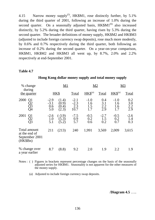4.15 Narrow money supply<sup>(5)</sup>, HK\$M1, rose distinctly further, by  $5.1\%$ during the third quarter of 2001, following an increase of 1.0% during the second quarter. On a seasonally adjusted basis,  $HK$M1<sup>(6)</sup>$  also increased distinctly, by 5.2% during the third quarter, having risen by 5.3% during the second quarter. The broader definitions of money supply, HK\$M2 and HK\$M3 (adjusted to include foreign currency swap deposits), rose much more modestly, by 0.6% and 0.7% respectively during the third quarter, both following an increase of 0.2% during the second quarter. On a year-on-year comparison, HK\$M1, HK\$M2 and HK\$M3 all went up, by 8.7%, 2.0% and 2.2% respectively at end-September 2001.

### **Table 4.7**

| % change                                                      |                                       | <u>M1</u>                                                     |                                 | M <sub>2</sub>              |                          | <u>M3</u>                   |                          |
|---------------------------------------------------------------|---------------------------------------|---------------------------------------------------------------|---------------------------------|-----------------------------|--------------------------|-----------------------------|--------------------------|
| during<br>the quarter                                         |                                       | HK\$                                                          | Total                           | $HKS^{(a)}$                 | Total                    | $HKS^{(a)}$                 | Total                    |
| 2000                                                          | $-2.9$<br>$-3.1$<br>$\frac{0.6}{5.0}$ | (1.4)<br>$\langle 0.9 \rangle$<br>$\left[0.4\right]$<br>(2.3) | $-2.1$<br>$-2.3$<br>2.3<br>10.7 | $-1.0$<br>1.6<br>1.5<br>1.7 | 0.4<br>3.1<br>2.2<br>2.9 | $-1.0$<br>1.6<br>1.6<br>1.7 | 0.2<br>3.0<br>2.2<br>2.9 |
| 2001                                                          | $-2.6$<br>$\frac{1.0}{5.1}$           | $(-3.9)$<br>(5.3)<br>$\mathfrak{Z}$ :2                        | $-7.5$<br>0.9<br>5.7            | $-0.5$<br>0.2<br>0.6        | $-2.7$<br>1.5<br>0.2     | $-0.5$<br>0.2<br>0.7        | $-2.6$<br>1.4<br>0.3     |
| Total amount<br>at the end of<br>September 2001<br>$(HK\$Bn)$ | 211                                   | (213)                                                         | 240                             | 1,991                       | 3,569                    | 2,009                       | 3,615                    |
| % change over<br>a year earlier                               | 8.7                                   | (8.8)                                                         | 9.2                             | 2.0                         | 1.9                      | 2.2                         | 1.9                      |

### **Hong Kong dollar money supply and total money supply**

Notes : ( ) Figures in brackets represent percentage changes on the basis of the seasonally adjusted series for HK\$M1. Seasonality is not apparent for the other measures of the money supply.

(a) Adjusted to include foreign currency swap deposits.

/**Diagram 4.5** …..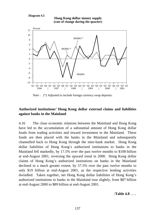#### **Diagram 4.5**





Note : (\*) Adjusted to include foreign currency swap deposits.

# **Authorized institutions' Hong Kong dollar external claims and liabilities against banks in the Mainland**

4.16 The close economic relations between the Mainland and Hong Kong have led to the accumulation of a substantial amount of Hong Kong dollar funds from trading activities and inward investment in the Mainland. These funds are then placed with the banks in the Mainland and subsequently channelled back to Hong Kong through the inter-bank market. Hong Kong dollar liabilities of Hong Kong's authorized institutions to banks in the Mainland fell markedly, by 17.5% over the past twelve months to \$108 billion at end-August 2001, reversing the upward trend in 2000. Hong Kong dollar claims of Hong Kong's authorized institutions on banks in the Mainland declined to a much greater extent, by 57.5% over the past twelve months to only \$19 billion at end-August 2001, as the respective lending activities dwindled. Taken together, net Hong Kong dollar liabilities of Hong Kong's authorized institutions to banks in the Mainland rose slightly, from \$87 billion at end-August 2000 to \$89 billion at end-August 2001.

/**Table 4.8** …..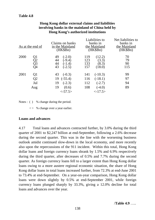| As at the end of                                       | Claims on banks<br>in the Mainland<br>$(HK\$Bn)$                                 | Liabilities to<br>banks in<br>the Mainland<br>(HK\$Bn)                               | Net liabilities to<br>banks in<br>the Mainland<br>(HK\$Bn) |
|--------------------------------------------------------|----------------------------------------------------------------------------------|--------------------------------------------------------------------------------------|------------------------------------------------------------|
| 2000<br>Q1<br>Q2<br>Q3<br>Q4                           | 49<br>$(-2.0)$<br>44<br>$(-9.4)$<br>44<br>$(-1.4)$<br>43<br>$(-2.5)$             | 119<br>(12.2)<br>(3.3)<br>123<br>(8.3)<br>133<br>157<br>(18.0)                       | 70<br>79<br>90<br>115                                      |
| 2001<br>Q <sub>1</sub><br>Q <sub>2</sub><br>Jul<br>Aug | 43<br>$(-0.3)$<br>19<br>$(-55.4)$<br>19<br>$(-2.3)$<br>19<br>(0.6)<br>$< -57.5>$ | 141<br>$(-10.3)$<br>116<br>$(-18.1)$<br>112<br>$(-2.7)$<br>108<br>$(-4.0)$<br><17.5> | 99<br>97<br>94<br>89                                       |

# **Hong Kong dollar external claims and liabilities involving banks in the mainland of China held by Hong Kong's authorized institutions**

Notes : ( ) % change during the period.

 $\langle \rangle$  % change over a year earlier.

## **Loans and advances**

4.17 Total loans and advances contracted further, by 3.0% during the third quarter of 2001 to \$2,247 billion at end-September, following a 2.6% decrease during the second quarter. This was in the line with the worsening business outlook amidst continued slow-down in the local economy, and more recently also upon the repercussions of the 911 incident. Within this total, Hong Kong dollar loans and foreign currency loans shrank by 1.5% and 6.9% respectively during the third quarter, after decreases of 0.5% and 7.7% during the second quarter. As foreign currency loans fell to a larger extent than Hong Kong dollar loans owing to a more austere regional economic situation, the share of Hong Kong dollar loans in total loans increased further, from 72.3% at end-June 2001 to 73.4% at end-September. On a year-on-year comparison, Hong Kong dollar loans were down slightly by 0.5% at end-September 2001, while foreign currency loans plunged sharply by 33.3%, giving a 12.0% decline for total loans and advances over the year.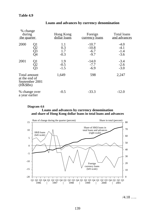| % change<br>during<br>the quarter                             |                      | Hong Kong<br>dollar loans   | Foreign<br>currency loans              | Total loans<br>and advances          |
|---------------------------------------------------------------|----------------------|-----------------------------|----------------------------------------|--------------------------------------|
| 2000                                                          | Q1<br>Q2<br>Q3<br>Q4 | 1.1<br>0.3<br>1.7<br>$-0.3$ | $-10.7$<br>$-10.8$<br>$-6.7$<br>$-9.7$ | $-4.0$<br>$-4.1$<br>$-1.4$<br>$-3.6$ |
| 2001                                                          | Q1<br>Q2<br>Q3       | 1.9<br>$-0.5$<br>$-1.5$     | $-14.0$<br>$-7.7$<br>$-6.9$            | $-3.4$<br>$-2.6$<br>$-3.0$           |
| Total amount<br>at the end of<br>September 2001<br>$(HK\$Bn)$ |                      | 1,649                       | 598                                    | 2,247                                |
| % change over<br>a year earlier                               |                      | $-0.5$                      | $-33.3$                                | $-12.0$                              |

## **Loans and advances by currency denomination**

### **Loans and advances by currency denomination Diagram 4.6 and share of Hong Kong dollar loans in total loans and advances**



/4.18 …..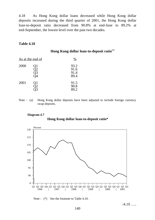4.18 As Hong Kong dollar loans decreased while Hong Kong dollar deposits increased during the third quarter of 2001, the Hong Kong dollar loan-to-deposit ratio decreased from 90.8% at end-June to 89.2% at end-September, the lowest level over the past two decades.

### **Table 4.10**

**Hong Kong dollar loan-to-deposit ratio**(a)

|      | <u>As at the end of</u> | $\%$                         |
|------|-------------------------|------------------------------|
| 2000 | Q1<br>Q2<br>QЗ          | 93.2<br>91.6<br>91.4<br>89.4 |
| 2001 | Q1<br>Э2                | 91.5<br>90.8<br>89.2         |

Note : (a) Hong Kong dollar deposits have been adjusted to include foreign currency swap deposits.

### **Diagram 4.7**

**Hong Kong dollar loan-to-deposit ratio\***



Note : (\*) See the footnote to Table 4.10.

/4.19 …..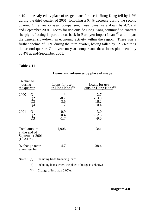4.19 Analysed by place of usage, loans for use in Hong Kong fell by 1.7% during the third quarter of 2001, following a 0.4% decrease during the second quarter. On a year-on-year comparison, these loans were down by 4.7% at end-September 2001. Loans for use outside Hong Kong continued to contract sharply, reflecting in part the cut-back in Euro-yen Impact  $\text{Loans}^{(7)}$  and in part the general slow-down in economic activity within the region. There was a further decline of 9.6% during the third quarter, having fallen by 12.5% during the second quarter. On a year-on-year comparison, these loans plummeted by 38.4% at end-September 2001.

#### **Table 4.11**

| % change<br>during<br>the quarter                          | Loans for use<br>in Hong Kong <sup>(a)</sup> | Loans for use<br>outside Hong Kong <sup>(b)</sup> |
|------------------------------------------------------------|----------------------------------------------|---------------------------------------------------|
| 2000<br>Q1<br>Q2<br>Q3<br>Q4                               | $\ast$<br>$-0.2$<br>3.6<br>$-1.7$            | $-12.7$<br>$-13.9$<br>$-16.2$<br>$-10.4$          |
| 2001<br>$\frac{Q1}{Q2}$                                    | $-0.9$<br>$-0.4$<br>$-1.7$                   | $-13.0$<br>$-12.5$<br>$-9.6$                      |
| Total amount<br>at the end of<br>September 2001<br>(HKSBn) | 1,906                                        | 341                                               |
| % change over<br>a year earlier                            | $-4.7$                                       | $-38.4$                                           |

**Loans and advances by place of usage**

Notes : (a) Including trade financing loans.

(b) Including loans where the place of usage is unknown.

(\*) Change of less than 0.05%.

/**Diagram 4.8** …..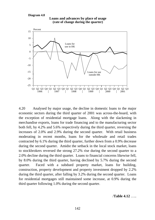#### **Diagram 4.8**



**Loans and advances by place of usage (rate of change during the quarter)**

4.20 Analysed by major usage, the decline in domestic loans to the major economic sectors during the third quarter of 2001 was across-the-board, with the exception of residential mortgage loans. Along with the slackening in merchandise exports, loans for trade financing and to the manufacturing sector both fell, by 4.2% and 5.6% respectively during the third quarter, reversing the increases of 2.0% and 2.9% during the second quarter. With retail business moderating in recent months, loans for the wholesale and retail trades contracted by 6.1% during the third quarter, further down from a 0.9% decrease during the second quarter. Amidst the setback in the local stock market, loans to stockbrokers reversed the strong 27.2% rise during the second quarter to a 2.0% decline during the third quarter. Loans to financial concerns likewise fell, by 8.0% during the third quarter, having declined by 5.7% during the second quarter. Faced with a subdued property market, loans for building, construction, property development and property investment dropped by 2.2% during the third quarter, after falling by 3.2% during the second quarter. Loans for residential mortgages still maintained some increase, at 0.9% during the third quarter following 1.0% during the second quarter.

/**Table 4.12** …..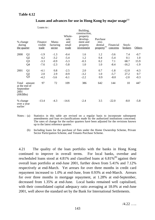|                                                         |                 | Loans to:                   |                              |                                          | Building,                                                                   |                                                         |                       |                          |        |
|---------------------------------------------------------|-----------------|-----------------------------|------------------------------|------------------------------------------|-----------------------------------------------------------------------------|---------------------------------------------------------|-----------------------|--------------------------|--------|
| % change<br>during<br>the quarter                       |                 | Finance<br>visible<br>trade | Manu-<br>facturing<br>sector | Whole-<br>sale<br>and<br>retail<br>trade | construction,<br>property<br>develop-<br>ment and<br>property<br>investment | Purchase<br>resi-<br>dential<br>property <sup>(b)</sup> | Financial<br>concerns | Stock-<br><b>brokers</b> | Others |
| 2000                                                    | Q <sub>1</sub>  | $-1.9$                      | $-1.3$                       | $-0.4$                                   | 1.6                                                                         | 1.2                                                     | $-3.6$                | 7.4                      | $-0.7$ |
|                                                         | Q2              | 4.2                         | $-3.2$                       | $-5.4$                                   | 1.2                                                                         | 0.4                                                     | $-5.4$                | 0.1                      | 1.0    |
|                                                         | Q <sub>3</sub>  | $-3.3$                      | $-0.9$                       | $-5.3$                                   | $-0.3$                                                                      | 0.2                                                     | 7.1                   | 68.7                     | 15.9   |
|                                                         | Q4              | $-7.6$                      | $-2.3$                       | $-5.8$                                   | 1.0                                                                         | 1.0                                                     | $-8.4$                | $-16.2$                  | $-1.9$ |
| 2001                                                    | Q1              | $-4.1$                      | 0.8                          | $-2.5$                                   | 2.0                                                                         | 0.7                                                     | $-1.8$                | $-12.0$                  | $-4.3$ |
|                                                         |                 | 2.0                         | 2.9                          | $-0.9$                                   | $-3.2$                                                                      | 1.0                                                     | $-5.7$                | 27.2                     | 0.7    |
|                                                         | $\frac{Q2}{Q3}$ | $-4.2$                      | $-5.6$                       | $-6.1$                                   | $-2.2$                                                                      | 0.9                                                     | $-8.0$                | $-2.0$                   | $-0.3$ |
| Total<br>at the end of<br>September<br>2001<br>(HK\$Bn) | amount          | 97                          | 72                           | 109                                      | 386                                                                         | 642                                                     | 144                   | 10                       | 447    |
| % change<br>over a year<br>earlier                      |                 | $-13.4$                     | $-4.3$                       | $-14.6$                                  | $-2.4$                                                                      | 3.5                                                     | $-22.0$               | $-8.0$                   | $-5.8$ |

# Loans and advances for use in Hong Kong by major usage<sup>(a)</sup>

Notes : (a) Statistics in this table are revised on a regular basis to incorporate subsequent amendments and loan re-classifications made by the authorized institutions concerned. The rates of change for the earlier quarters have been adjusted for the revisions known up to the latest reference quarter.

(b) Including loans for the purchase of flats under the Home Ownership Scheme, Private Sector Participation Scheme, and Tenants Purchase Scheme.

4.21 The quality of the loan portfolio with the banks in Hong Kong continued to improve in overall terms. For local banks, overdue and rescheduled loans stood at 4.81% and classified loans at  $6.81\%$ <sup>(8)</sup> against their overall loan portfolio at end-June 2001, further down from 5.41% and 7.12% respectively at end-March. Yet arrears for over three months in credit card repayment increased to 1.0% at end-June, from 0.93% at end-March. Arrears for over three months in mortgage repayment, at 1.28% at end-September, decreased from 1.35% at end-June. Local banks remained well capitalised, with their consolidated capital adequacy ratio averaging at 18.0% at end-June 2001, well above the standard set by the Bank for International Settlements.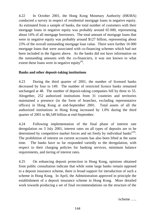4.22 In October 2001, the Hong Kong Monetary Authority (HKMA) conducted a survey in respect of residential mortgage loans in negative equity. As estimated from a sample of banks, the total number of customers with their mortgage loans in negative equity was probably around 65 000, representing about 14% of all mortgage borrowers. The total amount of mortgage loans that were in negative equity was probably around \$127 billion, representing about 23% of the overall outstanding mortgage loan value. There were further 16 000 mortgage loans that were associated with co-financing schemes which had not been included in the figures above. As the banks did not have information on the outstanding amounts with the co-financiers, it was not known to what extent these loans were in negative equity $^{(9)}$ .

# **Banks and other deposit-taking institutions**

4.23 During the third quarter of 2001, the number of licensed banks decreased by four to 149. The number of restricted licence banks remained unchanged at 48. The number of deposit-taking companies fell by three to 55. Altogether, 252 authorized institutions from 31 countries and territories maintained a presence (in the form of branches, excluding representative offices) in Hong Kong at end-September 2001. Total assets of all the authorized institutions in Hong Kong increased by 1.0% during the third quarter of 2001 to \$6,549 billion at end-September.

4.24 Following implementation of the final phase of interest rate deregulation on 3 July 2001, interest rates on all types of deposits are to be determined by competitive market forces and set freely by individual banks<sup> $(10)$ </sup>. The prohibition of interest on current accounts has also been lifted at the same time. The banks have so far responded variedly to the deregulation, with respect to their charging policies for banking services, minimum balance requirements, and tiering of interest rates.

4.25 On enhancing deposit protection in Hong Kong, opinions obtained from public consultation indicate that while some large banks remain opposed to a deposit insurance scheme, there is broad support for introduction of such a scheme in Hong Kong. In April, the Administration approved in principle the establishment of a deposit insurance scheme in Hong Kong. More detailed work towards producing a set of final recommendations on the structure of the

/scheme …..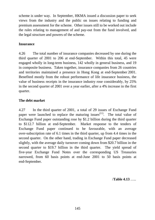scheme is under way. In September, HKMA issued a discussion paper to seek views from the industry and the public on issues relating to funding and premium assessment for the scheme. Other issues still to be worked out include the rules relating to management of and pay-out from the fund involved, and the legal structure and powers of the scheme.

# **Insurance**

4.26 The total number of insurance companies decreased by one during the third quarter of 2001 to 206 at end-September. Within this total, 45 were engaged wholly in long-term business, 142 wholly in general business, and 19 in composite business. Taken together, insurance companies from 26 countries and territories maintained a presence in Hong Kong at end-September 2001. Benefited mostly from the robust performance of life insurance business, the value of business receipts in the insurance industry rose considerably, by 25% in the second quarter of 2001 over a year earlier, after a 4% increase in the first quarter.

# **The debt market**

4.27 In the third quarter of 2001, a total of 29 issues of Exchange Fund paper were launched to replace the maturing issues<sup> $(11)$ </sup>. The total value of Exchange Fund paper outstanding rose by \$1.2 billion during the third quarter to \$112.7 billion at end-September. Market response to the tenders of Exchange Fund paper continued to be favourable, with an average over-subscription rate of 6.1 times in the third quarter, up from 4.4 times in the second quarter. On the other hand, trading in Exchange Fund paper decreased slightly, with the average daily turnover coming down from \$20.7 billion in the second quarter to \$19.7 billion in the third quarter. The yield spread of five-year Exchange Fund Notes over the corresponding US Treasuries narrowed, from 60 basis points at end-June 2001 to 50 basis points at end-September.

/**Table 4.13** …..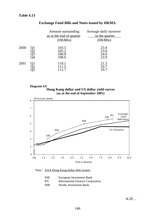|      | Amount outstanding       | Average daily turnover |
|------|--------------------------|------------------------|
|      | as at the end of quarter | in the quarter         |
|      | (HK\$Bn)                 | (HK\$Bn)               |
| 2000 | 103.5<br>105.2           | 23.4<br>23.8           |
|      | 106.8<br>108.6           | 24.0<br>23.9           |
| 2001 | 110.1<br>111.5<br>112.7  | 21.5<br>20.7<br>19.7   |

# **Exchange Fund Bills and Notes issued by HKMA**





#### Note : AAA Hong Kong dollar debt issuers

| EIB        | European Investment Bank                 |
|------------|------------------------------------------|
| <b>IFC</b> | <b>International Finance Corporation</b> |
| <b>NIB</b> | Nordic Investment Bank                   |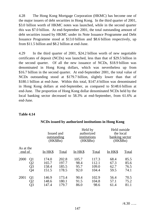4.28 The Hong Kong Mortgage Corporation (HKMC) has become one of the major issuers of debt securities in Hong Kong. In the third quarter of 2001, \$3.0 billion worth of HKMC notes was launched, while in the second quarter this was \$7.0 billion. At end-September 2001, the total outstanding amount of debt securities issued by HKMC under its Note Issuance Programme and Debt Issuance Programme stood at \$13.0 billion and \$8.6 billion respectively, up from \$11.5 billion and \$8.2 billion at end-June.

4.29 In the third quarter of 2001, \$24.2 billion worth of new negotiable certificates of deposit (NCDs) was launched, less than that of \$29.5 billion in the second quarter. Of all the new issuance of NCDs, \$18.9 billion was denominated in Hong Kong dollars, which was nevertheless up from \$16.7 billion in the second quarter. At end-September 2001, the total value of NCDs outstanding stood at \$179.7 billion, slightly lower than that of \$180.1 billion at end-June. Within this total, \$147.4 billion was denominated in Hong Kong dollars at end-September, as compared to \$148.6 billion at end-June. The proportion of Hong Kong dollar denominated NCDs held by the local banking sector decreased to 58.3% at end-September, from 61.6% at end-June.

## **Table 4.14**

|                     |                | Issued and<br>outstanding<br>$(HK\$Bn)$ |       | Held by<br>authorized<br>institutions<br>(HK\$Bn) |              | Held outside<br>the local<br>banking sector<br>$(HK\$Bn)$ |       |
|---------------------|----------------|-----------------------------------------|-------|---------------------------------------------------|--------------|-----------------------------------------------------------|-------|
| As at the<br>end of |                | In HK\$                                 | Total | In HK\$                                           | <b>Total</b> | In HK\$                                                   | Total |
| 2000                | Q1             | 174.0                                   | 202.8 | 105.7                                             | 117.3        | 68.4                                                      | 85.5  |
|                     | Q2             | 165.7                                   | 197.7 | 98.4                                              | 112.1        | 67.3                                                      | 85.6  |
|                     | Q <sub>3</sub> | 158.4                                   | 185.5 | 95.7                                              | 109.0        | 62.7                                                      | 76.5  |
|                     | Q4             | 151.5                                   | 178.5 | 92.0                                              | 104.4        | 59.5                                                      | 74.1  |
| 2001                | Q <sub>1</sub> | 146.9                                   | 173.4 | 90.4                                              | 102.9        | 56.4                                                      | 70.5  |
|                     | Q2             | 148.6                                   | 180.1 | 91.5                                              | 104.8        | 57.1                                                      | 75.2  |
|                     | Q3             | 147.4                                   | 179.7 | 86.0                                              | 98.6         | 61.4                                                      | 81.1  |

#### **NCDs issued by authorized institutions in Hong Kong**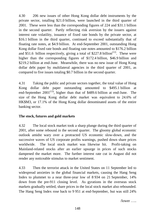4.30 206 new issues of other Hong Kong dollar debt instruments by the private sector, totalling \$21.0 billion, were launched in the third quarter of 2001. These were less than the corresponding figures of 224 and \$31.1 billion in the second quarter. Partly reflecting risk aversion by the issuers against interest rate volatility, issuance of fixed rate bonds by the private sector, at \$16.1 billion in the third quarter, continued to exceed substantially that of floating rate notes, at \$4.9 billion. At end-September 2001, outstanding Hong Kong dollar fixed rate bonds and floating rate notes amounted to \$176.2 billion and \$51.6 billion respectively, giving a total of \$227.8 billion<sup> $(12)$ </sup>. These were higher than the corresponding figures of \$172.4 billion, \$46.9 billion and \$219.2 billion at end-June. Meanwhile, there was no new issue of Hong Kong dollar debt paper by multilateral agencies in the third quarter of 2001, as compared to five issues totaling \$0.7 billion in the second quarter.

4.31 Taking the public and private sectors together, the total value of Hong Kong dollar debt paper outstanding amounted to \$495.1 billion at end-September  $2001^{(13)}$ , higher than that of \$489.6 billion at end-June. The size of the Hong Kong dollar debt market was equivalent to 24.6% of HK\$M3, or 17.1% of the Hong Kong dollar denominated assets of the entire banking sector.

## **The stock, futures and gold markets**

4.32 The local stock market took a sharp plunge during the third quarter of 2001, after some rebound in the second quarter. The gloomy global economic outlook amidst wary over a protracted US economic slow-down, and the successive waves of US corporate profits warnings, pushed down share prices worldwide. The local stock market was likewise hit. Profit-taking on Mainland-related stocks after an earlier upsurge in prices of such stocks dampened the market more. The further interest rate cut in August did not render any noticeable stimulus to market sentiment.

4.33 Then the terrorist attack in the United States on 11 September led to widespread anxieties in the global financial markets, causing the Hang Seng Index to plummet to a near three-year low of 8 934 on 21 September, 14% down from the pre-911 closing level. As gyrations in the overseas stock markets gradually settled, share prices in the local stock market also rebounded. The Hang Seng Index rose back to 9 951 at end-September, but was still 24%

 $/$ lower  $\ldots$ .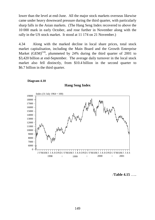lower than the level at end-June. All the major stock markets overseas likewise came under heavy downward pressure during the third quarter, with particularly sharp falls in the Asian markets. (The Hang Seng Index recovered to above the 10 000 mark in early October, and rose further in November along with the rally in the US stock market. It stood at 11 174 on 21 November.)

4.34 Along with the marked decline in local share prices, total stock market capitalisation, including the Main Board and the Growth Enterprise Market  $(GEM)^{(14)}$ , plummeted by 24% during the third quarter of 2001 to \$3,420 billion at end-September. The average daily turnover in the local stock market also fell distinctly, from \$10.4 billion in the second quarter to \$6.7 billion in the third quarter.





**Hang Seng Index**

/**Table 4.15** …..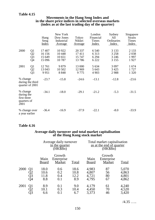# **Table 4.15**

| Movements in the Hang Seng Index and                    |
|---------------------------------------------------------|
| in the share price indices in selected overseas markets |
| (index as at the last trading day of the quarter)       |

|                                                                                 | Hang<br>Seng<br><u>Index</u>           | New York<br>Dow Jones<br>Industrial<br><u>Average</u> | Tokyo<br>Nikkei<br>Average         | London<br>Financial<br>Times<br><b>Index</b> | Sydney<br>All<br>Ordinaries<br>Index     | Singapore<br><b>Straits</b><br>Times<br>Index |
|---------------------------------------------------------------------------------|----------------------------------------|-------------------------------------------------------|------------------------------------|----------------------------------------------|------------------------------------------|-----------------------------------------------|
| 2000<br>Q <sub>1</sub><br>$\overline{Q}$<br>$\overline{Q}$ 3<br>$\overline{Q}4$ | 17 407<br>16 15 6<br>15 649<br>15 0 96 | 10 922<br>10 4 48<br>10 651<br>10787                  | 20 337<br>17411<br>15 747<br>13786 | 6 5 4 0<br>6 3 1 3<br>6 2 9 4<br>6 2 2 2     | 3 1 3 3<br>3 2 5 8<br>3 2 4 6<br>3 1 5 5 | 2 1 3 3<br>2038<br>1997<br>1927               |
| 2001<br>Q <sub>1</sub><br>Q2<br>$\overline{Q}3$                                 | 12761<br>13 043<br>9951                | 9879<br>10 502<br>8848                                | 13 000<br>12 9 69<br>9775          | 5 6 3 4<br>5 6 4 3<br>4 9 0 3                | 3 0 9 7<br>3 4 2 5<br>2988               | 1674<br>1727<br>1 3 2 0                       |
| % change<br>during the third<br>quarter of 2001                                 | $-23.7$                                | $-15.8$                                               | $-24.6$                            | $-13.1$                                      | $-12.8$                                  | $-23.6$                                       |
| % change<br>during the<br>first three<br>quarters of<br>2001                    | $-34.1$                                | $-18.0$                                               | $-29.1$                            | $-21.2$                                      | $-5.3$                                   | $-31.5$                                       |
| % change over<br>a year earlier                                                 | $-36.4$                                | $-16.9$                                               | $-37.9$                            | $-22.1$                                      | $-8.0$                                   | $-33.9$                                       |

# **Table 4.16**

#### **Average daily turnover and total market capitalisation of the Hong Kong stock market**

|                                          |                             | Average daily turnover<br>in the quarter<br>(HK\$Bn) |                             |                                  | Total market capitalisation<br>as at the end of quarter<br>$(HK\$Bn)$ |                                  |  |  |
|------------------------------------------|-----------------------------|------------------------------------------------------|-----------------------------|----------------------------------|-----------------------------------------------------------------------|----------------------------------|--|--|
|                                          | Main<br>Board               | Growth<br>Enterprise<br>Market                       | Total                       | Main<br><b>Board</b>             | Growth<br>Enterprise<br>Market                                        | Total                            |  |  |
| 2000<br>Q <sub>1</sub><br>Q2<br>Q3<br>Q4 | 18.0<br>10.6<br>11.8<br>8.8 | 0.6<br>0.2<br>0.4<br>0.1                             | 18.6<br>10.8<br>12.2<br>8.9 | 4,983<br>4,807<br>4,721<br>4,795 | 87<br>56<br>80<br>67                                                  | 5,070<br>4,863<br>4,801<br>4,862 |  |  |
| 2001<br>Q1<br>$\sqrt{2}$<br>Q3           | 8.9<br>10.1<br>6.6          | 0.1<br>0.3<br>0.1                                    | 9.0<br>10.4<br>6.7          | 4,179<br>4,450<br>3,373          | 61<br>70<br>46                                                        | 4,240<br>4,520<br>3,420          |  |  |

/4.35 …..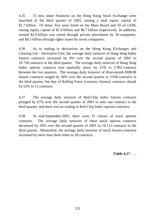4.35 15 new share flotations on the Hong Kong Stock Exchange were launched in the third quarter of 2001, raising a total equity capital of \$1.7 billion. Of these, five were listed on the Main Board and 10 on GEM, raising equity capital of \$1.0 billion and \$0.7 billion respectively. In addition, around \$2.0 billion was raised through private placements by 36 companies, and \$0.5 billion through rights issues by seven companies.

4.36 As to trading in derivatives on the Hong Kong Exchanges and Clearing Ltd – Derivative Unit, the average daily turnover of Hang Seng Index futures contracts increased by 8% over the second quarter of 2001 to 18 758 contracts in the third quarter. The average daily turnover of Hang Seng Index options contracts rose markedly more, by 21% to 2 992 contracts between the two quarters. The average daily turnover of three-month HIBOR futures contracts surged by 30% over the second quarter to 3 056 contracts in the third quarter, but that of Rolling Forex (currency futures) contracts shrank by 52% to 13 contracts.

4.37 The average daily turnover of Red-Chip Index futures contracts plunged by 67% over the second quarter of 2001 to only one contract in the third quarter, and there was no trading in Red-Chip Index options contracts.

4.38 At end-September 2001, there were 31 classes of stock options contracts. The average daily turnover of these stock options contracts decreased by 20% over the second quarter of 2001 to 14 111 contracts in the third quarter. Meanwhile, the average daily turnover of stock futures contracts increased by more than three times to 28 contracts.

/**Table 4.17** …..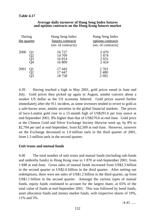### **Table 4.17**

| During<br>the quarter        | Hang Seng Index<br>futures contracts<br>(no. of contracts) | Hang Seng Index<br>options contracts<br>(no. of contracts) |
|------------------------------|------------------------------------------------------------|------------------------------------------------------------|
| 2000<br>Q1<br>22<br>Q3<br>)4 | 16727<br>14 709<br>16814<br>16809                          | 2 4 7 0<br>1874<br>2 0 3 1<br>2424                         |
| 2001<br>Q1                   | 17443<br>17447<br>18758                                    | 2 7 6 3<br>2480<br>2992                                    |

#### **Average daily turnover of Hang Seng Index futures and options contracts on the Hong Kong futures market**

4.39 Having reached a high in May 2001, gold prices eased in June and July. Gold prices then picked up again in August, amidst concern about a weaker US dollar as the US economy faltered. Gold prices soared further immediately after the 911 incident, as some investors tended to revert to gold as a safe-haven asset, amidst anxieties in the global financial markets. The prices of loco-London gold rose to a 15-month high of US\$291.6 per troy ounce at end-September 2001, 8% higher than that of US\$270.6 at end-June. Gold price at the Chinese Gold and Silver Exchange Society likewise went up, by 8% to \$2,704 per tael at end-September, from \$2,509 at end-June. However, turnover on the Exchange decreased to 1.0 million taels in the third quarter of 2001, from 1.3 million taels in the second quarter.

#### **Unit trusts and mutual funds**

4.40 The total number of unit trusts and mutual funds (including sub-funds and umbrella funds) in Hong Kong rose to 1 870 at end-September 2001, from 1 848 at end-June. Gross sales of mutual funds increased from US\$2.3 billion in the second quarter to US\$2.6 billion in the third quarter. After netting out redemptions, there were net sales of US\$1.2 billion in the third quarter, up from US\$1.1 billion in the second quarter. Amongst the various types of mutual funds, equity funds continued to account for the largest share, at 65% of the total value of funds at end-September 2001. This was followed by bond funds, asset allocation funds and money market funds, with respective shares of 19%, 11% and 5%.

 $/4.41$  …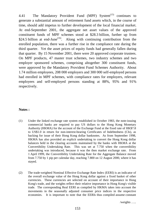4.41 The Mandatory Provident Fund (MPF) System<sup>(15)</sup> continues to generate a substantial amount of retirement fund assets which, in the course of time, should add impetus to further development of the local financial market. At end-September 2001, the aggregate net asset values of the approved constituent funds of MPF schemes stood at \$28.3 billion, further up from \$24.5 billion at end-June<sup> $(16)$ </sup>. Along with continuing contribution from the enrolled population, there was a further rise in the compliance rate during the third quarter. Yet the asset prices of equity funds had generally fallen during that quarter. By 15 November 2001, there were 20 approved corporate trustees. On MPF products, 47 master trust schemes, two industry schemes and two employer sponsored schemes, comprising altogether 300 constituent funds, were approved by the Mandatory Provident Fund Schemes Authority. About 1.74 million employees, 208 000 employers and 300 000 self-employed persons had enrolled in MPF schemes, with compliance rates for employers, relevant employees and self-employed persons standing at 88%, 95% and 91% respectively.

### **Notes :**

- (1) Under the linked exchange rate system established in October 1983, the note-issuing commercial banks are required to pay US dollars to the Hong Kong Monetary Authority (HKMA) for the account of the Exchange Fund at the fixed rate of HK\$7.8 to US\$1.0 in return for non-interest-bearing Certificates of Indebtedness (CIs), as backing for issue of their Hong Kong dollar banknotes. As from September 1998, HKMA has also provided an explicit undertaking to convert the Hong Kong dollar balances held in the clearing accounts maintained by the banks with HKMA at the Convertibility Undertaking Rate. This was set at 7.750 when the convertibility undertaking was introduced, because it was the then market exchange rate. From 1 April 1999, the Convertibility Undertaking Rate for the Aggregate Balance moved from 7.750 by 1 pip per calendar day, reaching 7.800 on 12 August 2000, where it has stayed.
- (2) The trade-weighted Nominal Effective Exchange Rate Index (EERI) is an indicator of the overall exchange value of the Hong Kong dollar against a fixed basket of other currencies. These currencies are selected on account of their importance in Hong Kong's trade, and the weights reflect their relative importance in Hong Kong's visible trade. The corresponding Real EERI as compiled by HKMA takes into account the movements in the seasonally adjusted consumer price indices in the respective economies. It is important to note that the EERIs thus compiled assume constant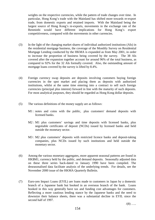weights on the respective currencies, while the pattern of trade changes over time. In particular, Hong Kong's trade with the Mainland has shifted more towards re-export trade, from domestic exports and retained imports. With the Mainland being the largest source of Hong Kong's re-exports, movements in the exchange rate of the Renminbi would have different implications for Hong Kong's export competitiveness, compared with the movements in other currencies.

- (3) In the light of the changing market shares of individual authorized institutions (AIs) in the residential mortgage business, the coverage of the Monthly Survey on Residential Mortgage Lending conducted by the HKMA is expanded as from May 2001, in order to increase the proportion of business being covered by the survey. The 38 AIs covered after the expansion together account for around 96% of the total business, as compared to 92% for the 32 AIs formally covered. Also, the outstanding amount of mortgage loans covered by the survey is lifted by 8.4%.
- (4) Foreign currency swap deposits are deposits involving customers buying foreign currencies in the spot market and placing them as deposits with authorized institutions, whilst at the same time entering into a contract to sell such foreign currencies (principal plus interest) forward in line with the maturity of such deposits. For most analytical purposes, they should be regarded as Hong Kong dollar deposits.
- (5) The various definitions of the money supply are as follows:
	- M1 : notes and coins with the public, plus customers' demand deposits with licensed banks.
	- M2 : M1 plus customers' savings and time deposits with licensed banks, plus negotiable certificates of deposit (NCDs) issued by licensed banks and held outside the monetary sector.
	- M3 : M2 plus customers' deposits with restricted licence banks and deposit-taking companies, plus NCDs issued by such institutions and held outside the monetary sector.
- (6) Among the various monetary aggregates, more apparent seasonal patterns are found in HK\$M1, currency held by the public, and demand deposits. Seasonally adjusted data on these three series back-dated to January 1990 have been compiled. The deseasonalised data facilitate analysis of the underlying trends. For details, see the November 2000 issue of the HKMA Quarterly Bulletin.
- (7) Euro-yen Impact Loans (EYIL) are loans made to customers in Japan by a domestic branch of a Japanese bank but booked in an overseas branch of the bank. Loans booked in this way generally have tax and funding cost advantages for customers. Reflecting a more cautious lending stance by the Japanese banks and the need to downsize their balance sheets, there was a substantial decline in EYIL since the second half of 1997.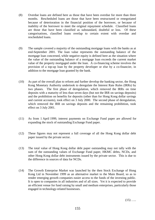- (8) Overdue loans are defined here as those that have been overdue for more than three months. Rescheduled loans are those that have been restructured or renegotiated because of deterioration in the financial position of the borrower, or because of inability of the borrower to meet the original repayment schedule. Classified loans are those that have been classified as substandard, doubtful or loss. Of these categorisations, classified loans overlap to certain extent with overdue and rescheduled loans.
- (9) The sample covered a majority of the outstanding mortgage loans with the banks as at end-September 2001. The loan value represents the outstanding balance of the mortgage loan concerned, while negative equity is defined here as the situation where the value of the outstanding balance of a mortgage loan exceeds the current market value of the property mortgaged under the loan. A co-financing scheme involves the provision of a top-up loan by the property developer or else by a co-financier, in addition to the mortgage loan granted by the bank.
- (10) As part of the overall plan to reform and further develop the banking sector, the Hong Kong Monetary Authority undertook to deregulate the Interest Rate Rules (IRRs) by two phases. The first phase of deregulation, which removed the IRRs on time deposits with a maturity of less than seven days (but not the IRR on savings deposits) and the prohibition on benefits for deposits (other than for Hong Kong dollar savings and current accounts), took effect on 3 July 2000. The second phase of deregulation, which removed the IRR on savings deposits and the remaining prohibition, took effect on 3 July 2001.
- (11) As from 1 April 1999, interest payments on Exchange Fund paper are allowed for expanding the stock of outstanding Exchange Fund paper.
- (12) These figures may not represent a full coverage of all the Hong Kong dollar debt paper issued by the private sector.
- (13) The total value of Hong Kong dollar debt paper outstanding may not tally with the sum of the outstanding values of Exchange Fund paper, HKMC debts, NCDs, and other Hong Kong dollar debt instruments issued by the private sector. This is due to the difference in sources of data for NCDs.
- (14) The Growth Enterprise Market was launched by the then Stock Exchange of Hong Kong Ltd in November 1999 as an alternative market to the Main Board, so as to render emerging growth companies easier access to the funds of the investing public. It is open to companies in all industries and of all sizes. Yet it is expected to provide an efficient venue for fund raising by small and medium enterprises, particularly those engaged in technology-related businesses.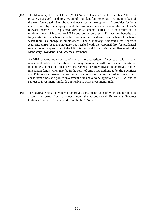(15) The Mandatory Provident Fund (MPF) System, launched on 1 December 2000, is a privately managed mandatory system of provident fund schemes covering members of the workforce aged 18 or above, subject to certain exceptions. It provides for joint contributions by the employer and the employee, each at 5% of the employee's relevant income, to a registered MPF trust scheme, subject to a maximum and a minimum level of income for MPF contribution purposes. The accrued benefits are fully vested in the scheme members and can be transferred from scheme to scheme when there is a change in employment. The Mandatory Provident Fund Schemes Authority (MPFA) is the statutory body tasked with the responsibility for prudential regulation and supervision of the MPF System and for ensuring compliance with the Mandatory Provident Fund Schemes Ordinance.

An MPF scheme may consist of one or more constituent funds each with its own investment policy. A constituent fund may maintain a portfolio of direct investment in equities, bonds or other debt instruments, or may invest in approved pooled investment funds which may be in the form of unit trusts authorized by the Securities and Futures Commission or insurance policies issued by authorized insurers. Both constituent funds and pooled investment funds have to be approved by MPFA, and be subject to investment standards applicable to MPF investment funds.

(16) The aggregate net asset values of approved constituent funds of MPF schemes include assets transferred from schemes under the Occupational Retirement Schemes Ordinance, which are exempted from the MPF System.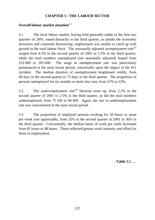# **CHAPTER 5 : THE LABOUR SECTOR**

# **Overall labour market situation**<sup>(1)</sup>

5.1 The local labour market, having held generally stable in the first two quarters of 2001, eased distinctly in the third quarter, as amidst the economic downturn and corporate downsizing, employment was unable to catch up with growth in the total labour force. The *seasonally adjusted unemployment rate*<sup>(2)</sup> surged from 4.5% in the second quarter of 2001 to 5.3% in the third quarter, while the total numbers unemployed (not seasonally adjusted) leaped from 152 600 to 185 600. The surge in unemployment rate was particularly pronounced in the most recent period, conceivably upon the impact of the 911 incident. The median duration of unemployment lengthened visibly, from 68 days in the second quarter to 72 days in the third quarter. The proportion of persons unemployed for six months or more also rose, from 21% to 23%.

5.2 The *underemployment rate*(3) likewise went up, from 2.2% in the second quarter of 2001 to 2.5% in the third quarter, as did the total numbers underemployed, from 75 100 to 84 400. Again, the rise in underemployment rate was concentrated in the most recent period.

5.3 The proportion of employed persons working for 50 hours or more per week rose appreciably, from 32% in the second quarter of 2001 to 36% in the third quarter. Concurrently, the median hours of work per week increased from 45 hours to 48 hours. These reflected greater work intensity and effort for those in employment.

/**Table 5.1** .....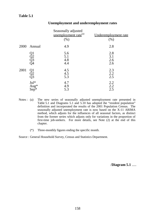|      |                         | Seasonally adjusted<br>unemployment rate <sup>(a)</sup><br>(% ) | Underemployment rate<br>(% ) |
|------|-------------------------|-----------------------------------------------------------------|------------------------------|
| 2000 | Annual                  | 4.9                                                             | 2.8                          |
|      | Q1<br>Q2<br>Q3<br>Q4    | 5.6<br>5.1<br>4.8<br>4.4                                        | 2.8<br>3.1<br>2.6<br>2.6     |
| 2001 | Q1<br>Q2<br>Q3          | 4.5<br>4.5<br>5.3                                               | 2.3<br>2.2<br>2.5            |
|      | $Jul^*$<br>Aug*<br>Sep* | 4.7<br>4.9<br>5.3                                               | 2.2<br>2.2<br>2.5            |

### **Unemployment and underemployment rates**

- Notes : (a) The new series of seasonally adjusted unemployment rate presented in Table 5.1 and Diagrams 5.1 and 5.10 has adopted the "resident population" definition and incorporated the results of the 2001 Population Census. The seasonally adjusted unemployment rate is now based on the X-11 ARIMA method, which adjusts for the influences of all seasonal factors, as distinct from the former series which adjusts only for variations in the proportion of first-time job-seekers. For more details, see Note (2) at the end of this chapter.
	- (\*) Three-monthly figures ending the specific month.

Source : General Household Survey, Census and Statistics Department.

/**Diagram 5.1** .....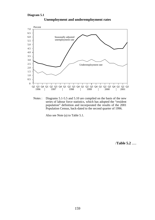

**Unemployment and underemployment rates**

Notes : Diagrams 5.1-5.5 and 5.10 are compiled on the basis of the new series of labour force statistics, which has adopted the "resident population" definition and incorporated the results of the 2001 Population Census, back-dated to the second quarter of 1996.

Also see Note (a) to Table 5.1.

/**Table 5.2** .....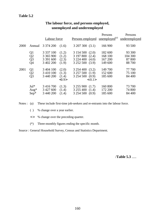|      |                                                | <b>Labour force</b>                                      |                                  | Persons employed unemployed <sup>(a)</sup>                                         | Persons                                  | Persons<br>underemployed              |
|------|------------------------------------------------|----------------------------------------------------------|----------------------------------|------------------------------------------------------------------------------------|------------------------------------------|---------------------------------------|
| 2000 | Annual                                         | 3 374 200                                                | (1.6)                            | 3 207 300 (3.1)                                                                    | 166 900                                  | 93 500                                |
|      | Q1<br>Q2<br>$\overline{Q}$ 3<br>Q <sub>4</sub> | 3 3 3 7 1 0 0<br>3 3 6 5 9 0 0<br>3 391 600<br>3 402 200 | (1.2)<br>(1.2)<br>(2.3)<br>(1.9) | 3154500(2.0)<br>3 197 800<br>(2.4)<br>3 2 2 4 4 0 0<br>(4.0)<br>3 252 500<br>(3.9) | 182 600<br>168 100<br>167 200<br>149 600 | 93 300<br>104 300<br>87 800<br>88 700 |
| 2001 | Q <sub>1</sub><br>Q2<br>Q <sub>3</sub>         | 3 404 100<br>3 4 1 0 1 0 0<br>3 440 200                  | (2.0)<br>(1.3)<br>(1.4)<br><0.9> | 3 254 400 (3.2)<br>3 257 500 (1.9)<br>3 254 500 (0.9)<br>$<-0.1>$                  | 149 700<br>152 600<br>185 600            | 77 700<br>75 100<br>84 400            |
|      | $Jul^*$<br>Aug $*$<br>$Sep^*$                  | 3 4 1 6 7 0 0<br>3 4 2 7 6 0 0<br>3 440 200              | (1.3)<br>(1.4)<br>(1.4)          | 3 255 900<br>(1.7)<br>3 255 400<br>(1.4)<br>3 2 5 4 5 0 0<br>(0.9)                 | 160 800<br>172 200<br>185 600            | 73 700<br>74 800<br>84 400            |

# **The labour force, and persons employed, unemployed and underemployed**

Notes : (a) These include first-time job-seekers and re-entrants into the labour force.

- ( ) % change over a year earlier.
- < > % change over the preceding quarter.
- (\*) Three-monthly figures ending the specific month.

Source : General Household Survey, Census and Statistics Department.

/**Table 5.3** .....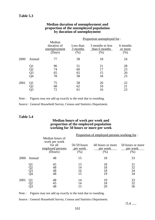| Median duration of unemployment and     |
|-----------------------------------------|
| proportion of the unemployed population |
| by duration of unemployment             |

|      |                                   |                                                 |                               | <u>Proportion unemployed for:</u>         |                             |
|------|-----------------------------------|-------------------------------------------------|-------------------------------|-------------------------------------------|-----------------------------|
|      |                                   | Median<br>duration of<br>unemployment<br>(Days) | Less than<br>3 months<br>(% ) | 3 months to less<br>than 6 months<br>(% ) | 6 months<br>or more<br>(% ) |
| 2000 | Annual                            | 77                                              | 58                            | 18                                        | 24                          |
|      | Q1<br>$\overline{Q}2$<br>Q3<br>Q4 | 90<br>74<br>65<br>78                            | 51<br>60<br>65<br>58          | 21<br>17<br>15<br>18                      | 28<br>23<br>20<br>23        |
| 2001 | Q1                                | 75<br>68<br>72                                  | 58<br>62<br>61                | 20<br>18<br>16                            | 22<br>21<br>23              |

Note : Figures may not add up exactly to the total due to rounding.

Source : General Household Survey, Census and Statistics Department.

### **Table 5.4**

#### **Median hours of work per week and proportion of the employed population working for 50 hours or more per week**

|      |                      |                                                                            |                                   | Proportion of employed persons working for: |                                     |
|------|----------------------|----------------------------------------------------------------------------|-----------------------------------|---------------------------------------------|-------------------------------------|
|      |                      | Median hours of<br>work per week<br>for all<br>employed persons<br>(Hours) | $50-59$ hours<br>per week<br>(% ) | 60 hours or more<br>per week<br>(% )        | 50 hours or more<br>per week<br>(%) |
| 2000 | Annual               | 48                                                                         | 15                                | 18                                          | 33                                  |
|      | Q1<br>Q2<br>Q3<br>Q4 | 45<br>48<br>48<br>48                                                       | 13<br>14<br>16<br>15              | 18<br>18<br>18<br>19                        | 31<br>32<br>34<br>34                |
| 2001 | Q1                   | 48<br>45<br>48                                                             | 14<br>14<br>15                    | 19<br>18<br>20                              | 33<br>32<br>36                      |

Note : Figures may not add up exactly to the total due to rounding.

Source : General Household Survey, Census and Statistics Department.

 $/5.4$  .....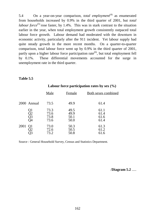5.4 On a year-on-year comparison, *total employment*<sup>(4)</sup> as enumerated from households increased by 0.9% in the third quarter of 2001, but *total labour force*<sup>(5)</sup> rose faster, by 1.4%. This was in stark contrast to the situation earlier in the year, when total employment growth consistently outpaced total labour force growth. Labour demand had moderated with the downturn in economic activity, particularly after the 911 incident. Yet labour supply had quite steady growth in the more recent months. On a quarter-to-quarter comparison, total labour force went up by 0.9% in the third quarter of 2001, partly upon a higher labour force participation rate<sup> $(6)$ </sup>, but total employment fell by 0.1%. These differential movements accounted for the surge in unemployment rate in the third quarter.

#### **Table 5.5**

|                        | Male                         | Female                       | <b>Both sexes combined</b>   |
|------------------------|------------------------------|------------------------------|------------------------------|
| 2000 Annual            | 73.5                         | 49.9                         | 61.4                         |
| Q1<br>Q2<br>Q3<br>Q4   | 73.3<br>73.6<br>73.8<br>73.6 | 49.5<br>49.9<br>50.1<br>50.0 | 61.1<br>61.4<br>61.6<br>61.4 |
| 2001<br>Q <sub>1</sub> | 73.0<br>72.6<br>73.2         | 50.3<br>50.5<br>50.8         | 61.3<br>61.2<br>61.6         |

### **Labour force participation rates by sex (%)**

Source : General Household Survey, Census and Statistics Department.

/**Diagram 5.2** .....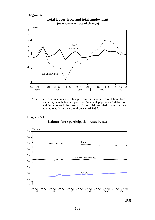#### **Diagram 5.2**



**Total labour force and total employment (year-on-year rate of change)**

Note : Year-on-year rates of change from the new series of labour force statistics, which has adopted the "resident population" definition and incorporated the results of the 2001 Population Census, are available as from the second quarter of 1997.

## **Diagram 5.3**

#### **Labour force participation rates by sex**



 $/5.5$  .....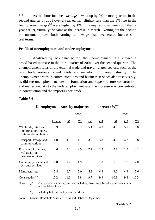5.5 As to labour income, *earnings*(7) went up by 2% in money terms in the second quarter of 2001 over a year earlier, slightly less than the 3% rise in the first quarter. *Wages*(8) were higher by 1% in money terms in June 2001 than a year earlier, virtually the same as the increase in March. Netting out the decline in consumer prices, both earnings and wages had decelerated increases in real terms.

## **Profile of unemployment and underemployment**

5.6 Analysed by *economic sector*, the unemployment rate showed a broad-based increase in the third quarter of 2001 over the second quarter. The unemployment rates in the external trade and travel related sectors, such as the retail trade, restaurants and hotels, and manufacturing, rose distinctly. The unemployment rates in communications and business services also rose visibly, as did the unemployment rates in foundation and superstructure construction, and real estate. As to the underemployment rate, the increase was concentrated in construction and the import/export trade.

#### **Table 5.6**

|                                                                          |               |              |                | 2001           |                 |              |     |                |
|--------------------------------------------------------------------------|---------------|--------------|----------------|----------------|-----------------|--------------|-----|----------------|
|                                                                          | <b>Annual</b> | $\mathbf{Q}$ | Q <sub>2</sub> | Q <sub>3</sub> | $\overline{Q4}$ | $\mathbf{Q}$ | Q2  | Q <sub>3</sub> |
| Wholesale, retail and<br>import/export trades,<br>restaurants and hotels | 5.3           | 5.9          | 5.7            | 5.1            | 4.3             | 4.6          | 5.1 | 5.8            |
| Transport, storage and<br>communications                                 | 4.0           | 4.8          | 4.1            | 3.2            | 3.8             | 4.2          | 4.2 | 3.8            |
| Financing, insurance,<br>real estate and<br>business services            | 2.6           | 3.0          | 2.5            | 2.7            | 2.3             | 2.7          | 2.5 | 3.1            |
| Community, social and<br>personal services                               | 1.8           | 1.7          | 1.9            | 1.9            | 1.8             | 1.9          | 1.7 | 2.0            |
| Manufacturing                                                            | 5.4           | 6.7          | 5.0            | 4.9            | 4.9             | 4.0          | 4.9 | 5.6            |
| Construction <sup>(b)</sup>                                              | 10.2          | 11.6         | 9.8            | 9.7            | 9.9             | 10.3         | 9.8 | 10.3           |

## **Unemployment rates by major economic sector**  $(\%)^{(a)}$

Notes : (a) Not seasonally adjusted, and not including first-time job-seekers and re-entrants into the labour force.

(b) Including both site and non-site workers.

Source : General Household Survey, Census and Statistics Department.

/**Table 5.7** .....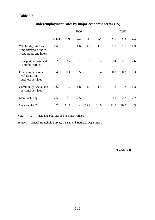# **Table 5.7**

# **Underemployment rates by major economic sector (%)**

|                                                                          |               |                          | 2001 |                |                          |                          |      |       |
|--------------------------------------------------------------------------|---------------|--------------------------|------|----------------|--------------------------|--------------------------|------|-------|
|                                                                          | <b>Annual</b> | $\overline{\mathsf{Q1}}$ | Q2   | Q <sub>3</sub> | $\overline{\mathsf{Q4}}$ | $\overline{\mathsf{Q1}}$ | Q2   | $Q_3$ |
| Wholesale, retail and<br>import/export trades,<br>restaurants and hotels | 1.4           | 1.6                      | 1.6  | 1.2            | 1.2                      | 1.1                      | 1.1  | 1.3   |
| Transport, storage and<br>communications                                 | 3.2           | 3.7                      | 3.7  | 2.8            | 2.5                      | 2.4                      | 2.6  | 2.6   |
| Financing, insurance,<br>real estate and<br>business services            | 0.4           | 0.4                      | 0.5  | 0.3            | 0.4                      | 0.3                      | 0.3  | 0.3   |
| Community, social and<br>personal services                               | 1.6           | 1.7                      | 1.8  | 1.3            | 1.4                      | 1.3                      | 1.2  | 1.3   |
| Manufacturing                                                            | 2.5           | 2.8                      | 2.5  | 2.5            | 2.1                      | 2.1                      | 2.3  | 2.2   |
| Construction <sup>(a)</sup>                                              | 13.2          | 11.7                     | 14.4 | 12.9           | 13.6                     | 11.7                     | 10.7 | 12.3  |

Note : (a) Including both site and non-site workers.

Source : General Household Survey, Census and Statistics Department.

/**Table 5.8** .....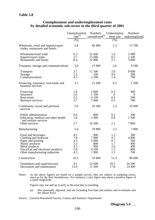### **Unemployment and underemployment rates by detailed economic sub-sector in the third quarter of 2001**

|                                                                                                                                                                                 | Unemployment<br>$\text{rate}^{\text{(a)}}$    | <b>Numbers</b><br>$\mu$ nemployed <sup>(a)</sup>        | Underemploy-<br>ment rate                     | <b>Numbers</b><br>underemployed                 |
|---------------------------------------------------------------------------------------------------------------------------------------------------------------------------------|-----------------------------------------------|---------------------------------------------------------|-----------------------------------------------|-------------------------------------------------|
|                                                                                                                                                                                 | $\overline{(%)}$                              |                                                         | $(\%)$                                        |                                                 |
| Wholesale, retail and import/export<br>trades, restaurants and hotels                                                                                                           | 5.8                                           | 60 400                                                  | 1.3                                           | 13 700                                          |
| Wholesale/retail trade<br>Import/export trade<br>Restaurants and hotels                                                                                                         | 6.3<br>3.7<br>8.4                             | 22 600<br>15 000<br>22 800                              | 1.6<br>0.5<br>2.1                             | 5 9 0 0<br>2 100<br>5 800                       |
| Transport, storage and communications                                                                                                                                           | 3.8                                           | 13 900                                                  | 2.6                                           | 9 500                                           |
| <b>Transport</b><br>Storage<br>Communications                                                                                                                                   | 3.7<br>2.3<br>4.3                             | 11 500<br>100<br>2 2 0 0                                | 2.8<br>4.4<br>1.4                             | 8 600<br>200<br>700                             |
| Financing, insurance, real estate and<br>business services                                                                                                                      | 3.1                                           | 15 200                                                  | 0.3                                           | 1 500                                           |
| Financing<br>Insurance<br>Real estate<br><b>Business services</b>                                                                                                               | 1.8<br>2.6<br>3.5<br>3.7                      | 2 600<br>1 100<br>4 100<br>7600                         | 0.3<br>$\overline{0}$<br>0.4<br>0.3           | 400<br>$\theta$<br>500<br>700                   |
| Community, social and personal<br>services                                                                                                                                      | 2.0                                           | 16 300                                                  | 1.3                                           | 10 600                                          |
| Public administration<br>Education, medical and other health<br>and welfare services<br>Other services                                                                          | 0.6<br>1.8<br>2.7                             | 800<br>5 400<br>10 200                                  | 0.2<br>0.8<br>2.1                             | 300<br>2 500<br>7800                            |
| Manufacturing                                                                                                                                                                   | 5.6                                           | 19 800                                                  | 2.2                                           | 7800                                            |
| Food and beverages<br>Clothing and footwear<br>Paper and printing<br>Plastic products<br>Metal products<br>Electrical and electronic products<br>Other manufacturing industries | 4.2<br>7.8<br>4.5<br>3.3<br>4.5<br>5.8<br>4.3 | 900<br>7 900<br>3 0 0 0<br>800<br>900<br>4 500<br>1 900 | 1.3<br>4.7<br>0.7<br>1.7<br>2.0<br>1.1<br>1.5 | 300<br>4 800<br>500<br>400<br>400<br>800<br>700 |
| Construction                                                                                                                                                                    | 10.3                                          | 33 800                                                  | 12.3                                          | 40 600                                          |
| Foundation and superstructure<br>Decoration and maintenance                                                                                                                     | 9.1<br>13.9                                   | 22 600<br>11 300                                        | 10.5<br>17.8                                  | 26 200<br>14 400                                |

Notes : As the above figures are based on a sample survey, they are subject to sampling errors, more so for the finer breakdowns. For instance, a zero figure may mean a positive figure of a small magnitude.

Figures may not add up exactly to the total due to rounding.

- (a) Not seasonally adjusted, and not including first-time job-seekers and re-entrants into the labour force.
- Source : General Household Survey, Census and Statistics Department.

/**Diagram 5.4** .....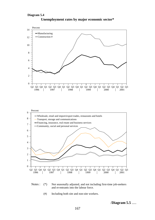#### **Diagram 5.4**









(#) Including both site and non-site workers.

/**Diagram 5.5** .....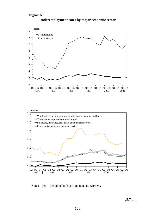

#### **Underemployment rates by major economic sector**

Note : (#) Including both site and non-site workers.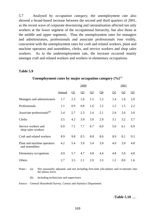5.7 Analysed by *occupation category*, the unemployment rate also showed a broad-based increase between the second and third quarters of 2001, as the recent wave of corporate downsizing and rationalisation affected not only workers at the lower segment of the occupational hierarchy, but also those at the middle and upper segments. Thus the unemployment rates for managers and administrators, professionals and associate professionals rose visibly, concurrent with the unemployment rates for craft and related workers, plant and machine operators and assemblers, clerks, and service workers and shop sales workers. As to the underemployment rate, the increase occurred mainly amongst craft and related workers and workers in elementary occupations.

#### **Table 5.9**

|                                               | 2000          |          |               |       |       | 2001     |          |       |
|-----------------------------------------------|---------------|----------|---------------|-------|-------|----------|----------|-------|
|                                               | <u>Annual</u> | $\Omega$ | $\mathbf{Q}2$ | $Q_3$ | $Q_4$ | $\Omega$ | $\Omega$ | $Q_3$ |
| Managers and administrators                   | 1.7           | 2.3      | 1.6           | 1.5   | 1.2   | 1.4      | 1.6      | 2.0   |
| Professionals                                 | 1.1           | 0.9      | 0.8           | 1.6   | 1.2   | 1.2      | 1.5      | 2.2   |
| Associate professionals <sup>(b)</sup>        | 2.4           | 2.7      | 2.3           | 2.4   | 2.1   | 2.6      | 2.6      | 3.0   |
| Clerks                                        | 3.5           | 4.2      | 3.9           | 3.0   | 2.9   | 3.1      | 3.2      | 3.7   |
| Service workers and<br>shop sales workers     | 6.9           | 7.1      | 7.7           | 6.7   | 6.0   | 5.6      | 6.1      | 6.9   |
| Craft and related workers                     | 8.9           | 9.8      | 8.5           | 8.8   | 8.6   | 8.9      | 8.1      | 9.3   |
| Plant and machine operators<br>and assemblers | 4.2           | 5.4      | 3.9           | 3.4   | 3.9   | 4.0      | 3.9      | 4.8   |
| Elementary occupations                        | 4.9           | 5.7      | 4.7           | 4.8   | 4.4   | 4.8      | 5.0      | 4.8   |
| Others                                        | 2.7           | 3.5      | 2.1           | 2.0   | 3.3   | 1.2      | 8.0      | 1.6   |

#### **Unemployment rates by major occupation category**  $(\%)^{(a)}$

Notes : (a) Not seasonally adjusted, and not including first-time job-seekers and re-entrants into the labour force.

(b) Including technicians and supervisors.

Source : General Household Survey, Census and Statistics Department.

/**Table 5.10** .....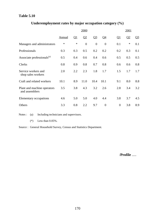## **Table 5.10**

| Underemployment rates by major occupation category $(\%)$ |  |  |  |  |  |
|-----------------------------------------------------------|--|--|--|--|--|
|-----------------------------------------------------------|--|--|--|--|--|

|                                               | 2000          |          |                |                |                |           | 2001     |         |  |
|-----------------------------------------------|---------------|----------|----------------|----------------|----------------|-----------|----------|---------|--|
|                                               | <u>Annual</u> | $\Omega$ | Q <sub>2</sub> | Q <sub>3</sub> | <u>Q4</u>      | <u>Q1</u> | $\Omega$ | $Q_2^2$ |  |
| Managers and administrators                   | $\ast$        | $\ast$   | $\overline{0}$ | $\overline{0}$ | $\overline{0}$ | 0.1       | ∗        | 0.1     |  |
| Professionals                                 | 0.3           | 0.3      | 0.5            | 0.2            | 0.2            | 0.2       | 0.3      | 0.1     |  |
| Associate professionals <sup>(a)</sup>        | 0.5           | 0.4      | 0.6            | 0.4            | 0.6            | 0.5       | 0.5      | 0.5     |  |
| <b>Clerks</b>                                 | 0.8           | 0.9      | 0.8            | 0.7            | 0.8            | 0.6       | 0.6      | 0.8     |  |
| Service workers and<br>shop sales workers     | 2.0           | 2.2      | 2.3            | 1.8            | 1.7            | 1.5       | 1.7      | 1.7     |  |
| Craft and related workers                     | 10.1          | 8.9      | 11.0           | 10.4           | 10.1           | 9.1       | 8.0      | 8.8     |  |
| Plant and machine operators<br>and assemblers | 3.5           | 3.8      | 4.3            | 3.2            | 2.6            | 2.8       | 3.4      | 3.2     |  |
| Elementary occupations                        | 4.6           | 5.0      | 5.0            | 4.0            | 4.4            | 3.8       | 3.7      | 4.5     |  |
| Others                                        | 3.3           | 0.8      | 2.2            | 9.7            | $\overline{0}$ | $\theta$  | 3.8      | 8.9     |  |

Notes : (a) Including technicians and supervisors.

(\*) Less than 0.05%.

Source : General Household Survey, Census and Statistics Department.

/**Profile** .....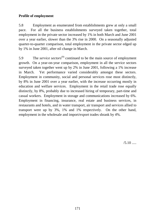# **Profile of employment**

5.8 Employment as enumerated from establishments grew at only a small pace. For all the business establishments surveyed taken together, total employment in the private sector increased by 1% in both March and June 2001 over a year earlier, slower than the 3% rise in 2000. On a seasonally adjusted quarter-to-quarter comparison, total employment in the private sector edged up by 1% in June 2001, after nil change in March.

5.9 The *service sectors*<sup>(9)</sup> continued to be the main source of employment growth. On a year-on-year comparison, employment in all the service sectors surveyed taken together went up by 2% in June 2001, following a 1% increase in March. Yet performance varied considerably amongst these sectors. Employment in community, social and personal services rose most distinctly, by 8% in June 2001 over a year earlier, with the increase occurring mostly in education and welfare services. Employment in the retail trade rose equally distinctly, by 8%, probably due to increased hiring of temporary, part-time and casual workers. Employment in storage and communications increased by 6%. Employment in financing, insurance, real estate and business services, in restaurants and hotels, and in water transport, air transport and services allied to transport were up by 3%, 1% and 1% respectively. On the other hand, employment in the wholesale and import/export trades shrank by 4%.

 $/5.10$  .....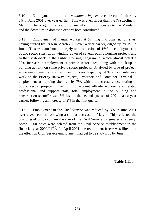5.10 Employment in the local *manufacturing sector* contracted further, by 8% in June 2001 over year earlier. This was even larger than the 7% decline in March. The on-going relocation of manufacturing processes to the Mainland and the downturn in domestic exports both contributed.

5.11 Employment of manual workers at *building and construction sites*, having surged by 18% in March 2001 over a year earlier, edged up by 1% in June. This was attributable largely to a reduction of 16% in employment at public sector sites, upon winding down of several public housing projects and further scale-back in the Public Housing Programme, which almost offset a 23% increase in employment at private sector sites, along with a pick-up in building activity on some private sector projects. Analysed by type of project, while employment at civil engineering sites leaped by 31%, amidst intensive work on the Priority Railway Projects, Cyberport and Container Terminal 9, employment at building sites fell by 7%, with the decrease concentrating in public sector projects. Taking into account off-site workers and related professional and support staff, total employment in the building and construction sector<sup>(10)</sup> was 5% less in the second quarter of 2001 than a year earlier, following an increase of 2% in the first quarter.

5.12 Employment in the *Civil Service* was reduced by 3% in June 2001 over a year earlier, following a similar decrease in March. This reflected the on-going effort to contain the size of the Civil Service for greater efficiency. Some 8 000 posts were deleted from the Civil Service establishment in the financial year  $2000/01^{(11)}$ . In April 2001, the recruitment freeze was lifted, but the effect on Civil Service employment had yet to be shown up by June.

/**Table 5.11** .....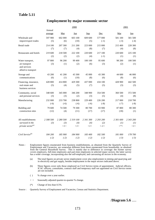## **Table 5.11**

| <b>Employment by major economic sector</b> |  |  |
|--------------------------------------------|--|--|
|                                            |  |  |

|                                                                          |                   |                                         | 2000                                    |                                         |                                          |                                    | 2001                                    |
|--------------------------------------------------------------------------|-------------------|-----------------------------------------|-----------------------------------------|-----------------------------------------|------------------------------------------|------------------------------------|-----------------------------------------|
|                                                                          | Annual<br>average | Mar                                     | Jun                                     | Sep                                     | Dec                                      | Mar                                | Jun                                     |
| Wholesale and                                                            | 597 900           | 602 000                                 | 603 100                                 | 609 600                                 | 577 000                                  | 581 100                            | 581 500                                 |
| import/export trades                                                     | (5)               | (6)                                     | (10)                                    | (5)                                     | $(-1)$                                   | $(-3)$                             | $(-4)$                                  |
| Retail trade                                                             | 214 100           | 207 300                                 | 211 200                                 | 223 000                                 | 215 000                                  | 215 400                            | 228 300                                 |
|                                                                          | (7)               | (7)                                     | (4)                                     | (8)                                     | (7)                                      | (4)                                | (8)                                     |
| Restaurants and hotels                                                   | 219 600           | 218 500                                 | 222 100                                 | 220 600                                 | 217 100                                  | 220 600                            | 225 100                                 |
|                                                                          | (2)               | (2)                                     | (2)                                     | (4)                                     | $(-1)$                                   | (1)                                | (1)                                     |
| Water transport,<br>air transport<br>and services<br>allied to transport | 97 800<br>(3)     | 96 200<br>(1)                           | 99 400<br>(2)                           | 100 100<br>(6)                          | 95 600<br>(3)                            | 98 200<br>(2)                      | 100 500<br>(1)                          |
| Storage and                                                              | 43 200            | 41 200                                  | 43 300                                  | 45 000                                  | 43 300                                   | 44 600                             | 46 000                                  |
| communications                                                           | (6)               | (1)                                     | (10)                                    | (8)                                     | (6)                                      | (8)                                | (6)                                     |
| Financing, insurance,<br>real estate and<br>business services            | 428 800<br>(5)    | 414 800<br>(4)                          | 429 300<br>(5)                          | 437 000<br>(7)                          | 434 100<br>(5)                           | 428 900<br>(3)                     | 442 500<br>(3)                          |
| Community, social                                                        | 348 600           | 345 000                                 | 346 200                                 | 348 900                                 | 354 500                                  | 360 500                            | 372 500                                 |
| and personal services                                                    | (3)               | (3)                                     | (2)                                     | (3)                                     | (5)                                      | (4)                                | (8)                                     |
| Manufacturing                                                            | 232 000           | 233 700                                 | 238 800                                 | 229 400                                 | 226 200                                  | 217 000                            | 218 700                                 |
|                                                                          | $(-6)$            | $(-6)$                                  | $(-6)$                                  | $(-6)$                                  | $(-8)$                                   | $(-7)$                             | $(-8)$                                  |
| Building and                                                             | 79 600            | 74 500                                  | 79 300                                  | 80 700                                  | 83 900                                   | 87 800                             | 80 300                                  |
| construction sites                                                       | (12)              | (4)                                     | (11)                                    | (17)                                    | (17)                                     | (18)                               | (1)                                     |
| All establishments<br>surveyed in the<br>private sector <sup>(a)</sup>   | 2 308 500<br>(3)  | 2 280 500<br>(3)<br>$\langle l \rangle$ | 2 319 100<br>(4)<br>$\langle l \rangle$ | 2 341 300<br>(4)<br>$\langle l \rangle$ | 2 293 200<br>(2)<br>$\langle -l \rangle$ | 2 301 600<br>(I)<br>$<\!\!^*\!\!>$ | 2 343 200<br>(I)<br>$\langle l \rangle$ |
| Civil Service <sup>(b)</sup>                                             | 184 200           | 185 900                                 | 184 900                                 | 183 400                                 | 182 500                                  | 181 000                            | 178 700                                 |
|                                                                          | $(-2)$            | $(-2)$                                  | $(-2)$                                  | $(-2)$                                  | $(-2)$                                   | $(-3)$                             | $(-3)$                                  |

Notes : Employment figures enumerated from business establishments, as obtained from the Quarterly Survey of Employment and Vacancies, are somewhat different from those enumerated from households, as obtained from the General Household Survey. This is mainly due to difference in coverage: the former survey covers employers, full-time employees and part-time employees in selected major sectors; the latter survey has a wider coverage, incorporating also the self-employed, and canvassing all sectors in the economy.

> (a) The total figures on private sector employment cover also employment in mining and quarrying and in electricity and gas supply, besides employment in the major sectors indicated above.

- (b) These figures cover only those employed on Civil Service terms of appointment. Judicial officers, ICAC officers, consultants, contract staff and temporary staff not appointed on Civil Service terms are not included.
- ( ) % change over a year earlier.
- < > Seasonally adjusted quarter-to-quarter % change.
- (\*) Change of less than 0.5%.

Source : Quarterly Survey of Employment and Vacancies, Census and Statistics Department.

/**Diagram 5.6** .....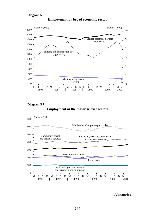

**Employment by broad economic sector**

**Employment in the major service sectors Diagram 5.7**



/**Vacancies** .....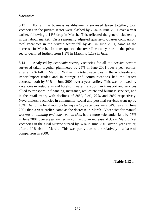# **Vacancies**

5.13 For all the business establishments surveyed taken together, total vacancies in the private sector were slashed by 26% in June 2001 over a year earlier, following a 14% drop in March. This reflected the general slackening in the labour market. On a seasonally adjusted quarter-to-quarter comparison, total vacancies in the private sector fell by 4% in June 2001, same as the decrease in March. In consequence, the overall vacancy rate in the private sector declined further, from 1.3% in March to 1.1% in June.

5.14 Analysed by *economic sector*, vacancies for all the *service sectors* surveyed taken together plummeted by 25% in June 2001 over a year earlier, after a 12% fall in March. Within this total, vacancies in the wholesale and import/export trades and in storage and communications had the largest decrease, both by 50% in June 2001 over a year earlier. This was followed by vacancies in restaurants and hotels, in water transport, air transport and services allied to transport, in financing, insurance, real estate and business services, and in the retail trade, with declines of 30%, 24%, 22% and 20% respectively. Nevertheless, vacancies in community, social and personal services went up by 16%. As to the local *manufacturing sector*, vacancies were 34% fewer in June 2001 than a year earlier, same as the decrease in March. Vacancies for manual workers at *building and construction sites* had a more substantial fall, by 75% in June 2001 over a year earlier, in contrast to an increase of 3% in March. Yet vacancies in the *Civil Service* surged by 37% in June 2001 over a year earlier, after a 10% rise in March. This was partly due to the relatively low base of comparison in 2000.

/**Table 5.12** .....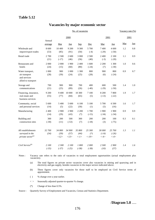### **Table 5.12**

## **Vacancies by major economic sector**

|                                                                          |                  |                        |                        | No. of vacancies                       |                            |                              |                              | Vacancy rate $(\%)$ |            |
|--------------------------------------------------------------------------|------------------|------------------------|------------------------|----------------------------------------|----------------------------|------------------------------|------------------------------|---------------------|------------|
|                                                                          | Annual           |                        | 2000                   |                                        |                            |                              | 2001                         |                     | 2001       |
|                                                                          | average          | Mar                    | <u>Jun</u>             | Sep                                    | Dec                        | Mar                          | Jun                          | <u>Mar</u>          | <u>Jun</u> |
| Wholesale and<br>import/export trades                                    | 8 600<br>(53)    | 10 400<br>(85)         | 9 200<br>(91)          | 9 300<br>(50)                          | 5 700<br>$(-4)$            | 7400<br>$(-29)$              | 4 600<br>$(-50)$             | 1.2                 | 0.8        |
| Retail trade                                                             | 2 700<br>(21)    | 2 500<br>$(-17)$       | 2 600<br>(46)          | 3 000<br>(36)                          | 2 500<br>(40)              | 2 400<br>$(-3)$              | 2 100<br>$(-20)$             | 1.1                 | 0.9        |
| Restaurants and<br>hotels                                                | 2 0 0 0<br>(24)  | 2 0 0 0<br>(15)        | 1 900<br>(60)          | 2 400<br>(80)                          | 1 600<br>$(-24)$           | 2 200<br>(7)                 | 1 300<br>$(-30)$             | 1.0                 | 0.6        |
| Water transport,<br>air transport<br>and services<br>allied to transport | 1 000<br>(28)    | 900<br>(39)            | 1 0 0 0<br>(24)        | 1 300<br>(25)                          | 800<br>(28)                | 900<br>(6)                   | 800<br>$(-24)$               | 0.9                 | 0.7        |
| Storage and<br>communications                                            | 700<br>(21)      | 900<br>(25)            | 900<br>(89)            | 700<br>(26)                            | 400<br>$(-40)$             | 600<br>$(-29)$               | 500<br>$(-50)$               | 1.4                 | 1.0        |
| Financing, insurance,<br>real estate and<br>business services            | 9 200<br>(55)    | 9 400<br>(77)          | 10 000<br>(84)         | 10 300<br>(65)                         | 7 100<br>(5)               | 8 200<br>$(-13)$             | 7800<br>$(-22)$              | 1.9                 | 1.7        |
| Community, social<br>and personal services                               | 5 600<br>(14)    | 5 400<br>(5)           | 5 600<br>(22)          | 6 100<br>(30)                          | 5 100<br>(1)               | 5 700<br>(5)                 | 6 500<br>(16)                | 1.6                 | 1.7        |
| Manufacturing                                                            | 2 400<br>(14)    | 2 9 0 0<br>(29)        | 2 9 0 0<br>(43)        | 2 2 0 0<br>$(*)$                       | 1700<br>$(-15)$            | 1 900<br>$(-34)$             | 1 900<br>$(-34)$             | 0.9                 | 0.9        |
| Building and<br>construction sites                                       | 300<br>$(-30)$   | 200<br>(11)            | 500<br>$(-53)$         | 300<br>(7)                             | 200<br>$(-18)$             | 200<br>(3)                   | 100<br>$(-75)$               | 0.3                 | 0.1        |
| All establishments<br>surveyed in the<br>private sector <sup>(a)</sup>   | 32 700<br>(34)   | 34 800<br>(39)<br><12> | 34 900<br>(57)<br><13> | 35 800<br>(44)<br>$\langle -l \rangle$ | 25 300<br>$(*)$<br>$< -19$ | 30 000<br>$(-14)$<br>$< -4>$ | 25 700<br>$(-26)$<br>$< -4>$ | 1.3                 | 1.1        |
| Civil Service <sup>(b)</sup>                                             | 2 100<br>$(-35)$ | 2 300<br>$(-37)$       | 2 100<br>$(-25)$       | 1800<br>$(-38)$                        | 2000<br>$(-38)$            | 2 500<br>(10)                | 2 900<br>(37)                | 1.4                 | 1.6        |

Notes : Vacancy rate refers to the ratio of vacancies to total employment opportunities (actual employment plus vacancies).

(a) The total figures on private sector vacancies cover also vacancies in mining and quarrying and in electricity and gas supply, besides vacancies in the major sectors indicated above.

- (b) These figures cover only vacancies for those staff to be employed on Civil Service terms of appointment.
- ( ) % change over a year earlier.
- < > Seasonally adjusted quarter-to-quarter % change.
- (\*) Change of less than 0.5%.

Source : Quarterly Survey of Employment and Vacancies, Census and Statistics Department.

/**Diagram 5.8** .....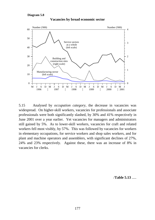#### **Diagram 5.8**



# **Vacancies by broad economic sector**

5.15 Analysed by *occupation category*, the decrease in vacancies was widespread. On higher-skill workers, vacancies for professionals and associate professionals were both significantly slashed, by 30% and 41% respectively in June 2001 over a year earlier. Yet vacancies for managers and administrators still gained by 5%. As to lower-skill workers, vacancies for craft and related workers fell most visibly, by 57%. This was followed by vacancies for workers in elementary occupations, for service workers and shop sales workers, and for plant and machine operators and assemblers, with significant declines of 27%, 24% and 23% respectively. Against these, there was an increase of 8% in vacancies for clerks.

/**Table 5.13** .....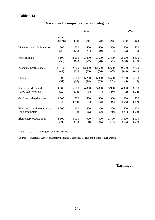# **Table 5.13**

# **Vacancies by major occupation category**

|                               |                   |            | 2000       |            | 2001       |         |            |
|-------------------------------|-------------------|------------|------------|------------|------------|---------|------------|
|                               | Annual<br>average | <u>Mar</u> | <u>Jun</u> | <u>Sep</u> | <u>Dec</u> | Mar     | <u>Jun</u> |
| Managers and administrators   | 600               | 600        | 600        | 600        | 500        | 800     | 700        |
|                               | (26)              | (25)       | (41)       | (9)        | (34)       | (35)    | (5)        |
| Professionals                 | 3 100             | 3 200      | 3 3 0 0    | 3 500      | 2 400      | 2 600   | 2 3 0 0    |
|                               | (53)              | (66)       | (77)       | (78)       | (1)        | $(-18)$ | $(-30)$    |
| Associate professionals       | 11700             | 12 700     | 13 000     | 12 500     | 8 600      | 9600    | 7700       |
|                               | (47)              | (76)       | (75)       | (56)       | $(-7)$     | $(-25)$ | $(-41)$    |
| Clerks                        | 6 200             | 6 800      | 6 200      | 6 300      | 5 500      | 7 100   | 6700       |
|                               | (57)              | (69)       | (94)       | (35)       | (42)       | (5)     | (8)        |
| Service workers and           | 4 800             | 5 000      | 4 800      | 5 800      | 3 900      | 4 900   | 3 600      |
| shop sales workers            | (22)              | (13)       | (45)       | (47)       | $(-10)$    | $(-2)$  | $(-24)$    |
| Craft and related workers     | 1 300             | 1 300      | 1 600      | 1 300      | 900        | 900     | 700        |
|                               | $(-16)$           | $(-44)$    | $(-1)$     | $(-2)$     | (6)        | $(-26)$ | $(-57)$    |
| Plant and machine operators   | 1 200             | 1 400      | 1 400      | 1 200      | 800        | 800     | 1 100      |
| and assemblers                | $(-8)$            | (3)        | (5)        | (2)        | $(-40)$    | $(-41)$ | $(-23)$    |
| <b>Elementary occupations</b> | 3 800             | 3 900      | 4 0 0 0    | 4 500      | 2 700      | 3 3 0 0 | 2 9 0 0    |
|                               | (21)              | (15)       | (30)       | (45)       | $(-7)$     | $(-15)$ | $(-27)$    |

Note : ( ) % change over a year earlier.

Source : Quarterly Survey of Employment and Vacancies, Census and Statistics Department.

/**Earnings** .....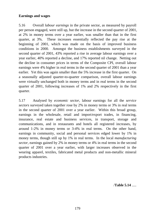## **Earnings and wages**

5.16 Overall *labour earnings* in the private sector, as measured by payroll per person engaged, were still up, but the increase in the second quarter of 2001, at 2% in money terms over a year earlier, was smaller than that in the first quarter, at 3%. These increases essentially reflected the pay rise at the beginning of 2001, which was made on the basis of improved business conditions in 2000. Amongst the business establishments surveyed in the second quarter of 2001, 43% reported a rise in average labour earnings over a year earlier, 40% reported a decline, and 17% reported nil change. Netting out the decline in consumer prices in terms of the Composite CPI, overall labour earnings were 4% higher in real terms in the second quarter of 2001 than a year earlier. Yet this was again smaller than the 5% increase in the first quarter. On a seasonally adjusted quarter-to-quarter comparison, overall labour earnings were virtually unchanged both in money terms and in real terms in the second quarter of 2001, following increases of 1% and 2% respectively in the first quarter.

5.17 Analysed by *economic sector*, labour earnings for all the *service sectors* surveyed taken together rose by 2% in money terms or 3% in real terms in the second quarter of 2001 over a year earlier. Within this broad group, earnings in the wholesale, retail and import/export trades, in financing, insurance, real estate and business services, in transport, storage and communications, and in restaurants and hotels all registered increases, by around 1-2% in money terms or 3-4% in real terms. On the other hand, earnings in community, social and personal services edged lower by 1% in money terms, though still up by 1% in real terms. In the local *manufacturing sector*, earnings gained by 2% in money terms or 4% in real terms in the second quarter of 2001 over a year earlier, with larger increases observed in the wearing apparel, textiles, fabricated metal products and non-metallic mineral products industries.

/**Table 5.14** .....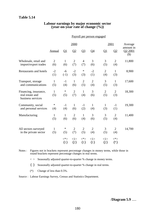## **Table 5.14**

#### **Labour earnings by major economic sector (year-on-year rate of change (%))**

#### Payroll per person engaged

|                                                               |                       |                     | 2000                  |                       |                       |                       | 2001                  | Average                        |
|---------------------------------------------------------------|-----------------------|---------------------|-----------------------|-----------------------|-----------------------|-----------------------|-----------------------|--------------------------------|
|                                                               | Annual                | $\Omega$            | Q2                    | Q <sub>3</sub>        | Q4                    | $\Omega$              | Q <sub>2</sub>        | amount in<br>Q2 2001<br>$(\$)$ |
| Wholesale, retail and<br>import/export trades                 | $\overline{2}$<br>(6) | $\mathbf{1}$<br>(6) | $\overline{2}$<br>(7) | $\overline{4}$<br>(7) | 3<br>(6)              | 3<br>(5)              | $\overline{2}$<br>(4) | 11,800                         |
| <b>Restaurants and hotels</b>                                 | $-2$<br>(1)           | $-6$<br>$(-1)$      | $-2$<br>(3)           | $\ast$<br>(3)         | $-2$<br>(1)           | $\overline{2}$<br>(4) | $\mathbf{1}$<br>(3)   | 8,900                          |
| Transport, storage<br>and communications                      | $\mathbf{1}$<br>(5)   | $-1$<br>(4)         | $\mathbf{1}$<br>(6)   | $\overline{2}$<br>(5) | $\overline{2}$<br>(4) | 3<br>(5)              | $\mathbf{1}$<br>(3)   | 17,600                         |
| Financing, insurance,<br>real estate and<br>business services | $\mathbf{1}$<br>(5)   | $\ast$<br>(5)       | $\overline{2}$<br>(7) | $\mathbf{1}$<br>(4)   | 3<br>(6)              | $\overline{2}$<br>(5) | $\overline{2}$<br>(3) | 18,300                         |
| Community, social<br>and personal services                    | $\ast$<br>(4)         | $-1$<br>(4)         | $\mathbf{1}$<br>(6)   | $-1$<br>(2)           | $\mathbf{1}$<br>(4)   | $\mathbf{1}$<br>(3)   | $-1$<br>(1)           | 19,300                         |
| Manufacturing                                                 | $\mathbf{1}$<br>(5)   | $\mathbf{1}$<br>(6) | $\overline{2}$<br>(6) | $\mathbf{1}$<br>(4)   | 3<br>(6)              | 3<br>(5)              | $\overline{2}$<br>(4) | 11,400                         |
| All sectors surveyed<br>in the private sector                 | 1<br>(5)              | $\ast$<br>(5)       | $\overline{2}$<br>(7) | $\overline{2}$<br>(5) | $\overline{2}$<br>(4) | 3<br>(5)              | $\overline{2}$<br>(4) | 14,700                         |
|                                                               |                       | $<^*>$<br>${1}$     | <1><br>${2}$          | $<^*>$<br>${1}$       | <1><br>${1}$          | <1><br>${2}$          | $\lt^*$<br>$\{*\}$    |                                |

Notes : Figures not in brackets represent percentage changes in money terms, while those in round brackets represent percentage changes in real terms.

 $\langle \rangle$  Seasonally adjusted quarter-to-quarter % change in money terms.

{ } Seasonally adjusted quarter-to-quarter % change in real terms.

(\*) Change of less than 0.5%.

Source : Labour Earnings Survey, Census and Statistics Department.

/**Diagram 5.9** .....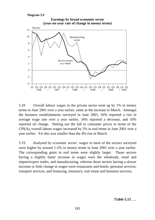```
Diagram 5.9
```


5.18 Overall *labour wages* in the private sector went up by 1% in money terms in June 2001 over a year earlier, same as the increase in March. Amongst the business establishments surveyed in June 2001, 56% reported a rise in average wage rate over a year earlier, 34% reported a decrease, and 10% reported nil change. Netting out the fall in consumer prices in terms of the CPI(A), overall labour wages increased by 2% in real terms in June 2001 over a year earlier. Yet this was smaller than the 4% rise in March.

5.19 Analysed by *economic sector*, wages in most of the sectors surveyed were higher by around 1-2% in money terms in June 2001 over a year earlier. The corresponding gains in real terms were slightly larger. Those sectors having a slightly faster increase in wages were the wholesale, retail and import/export trades, and manufacturing, whereas those sectors having a slower increase or little change in wages were restaurants and hotels, personal services, transport services, and financing, insurance, real estate and business services.

/**Table 5.15** .....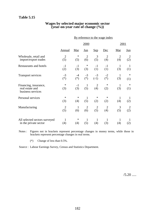# **Table 5.15**

#### **Wages by selected major economic sector (year-on-year rate of change (%))**

|                                                               |                |              |                     |                       | By reference to the wage index |                |               |  |
|---------------------------------------------------------------|----------------|--------------|---------------------|-----------------------|--------------------------------|----------------|---------------|--|
|                                                               |                |              | 2000                |                       |                                |                | 2001          |  |
|                                                               | <b>Annual</b>  | Mar          | $Jun$               | Sep                   | Dec                            | Mar            | $Jun$         |  |
| Wholesale, retail and                                         | $\overline{2}$ | $\ast$       | $\overline{2}$      | 3                     | $\overline{2}$                 | $\overline{2}$ | 2             |  |
| import/export trades                                          | (5)            | (5)          | (6)                 | (5)                   | (4)                            | (4)            | (2)           |  |
| Restaurants and hotels                                        | $-1$           | $-1$         | ∗                   | $-1$                  | $-1$                           | $\mathbf{1}$   | $\mathbf{1}$  |  |
|                                                               | (2)            | (3)          | (3)                 | (1)                   | (1)                            | (3)            | (1)           |  |
| <b>Transport services</b>                                     | $-3$           | $-4$         | $-3$                | $-3$                  | $-2$                           | $\mathbf{1}$   | $\ast$        |  |
|                                                               | $(*)$          | $(*)$        | $(*)$               | $(-1)$                | $(*)$                          | (3)            | (1)           |  |
| Financing, insurance,<br>real estate and<br>business services | ∗<br>(3)       | $-1$<br>(3)  | $\mathbf{1}$<br>(5) | $\overline{2}$<br>(4) | $\ast$<br>(2)                  | 1<br>(3)       | $\ast$<br>(1) |  |
| Personal services                                             | $\ast$         | $\ast$       | $\mathbf{1}$        | $\ast$                | $\ast$                         | 1              | -1            |  |
|                                                               | (3)            | (4)          | (5)                 | (2)                   | (2)                            | (4)            | (2)           |  |
| Manufacturing                                                 | $\overline{2}$ | $\mathbf{1}$ | $\overline{2}$      | $\overline{2}$        | $\overline{2}$                 | 3              | 2             |  |
|                                                               | (5)            | (6)          | (6)                 | (5)                   | (4)                            | (5)            | (2)           |  |
| All selected sectors surveyed                                 | 1              | ∗            | $\mathbf{1}$        | $\mathbf{1}$          | $\mathbf{1}$                   | $\mathbf{1}$   | 1             |  |
| in the private sector                                         | (4)            | (4)          | (5)                 | (4)                   | (3)                            | (4)            | (2)           |  |

Notes : Figures not in brackets represent percentage changes in money terms, while those in brackets represent percentage changes in real terms.

(\*) Change of less than 0.5%.

Source : Labour Earnings Survey, Census and Statistics Department.

 $/5.20$  .....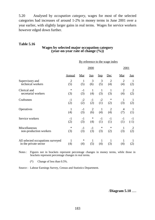5.20 Analysed by *occupation category*, wages for most of the selected categories had increases of around 1-2% in money terms in June 2001 over a year earlier, with slightly larger gains in real terms. Wages for service workers however edged down further.

## **Table 5.16**

#### **Wages by selected major occupation category (year-on-year rate of change (%))**

|                                   | By reference to the wage index |              |                |              |                |                |              |  |
|-----------------------------------|--------------------------------|--------------|----------------|--------------|----------------|----------------|--------------|--|
|                                   |                                |              | 2000           |              |                | 2001           |              |  |
|                                   | <b>Annual</b>                  | Mar          | <u>Jun</u>     | Sep          | Dec            | Mar            | <u>Jun</u>   |  |
| Supervisory and                   | $\overline{2}$                 | $\mathbf{1}$ | 3              | 3            | $\overline{2}$ | $\overline{2}$ | $\mathbf{1}$ |  |
| technical workers                 | (5)                            | (5)          | (6)            | (5)          | (4)            | (4)            | (2)          |  |
| Clerical and                      | $\ast$                         | $-1$         | $\mathbf{1}$   | $\mathbf{1}$ | $\mathbf{1}$   | $\overline{2}$ | 2            |  |
| secretarial workers               | (3)                            | (3)          | (4)            | (3)          | (3)            | (4)            | (2)          |  |
| Craftsmen                         | $-1$                           | $-2$         | $-1$           | $-2$         | $\ast$         | $\mathbf{1}$   | -1           |  |
|                                   | (2)                            | (2)          | (2)            | (1)          | (2)            | (3)            | (2)          |  |
| Operatives                        | $\mathbf{1}$                   | $-1$         | $\overline{2}$ | $\mathbf{1}$ | $\overline{2}$ | 4              | $\mathbf{1}$ |  |
|                                   | (4)                            | (3)          | (6)            | (4)          | (4)            | (7)            | (1)          |  |
| Service workers                   | $-1$                           | $-1$         | $\ast$         | $-1$         | $-1$           | $-1$           | $-1$         |  |
|                                   | (2)                            | (3)          | (4)            | (1)          | (1)            | (1)            | $(-1)$       |  |
| Miscellaneous                     | ∗                              | $-1$         | $-1$           | $\ast$       | $\ast$         | $\mathbf{1}$   | 2            |  |
| non-production workers            | (3)                            | (3)          | (3)            | (3)          | (2)            | (3)            | (2)          |  |
| All selected occupations surveyed | $\mathbf{1}$                   | $\ast$       | $\mathbf{1}$   | $\mathbf{1}$ | $\mathbf{1}$   | $\mathbf{1}$   | 1            |  |
| in the private sector             | (4)                            | (4)          | (5)            | (4)          | (3)            | (4)            | (2)          |  |

Notes : Figures not in brackets represent percentage changes in money terms, while those in brackets represent percentage changes in real terms.

(\*) Change of less than 0.5%.

Source : Labour Earnings Survey, Census and Statistics Department.

/**Diagram 5.10** .....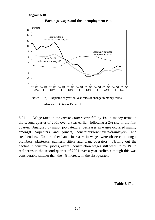

**Earnings, wages and the unemployment rate**



5.21 Wage rates in the *construction sector* fell by 1% in money terms in the second quarter of 2001 over a year earlier, following a 2% rise in the first quarter. Analysed by major job category, decreases in wages occurred mainly amongst carpenters and joiners, concretors/bricklayers/drainlayers, and steelbenders. On the other hand, increases in wages were observed amongst plumbers, plasterers, painters, fitters and plant operators. Netting out the decline in consumer prices, overall construction wages still went up by 1% in real terms in the second quarter of 2001 over a year earlier, although this was considerably smaller than the 4% increase in the first quarter.

/**Table 5.17** .....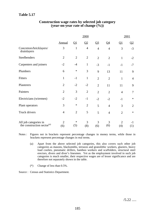# **Table 5.17**

|                                                                 |                       |                | 2000           |                |                |                       | 2001           |
|-----------------------------------------------------------------|-----------------------|----------------|----------------|----------------|----------------|-----------------------|----------------|
|                                                                 | <b>Annual</b>         | $\mathbf{Q}$   | Q <sub>2</sub> | Q <sub>3</sub> | $Q_4$          | $\Omega$              | $\Omega$       |
| Concretors/bricklayers/<br>drainlayers                          | 3                     | $\mathbf{1}$   | $\overline{4}$ | $\overline{4}$ | $\overline{4}$ | 3                     | $-3$           |
| Steelbenders                                                    | $\overline{2}$        | $\overline{2}$ | $\overline{2}$ | $\overline{2}$ | $\overline{2}$ | $\mathbf{1}$          | $-2$           |
| Carpenters and joiners                                          | $-2$                  | $-4$           | $\mathbf{1}$   | $-3$           | $-1$           | $-1$                  | $-7$           |
| Plumbers                                                        | 6                     | $\ast$         | 3              | 9              | 13             | 11                    | 9              |
| Fitters                                                         | $\mathbf{1}$          | $-1$           | $\mathbf{1}$   | $\overline{2}$ | $\overline{2}$ | $\mathbf{1}$          | $\overline{4}$ |
| Plasterers                                                      | $\overline{2}$        | $-2$           | $-2$           | $\overline{2}$ | 11             | 11                    | 9              |
| Painters                                                        | $\mathfrak{2}$        | 3              | $\overline{2}$ | $\overline{2}$ | $\overline{2}$ | $\overline{4}$        | $\overline{7}$ |
| Electricians (wiremen)                                          | $-2$                  | $-2$           | $-1$           | $-2$           | $-2$           | $-1$                  | $\ast$         |
| Plant operators                                                 | 3                     | $\ast$         | $\overline{2}$ | 5              | $\overline{4}$ | 3                     | $\overline{2}$ |
| Truck drivers                                                   | $\overline{4}$        | $\overline{2}$ | 5              | 5              | $\overline{4}$ | $\overline{2}$        | $\ast$         |
| All job categories in<br>the construction sector <sup>(a)</sup> | $\overline{2}$<br>(6) | ∗<br>(5)       | 3<br>(8)       | 3<br>(6)       | 3<br>(6)       | $\overline{2}$<br>(4) | -1<br>(1)      |

## **Construction wage rates by selected job category (year-on-year rate of change (%))**

Notes : Figures not in brackets represent percentage changes in money terms, while those in brackets represent percentage changes in real terms.

- (a) Apart from the above selected job categories, this also covers such other job categories as masons, blacksmiths, terrazzo and granolithic workers, glaziers, heavy load coolies, pneumatic drillers, bamboo workers and scaffolders, structural steel erectors, divers and diver's linesmen. Yet as the employment involved in such job categories is much smaller, their respective wages are of lesser significance and are therefore not separately shown in the table.
- (\*) Change of less than 0.5%.

Source : Census and Statistics Department.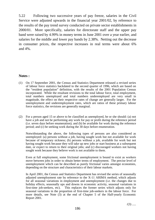5.22 Following two successive years of pay freeze, salaries in the Civil Service were adjusted upwards in the financial year 2001/02, by reference to the results of the pay trend survey conducted on private sector establishments in 2000/01. More specifically, salaries for directorate staff and the upper pay band were raised by 4.99% in money terms in June 2001 over a year earlier, and salaries for the middle and lower pay bands by 2.38%. Netting out the decrease in consumer prices, the respective increases in real terms were about 6% and 4%.

## **Notes :**

- (1) On 17 September 2001, the Census and Statistics Department released a revised series of labour force statistics backdated to the second quarter of 1996, which are based on the "resident population" definition, with the results of the 2001 Population Census incorporated. While the resultant revisions to the total labour force, total employment, total numbers unemployed and total numbers underemployed are very small in magnitude, the effect on their respective rates of change are generally larger. For the unemployment and underemployment rates, which are ratios of these primary labour force statistics, the revisions are generally marginal.
- (2) For a person aged 15 or above to be classified as unemployed, he or she should: (a) not have a job and not be performing any work for pay or profit during the reference period (i.e. seven days before enumeration); and (b) be available for work during the reference period; and (c) be seeking work during the 30 days before enumeration.

Notwithstanding the above, the following types of persons are also considered as unemployed: (a) persons without a job, having sought work but not available for work because of temporary sickness; (b) persons without a job, available for work but not having sought work because they will take up new jobs or start business at a subsequent date, or expect to return to their original jobs; and (c) discouraged workers not having sought work because they believe work is not available to them.

Even at full employment, some frictional unemployment is bound to exist as workers move between jobs in order to obtain better terms of employment. The precise level of unemployment which can be described as purely frictional varies amongst economies, depending on the structure and characteristics of their labour markets.

In April 2001, the Census and Statistics Department has revised the series of seasonally adjusted unemployment rate by reference to the X-11 ARIMA method, which adjusts for all seasonal variations in employment and unemployment (i.e. the changes due to holiday effects, seasonally ups and downs in economic activity, seasonal variations in first-time job-seekers, etc). This replaces the former series which adjusts only for seasonal variations in the proportion of first-time job-seekers in the labour force. For more details, see Note (3) at the end of Chapter 5 of the Half-yearly Economic Report 2001.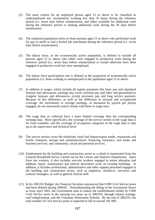- (3) The main criteria for an employed person aged 15 or above to be classified as underemployed are: involuntarily working less than 35 hours during the reference period (i.e. seven days before enumeration), and either available for additional work during the reference period or seeking additional work during the 30 days before enumeration.
- (4) The employed population refers to those persons aged 15 or above who performed work for pay or profit or had a formal job attachment during the reference period (i.e. seven days before enumeration).
- (5) The labour force, or the economically active population, is defined to include all persons aged 15 or above who either were engaged in productive work during the reference period (i.e. seven days before enumeration) or would otherwise have been engaged in productive work but were unemployed.
- (6) The labour force participation rate is defined as the proportion of economically active population (i.e. those working or unemployed) in the population aged 15 or above.
- (7) In addition to wages, which include all regular payments like basic pay and stipulated bonuses and allowances, earnings also cover overtime pay and other non-guaranteed or irregular bonuses and allowances, except severance pay and long service payment. Because of this difference, as well as the difference in sectoral and occupational coverage, the movements in average earnings, as measured by payroll per person engaged, do not necessarily match closely with those in wage rates.
- (8) The wage data as collected have a more limited coverage than the corresponding earnings data. More specifically, the coverage of the service sectors in the wage data is far from complete, and the coverage of occupation categories in the wage data is only up to the supervisory and technical level.
- (9) The service sectors cover the wholesale, retail and import/export trades, restaurants and hotels; transport, storage and communications; financing, insurance, real estate and business services; and community, social and personal services.
- (10) Employment for the building and construction sector as a whole is enumerated from the General Household Survey carried out by the Census and Statistics Department. Apart from site workers, it also includes non-site workers engaged in minor alteration and addition, repair, maintenance and interior decoration work on existing buildings. In addition, it includes professional, administrative and other support personnel engaged in the building and construction sector, such as engineers, architects, surveyors and contract managers, as well as general clerical staff.
- (11) In his 2001/02 Budget, the Financial Secretary announced that 8 000 Civil Service posts had been deleted during 2000/01. Notwithstanding the lifting of the recruitment freeze as from April 2001, the Government aims to reduce the establishment further by 9 000 Civil Service posts in the ensuing two years up to 2002/03, through natural wastage, staff redeployment, and the Voluntary Retirement Scheme. By the end of 2002/03, the total number of Civil Service posts is expected to fall to around 181 000.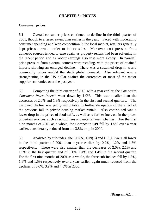## **CHAPTER 6 : PRICES**

## **Consumer prices**

6.1 Overall consumer prices continued to decline in the third quarter of 2001, though to a lesser extent than earlier in the year. Faced with moderating consumer spending and keen competition in the local market, retailers generally kept prices down in order to induce sales. Moreover, cost pressure from domestic sources tended to ease again, as property rentals had been softening in the recent period and as labour earnings also rose more slowly. In parallel, price pressure from external sources were receding, with the prices of retained imports showing an enlarged decline. There was a sustained drop in world commodity prices amidst the slack global demand. Also relevant was a strengthening in the US dollar against the currencies of most of the major supplier economies over the past year.

6.2 Comparing the third quarter of 2001 with a year earlier, the *Composite Consumer Price Index*<sup>(1)</sup> went down by 1.0%. This was smaller than the decreases of 2.0% and 1.3% respectively in the first and second quarters. The narrowed decline was partly attributable to further dissipation of the effect of the previous fall in private housing market rentals. Also contributed was a lesser drop in the prices of foodstuffs, as well as a further increase in the prices of certain services, such as school fees and entertainment charges. For the first nine months of 2001 as a whole, the Composite CPI fell by 1.5% over a year earlier, considerably reduced from the 3.8% drop in 2000.

6.3 Analysed by sub-index, the CPI(A), CPI(B) and CPI(C) were all lower in the third quarter of 2001 than a year earlier, by 0.7%, 1.2% and 1.3% respectively. These were also smaller than the decreases of 2.0%, 2.1% and 1.8% in the first quarter, and of 1.1%, 1.4% and 1.4% in the second quarter. For the first nine months of 2001 as a whole, the three sub-indices fell by 1.3%, 1.6% and 1.5% respectively over a year earlier, again much reduced from the declines of 3.0%, 3.9% and 4.5% in 2000.

/**Diagram 6.1** .....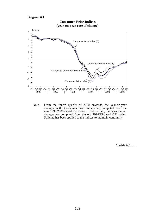**Diagram 6.1**



Note : From the fourth quarter of 2000 onwards, the year-on-year changes in the Consumer Price Indices are computed from the new 1999/2000-based CPI series. Before then, the year-on-year changes are computed from the old 1994/95-based CPI series. Splicing has been applied to the indices to maintain continuity.

/**Table 6.1** .....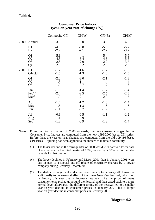## **Table 6.1**

|      |                         | <b>Composite CPI</b> | CPI(A) | CPI(B) | CPI(C) |
|------|-------------------------|----------------------|--------|--------|--------|
| 2000 | Annual                  | $-3.8$               | $-3.0$ | $-3.9$ | $-4.5$ |
|      | H1                      | $-4.8$               | $-3.8$ | $-5.0$ | $-5.7$ |
|      | H2                      | $-2.7$               | $-2.1$ | $-2.7$ | $-3.2$ |
|      | Q1                      | $-5.1$               | $-4.1$ | $-5.4$ | $-5.9$ |
|      | $\overline{Q}2$         | $-4.5$               | $-3.4$ | $-4.6$ | $-5.5$ |
|      | $\overline{Q}3^+$       | $-2.8$               | $-2.0$ | $-2.9$ | $-3.7$ |
|      | Q4                      | $-2.5$               | $-2.2$ | $-2.5$ | $-2.8$ |
| 2001 | H1                      | $-1.7$               | $-1.6$ | $-1.7$ | $-1.6$ |
|      | $Q1-Q3$                 | $-1.5$               | $-1.3$ | $-1.6$ | $-1.5$ |
|      | Q1                      | $-2.0$               | $-2.0$ | $-2.1$ | $-1.8$ |
|      | $\tilde{Q}$             | $-1.3$               | $-1.1$ | $-1.4$ | $-1.4$ |
|      | Q <sub>3</sub>          | $-1.0$               | $-0.7$ | $-1.2$ | $-1.3$ |
|      | Jan                     | $-1.5$               | $-1.4$ | $-1.7$ | $-1.4$ |
|      | $\text{Feb}^{\text{#}}$ | $-2.4$               | $-2.5$ | $-2.5$ | $-2.3$ |
|      | $Mar^*$                 | $-1.9$               | $-2.1$ | $-2.0$ | $-1.5$ |
|      | Apr                     | $-1.4$               | $-1.2$ | $-1.6$ | $-1.4$ |
|      | May                     | $-1.5$               | $-1.3$ | $-1.6$ | $-1.6$ |
|      | Jun                     | $-1.1$               | $-0.7$ | $-1.2$ | $-1.3$ |
|      | Jul                     | $-0.9$               | $-0.5$ | $-1.1$ | $-1.2$ |
|      | Aug                     | $-1.1$               | $-0.9$ | $-1.2$ | $-1.2$ |
|      | Sep                     | $-1.2$               | $-0.9$ | $-1.3$ | $-1.4$ |

#### **Consumer Price Indices (year-on-year rate of change (%))**

- Notes : From the fourth quarter of 2000 onwards, the year-on-year changes in the Consumer Price Indices are computed from the new 1999/2000-based CPI series. Before then, the year-on-year changes are computed from the old 1994/95-based CPI series. Splicing has been applied to the indices to maintain continuity.
	- (+) The lesser decline in the third quarter of 2000 was due in part to a lower base of comparison in the third quarter of 1999, caused by a 50% cut in the rates payable for that quarter.
	- (#) The larger declines in February and March 2001 than in January 2001 were due in part to a special one-off rebate of electricity charges by a power company during February - March 2001.
	- (\*) The distinct enlargement in decline from January to February 2001 was due additionally to the seasonal effect of the Lunar New Year Festival, which fell in January this year but in February last year. As the prices of many consumer items picked up around the Festival and then eased back to a more normal level afterwards, the different timing of the Festival led to a smaller year-on-year decline in consumer prices in January 2001, but a larger year-on-year decline in consumer prices in February 2001.

/**Diagram 6.2** .....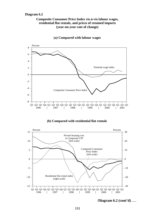#### **Diagram 6.2**

#### **Composite Consumer Price Index vis-à-vis labour wages, residential flat rentals, and prices of retained imports (year-on-year rate of change)**



**(a) Compared with labour wages**

#### **(b) Compared with residential flat rentals**



/**Diagram 6.2 (cont'd)** .....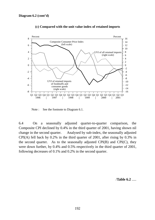

**(c) Compared with the unit value index of retained imports**

Note : See the footnote to Diagram 6.1.

6.4 On a seasonally adjusted quarter-to-quarter comparison, the Composite CPI declined by 0.4% in the third quarter of 2001, having shown nil change in the second quarter. Analysed by sub-index, the seasonally adjusted CPI(A) fell back by 0.2% in the third quarter of 2001, after rising by 0.3% in the second quarter. As to the seasonally adjusted  $CPI(B)$  and  $CPI(C)$ , they were down further, by 0.4% and 0.5% respectively in the third quarter of 2001, following decreases of 0.1% and 0.2% in the second quarter.

/**Table 6.2** .....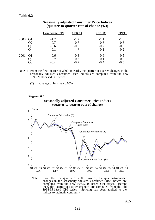## **Table 6.2**

|      |                | <b>Composite CPI</b> | CPI(A) | CPI(B) | CPI(C) |
|------|----------------|----------------------|--------|--------|--------|
| 2000 | Q1             | $-1.2$               | $-1.2$ | $-1.1$ | $-1.5$ |
|      | Q2             | $-0.7$               | $-0.7$ | $-0.8$ | $-0.5$ |
|      | Q3             | $-0.6$               | $-0.5$ | $-0.7$ | $-0.6$ |
|      | Q4             | $-0.1$               | $\ast$ | $-0.1$ | $-0.2$ |
| 2001 | Q <sub>1</sub> | $-0.6$               | $-0.8$ | $-0.6$ | $-0.5$ |
|      | Q2             | $\ast$               | 0.3    | $-0.1$ | $-0.2$ |
|      | 03             | $-0.4$               | $-0.2$ | $-0.4$ | $-0.5$ |

#### **Seasonally adjusted Consumer Price Indices (quarter-to-quarter rate of change (%))**

- Notes : From the first quarter of 2000 onwards, the quarter-to-quarter changes in the seasonally adjusted Consumer Price Indices are computed from the new 1999/2000-based CPI series.
	- (\*) Change of less than 0.05%.

#### **Diagram 6.3**

#### **Seasonally adjusted Consumer Price Indices (quarter-to-quarter rate of change)**



Note : From the first quarter of 2000 onwards, the quarter-to-quarter changes in the seasonally adjusted Consumer Price Indices are computed from the new 1999/2000-based CPI series. Before then, the quarter-to-quarter changes are computed from the old 1994/95-based CPI series. Splicing has been applied to the indices to maintain continuity.

 $/6.5$  .....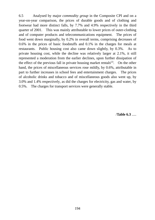6.5 Analysed by major *commodity group* in the Composite CPI and on a year-on-year comparison, the prices of durable goods and of clothing and footwear had more distinct falls, by 7.7% and 4.9% respectively in the third quarter of 2001. This was mainly attributable to lower prices of outer-clothing and of computer products and telecommunications equipment. The prices of food went down marginally, by 0.2% in overall terms, comprising decreases of 0.6% in the prices of basic foodstuffs and 0.1% in the charges for meals at restaurants. Public housing cost also came down slightly, by 0.3%. As to private housing cost, while the decline was relatively larger at 2.1%, it still represented a moderation from the earlier declines, upon further dissipation of the effect of the previous fall in private housing market rentals<sup>(2)</sup>. On the other hand, the prices of miscellaneous services rose mildly, by 0.6%, attributable in part to further increases in school fees and entertainment charges. The prices of alcoholic drinks and tobacco and of miscellaneous goods also went up, by 3.0% and 1.4% respectively, as did the charges for electricity, gas and water, by 0.5%. The charges for transport services were generally stable.

/**Table 6.3** .....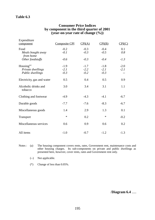## **Table 6.3**

#### **Consumer Price Indices by component in the third quarter of 2001 (year-on-year rate of change (%))**

| Expenditure<br>component                                  | Composite CPI              | CPI(A)                     | CPI(B)                     | CPI(C)           |
|-----------------------------------------------------------|----------------------------|----------------------------|----------------------------|------------------|
| Food<br>Meals bought away<br>from home                    | $-0.2$<br>$-0.1$           | $-0.3$<br>$-0.3$           | $-0.4$<br>$-0.5$           | 0.1<br>0.8       |
| Other foodstuffs                                          | $-0.6$                     | $-0.3$                     | $-0.4$                     | $-1.3$           |
| Housing $^{(a)}$<br>Private dwellings<br>Public dwellings | $-1.9$<br>$-2.1$<br>$-0.3$ | $-1.7$<br>$-2.2$<br>$-0.2$ | $-1.8$<br>$-2.1$<br>$-0.3$ | $-2.0$<br>$-2.1$ |
| Electricity, gas and water                                | 0.5                        | 0.4                        | 0.5                        | 0.9              |
| Alcoholic drinks and<br>tobacco                           | 3.0                        | 3.4                        | 3.1                        | 1.1              |
| Clothing and footwear                                     | $-4.9$                     | $-4.3$                     | $-4.1$                     | $-6.7$           |
| Durable goods                                             | $-7.7$                     | $-7.6$                     | $-8.3$                     | $-6.7$           |
| Miscellaneous goods                                       | 1.4                        | 2.9                        | 1.3                        | 0.1              |
| <b>Transport</b>                                          | $\ast$                     | 0.2                        | $\ast$                     | $-0.2$           |
| Miscellaneous services                                    | 0.6                        | 0.9                        | 0.6                        | 0.2              |
| All items                                                 | $-1.0$                     | $-0.7$                     | $-1.2$                     | $-1.3$           |

Notes : (a) The housing component covers rents, rates, Government rent, maintenance costs and other housing charges. Its sub-components on private and public dwellings as presented here, however, cover rents, rates and Government rent only.

(--) Not applicable.

(\*) Change of less than 0.05%.

/**Diagram 6.4** .....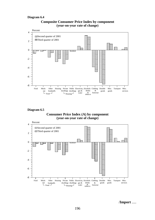#### **Diagram 6.4**





**Diagram 6.5**





/**Import** .....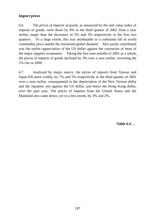# **Import prices**

6.6 The *prices of imports of goods*, as measured by the unit value index of imports of goods, were down by 4% in the third quarter of 2001 from a year earlier, larger than the decreases of 2% and 3% respectively in the first two quarters. To a large extent, this was attributable to a continued fall in world commodity price amidst the slackened global demand. Also partly contributed was the earlier appreciation of the US dollar against the currencies of most of the major supplier economies. Taking the first nine months of 2001 as a whole, the prices of imports of goods declined by 3% over a year earlier, reversing the 1% rise in 2000.

6.7 Analysed by major *source*, the prices of imports from Taiwan and Japan fell more visibly, by 7% and 5% respectively in the third quarter of 2001 over a year earlier, consequential to the depreciation of the New Taiwan dollar and the Japanese yen against the US dollar, and hence the Hong Kong dollar, over the past year. The prices of imports from the United States and the Mainland also came down, yet to a less extent, by 3% and 2%.

/**Table 6.4** .....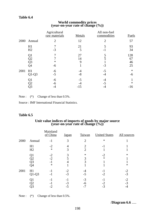#### **Table 6.4**

# **World commodity prices (year-on-year rate of change (%))**

|      |                      | Agricultural<br>raw materials | <b>Metals</b> | All non-fuel<br>commodities | <b>Fuels</b>          |
|------|----------------------|-------------------------------|---------------|-----------------------------|-----------------------|
| 2000 | Annual               | $\overline{2}$                | 12            | $\overline{2}$              | 57                    |
|      | H1<br>H2             | $-3$                          | 21<br>5       | 5<br>- 1                    | 93<br>34              |
|      | Q1<br>Q2<br>Q3<br>Q4 | $\ast$<br>-6                  | 27<br>14<br>9 | $-3$                        | 128<br>67<br>46<br>25 |
| 2001 | H1<br>$Q1-Q3$        | $-6$<br>$-5$                  | -4<br>$-8$    | $-5$<br>-4                  | $\ast$<br>-6          |
|      | Q1<br>Q2             | -6<br>-6<br>-4                | $-5$<br>$-15$ | $-5$                        | $\ast$<br>$-16$       |

Note :  $(*)$  Change of less than 0.5%.

Source : IMF International Financial Statistics.

#### **Table 6.5**

# Unit value indices of imports of goods by major source (year-on-year rate of change  $(\%)$ )

|      |                      | Mainland<br>of China           | <u>Japan</u>        | Taiwan                           | <b>United States</b> | All sources      |
|------|----------------------|--------------------------------|---------------------|----------------------------------|----------------------|------------------|
| 2000 | Annual               | $-1$                           | 3                   | $\overline{2}$                   | $\ast$               |                  |
|      | H1<br>H <sub>2</sub> | $-2$<br>$\ast$                 | 3                   | $\overline{2}$<br>$\overline{2}$ | -1                   |                  |
|      | O1<br>O2<br>Q3<br>Q4 | $-2$<br>$-2$<br>$-1$<br>$\ast$ |                     | $\ast$<br>3<br>3                 | $-2$<br>$\ast$       | $\ast$<br>$\ast$ |
| 2001 | H1<br>$Q1-Q3$        | $-1$<br>$-1$                   | $-2$<br>$-3$        | -4<br>$-5$                       | -1<br>$-2$           | $-2$<br>$-3$     |
|      | Q1<br>O2<br>Q3       | -1<br>-1<br>$-2$               | - 1<br>$-3$<br>$-5$ | $-3$<br>-6<br>$-7$               | - 1<br>$-2$<br>$-3$  | $-2$<br>$-3$     |

Note :  $(*)$  Change of less than 0.5%.

/**Diagram 6.6** .....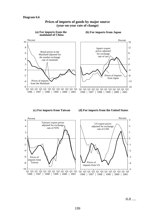

#### **Prices of imports of goods by major source (year-on-year rate of change)**

 $/6.8$  .....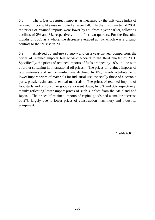6.8 The *prices of retained imports*, as measured by the unit value index of retained imports, likewise exhibited a larger fall. In the third quarter of 2001, the prices of retained imports were lower by 6% from a year earlier, following declines of 2% and 3% respectively in the first two quarters. For the first nine months of 2001 as a whole, the decrease averaged at 4%, which was a distinct contrast to the 5% rise in 2000.

6.9 Analysed by *end-use category* and on a year-on-year comparison, the prices of retained imports fell across-the-board in the third quarter of 2001. Specifically, the prices of retained imports of fuels dropped by 18%, in line with a further softening in international oil prices. The prices of retained imports of raw materials and semi-manufactures declined by 8%, largely attributable to lower import prices of materials for industrial use, especially those of electronic parts, plastic resins and chemical materials. The prices of retained imports of foodstuffs and of consumer goods also went down, by 5% and 3% respectively, mainly reflecting lower import prices of such supplies from the Mainland and Japan. The prices of retained imports of capital goods had a smaller decrease of 2%, largely due to lower prices of construction machinery and industrial equipment.

/**Table 6.6** .....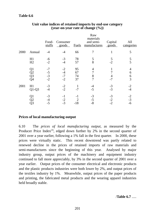|      |                                                            | Food-<br>stuffs              | Consumer<br>goods            | <b>Fuels</b>         | Raw<br>materials<br>and semi-<br>manufactures | Capital<br>goods     | All<br>categories             |
|------|------------------------------------------------------------|------------------------------|------------------------------|----------------------|-----------------------------------------------|----------------------|-------------------------------|
| 2000 | Annual                                                     | -4                           | $-4$                         | 66                   | 7                                             |                      | 5                             |
|      | H1<br>H2                                                   | -6<br>$-2$                   | $-3$<br>$-4$                 | 78<br>57             | 5<br>8                                        | 5<br>$-2$            | 5<br>5                        |
|      | Q <sub>1</sub><br>$\overline{Q}$<br>$\overline{Q}$ 3<br>Q4 | $-7$<br>$-5$<br>$-3$<br>$-2$ | $-2$<br>$-4$<br>$-7$<br>$-2$ | 95<br>67<br>74<br>37 | 4<br>7<br>8                                   | 4<br>$-7$            | $\overline{4}$<br>6<br>6<br>3 |
| 2001 | H1<br>$Q1-Q3$                                              | $-3$<br>$-4$                 | $-2$<br>$-2$                 | $-7$                 | $-5$                                          | $-3$<br>$-3$         | $-2$<br>$-4$                  |
|      | Q1<br>$\overline{Q}2$<br>Q3                                | $-3$<br>-4<br>$-5$           | $-1$<br>$-2$<br>$-3$         | -1<br>$-18$          | $-3$<br>$-5$<br>$-8$                          | $-3$<br>$-2$<br>$-2$ | $-2$<br>$-3$<br>-6            |

## **Unit value indices of retained imports by end-use category (year-on-year rate of change (%))**

## **Prices of local manufacturing output**

6.10 The *prices of local manufacturing output*, as measured by the Producer Price Index<sup>(3)</sup>, edged down further by 2% in the second quarter of 2001 over a year earlier, following a 1% fall in the first quarter. In 2000, these prices were virtually static. This recent downtrend was partly related to renewed decline in the prices of retained imports of raw materials and semi-manufactures since the beginning of this year. Analysed by major industry group, output prices of the machinery and equipment industry continued to fall more appreciably, by 3% in the second quarter of 2001 over a year earlier. Output prices of the consumer electrical and electronic products and the plastic products industries were both lower by 2%, and output prices of the textiles industry by 1%. Meanwhile, output prices of the paper products and printing, the fabricated metal products and the wearing apparel industries held broadly stable.

/**Table 6.7** .....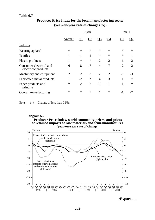#### **Table 6.7**

|                                                | 2000           |                           |                |                |                |                           |        |
|------------------------------------------------|----------------|---------------------------|----------------|----------------|----------------|---------------------------|--------|
|                                                | Annual         | $\overline{\mathrm{Q}}$ 1 | <u>Q2</u>      | <u>Q3</u>      | <u>04</u>      | $\overline{\mathrm{Q}}$ 1 |        |
| <b>Industry</b>                                |                |                           |                |                |                |                           |        |
| Wearing apparel                                | $\ast$         | $\ast$                    | $\ast$         | $\ast$         | $\ast$         | $\ast$                    | $\ast$ |
| <b>Textiles</b>                                | $-1$           | $-1$                      | $-1$           | $\ast$         | $\ast$         | $\ast$                    | -1     |
| Plastic products                               | $-1$           | $\ast$                    | $\ast$         | $-2$           | $-2$           | $-1$                      | $-2$   |
| Consumer electrical and<br>electronic products | $-6$           | $-8$                      | $-7$           | $-4$           | $-7$           | $-2$                      | $-2$   |
| Machinery and equipment                        | $\overline{2}$ | $\overline{2}$            | $\overline{2}$ | $\overline{2}$ | $\overline{2}$ | $-3$                      | $-3$   |
| Fabricated metal products                      | 1              | $-2$                      | $\ast$         | $\overline{4}$ | 3              |                           | $\ast$ |
| Paper products and<br>printing                 | $\ast$         | $\overline{2}$            | $\overline{2}$ | $-1$           | $-1$           | $-1$                      | $\ast$ |
| Overall manufacturing                          | $\ast$         | $\ast$                    | ∗              | 1              | $\ast$         | - 1                       |        |

# **Producer Price Index for the local manufacturing sector (year-on-year rate of change (%))**

Note :  $(*)$  Change of less than 0.5%.

#### **Producer Price Index, world commodity prices, and prices (year-on-year rate of change) Diagram 6.7 of retained imports of raw materials and semi-manufactures**



/**Export** .....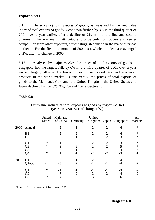# **Export prices**

6.11 The *prices of total exports of goods*, as measured by the unit value index of total exports of goods, went down further, by 3% in the third quarter of 2001 over a year earlier, after a decline of 2% in both the first and second quarters. This was mainly attributable to price curb from buyers and keener competition from other exporters, amidst sluggish demand in the major overseas markets. For the first nine months of 2001 as a whole, the decrease averaged at 2%, after nil change in 2000.

6.12 Analysed by major *market*, the prices of total exports of goods to Singapore had the largest fall, by 6% in the third quarter of 2001 over a year earlier, largely affected by lower prices of semi-conductor and electronic products in the world market. Concurrently, the prices of total exports of goods to the Mainland, Germany, the United Kingdom, the United States and Japan declined by 4%, 3%, 3%, 2% and 1% respectively.

## **Table 6.8**

|      |                            | United<br><b>States</b>         | Mainland<br>of China             | Germany                    | United<br>Kingdom            | <b>Japan</b>                 | Singapore                  | All<br>markets          |
|------|----------------------------|---------------------------------|----------------------------------|----------------------------|------------------------------|------------------------------|----------------------------|-------------------------|
| 2000 | Annual                     | $\ast$                          | $\overline{2}$                   | $-1$                       | $-2$                         | $-2$                         |                            | $\ast$                  |
|      | H1<br>H2                   | $\ast$                          | $\overline{2}$<br>$\overline{2}$ | $-2$<br>$-1$               | $-2$<br>$-1$                 | $-2$<br>$-2$                 | $-3$                       | $\ast$<br>$\ast$        |
|      | Q1<br>Q2<br>Q3<br>Q4       | $\ast$<br>$\ast$<br>1<br>$\ast$ | 3<br>3                           | $-2$<br>$-2$<br>-1<br>$-1$ | $-2$<br>$-2$<br>$-1$<br>$-2$ | $-2$<br>$-2$<br>$-1$<br>$-2$ | $-3$<br>$-5$<br>-4<br>$-3$ | *<br>*<br>$\ast$<br>- 1 |
| 2001 | H1<br>$Q1-Q3$              | -1<br>-1                        | $-2$<br>$-3$                     | - 1<br>$-2$                | $-2$<br>$-2$                 | -1<br>-1                     |                            | $-2$<br>$-2$            |
|      | Q1<br>Q2<br>Q <sub>3</sub> | $\ast$<br>-1<br>-2              | $\overline{\phantom{a}}$<br>$-3$ | $-2$<br>$-3$               | - 1<br>$-2$<br>$-3$          | $-2$<br>-1                   | -3<br>-6                   | -2<br>$-2$<br>$-3$      |

#### **Unit value indices of total exports of goods by major market (year-on-year rate of change (%))**

Note :  $(*)$  Change of less than 0.5%.

/**Diagram 6.8** .....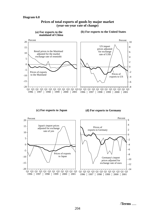

#### **Prices of total exports of goods by major market (year-on-year rate of change)**

**(d) For exports to Germany**

**(c) For exports to Japan**



/**Terms** .....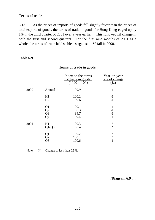## **Terms of trade**

6.13 As the prices of imports of goods fell slightly faster than the prices of total exports of goods, the terms of trade in goods for Hong Kong edged up by 1% in the third quarter of 2001 over a year earlier. This followed nil change in both the first and second quarters. For the first nine months of 2001 as a whole, the terms of trade held stable, as against a 1% fall in 2000.

## **Table 6.9**

## **Terms of trade in goods**

|      |                      | Index on the terms<br>of trade in goods<br>$(1990 = 100)$ | Year-on-year<br>rate of change<br>(%) |
|------|----------------------|-----------------------------------------------------------|---------------------------------------|
| 2000 | Annual               | 99.9                                                      | $-1$                                  |
|      | H1<br>H2             | 100.2<br>99.6                                             | $-1$<br>$-1$                          |
|      | Q1<br>Q2<br>Q3<br>Q4 | 100.1<br>100.3<br>99.7<br>99.4                            | $-1$<br>$-1$<br>$-1$<br>$-1$          |
| 2001 | H1<br>$Q1-Q3$        | 100.3<br>100.4                                            | ∗<br>∗                                |
|      | Q1<br>Q2<br>Q3       | 100.2<br>100.4<br>100.6                                   | ∗<br>$\ast$<br>1                      |

Note :  $(*)$  Change of less than 0.5%.

/**Diagram 6.9** .....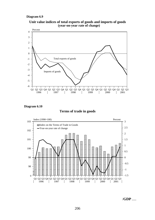#### **Diagram 6.9**







#### **Terms of trade in goods**



/**GDP** .....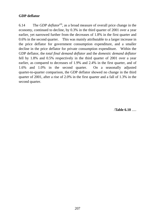# **GDP deflator**

6.14 The *GDP deflator*(4), as a broad measure of overall price change in the economy, continued to decline, by 0.3% in the third quarter of 2001 over a year earlier, yet narrowed further from the decreases of 1.8% in the first quarter and 0.6% in the second quarter. This was mainly attributable to a larger increase in the price deflator for government consumption expenditure, and a smaller decline in the price deflator for private consumption expenditure. Within the GDP deflator, the *total final demand deflator* and the *domestic demand deflator* fell by 1.8% and 0.5% respectively in the third quarter of 2001 over a year earlier, as compared to decreases of 1.9% and 2.4% in the first quarter, and of 1.6% and 1.0% in the second quarter. On a seasonally adjusted quarter-to-quarter comparison, the GDP deflator showed no change in the third quarter of 2001, after a rise of 2.0% in the first quarter and a fall of 1.3% in the second quarter.

/**Table 6.10** .....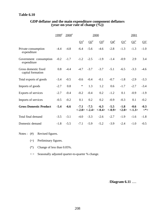# **Table 6.10**

|                                           | $1999^{*}$ | $2000^*$ |            |                          | 2000                                                    |           |                 | 2001                             |               |
|-------------------------------------------|------------|----------|------------|--------------------------|---------------------------------------------------------|-----------|-----------------|----------------------------------|---------------|
|                                           |            |          | $\Omega^*$ | $\mathbf{Q2}^*$          | $Q3^*$                                                  | $Q4^{\#}$ | $\Omega^*$      | $Q2^*$                           | $Q3^+$        |
| Private consumption<br>expenditure        | $-4.4$     | $-4.8$   | $-6.4$     | $-5.6$                   | $-4.6$                                                  | $-2.8$    | $-1.3$          | $-1.3$                           | $-1.0$        |
| Government consumption<br>expenditure     | $-0.2$     | $-1.7$   | $-1.2$     | $-2.5$                   | $-1.9$                                                  | $-1.4$    | $-0.9$          | 2.9                              | 3.4           |
| Gross domestic fixed<br>capital formation | 0.8        | $-4.4$   | $-4.7$     | $-3.7$                   | $-3.7$                                                  | $-5.1$    | $-6.5$          | $-3.3$                           | $-4.6$        |
| Total exports of goods                    | $-3.4$     | $-0.5$   | $-0.6$     | $-0.4$                   | $-0.1$                                                  | $-0.7$    | $-1.8$          | $-2.9$                           | $-3.3$        |
| Imports of goods                          | $-2.7$     | 0.8      | $\ast$     | 1.3                      | 1.2                                                     | 0.6       | $-1.7$          | $-2.7$                           | $-3.4$        |
| Exports of services                       | $-2.7$     | $-0.4$   | $-0.2$     | $-0.4$                   | 0.2                                                     | $-1.2$    | 0.1             | $-0.9$                           | $-1.9$        |
| Imports of services                       | $-0.5$     | $-0.2$   | 0.1        | 0.2                      | 0.2                                                     | $-0.9$    | $-0.3$          | 0.1                              | $-0.2$        |
| <b>Gross Domestic Product</b>             | $-5.4$     | $-6.6$   | $-7.1$     | $-7.5$<br>$<-2.0><-2.4>$ | $-6.3$<br>$\langle -0.4 \rangle$ $\langle -0.9 \rangle$ | $-5.5$    | $-1.8$<br><2.0> | $-0.6$<br>$\langle -1.3 \rangle$ | $-0.3$<br><*> |
| Total final demand                        | $-3.5$     | $-3.1$   | $-4.0$     | $-3.3$                   | $-2.6$                                                  | $-2.7$    | $-1.9$          | $-1.6$                           | $-1.8$        |
| Domestic demand                           | $-1.8$     | $-5.5$   | $-7.1$     | $-5.9$                   | $-5.2$                                                  | $-3.9$    | $-2.4$          | $-1.0$                           | $-0.5$        |

#### **GDP deflator and the main expenditure component deflators (year-on-year rate of change (%))**

Notes : (#) Revised figures.

- (+) Preliminary figures.
- (\*) Change of less than 0.05%.
- < > Seasonally adjusted quarter-to-quarter % change.

/**Diagram 6.11** .....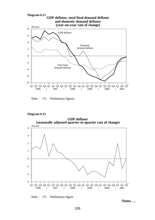

Note :  $(*)$  Preliminary figures.

#### **Diagram 6.12**

**GDP deflator (seasonally adjusted quarter-to-quarter rate of change)**





/**Notes** .....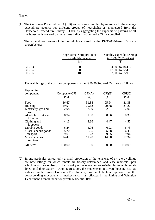#### **Notes :**

(1) The Consumer Price Indices (A), (B) and (C) are compiled by reference to the average expenditure patterns for different groups of households as enumerated from the Household Expenditure Survey. Then, by aggregating the expenditure patterns of all the households covered by these three indices, a Composite CPI is compiled.

The expenditure ranges of the households covered in the 1999/2000-based CPIs are shown below:

|        | Approximate proportion of<br>households covered<br>(%) | Monthly expenditure range<br>$(at 1999/2000 \text{ prices})$ |
|--------|--------------------------------------------------------|--------------------------------------------------------------|
| CPI(A) | 50                                                     | 4,500 to 18,499                                              |
| CPI(B) | 30                                                     | 18,500 to 32,499                                             |
| CPI(C) | 10                                                     | 32,500 to 65,999                                             |

The weightings of the various components in the 1999/2000-based CPIs are as follows:

| Expenditure                     |                      |        |        |        |
|---------------------------------|----------------------|--------|--------|--------|
| component                       | <b>Composite CPI</b> | CPI(A) | CPI(B) | CPI(C) |
|                                 | (% )                 | (% )   | (% )   | (%)    |
| Food                            | 26.67                | 31.88  | 25.94  | 21.38  |
| Housing                         | 29.91                | 29.13  | 29.68  | 31.22  |
| Electricity, gas and<br>water   | 2.98                 | 3.99   | 2.81   | 2.02   |
| Alcoholic drinks and<br>tobacco | 0.94                 | 1.50   | 0.86   | 0.39   |
| Clothing and<br>footwear        | 4.13                 | 3.36   | 4.47   | 4.55   |
| Durable goods                   | 6.24                 | 4.96   | 6.93   | 6.73   |
| Miscellaneous goods             | 5.70                 | 5.25   | 5.58   | 6.43   |
| <b>Transport</b>                | 9.01                 | 8.23   | 9.05   | 9.94   |
| Miscellaneous<br>services       | 14.42                | 11.70  | 14.68  | 17.34  |
| All items                       | 100.00               | 100.00 | 100.00 | 100.00 |

(2) In any particular period, only a small proportion of the tenancies of private dwellings are new lettings for which rentals are freshly determined, and lease renewals upon which rentals are revised. The majority of the tenancies are existing leases with rentals fixed until their expiry. Upon aggregation, the movements in private housing cost, as indicated in the various Consumer Price Indices, thus tend to be less responsive than the corresponding movements in market rentals, as reflected in the Rating and Valuation Department's rental index for private residential flats.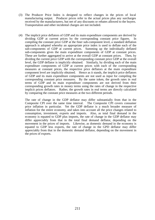- (3) The Producer Price Index is designed to reflect changes in the prices of local manufacturing output. Producer prices refer to the actual prices plus any surcharges received by the manufacturers, but net of any discounts or rebates allowed to the buyers. Transportation and other incidental charges are not included.
- (4) The implicit price deflators of GDP and its main expenditure components are derived by dividing GDP at current prices by the corresponding constant price figures. In compiling the constant price GDP at the finer sub-component level, a standard deflation approach is adopted whereby an appropriate price index is used to deflate each of the sub-components of GDP at current prices. Summing up the individually deflated sub-components gives the main expenditure components of GDP at constant prices. These are further aggregated to arrive at the overall GDP at constant prices. Then, by dividing the current price GDP with the corresponding constant price GDP at the overall level, the GDP deflator is implicitly obtained. Similarly, by dividing each of the main expenditure components of GDP at current prices with each of the corresponding measures at constant prices, the respective price deflators at the main expenditure component level are implicitly obtained. Hence as it stands, the implicit price deflators of GDP and its main expenditure components are not used as input for compiling the corresponding constant price measures. By the same token, the growth rates in real terms of GDP and its main expenditure components are not derived from their corresponding growth rates in money terms using the rates of change in the respective implicit prices deflators. Rather, the growth rates in real terms are directly calculated by comparing the constant price measures at the two different periods.

The rate of change in the GDP deflator may differ substantially from that in the Composite CPI over the same time interval. The Composite CPI covers consumer price inflation in particular. Yet the GDP deflator is a much broader measure of inflation for the entire economy, and takes into account all the price changes related to consumption, investment, exports and imports. Also, as total final demand in the economy is equated to GDP plus imports, the rate of change in the GDP deflator may differ appreciably from that in the total final demand deflator, depending on the movement in the prices of imports. Likewise, as domestic demand in the economy is equated to GDP less exports, the rate of change in the GPD deflator may differ appreciably from that in the domestic demand deflator, depending on the movement in the prices of exports.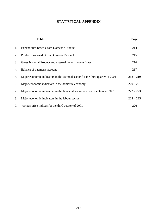# **STATISTICAL APPENDIX**

|    | <b>Table</b>                                                                   | Page        |
|----|--------------------------------------------------------------------------------|-------------|
| 1. | <b>Expenditure-based Gross Domestic Product</b>                                | 214         |
| 2. | <b>Production-based Gross Domestic Product</b>                                 | 215         |
| 3. | Gross National Product and external factor income flows                        | 216         |
| 4. | Balance of payments account                                                    | 217         |
| 5. | Major economic indicators in the external sector for the third quarter of 2001 | $218 - 219$ |
| 6. | Major economic indicators in the domestic economy                              | $220 - 221$ |
| 7. | Major economic indicators in the financial sector as at end-September 2001     | $222 - 223$ |
| 8. | Major economic indicators in the labour sector                                 | $224 - 225$ |
| 9. | Various price indices for the third quarter of 2001                            | 226         |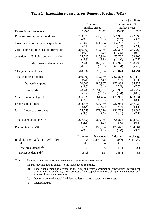|                                                  |                            |                                 |                            | (HK\$ million)                  |  |
|--------------------------------------------------|----------------------------|---------------------------------|----------------------------|---------------------------------|--|
|                                                  |                            | At current                      | At constant (1990)         |                                 |  |
|                                                  |                            | market prices                   |                            | market prices                   |  |
| Expenditure component                            | $1999^{\text{#}}$          | $2000^{\#}$                     | $1999^{#}$                 | $2000^{\text{#}}$               |  |
| Private consumption expenditure                  | 733,575                    | 736,204                         | 466,906                    | 492,395                         |  |
|                                                  | $(-3.8)$                   | (0.4)                           | (0.7)                      | (5.5)                           |  |
| Government consumption expenditure               | 121,465                    | 121,834                         | 64,203                     | 65,529                          |  |
|                                                  | (3.1)                      | (0.3)                           | (3.3)                      | (2.1)                           |  |
| Gross domestic fixed capital formation           | 316,960                    | 332,965                         | 232,397                    | 255,267                         |  |
|                                                  | $(-16.8)$                  | (5.0)                           | $(-17.5)$                  | (9.8)                           |  |
| Building and construction                        | 125,725                    | 115,946                         | 75,700                     | 69,906                          |  |
| of which:                                        | $(-8.9)$                   | $(-7.8)$                        | $(-11.0)$                  | $(-7.7)$                        |  |
| Machinery and equipment                          | 132,981                    | 168,472                         | 119,990                    | 150,938                         |  |
|                                                  | $(-15.6)$                  | (26.7)                          | $(-19.4)$                  | (25.8)                          |  |
| Change in inventories                            | $-10,637$                  | 16,194                          | $-10,824$                  | 14,791                          |  |
| Total exports of goods                           | 1,349,000                  | 1,572,689                       | 1,392,823                  | 1,631,144                       |  |
|                                                  | (0.1)                      | (16.6)                          | (3.7)                      | (17.1)                          |  |
| Domestic exports                                 | 170,600                    | 180,967                         | 172,884                    | 185,927                         |  |
|                                                  | $(-9.5)$                   | (6.1)                           | $(-7.2)$                   | (7.5)                           |  |
| Re-exports                                       | 1,178,400                  | 1,391,722                       | 1,219,938                  | 1,445,217                       |  |
|                                                  | (1.7)                      | (18.1)                          | (5.4)                      | (18.5)                          |  |
| Imports of goods                                 | 1,395,521                  | 1,661,404                       | 1,425,939                  | 1,683,831                       |  |
| less                                             | $(-2.6)$                   | (19.1)                          | (0.1)                      | (18.1)                          |  |
| Exports of services                              | 288,574                    | 327,969                         | 226,042                    | 257,924                         |  |
|                                                  | (2.8)                      | (13.7)                          | (5.7)                      | (14.1)                          |  |
| Imports of services                              | 175,758                    | 179,276                         | 136,782                    | 139,682                         |  |
| less                                             | $(-3.5)$                   | (2.0)                           | $(-3.1)$                   | (2.1)                           |  |
| Total expenditure on GDP                         | 1,227,658                  | 1,267,175                       | 808,826                    | 893,537                         |  |
|                                                  | $(-2.5)$                   | (3.2)                           | (3.0)                      | (10.5)                          |  |
| Per capita GDP (\$)                              | 185,826                    | 190,124                         | 122,429                    | 134,064                         |  |
|                                                  | $(-3.4)$                   | (2.3)                           | (2.0)                      | (9.5)                           |  |
| Implicit Price Deflator (1990=100)<br><b>GDP</b> | Index for<br>1999<br>151.8 | % change<br>over 1998<br>$-5.4$ | Index for<br>2000<br>141.8 | % change<br>over 1999<br>$-6.6$ |  |
| Total final demand <sup>(a)</sup>                | 118.0                      | $-3.5$                          | 114.4                      | $-3.1$                          |  |
| Domestic demand <sup>(b)</sup>                   | 154.3                      | $-1.8$                          | 145.8                      | $-5.5$                          |  |

#### **Table 1 Expenditure-based Gross Domestic Product (GDP)**

Notes : Figures in brackets represent percentage changes over a year earlier.

Figures may not add up exactly to the totals due to rounding.

(a) Total final demand is defined as the sum of private consumption expenditure, government consumption expenditure, gross domestic fixed capital formation, change in inventories, and exports of goods and services.

(b) Domestic demand is total final demand less exports of goods and services.

(#) Revised figures.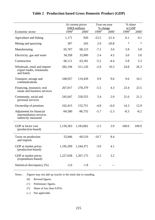|                                                                            |            | At current prices<br>(HK\$ million) |            | Year-on-year<br>% change |            | % share<br>in GDP |  |
|----------------------------------------------------------------------------|------------|-------------------------------------|------------|--------------------------|------------|-------------------|--|
| Economic sector                                                            | $1999^{#}$ | $2000^{+}$                          | $1999^{#}$ | $2000^+$                 | $1999^{#}$ | $2000^+$          |  |
| Agriculture and fishing                                                    | 1,171      | 920                                 | $-23.5$    | $-21.4$                  | 0.1        | 0.1               |  |
| Mining and quarrying                                                       | 307        | 243                                 | 2.0        | $-20.8$                  | $\ast$     | $\ast$            |  |
| Manufacturing                                                              | 65,767     | 68,123                              | $-7.2$     | 3.6                      | 5.8        | 5.8               |  |
| Electricity, gas and water                                                 | 34,358     | 35,900                              | 2.4        | 4.5                      | 3.0        | 3.0               |  |
| Construction                                                               | 66,111     | 63,181                              | $-5.5$     | $-4.4$                   | 5.8        | 5.3               |  |
| Wholesale, retail and import/<br>export trades, restaurants<br>and hotels  | 282,194    | 311,126                             | $-2.0$     | 10.3                     | 24.8       | 26.3              |  |
| Transport, storage and<br>communications                                   | 108,957    | 119,439                             | 0.9        | 9.6                      | 9.6        | 10.1              |  |
| Financing, insurance, real<br>estate and business services                 | 267,017    | 278,379                             | $-5.5$     | 4.3                      | 23.4       | 23.5              |  |
| Community, social and<br>personal services                                 | 245,647    | 250,555                             | 5.4        | 2.0                      | 21.6       | 21.2              |  |
| Ownership of premises                                                      | 162,415    | 152,751                             | $-4.8$     | $-6.0$                   | 14.3       | 12.9              |  |
| Adjustment for financial<br>intermediation services<br>indirectly measured | $-94,580$  | $-96,755$                           | $-5.7$     | $-2.3$                   | $-8.3$     | $-8.2$            |  |
| GDP at factor cost<br>(production-based)                                   | 1,139,363  | 1,183,862                           | $-2.5$     | 3.9                      | 100.0      | 100.0             |  |
| Taxes on production<br>and imports                                         | 55,846     | 60,510                              | $-10.7$    | 8.4                      |            |                   |  |
| GDP at market prices<br>(production-based)                                 | 1,195,209  | 1,244,371                           | $-3.0$     | 4.1                      |            |                   |  |
| GDP at market prices<br>(expenditure-based)                                | 1,227,658  | 1,267,175                           | $-2.5$     | 3.2                      |            |                   |  |
| Statistical discrepancy (%)                                                | $-2.6$     | $-1.8$                              |            |                          |            |                   |  |

## **Table 2 Production-based Gross Domestic Product (GDP)**

Notes : Figures may not add up exactly to the totals due to rounding.

(#) Revised figures.

- (+) Preliminary figures.
- (\*) Share of less than 0.05%.

(--) Not applicable.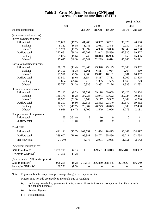|                                    |           |           |         |         |                 |         | (HK\$ million) |
|------------------------------------|-----------|-----------|---------|---------|-----------------|---------|----------------|
|                                    | 2000      |           |         | 2000    |                 |         | 2001           |
| Income component                   |           |           | 2nd Qtr | 3rd Qtr | 4th Qtr         | 1st Qtr | 2nd Qtr        |
| (At current market prices)         |           |           |         |         |                 |         |                |
| Direct investment income           |           |           |         |         |                 |         |                |
| Inflow total                       | 159,868   | (17.2)    | 41,483  | 36,967  | 36,281          | 36,376  | 46,600         |
| Banking                            | 8,132     | (16.5)    | 1,786   | 2,031   | 2,445           | 2,030   | 1,842          |
| Others $(a)$                       | 151,736   | (17.2)    | 39,697  | 34,936  | 33,836          | 34,346  | 44,758         |
| Outflow total                      | 272,661   | (38.3)    | 62,297  | 71,042  | 65,550          | 62,320  | 69,577         |
| Banking                            | 75,034    | (15.6)    | 18,748  | 18,813  | 16,936          | 16,656  | 15,486         |
| Others <sup>(a)</sup>              | 197,627   | (49.5)    | 43,549  | 52,229  | 48,614          | 45,663  | 54,091         |
| Portfolio investment income        |           |           |         |         |                 |         |                |
| Inflow total                       | 96,109    | (11.4)    | 23,463  | 25,528  | 23,195          | 26,348  | 23,982         |
| Banking                            | 24,193    | (45.3)    | 5,661   | 6,517   | 7,034           | 7,267   | 7,030          |
| Others $(a)$                       | 71,916    | (3.3)     | 17,803  | 19,011  | 16,161          | 19,081  | 16,952         |
| Outflow total                      | 27,591    | (8.6)     | 11,554  | 5,317   | 7,731           | 3,202   | 13,505         |
| Banking                            | 3,854     | $(-5.6)$  | 718     | 1,335   | 555             | 1,866   | 773            |
| Others <sup>(a)</sup>              | 23,737    | (11.3)    | 10,836  | 3,982   | 7,176           | 1,336   | 12,732         |
| Other investment income            |           |           |         |         |                 |         |                |
| Inflow total                       | 155,112   | (9.2)     | 37,799  | 39,118  | 39,009          | 35,428  | 34,304         |
| <b>Banking</b>                     | 136,179   | (5.2)     | 34,036  | 33,941  | 33,622          | 30,124  | 30,014         |
| Others $(a)$                       | 18,933    | (51.5)    | 3,764   | 5,177   | 5,387           | 5,304   | 4,290          |
| Outflow total                      | 89,297    | $(-16.9)$ | 22,516  | 22,352  | 22,170          | 20,679  | 19,662         |
| <b>Banking</b>                     | 82,361    | $(-17.7)$ | 20,807  | 20,773  | 20,073          | 18,903  | 17,480         |
| Others <sup>(a)</sup>              | 6,936     | $(-6.7)$  | 1,709   | 1,579   | 2,096           | 1,776   | 2,181          |
| Compensation of employees          |           |           |         |         |                 |         |                |
| Inflow total                       | 53        | $(-51.8)$ | 13      | 10      | 9               | 10      | 11             |
| Outflow total                      | 53        | $(-51.8)$ | 13      | 10      | 9               | 10      | 11             |
| <b>Total EFIF</b>                  |           |           |         |         |                 |         |                |
| Inflow total                       | 411,141   | (12.7)    | 102,759 | 101,624 | 98,495          | 98,162  | 104,897        |
| Outflow total                      | 389,602   | (18.0)    | 96,381  | 98,722  | 95,460          | 86,211  | 102,754        |
| Net flow total                     | 21,540    |           | 6,378   | 2,901   | 3,035           | 11,951  | 2,142          |
|                                    |           |           |         |         |                 |         |                |
| (At current market prices)         |           |           |         |         |                 |         |                |
| GNP $(\$$ million) <sup>#</sup>    | 1,288,715 | (2.1)     | 314,513 |         | 329,561 333,013 | 315,518 | 310,902        |
| Per capita GNP $(\text{\$})^{\#}$  | 193,356   | (1.2)     |         |         |                 |         |                |
| (At constant (1990) market prices) |           |           |         |         |                 |         |                |
| GNP $(\$$ million) <sup>#</sup>    | 908,255   | (9.2)     | 217,615 |         | 236,850 238,475 | 221,906 | 216,549        |
| Per capita GNP $(S)^{\#}$          | 136,272   | (8.3)     |         |         |                 | --      |                |
|                                    |           |           |         |         |                 |         |                |

#### **Table 3 Gross National Product (GNP) and external factor income flows (EFIF)**

Notes : Figures in brackets represent percentage changes over a year earlier.

Figures may not add up exactly to the totals due to rounding.

- (a) Including households, government units, non-profit institutions, and companies other than those in the banking business.
- (#) Revised figures.
- (--) Not applicable.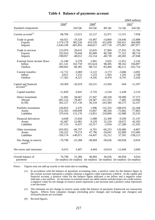|                                                 |              |                                     |                        |            |                                                  | (HK\$ million) |
|-------------------------------------------------|--------------|-------------------------------------|------------------------|------------|--------------------------------------------------|----------------|
|                                                 | $2000^{\#}$  |                                     | $2000^{\#}$            |            |                                                  | $2001^*$       |
| Standard components                             |              | 2nd Qtr                             | 3rd Qtr                | 4th Qtr    | 1st Qtr                                          | 2nd Qtr        |
| Current account <sup>(1)</sup>                  | 68,784       | 12,612                              | 22,127                 | 22,971     | 11,551                                           | 7,928          |
| Trade in goods                                  | $-64,021$    | $-19,329$                           | $-10,487$              | $-14,860$  | $-24,646$                                        | $-23,888$      |
| <b>Exports</b>                                  | 1,579,178    | 382,526                             | 433,530                | 422,858    | 350,421                                          | 364,089        |
| <b>Imports</b>                                  | $-1,643,199$ | $-401,855$                          | $-444,017$             | $-437,718$ | $-375,067$                                       | $-387,977$     |
| Trade in services                               | 123,976      | 28,632                              | 32,835                 | 37,969     | 27,932                                           | 32,766         |
| <b>Exports</b>                                  | 322,033      | 76,644                              | 85,989                 | 86,708     | 77,315                                           | 80,714         |
| Imports                                         | $-198,057$   | $-48,012$                           | $-53,154$              | $-48,739$  | $-49,383$                                        | $-47,948$      |
| External factor income flows                    | 21,540       | 6,378                               | 2,901                  | 3,035      | 11,951                                           | 2,142          |
| Inflow                                          | 411,141      | 102,759                             | 101,624                | 98,495     | 98,162                                           | 104,897        |
| Outflow                                         | $-389,602$   | $-96,381$                           | $-98,722$              | $-95,460$  | $-86,211$                                        | $-102,754$     |
| <b>Current transfers</b>                        | $-12,712$    | $-3,069$                            | $-3,122$               | $-3,173$   | $-3,686$                                         | $-3,092$       |
| Inflow                                          | 4,651        | 1,152                               | 1,223                  | 1,303      | 1,105                                            | 2,338          |
| Outflow                                         | $-17,362$    | $-4,221$                            | $-4,345$               | $-4,476$   | $-4,791$                                         | $-5,430$       |
| Capital and financial<br>$\text{account}^{(1)}$ | $-59,369$    | $-16,019$                           | $-26,531$              | $-12,956$  | $-504$                                           | $-11,597$      |
| Capital transfers                               | $-11,829$    | $-3,641$                            | $-3,716$               | $-2,534$   | $-1,438$                                         | $-3,116$       |
| Direct investment                               | 11,005       | 58,667                              | 21,947                 | $-68,169$  | 59,090                                           | 37,372         |
| Abroad                                          | $-491,122$   | $-78,467$                           | $-34,387$              | $-311,553$ | $-7,485$                                         | $-14,966$      |
| In HK                                           | 502,127      | 137,134                             | 56,334                 | 243,384    | 66,575                                           | 52,337         |
| Portfolio investment                            | 226,852      | 5,476                               | 1,996                  | 132,335    | $-108,070$                                       | $-52,268$      |
| Assets                                          | $-152,563$   | $-109,699$                          | 15,847                 | $-86,564$  | $-75,082$                                        | $-77,803$      |
| Liabilities                                     | 379,416      | 115,176                             | $-13,851$              | 218,899    | $-32,988$                                        | 25,535         |
| Financial derivatives                           | $-4,648$     | 15,644                              | $-1,088$               | 22,300     | $-9,209$                                         | 21,147         |
| Assets                                          | 62,487       | 22,081                              | 9,229                  | 25,234     | 18,072                                           | 42,583         |
| Liabilities                                     | $-67,135$    | $-6,437$                            | $-10,317$              | $-2,934$   | $-27,280$                                        | $-21,435$      |
| Other investment                                | $-203,952$   | $-66,797$                           | $-6,701$               | $-66,253$  | 120,080                                          | $-4,807$       |
| Assets                                          | 126,222      | 79,274                              | 47,796                 | $-34,041$  | 62,689                                           | 153,406        |
| Liabilities                                     | $-330,174$   | $-146,071$                          | $-54,497$              | $-32,212$  | 57,391                                           | $-158,213$     |
| Net change in reserve<br>$asserts^{(2)}$        | $-76,798$    | $-25,368$                           | $-38,969$              | $-30,636$  | $-60,958$                                        | $-9,924$       |
| Net errors and omissions                        | $-9,415$     | 3,407                               | 4,404                  | $-10,014$  | $-11,046$                                        | 3,669          |
| Overall balance of<br>payments                  | 76,798       | 25,368<br>(in surplus) (in surplus) | 38,969<br>(in surplus) | 30,636     | 60,958<br>(in surplus) (in surplus) (in surplus) | 9,924          |

**Table 4 Balance of payments account**

Notes : Figures may not add up exactly to the totals due to rounding.

- (1) In accordance with the balance of payments accounting rules, a positive value for the balance figure in the current account represents a surplus whereas a negative value represents a deficit. In the capital and financial account, a positive value for the balance figure indicates a net inflow and a negative value indicates a net outflow. As increases in external assets are debit entries and decreases are credit entries, a negative value for net change in reserve assets represents a net increase and a positive value represents a net decrease.
- (2) The estimates on net change in reserve assets under the balance of payments framework are transaction figures. Effects from valuation changes (including price changes and exchange rate changes) and reclassifications are excluded.
- (#) Revised figures.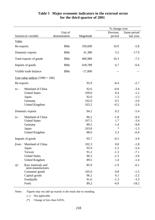|            |                                        |              |           | % change over |             |
|------------|----------------------------------------|--------------|-----------|---------------|-------------|
|            |                                        | Unit of      |           | Previous      | Same period |
|            | Statistical variable                   | denomination | Magnitude | period        | last year   |
| Value      |                                        |              |           |               |             |
| Re-exports |                                        | \$Mn         | 359,609   | 10.9          | $-5.8$      |
|            | Domestic exports                       | \$Mn         | 41,380    | 5.5           | $-17.9$     |
|            | Total exports of goods                 | \$Mn         | 400,989   | 10.3          | $-7.2$      |
|            | Imports of goods                       | \$Mn         | 418,789   | 6.7           | $-6.6$      |
|            | Visible trade balance                  | \$Mn         | $-17,800$ |               |             |
|            | Unit value indices $(1990 = 100)$      |              |           |               |             |
| Re-exports |                                        |              | 95.9      | $-0.4$        | $-2.7$      |
| $to$ :     | Mainland of China                      |              | 92.6      | $-0.8$        | $-3.4$      |
|            | <b>United States</b>                   |              | 109.0     | 0.4           | $-1.2$      |
|            | Japan                                  |              | 92.6      | 1.3           | $-1.3$      |
|            | Germany                                |              | 102.0     | 0.5           | $-2.0$      |
|            | <b>United Kingdom</b>                  |              | 103.2     | $-0.2$        | $-2.6$      |
|            | Domestic exports                       |              | 94.2      | 0.2           | $-5.4$      |
| $to$ :     | Mainland of China                      |              | 86.2      | $-1.8$        | $-9.4$      |
|            | <b>United States</b>                   |              | 107.5     | 1.7           | $-3.4$      |
|            | Germany                                |              | 89.5      | 1.4           | $-9.8$      |
|            | Japan                                  |              | 103.8     | $\ast$        | $-1.3$      |
|            | <b>United Kingdom</b>                  |              | 88.6      | 2.3           | $-6.4$      |
|            | Imports of goods                       |              | 95.7      | $-0.5$        | $-3.9$      |
|            | from: Mainland of China                |              | 102.3     | 0.8           | $-1.8$      |
|            | Japan                                  |              | 95.9      | $-1.5$        | $-5.4$      |
|            | Taiwan                                 |              | 91.2      | $-1.3$        | $-7.1$      |
|            | <b>United States</b>                   |              | 96.3      | $-1.5$        | $-3.0$      |
|            | <b>United Kingdom</b>                  |              | 89.5      | 1.4           | $-1.4$      |
| $of$ :     | Raw materials and<br>semi-manufactures |              | 85.9      | $-1.9$        | $-6.1$      |
|            | Consumer goods                         |              | 105.0     | 0.8           | $-1.5$      |
|            | Capital goods                          |              | 96.2      | 0.1           | $-2.5$      |
|            | Foodstuffs                             |              | 91.6      | $-1.3$        | $-3.3$      |
|            | Fuels                                  |              | 89.2      | $-4.9$        | $-18.2$     |

#### **Table 5 Major economic indicators in the external sector for the third quarter of 2001**

Notes : Figures may not add up exactly to the totals due to rounding.

(--) Not applicable.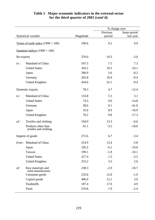### % change over Statistical variable Magnitude Previous period Same period last year Terms of trade index  $(1990 = 100)$  100.6 0.2 0.9 Quantum indices  $(1990 = 100)$ Re-exports 370.0 10.3 -3.0 *to :* Mainland of China 547.5 7.5 7.3 United States 343.2 18.3 -10.1 Japan 390.9 5.6 -0.2 Germany 205.8 18.4 -9.4 United Kingdom 434.6 22.1 -9.4 Domestic exports 78.3 4.7 -12.4 *to :* Mainland of China 133.8 5.5 3.1 United States 74.5 9.0 -14.8 Germany 38.6 0.1 -41.0 Japan 35.6 8.9 -18.9 United Kingdom 79.2 9.8 -17.3 *of :* Textiles and clothing 104.9 13.3 -6.6 Products other than textiles and clothing  $61.1$   $-3.5$   $-18.0$ Imports of goods 272.6 6.7 -3.4 *from : Mainland of China* 314.9 13.4 -5.8 Japan 185.2 -4.1 -10.0 Taiwan 199.1 -1.8 -10.1 United States 227.4 1.5 -3.5 United Kingdom 253.2 3.5 2.6 *of :* Raw materials and semi-manufactures 238.3 -2.9 -10.7 Consumer goods 235.8 12.8 -1.9 Capital goods 496.6 12.1 3.9 Foodstuffs 187.4 17.0 4.9

#### **Table 5 Major economic indicators in the external sector for the third quarter of 2001 (cont'd)**

Fuels 219.8 1.9 -2.4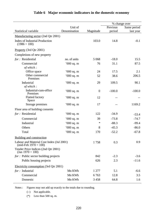|                                                                     |              |                |          | % change over |
|---------------------------------------------------------------------|--------------|----------------|----------|---------------|
|                                                                     | Unit of      |                | Previous | Same period   |
| Statistical variable                                                | Denomination | Magnitude      | period   | last year     |
| Manufacturing sector (2nd Qtr 2001)                                 |              |                |          |               |
| <b>Index of Industrial Production</b><br>$(1986 = 100)$             |              | 103.0          | 14.8     | $-0.1$        |
| Property (3rd Qtr 2001)                                             |              |                |          |               |
| Completions of new property                                         |              |                |          |               |
| for: Residential                                                    | no. of units | 5 0 6 8        | $-18.0$  | 15.5          |
| Commercial                                                          | $'000$ sq. m | 76             | 31.1     | 87.5          |
| of which:                                                           |              |                |          |               |
| Office space                                                        | '000 sq. m   | 24             | 17.5     | 2.1           |
| Other commercial<br>Premises                                        | $'000$ sq. m | 52             | 38.6     | 206.5         |
| Industrial                                                          | $'000$ sq. m | 29             | 109.5    | 90.1          |
| of which:                                                           |              |                |          |               |
| Industrial-cum-office<br>Premises                                   | $000$ sq. m  | $\overline{0}$ | $-100.0$ | $-100.0$      |
| <b>Flatted factory</b><br>Space                                     | $000$ sq. m  | 12             |          |               |
| Storage premises                                                    | $000$ sq. m  | 17             |          | 1169.2        |
| Floor area of building consents                                     |              |                |          |               |
| for: Residential                                                    | $000$ sq. m  | 122            | $-34.9$  | $-53.4$       |
| Commercial                                                          | $'000$ sq. m | 39             | $-73.8$  | $-74.7$       |
| Industrial                                                          | $'000$ sq. m | $\ast$         | $-88.3$  | $-99.4$       |
| Others                                                              | $000$ sq. m  | 8              | $-45.3$  | $-86.0$       |
| Total                                                               | $'000$ sq. m | 170            | $-52.2$  | $-67.8$       |
| <b>Building and construction</b>                                    |              |                |          |               |
| Labour and Material Cost Index (Jul 2001)<br>$(mid-Feb 1970 = 100)$ |              | 1758           | 0.3      | 0.9           |
| Tender Price Indices (2nd Qtr 2001)<br>$(Jan 1970 - 100)$           |              |                |          |               |
| $for:$ Public sector building projects                              |              | 842            | $-2.3$   | $-3.6$        |
| Public housing projects                                             |              | 626            | 2.3      | $-11.6$       |
| Electricity consumption (3rd Qtr 2001)                              |              |                |          |               |
| $for:$ Industrial                                                   | Mn KWh       | 1 277          | 5.1      | $-6.6$        |
| Commercial                                                          | Mn KWh       | 6763           | 12.8     | 3.5           |
| Domestic                                                            | Mn KWh       | 3 4 5 8        | 64.8     | 1.6           |

## **Table 6 Major economic indicators in the domestic economy**

Notes : Figures may not add up exactly to the totals due to rounding.

(--) Not applicable.

(\*) Less than 500 sq. m.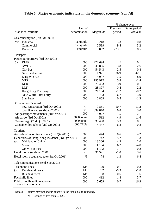|                                                    |              |           |          | % change over |
|----------------------------------------------------|--------------|-----------|----------|---------------|
|                                                    | Unit of      |           | Previous | Same period   |
| Statistical variable                               | denomination | Magnitude | period   | last year     |
| Gas consumption (3rd Qtr 2001)                     |              |           |          |               |
| $for:$ Industrial                                  | Terajoule    | 248       | $-5.3$   | $-0.8$        |
| Commercial                                         | Terajoule    | 2 5 9 9   | $-9.4$   | $-3.2$        |
| Domestic                                           | Terajoule    | 3 0 3 2   | $-23.1$  | 8.5           |
|                                                    |              |           |          |               |
| <b>Transport</b>                                   |              |           |          |               |
| Passenger journeys (3rd Qtr 2001)                  |              |           | $\ast$   |               |
| $by:$ KMB                                          | 000          | 272 694   |          | 0.1           |
| <b>NWFB</b>                                        | 000          | 48 8 35   | 3.8      | 2.6           |
| <b>City Bus</b>                                    | 000          | 54 543    | 2.5      | $-0.8$        |
| New Lantau Bus                                     | 000          | 1921      | 36.9     | 42.1          |
| Long Win Bus                                       | 000          | 5 0 9 7   | 7.5      | 8.9           |
| <b>MTR</b>                                         | 000          | 195 912   | 5.8      | $-1.4$        |
| <b>KCR</b>                                         | 000          | 73 493    | 3.9      | 0.1           |
| <b>LRT</b>                                         | 000          | 28 897    | $-0.4$   | $-2.2$        |
| Hong Kong Tramways                                 | 000          | 21 134    | $-1.2$   | $-0.2$        |
| New World First Ferry                              | 000          | 3733      | 6.7      | 3.9           |
| <b>Star Ferry</b>                                  | 000          | 6869      | 0.5      | $-1.3$        |
| Private cars licensed                              |              |           |          |               |
| new registration (3rd Qtr 2001)                    | no.          | 9851      | 10.7     | 11.2          |
| total licensed (end-Sep 2001)                      | no.          | 339 870   | 0.8      | 3.0           |
| Air passenger movements (3rd Qtr 2001)             | 000          | 5927      | 1.5      | $-2.1$        |
| Air cargo (3rd Qtr 2001)                           | '000 tonne   | 512       | 4.9      | $-11.6$       |
| Ocean cargo (2nd Qtr 2001)                         | '000 tonne   | 33 490    | 5.3      | 0.1           |
| Container throughput (2nd Qtr 2001)                | '000 TEUs    | 4 4 4 7   | 6.8      | $-0.8$        |
| <b>Tourism</b>                                     |              |           |          |               |
| Arrivals of incoming visitors (3rd Qtr 2001)       | 000          | 3 4 7 4   | 0.6      | 4.2           |
| Departures of Hong Kong residents (3rd Qtr 2001)   | 000          | 15 742    | 5.2      | 1.3           |
| Mainland of China<br>$to$ :                        | 000          | 13 30 6   | 4.9      | 2.0           |
| Macau                                              | 000          | 1 1 3 4   | 6.2      | $-4.8$        |
| Other countries                                    | 000          | 1 3 0 2   | 7.1      | $-0.2$        |
| Hotel rooms (end-Sep 2001)                         | no.          | 36 591    | $-1.0$   | 3.6           |
| Hotel room occupancy rate (3rd Qtr 2001)           | $\%$         | 78        | $-1.3$   | $-6.4$        |
| Telecommunications (end-Sep 2001)                  |              |           |          |               |
|                                                    |              |           |          |               |
| Telephone lines                                    | Mn           | 3.9       | 0.1      | $-0.3$        |
| for: Residential users                             | Mn           | 2.2       | $-0.3$   | $-1.8$        |
| <b>Business users</b>                              | Mn           | 1.8       | 0.6      | 1.6           |
| <b>Facsimile</b> lines                             | 000          | 412       | 1.8      | 3.7           |
| Public mobile radiotelephone<br>services customers | 000          | 5 6 5 9   | 0.7      | 16.9          |

## **Table 6 Major economic indicators in the domestic economy (cont'd)**

Notes : Figures may not add up exactly to the totals due to rounding.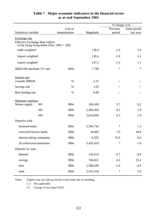|                                                                                                        |              |           | % change over |             |
|--------------------------------------------------------------------------------------------------------|--------------|-----------|---------------|-------------|
|                                                                                                        | Unit of      |           | Previous      | Same period |
| Statistical variable                                                                                   | denomination | Magnitude | period        | last year   |
| Exchange rate<br><b>Effective Exchange Rate Indices</b><br>of the Hong Kong dollar (Nov $1983 = 100$ ) |              |           |               |             |
| trade-weighted                                                                                         |              | 138.4     | $-1.6$        | 2.6         |
| import-weighted                                                                                        |              | 130.6     | $-1.8$        | 4.1         |
| export-weighted                                                                                        |              | 147.2     | $-1.4$        | 1.1         |
| HK\$/US\$ interbank T/T rate                                                                           | HK\$         | 7.799     | *             | $\ast$      |
| Interest rate                                                                                          |              |           |               |             |
| 3-month HIBOR                                                                                          | $\%$         | 2.31      | --            |             |
| Savings rate                                                                                           | $\%$         | 1.03      | $-1$          |             |
| Best lending rate                                                                                      | $\%$         | 6.00      | --            |             |
| <b>Monetary statistics</b>                                                                             |              |           |               |             |
| Money supply :<br>M1                                                                                   | \$Mn         | 240,430   | 5.7           | 9.2         |
| M2                                                                                                     | \$Mn         | 3,569,304 | 0.2           | 1.9         |
| M <sub>3</sub>                                                                                         | \$Mn         | 3,614,950 | 0.3           | 1.9         |
| Deposits with :                                                                                        |              |           |               |             |
| licensed banks                                                                                         | \$Mn         | 3,394,742 | $\ast$        | 1.5         |
| restricted licence banks                                                                               | \$Mn         | 34,085    | 7.0           | 18.8        |
| deposit-taking companies                                                                               | \$Mn         | 6,592     | 16.0          | 8.6         |
| all authorized institutions                                                                            | \$Mn         | 3,435,418 | $\ast$        | 1.6         |
| Deposits by type :                                                                                     |              |           |               |             |
| demand                                                                                                 | \$Mn         | 142,014   | 6.7           | 8.9         |
| savings                                                                                                | \$Mn         | 784,821   | 4.3           | 23.2        |
| time                                                                                                   | \$Mn         | 2,508,584 | $-1.6$        | $-4.0$      |
| total                                                                                                  | \$Mn         | 3,435,418 | $\ast$        | 1.6         |

#### **Table 7 Major economic indicators in the financial sector as at end-September 2001**

Notes : Figures may not add up exactly to the totals due to rounding.

(--) Not applicable.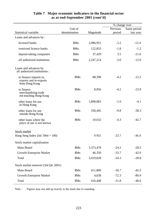|                                                                    |                  |           | % change over |             |
|--------------------------------------------------------------------|------------------|-----------|---------------|-------------|
|                                                                    | Unit of          |           | Previous      | Same period |
| Statistical variable                                               | denomination     | Magnitude | period        | last year   |
| Loans and advances by:                                             |                  |           |               |             |
| licensed banks                                                     | \$Mn             | 2,086,951 | $-3.2$        | $-12.4$     |
| restricted licence banks                                           | \$Mn             | 122,833   | $-1.8$        | $-1.2$      |
| deposit-taking companies                                           | \$Mn             | 37,429    | 3.5           | $-21.0$     |
| all authorized institutions                                        | \$Mn             | 2,247,214 | $-3.0$        | $-12.0$     |
| Loans and advances by<br>all authorized institutions :             |                  |           |               |             |
| to finance imports to,<br>exports and re-exports<br>from Hong Kong | \$Mn             | 88,398    | $-4.2$        | $-12.2$     |
| to finance<br>merchandising trade<br>not touching Hong Kong        | \$M <sub>n</sub> | 8,856     | $-4.2$        | $-23.9$     |
| other loans for use<br>in Hong Kong                                | \$Mn             | 1,808,883 | $-1.6$        | $-4.1$      |
| other loans for use<br>outside Hong Kong                           | \$Mn             | 330,445   | $-9.8$        | $-38.3$     |
| other loans where the<br>place of use is not known                 | \$M <sub>n</sub> | 10,632    | $-4.3$        | $-42.7$     |
| <b>Stock market</b>                                                |                  |           |               |             |
| Hang Seng Index (Jul $1964 = 100$ )                                |                  | 9951      | $-23.7$       | $-36.4$     |
| Stock market capitalisation                                        |                  |           |               |             |
| Main Board                                                         | \$Mn             | 3,373,478 | $-24.2$       | $-28.5$     |
| <b>Growth Enterprise Market</b>                                    | \$Mn             | 46,350    | $-33.7$       | $-42.0$     |
| Total                                                              | \$Mn             | 3,419,828 | $-24.3$       | $-28.8$     |
| Stock market turnover (3rd Qtr 2001)                               |                  |           |               |             |
| Main Board                                                         | \$Mn             | 411,809   | $-30.7$       | $-45.5$     |
| <b>Growth Enterprise Market</b>                                    | \$Mn             | 4,638     | $-72.3$       | $-80.9$     |
| Total                                                              | \$Mn             | 416,448   | $-31.8$       | $-46.6$     |

#### **Table 7 Major economic indicators in the financial sector as at end-September 2001 (cont'd)**

Note : Figures may not add up exactly to the totals due to rounding.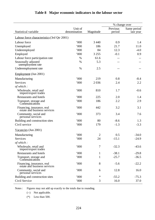|                                                            |              |           | % change over |             |
|------------------------------------------------------------|--------------|-----------|---------------|-------------|
|                                                            | Unit of      |           | Previous      | Same period |
| Statistical variable                                       | denomination | Magnitude | period        | last year   |
| Labour force characteristics (3rd Qtr 2001)                |              |           |               |             |
| Labour force                                               | 000          | 3 4 4 0   | 0.9           | 1.4         |
| Unemployed                                                 | 000          | 186       | 21.7          | 11.0        |
| Underemployed                                              | 000          | 84        | 12.3          | $-4.0$      |
| Employed                                                   | '000         | 3 2 5 5   | $-0.1$        | 0.9         |
| Labour force participation rate                            | $\%$         | 61.6      |               |             |
| Seasonally adjusted<br>unemployment rate                   | $\%$         | 5.3       |               |             |
| Underemployment rate                                       | $\%$         | 2.5       |               |             |
| Employment (Jun 2001)                                      |              |           |               |             |
| Manufacturing                                              | 000          | 219       | 0.8           | $-8.4$      |
| Services                                                   | '000         | 2036      | 2.4           | 2.2         |
| of which:                                                  |              |           |               |             |
| Wholesale, retail and<br>import/export trades              | 000          | 810       | 1.7           | $-0.6$      |
| <b>Restaurants and hotels</b>                              | 000          | 225       | 2.0           | 1.4         |
| Transport, storage and<br>Communications                   | '000         | 186       | 2.2           | 2.9         |
| Financing, insurance, real<br>estate and business services | 000          | 442       | 3.2           | 3.1         |
| Community, social and<br>personal services                 | 000          | 373       | 3.4           | 7.6         |
| Building and construction sites                            | 000          | 80        | $-8.6$        | 1.3         |
| Civil service                                              | 000          | 179       | $-1.3$        | $-3.3$      |
| Vacancies (Jun 2001)                                       |              |           |               |             |
| Manufacturing                                              | 000          | 2         | 0.5           | $-34.0$     |
| Services                                                   | 000          | 24        | $-15.1$       | $-24.9$     |
| of which:                                                  |              |           |               |             |
| Wholesale, retail and<br>import/export trades              | '000         | 7         | $-32.3$       | $-43.6$     |
| <b>Restaurants and hotels</b>                              | 000          | 1         | $-38.1$       | $-29.8$     |
| Transport, storage and<br>Communications                   | '000         | 1         | $-25.7$       | $-36.5$     |
| Financing, insurance, real<br>estate and business services | '000         | 8         | $-5.6$        | $-22.2$     |
| Community, social and<br>personal services                 | 000          | 6         | 12.8          | 16.0        |
| Building and construction sites                            | '000         | ∗         | $-55.2$       | $-75.3$     |
| Civil Service                                              | '000         | 3         | 16.0          | 37.0        |

## **Table 8 Major economic indicators in the labour sector**

Notes : Figures may not add up exactly to the totals due to rounding.

(--) Not applicable.

 $(*)$  Less than 500.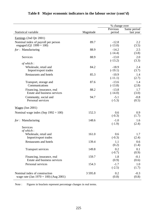|                                          |            | % change over |             |
|------------------------------------------|------------|---------------|-------------|
|                                          |            | Previous      | Same period |
| Statistical variable                     | Magnitude  | period        | last year   |
| Earnings (2nd Qtr 2001)                  |            |               |             |
| Nominal index of payroll per person      | 89.7       | $-12.8$       | 2.2         |
| engaged (Q1 1999 = 100)                  |            | $(-13.0)$     | (3.5)       |
| for: Manufacturing                       | 88.9       | $-14.2$       | 2.5         |
|                                          |            | $(-14.4)$     | (3.8)       |
| Services                                 | 88.9       | $-13.0$       | 2.0         |
| of which:                                |            | $(-13.2)$     | (3.3)       |
| Wholesale, retail and                    | 84.2       | $-18.9$       | 2.4         |
| Import/export trades                     |            | $(-19.1)$     | (3.7)       |
| <b>Restaurants and hotels</b>            | 85.3       | $-10.9$       | 1.4         |
|                                          |            | $(-11.1)$     | (2.7)       |
| Transport, storage and                   | 87.6       | $-13.6$       | 1.4         |
| Communications                           |            | $(-13.8)$     | (2.8)       |
| Financing, insurance, real               | 88.2       | $-13.8$       | 1.7         |
| Estate and business services             |            | $(-14.0)$     | (3.0)       |
| Community, social and                    | 94.7       | $-5.1$        | $-0.8$      |
| Personal services                        |            | $(-5.3)$      | (0.5)       |
|                                          |            |               |             |
| $Wages$ (Jun 2001)                       |            |               |             |
| Nominal wage index (Sep $1992 = 100$ )   | 152.3      | 0.6           | 0.9         |
|                                          |            | $(-0.3)$      | (1.7)       |
| for: Manufacturing                       | 148.6      | $-1.0$        | 1.6         |
| Services                                 |            | $(-1.9)$      | (2.4)       |
| of which:                                |            |               |             |
| Wholesale, retail and                    | 161.0      | 0.6           | 1.7         |
| Import/export trades                     |            | $(-0.3)$      | (2.4)       |
| <b>Restaurants and hotels</b>            | 139.4      | 1.1           | 0.6         |
|                                          |            | (0.2)         | (1.4)       |
| <b>Transport services</b>                | 149.8      | 0.2           | 0.1         |
|                                          |            | $(-0.7)$      | (0.9)       |
| Financing, insurance, real               | 159.7      | 1.8           | $-0.1$      |
| Estate and business services             |            | (0.9)         | (0.6)       |
| Personal services                        | 154.3      | $-1.7$        | 1.0         |
|                                          |            | $(-2.5)$      | (1.7)       |
| Nominal index of construction            | 3 5 9 5 .8 | 0.2           | $-0.3$      |
| wage rate (Jan $1970 = 100$ ) (Aug 2001) |            | (0.8)         | (0.8)       |

## **Table 8 Major economic indicators in the labour sector (cont'd)**

Note : Figures in brackets represent percentage changes in real terms.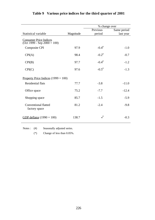|                                                                                         |           | % change over       |             |  |
|-----------------------------------------------------------------------------------------|-----------|---------------------|-------------|--|
|                                                                                         |           | Previous            | Same period |  |
| Statistical variable                                                                    | Magnitude | period              | last year   |  |
| <b>Consumer Price Indices</b><br>$\overline{(\text{Oct }1999 - \text{Sep }2000 = 100)}$ |           |                     |             |  |
| <b>Composite CPI</b>                                                                    | 97.9      | $-0.4$ <sup>#</sup> | $-1.0$      |  |
| CPI(A)                                                                                  | 98.4      | $-0.2$ <sup>#</sup> | $-0.7$      |  |
| CPI(B)                                                                                  | 97.7      | $-0.4$ <sup>#</sup> | $-1.2$      |  |
| CPI(C)                                                                                  | 97.6      | $-0.5$ <sup>#</sup> | $-1.3$      |  |
| Property Price Indices $(1999 = 100)$                                                   |           |                     |             |  |
| <b>Residential flats</b>                                                                | 77.7      | $-3.8$              | $-11.0$     |  |
| Office space                                                                            | 75.2      | $-7.7$              | $-12.4$     |  |
| Shopping space                                                                          | 85.7      | $-1.5$              | $-5.9$      |  |
| <b>Conventional flatted</b><br>factory space                                            | 81.2      | $-2.4$              | $-9.8$      |  |
| GDP deflator $(1990 = 100)$                                                             | 138.7     | $*^{\#}$            | $-0.3$      |  |

# **Table 9 Various price indices for the third quarter of 2001**

Notes : (#) Seasonally adjusted series.